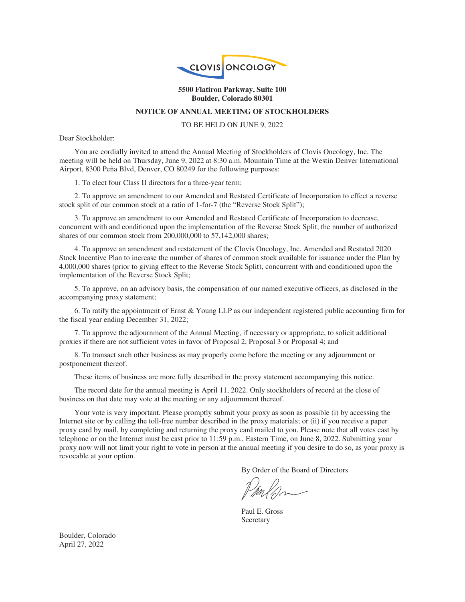

**5500 Flatiron Parkway, Suite 100 Boulder, Colorado 80301**

### **NOTICE OF ANNUAL MEETING OF STOCKHOLDERS**

TO BE HELD ON JUNE 9, 2022

<span id="page-0-0"></span>Dear Stockholder:

You are cordially invited to attend the Annual Meeting of Stockholders of Clovis Oncology, Inc. The meeting will be held on Thursday, June 9, 2022 at 8:30 a.m. Mountain Time at the Westin Denver International Airport, 8300 Peña Blvd, Denver, CO 80249 for the following purposes:

1. To elect four Class II directors for a three-year term;

2. To approve an amendment to our Amended and Restated Certificate of Incorporation to effect a reverse stock split of our common stock at a ratio of 1-for-7 (the "Reverse Stock Split");

3. To approve an amendment to our Amended and Restated Certificate of Incorporation to decrease, concurrent with and conditioned upon the implementation of the Reverse Stock Split, the number of authorized shares of our common stock from 200,000,000 to 57,142,000 shares;

4. To approve an amendment and restatement of the Clovis Oncology, Inc. Amended and Restated 2020 Stock Incentive Plan to increase the number of shares of common stock available for issuance under the Plan by 4,000,000 shares (prior to giving effect to the Reverse Stock Split), concurrent with and conditioned upon the implementation of the Reverse Stock Split;

5. To approve, on an advisory basis, the compensation of our named executive officers, as disclosed in the accompanying proxy statement;

6. To ratify the appointment of Ernst & Young LLP as our independent registered public accounting firm for the fiscal year ending December 31, 2022;

7. To approve the adjournment of the Annual Meeting, if necessary or appropriate, to solicit additional proxies if there are not sufficient votes in favor of Proposal 2, Proposal 3 or Proposal 4; and

8. To transact such other business as may properly come before the meeting or any adjournment or postponement thereof.

These items of business are more fully described in the proxy statement accompanying this notice.

The record date for the annual meeting is April 11, 2022. Only stockholders of record at the close of business on that date may vote at the meeting or any adjournment thereof.

Your vote is very important. Please promptly submit your proxy as soon as possible (i) by accessing the Internet site or by calling the toll-free number described in the proxy materials; or (ii) if you receive a paper proxy card by mail, by completing and returning the proxy card mailed to you. Please note that all votes cast by telephone or on the Internet must be cast prior to 11:59 p.m., Eastern Time, on June 8, 2022. Submitting your proxy now will not limit your right to vote in person at the annual meeting if you desire to do so, as your proxy is revocable at your option.

By Order of the Board of Directors

Paul E. Gross Secretary

Boulder, Colorado April 27, 2022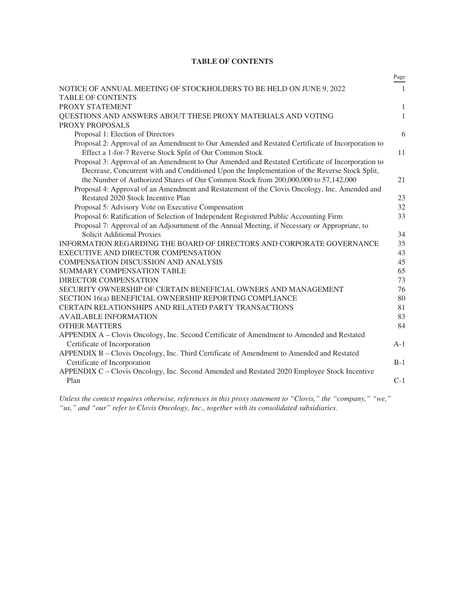# **TABLE OF CONTENTS**

|                                                                                                                           | Page  |
|---------------------------------------------------------------------------------------------------------------------------|-------|
| NOTICE OF ANNUAL MEETING OF STOCKHOLDERS TO BE HELD ON JUNE 9, 2022                                                       | 1     |
| <b>TABLE OF CONTENTS</b>                                                                                                  |       |
| PROXY STATEMENT                                                                                                           | 1     |
| QUESTIONS AND ANSWERS ABOUT THESE PROXY MATERIALS AND VOTING                                                              | 1     |
| PROXY PROPOSALS                                                                                                           |       |
| Proposal 1: Election of Directors                                                                                         | 6     |
| Proposal 2: Approval of an Amendment to Our Amended and Restated Certificate of Incorporation to                          |       |
| Effect a 1-for-7 Reverse Stock Split of Our Common Stock                                                                  | 11    |
| Proposal 3: Approval of an Amendment to Our Amended and Restated Certificate of Incorporation to                          |       |
| Decrease, Concurrent with and Conditioned Upon the Implementation of the Reverse Stock Split,                             |       |
| the Number of Authorized Shares of Our Common Stock from 200,000,000 to 57,142,000                                        | 21    |
| Proposal 4: Approval of an Amendment and Restatement of the Clovis Oncology, Inc. Amended and                             |       |
| Restated 2020 Stock Incentive Plan                                                                                        | 23    |
| Proposal 5: Advisory Vote on Executive Compensation                                                                       | 32    |
| Proposal 6: Ratification of Selection of Independent Registered Public Accounting Firm                                    | 33    |
| Proposal 7: Approval of an Adjournment of the Annual Meeting, if Necessary or Appropriate, to                             |       |
| Solicit Additional Proxies                                                                                                | 34    |
| INFORMATION REGARDING THE BOARD OF DIRECTORS AND CORPORATE GOVERNANCE                                                     | 35    |
| EXECUTIVE AND DIRECTOR COMPENSATION                                                                                       | 43    |
| <b>COMPENSATION DISCUSSION AND ANALYSIS</b>                                                                               | 45    |
| <b>SUMMARY COMPENSATION TABLE</b>                                                                                         | 65    |
| DIRECTOR COMPENSATION                                                                                                     | 73    |
| SECURITY OWNERSHIP OF CERTAIN BENEFICIAL OWNERS AND MANAGEMENT                                                            | 76    |
| SECTION 16(a) BENEFICIAL OWNERSHIP REPORTING COMPLIANCE                                                                   | 80    |
| CERTAIN RELATIONSHIPS AND RELATED PARTY TRANSACTIONS                                                                      | 81    |
| <b>AVAILABLE INFORMATION</b>                                                                                              | 83    |
| <b>OTHER MATTERS</b>                                                                                                      | 84    |
| APPENDIX A – Clovis Oncology, Inc. Second Certificate of Amendment to Amended and Restated                                | $A-1$ |
| Certificate of Incorporation                                                                                              |       |
| APPENDIX B - Clovis Oncology, Inc. Third Certificate of Amendment to Amended and Restated<br>Certificate of Incorporation | $B-1$ |
| APPENDIX C – Clovis Oncology, Inc. Second Amended and Restated 2020 Employee Stock Incentive                              |       |
| Plan                                                                                                                      | $C-1$ |
|                                                                                                                           |       |

*Unless the context requires otherwise, references in this proxy statement to "Clovis," the "company," "we," "us," and "our" refer to Clovis Oncology, Inc., together with its consolidated subsidiaries.*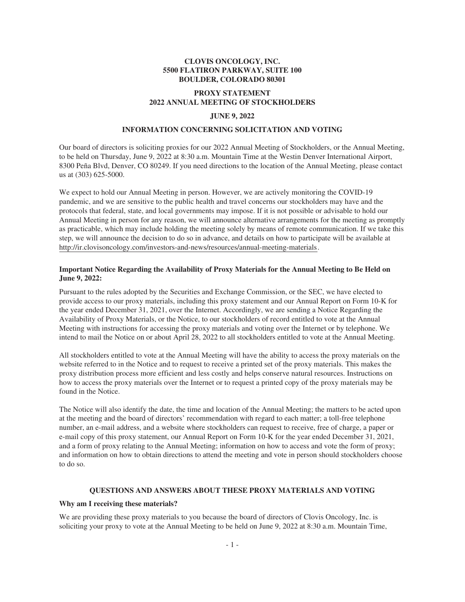# **CLOVIS ONCOLOGY, INC. 5500 FLATIRON PARKWAY, SUITE 100 BOULDER, COLORADO 80301**

# **PROXY STATEMENT 2022 ANNUAL MEETING OF STOCKHOLDERS**

### **JUNE 9, 2022**

# **INFORMATION CONCERNING SOLICITATION AND VOTING**

<span id="page-2-0"></span>Our board of directors is soliciting proxies for our 2022 Annual Meeting of Stockholders, or the Annual Meeting, to be held on Thursday, June 9, 2022 at 8:30 a.m. Mountain Time at the Westin Denver International Airport, 8300 Peña Blvd, Denver, CO 80249. If you need directions to the location of the Annual Meeting, please contact us at (303) 625-5000.

We expect to hold our Annual Meeting in person. However, we are actively monitoring the COVID-19 pandemic, and we are sensitive to the public health and travel concerns our stockholders may have and the protocols that federal, state, and local governments may impose. If it is not possible or advisable to hold our Annual Meeting in person for any reason, we will announce alternative arrangements for the meeting as promptly as practicable, which may include holding the meeting solely by means of remote communication. If we take this step, we will announce the decision to do so in advance, and details on how to participate will be available at http://ir.clovisoncology.com/investors-and-news/resources/annual-meeting-materials.

## **Important Notice Regarding the Availability of Proxy Materials for the Annual Meeting to Be Held on June 9, 2022:**

Pursuant to the rules adopted by the Securities and Exchange Commission, or the SEC, we have elected to provide access to our proxy materials, including this proxy statement and our Annual Report on Form 10-K for the year ended December 31, 2021, over the Internet. Accordingly, we are sending a Notice Regarding the Availability of Proxy Materials, or the Notice, to our stockholders of record entitled to vote at the Annual Meeting with instructions for accessing the proxy materials and voting over the Internet or by telephone. We intend to mail the Notice on or about April 28, 2022 to all stockholders entitled to vote at the Annual Meeting.

All stockholders entitled to vote at the Annual Meeting will have the ability to access the proxy materials on the website referred to in the Notice and to request to receive a printed set of the proxy materials. This makes the proxy distribution process more efficient and less costly and helps conserve natural resources. Instructions on how to access the proxy materials over the Internet or to request a printed copy of the proxy materials may be found in the Notice.

The Notice will also identify the date, the time and location of the Annual Meeting; the matters to be acted upon at the meeting and the board of directors' recommendation with regard to each matter; a toll-free telephone number, an e-mail address, and a website where stockholders can request to receive, free of charge, a paper or e-mail copy of this proxy statement, our Annual Report on Form 10-K for the year ended December 31, 2021, and a form of proxy relating to the Annual Meeting; information on how to access and vote the form of proxy; and information on how to obtain directions to attend the meeting and vote in person should stockholders choose to do so.

### **QUESTIONS AND ANSWERS ABOUT THESE PROXY MATERIALS AND VOTING**

### <span id="page-2-1"></span>**Why am I receiving these materials?**

We are providing these proxy materials to you because the board of directors of Clovis Oncology, Inc. is soliciting your proxy to vote at the Annual Meeting to be held on June 9, 2022 at 8:30 a.m. Mountain Time,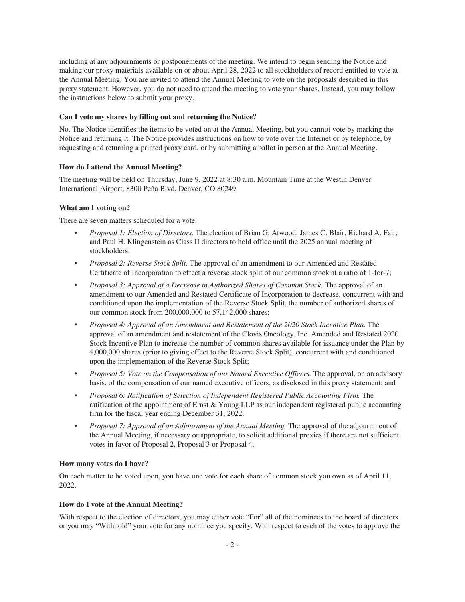including at any adjournments or postponements of the meeting. We intend to begin sending the Notice and making our proxy materials available on or about April 28, 2022 to all stockholders of record entitled to vote at the Annual Meeting. You are invited to attend the Annual Meeting to vote on the proposals described in this proxy statement. However, you do not need to attend the meeting to vote your shares. Instead, you may follow the instructions below to submit your proxy.

## **Can I vote my shares by filling out and returning the Notice?**

No. The Notice identifies the items to be voted on at the Annual Meeting, but you cannot vote by marking the Notice and returning it. The Notice provides instructions on how to vote over the Internet or by telephone, by requesting and returning a printed proxy card, or by submitting a ballot in person at the Annual Meeting.

# **How do I attend the Annual Meeting?**

The meeting will be held on Thursday, June 9, 2022 at 8:30 a.m. Mountain Time at the Westin Denver International Airport, 8300 Peña Blvd, Denver, CO 80249.

# **What am I voting on?**

There are seven matters scheduled for a vote:

- *Proposal 1: Election of Directors.* The election of Brian G. Atwood, James C. Blair, Richard A. Fair, and Paul H. Klingenstein as Class II directors to hold office until the 2025 annual meeting of stockholders;
- *Proposal 2: Reverse Stock Split.* The approval of an amendment to our Amended and Restated Certificate of Incorporation to effect a reverse stock split of our common stock at a ratio of 1-for-7;
- *Proposal 3: Approval of a Decrease in Authorized Shares of Common Stock.* The approval of an amendment to our Amended and Restated Certificate of Incorporation to decrease, concurrent with and conditioned upon the implementation of the Reverse Stock Split, the number of authorized shares of our common stock from 200,000,000 to 57,142,000 shares;
- *Proposal 4: Approval of an Amendment and Restatement of the 2020 Stock Incentive Plan*. The approval of an amendment and restatement of the Clovis Oncology, Inc. Amended and Restated 2020 Stock Incentive Plan to increase the number of common shares available for issuance under the Plan by 4,000,000 shares (prior to giving effect to the Reverse Stock Split), concurrent with and conditioned upon the implementation of the Reverse Stock Split;
- *Proposal 5: Vote on the Compensation of our Named Executive Officers.* The approval, on an advisory basis, of the compensation of our named executive officers, as disclosed in this proxy statement; and
- *Proposal 6: Ratification of Selection of Independent Registered Public Accounting Firm.* The ratification of the appointment of Ernst & Young LLP as our independent registered public accounting firm for the fiscal year ending December 31, 2022.
- *Proposal 7: Approval of an Adjournment of the Annual Meeting.* The approval of the adjournment of the Annual Meeting, if necessary or appropriate, to solicit additional proxies if there are not sufficient votes in favor of Proposal 2, Proposal 3 or Proposal 4.

# **How many votes do I have?**

On each matter to be voted upon, you have one vote for each share of common stock you own as of April 11, 2022.

# **How do I vote at the Annual Meeting?**

With respect to the election of directors, you may either vote "For" all of the nominees to the board of directors or you may "Withhold" your vote for any nominee you specify. With respect to each of the votes to approve the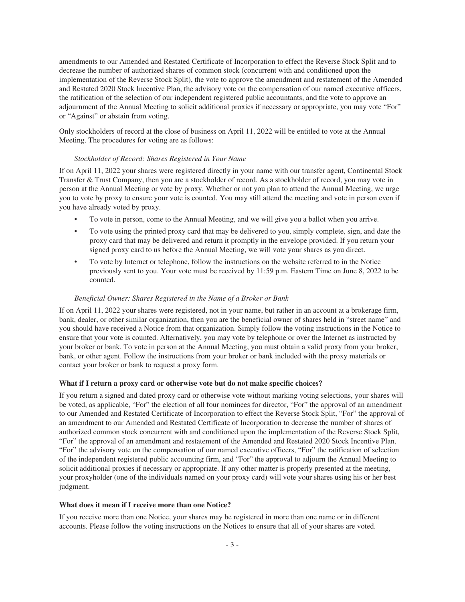amendments to our Amended and Restated Certificate of Incorporation to effect the Reverse Stock Split and to decrease the number of authorized shares of common stock (concurrent with and conditioned upon the implementation of the Reverse Stock Split), the vote to approve the amendment and restatement of the Amended and Restated 2020 Stock Incentive Plan, the advisory vote on the compensation of our named executive officers, the ratification of the selection of our independent registered public accountants, and the vote to approve an adjournment of the Annual Meeting to solicit additional proxies if necessary or appropriate, you may vote "For" or "Against" or abstain from voting.

Only stockholders of record at the close of business on April 11, 2022 will be entitled to vote at the Annual Meeting. The procedures for voting are as follows:

### *Stockholder of Record: Shares Registered in Your Name*

If on April 11, 2022 your shares were registered directly in your name with our transfer agent, Continental Stock Transfer & Trust Company, then you are a stockholder of record. As a stockholder of record, you may vote in person at the Annual Meeting or vote by proxy. Whether or not you plan to attend the Annual Meeting, we urge you to vote by proxy to ensure your vote is counted. You may still attend the meeting and vote in person even if you have already voted by proxy.

- To vote in person, come to the Annual Meeting, and we will give you a ballot when you arrive.
- To vote using the printed proxy card that may be delivered to you, simply complete, sign, and date the proxy card that may be delivered and return it promptly in the envelope provided. If you return your signed proxy card to us before the Annual Meeting, we will vote your shares as you direct.
- To vote by Internet or telephone, follow the instructions on the website referred to in the Notice previously sent to you. Your vote must be received by 11:59 p.m. Eastern Time on June 8, 2022 to be counted.

#### *Beneficial Owner: Shares Registered in the Name of a Broker or Bank*

If on April 11, 2022 your shares were registered, not in your name, but rather in an account at a brokerage firm, bank, dealer, or other similar organization, then you are the beneficial owner of shares held in "street name" and you should have received a Notice from that organization. Simply follow the voting instructions in the Notice to ensure that your vote is counted. Alternatively, you may vote by telephone or over the Internet as instructed by your broker or bank. To vote in person at the Annual Meeting, you must obtain a valid proxy from your broker, bank, or other agent. Follow the instructions from your broker or bank included with the proxy materials or contact your broker or bank to request a proxy form.

### **What if I return a proxy card or otherwise vote but do not make specific choices?**

If you return a signed and dated proxy card or otherwise vote without marking voting selections, your shares will be voted, as applicable, "For" the election of all four nominees for director, "For" the approval of an amendment to our Amended and Restated Certificate of Incorporation to effect the Reverse Stock Split, "For" the approval of an amendment to our Amended and Restated Certificate of Incorporation to decrease the number of shares of authorized common stock concurrent with and conditioned upon the implementation of the Reverse Stock Split, "For" the approval of an amendment and restatement of the Amended and Restated 2020 Stock Incentive Plan, "For" the advisory vote on the compensation of our named executive officers, "For" the ratification of selection of the independent registered public accounting firm, and "For" the approval to adjourn the Annual Meeting to solicit additional proxies if necessary or appropriate. If any other matter is properly presented at the meeting, your proxyholder (one of the individuals named on your proxy card) will vote your shares using his or her best judgment.

#### **What does it mean if I receive more than one Notice?**

If you receive more than one Notice, your shares may be registered in more than one name or in different accounts. Please follow the voting instructions on the Notices to ensure that all of your shares are voted.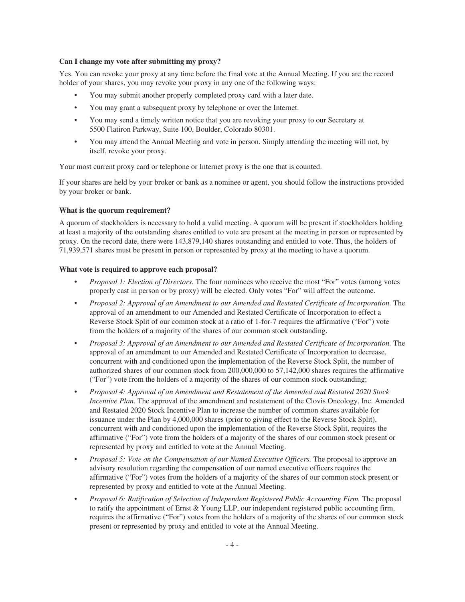## **Can I change my vote after submitting my proxy?**

Yes. You can revoke your proxy at any time before the final vote at the Annual Meeting. If you are the record holder of your shares, you may revoke your proxy in any one of the following ways:

- You may submit another properly completed proxy card with a later date.
- You may grant a subsequent proxy by telephone or over the Internet.
- You may send a timely written notice that you are revoking your proxy to our Secretary at 5500 Flatiron Parkway, Suite 100, Boulder, Colorado 80301.
- You may attend the Annual Meeting and vote in person. Simply attending the meeting will not, by itself, revoke your proxy.

Your most current proxy card or telephone or Internet proxy is the one that is counted.

If your shares are held by your broker or bank as a nominee or agent, you should follow the instructions provided by your broker or bank.

# **What is the quorum requirement?**

A quorum of stockholders is necessary to hold a valid meeting. A quorum will be present if stockholders holding at least a majority of the outstanding shares entitled to vote are present at the meeting in person or represented by proxy. On the record date, there were 143,879,140 shares outstanding and entitled to vote. Thus, the holders of 71,939,571 shares must be present in person or represented by proxy at the meeting to have a quorum.

# **What vote is required to approve each proposal?**

- *Proposal 1: Election of Directors.* The four nominees who receive the most "For" votes (among votes properly cast in person or by proxy) will be elected. Only votes "For" will affect the outcome.
- *Proposal 2: Approval of an Amendment to our Amended and Restated Certificate of Incorporation.* The approval of an amendment to our Amended and Restated Certificate of Incorporation to effect a Reverse Stock Split of our common stock at a ratio of 1-for-7 requires the affirmative ("For") vote from the holders of a majority of the shares of our common stock outstanding.
- *Proposal 3: Approval of an Amendment to our Amended and Restated Certificate of Incorporation.* The approval of an amendment to our Amended and Restated Certificate of Incorporation to decrease, concurrent with and conditioned upon the implementation of the Reverse Stock Split, the number of authorized shares of our common stock from 200,000,000 to 57,142,000 shares requires the affirmative ("For") vote from the holders of a majority of the shares of our common stock outstanding;
- *Proposal 4: Approval of an Amendment and Restatement of the Amended and Restated 2020 Stock Incentive Plan*. The approval of the amendment and restatement of the Clovis Oncology, Inc. Amended and Restated 2020 Stock Incentive Plan to increase the number of common shares available for issuance under the Plan by 4,000,000 shares (prior to giving effect to the Reverse Stock Split), concurrent with and conditioned upon the implementation of the Reverse Stock Split, requires the affirmative ("For") vote from the holders of a majority of the shares of our common stock present or represented by proxy and entitled to vote at the Annual Meeting.
- *Proposal 5: Vote on the Compensation of our Named Executive Officers.* The proposal to approve an advisory resolution regarding the compensation of our named executive officers requires the affirmative ("For") votes from the holders of a majority of the shares of our common stock present or represented by proxy and entitled to vote at the Annual Meeting.
- *Proposal 6: Ratification of Selection of Independent Registered Public Accounting Firm.* The proposal to ratify the appointment of Ernst & Young LLP, our independent registered public accounting firm, requires the affirmative ("For") votes from the holders of a majority of the shares of our common stock present or represented by proxy and entitled to vote at the Annual Meeting.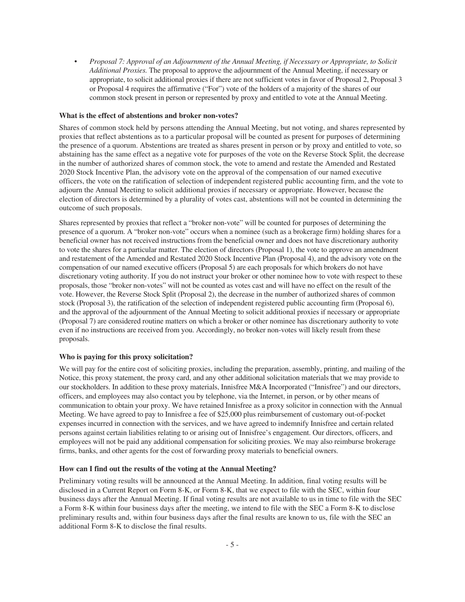• *Proposal 7: Approval of an Adjournment of the Annual Meeting, if Necessary or Appropriate, to Solicit Additional Proxies.* The proposal to approve the adjournment of the Annual Meeting, if necessary or appropriate, to solicit additional proxies if there are not sufficient votes in favor of Proposal 2, Proposal 3 or Proposal 4 requires the affirmative ("For") vote of the holders of a majority of the shares of our common stock present in person or represented by proxy and entitled to vote at the Annual Meeting.

### **What is the effect of abstentions and broker non-votes?**

Shares of common stock held by persons attending the Annual Meeting, but not voting, and shares represented by proxies that reflect abstentions as to a particular proposal will be counted as present for purposes of determining the presence of a quorum. Abstentions are treated as shares present in person or by proxy and entitled to vote, so abstaining has the same effect as a negative vote for purposes of the vote on the Reverse Stock Split, the decrease in the number of authorized shares of common stock, the vote to amend and restate the Amended and Restated 2020 Stock Incentive Plan, the advisory vote on the approval of the compensation of our named executive officers, the vote on the ratification of selection of independent registered public accounting firm, and the vote to adjourn the Annual Meeting to solicit additional proxies if necessary or appropriate. However, because the election of directors is determined by a plurality of votes cast, abstentions will not be counted in determining the outcome of such proposals.

Shares represented by proxies that reflect a "broker non-vote" will be counted for purposes of determining the presence of a quorum. A "broker non-vote" occurs when a nominee (such as a brokerage firm) holding shares for a beneficial owner has not received instructions from the beneficial owner and does not have discretionary authority to vote the shares for a particular matter. The election of directors (Proposal 1), the vote to approve an amendment and restatement of the Amended and Restated 2020 Stock Incentive Plan (Proposal 4), and the advisory vote on the compensation of our named executive officers (Proposal 5) are each proposals for which brokers do not have discretionary voting authority. If you do not instruct your broker or other nominee how to vote with respect to these proposals, those "broker non-votes" will not be counted as votes cast and will have no effect on the result of the vote. However, the Reverse Stock Split (Proposal 2), the decrease in the number of authorized shares of common stock (Proposal 3), the ratification of the selection of independent registered public accounting firm (Proposal 6), and the approval of the adjournment of the Annual Meeting to solicit additional proxies if necessary or appropriate (Proposal 7) are considered routine matters on which a broker or other nominee has discretionary authority to vote even if no instructions are received from you. Accordingly, no broker non-votes will likely result from these proposals.

### **Who is paying for this proxy solicitation?**

We will pay for the entire cost of soliciting proxies, including the preparation, assembly, printing, and mailing of the Notice, this proxy statement, the proxy card, and any other additional solicitation materials that we may provide to our stockholders. In addition to these proxy materials, Innisfree M&A Incorporated ("Innisfree") and our directors, officers, and employees may also contact you by telephone, via the Internet, in person, or by other means of communication to obtain your proxy. We have retained Innisfree as a proxy solicitor in connection with the Annual Meeting. We have agreed to pay to Innisfree a fee of \$25,000 plus reimbursement of customary out-of-pocket expenses incurred in connection with the services, and we have agreed to indemnify Innisfree and certain related persons against certain liabilities relating to or arising out of Innisfree's engagement. Our directors, officers, and employees will not be paid any additional compensation for soliciting proxies. We may also reimburse brokerage firms, banks, and other agents for the cost of forwarding proxy materials to beneficial owners.

### **How can I find out the results of the voting at the Annual Meeting?**

Preliminary voting results will be announced at the Annual Meeting. In addition, final voting results will be disclosed in a Current Report on Form 8-K, or Form 8-K, that we expect to file with the SEC, within four business days after the Annual Meeting. If final voting results are not available to us in time to file with the SEC a Form 8-K within four business days after the meeting, we intend to file with the SEC a Form 8-K to disclose preliminary results and, within four business days after the final results are known to us, file with the SEC an additional Form 8-K to disclose the final results.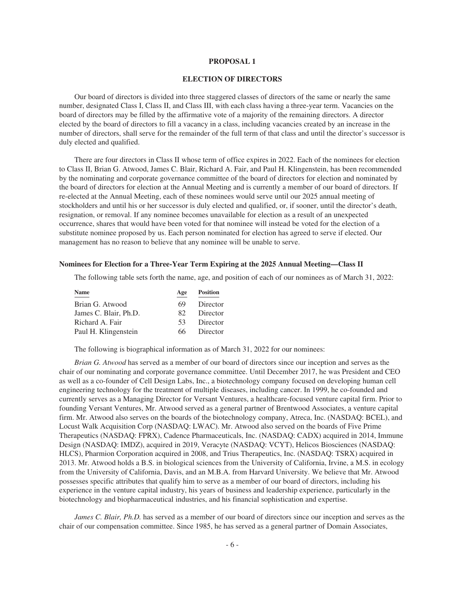### **ELECTION OF DIRECTORS**

<span id="page-7-0"></span>Our board of directors is divided into three staggered classes of directors of the same or nearly the same number, designated Class I, Class II, and Class III, with each class having a three-year term. Vacancies on the board of directors may be filled by the affirmative vote of a majority of the remaining directors. A director elected by the board of directors to fill a vacancy in a class, including vacancies created by an increase in the number of directors, shall serve for the remainder of the full term of that class and until the director's successor is duly elected and qualified.

There are four directors in Class II whose term of office expires in 2022. Each of the nominees for election to Class II, Brian G. Atwood, James C. Blair, Richard A. Fair, and Paul H. Klingenstein, has been recommended by the nominating and corporate governance committee of the board of directors for election and nominated by the board of directors for election at the Annual Meeting and is currently a member of our board of directors. If re-elected at the Annual Meeting, each of these nominees would serve until our 2025 annual meeting of stockholders and until his or her successor is duly elected and qualified, or, if sooner, until the director's death, resignation, or removal. If any nominee becomes unavailable for election as a result of an unexpected occurrence, shares that would have been voted for that nominee will instead be voted for the election of a substitute nominee proposed by us. Each person nominated for election has agreed to serve if elected. Our management has no reason to believe that any nominee will be unable to serve.

#### **Nominees for Election for a Three-Year Term Expiring at the 2025 Annual Meeting—Class II**

The following table sets forth the name, age, and position of each of our nominees as of March 31, 2022:

| <b>Name</b>           | Age | <b>Position</b> |
|-----------------------|-----|-----------------|
| Brian G. Atwood       | 69  | Director        |
| James C. Blair, Ph.D. | 82. | Director        |
| Richard A. Fair       | 53  | Director        |
| Paul H. Klingenstein  | 66. | Director        |

The following is biographical information as of March 31, 2022 for our nominees:

*Brian G. Atwood* has served as a member of our board of directors since our inception and serves as the chair of our nominating and corporate governance committee. Until December 2017, he was President and CEO as well as a co-founder of Cell Design Labs, Inc., a biotechnology company focused on developing human cell engineering technology for the treatment of multiple diseases, including cancer. In 1999, he co-founded and currently serves as a Managing Director for Versant Ventures, a healthcare-focused venture capital firm. Prior to founding Versant Ventures, Mr. Atwood served as a general partner of Brentwood Associates, a venture capital firm. Mr. Atwood also serves on the boards of the biotechnology company, Atreca, Inc. (NASDAQ: BCEL), and Locust Walk Acquisition Corp (NASDAQ: LWAC). Mr. Atwood also served on the boards of Five Prime Therapeutics (NASDAQ: FPRX), Cadence Pharmaceuticals, Inc. (NASDAQ: CADX) acquired in 2014, Immune Design (NASDAQ: IMDZ), acquired in 2019, Veracyte (NASDAQ: VCYT), Helicos Biosciences (NASDAQ: HLCS), Pharmion Corporation acquired in 2008, and Trius Therapeutics, Inc. (NASDAQ: TSRX) acquired in 2013. Mr. Atwood holds a B.S. in biological sciences from the University of California, Irvine, a M.S. in ecology from the University of California, Davis, and an M.B.A. from Harvard University. We believe that Mr. Atwood possesses specific attributes that qualify him to serve as a member of our board of directors, including his experience in the venture capital industry, his years of business and leadership experience, particularly in the biotechnology and biopharmaceutical industries, and his financial sophistication and expertise.

*James C. Blair, Ph.D.* has served as a member of our board of directors since our inception and serves as the chair of our compensation committee. Since 1985, he has served as a general partner of Domain Associates,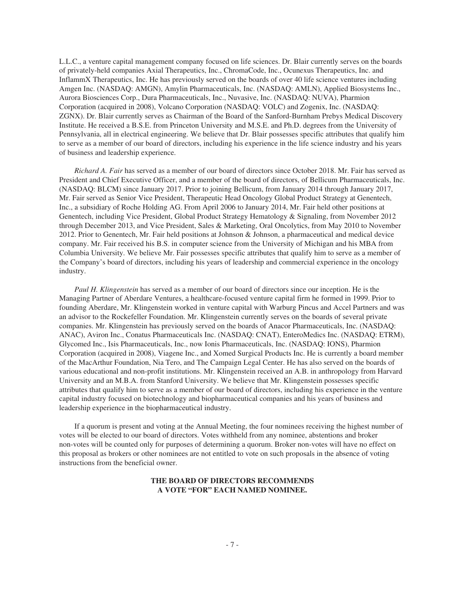L.L.C., a venture capital management company focused on life sciences. Dr. Blair currently serves on the boards of privately-held companies Axial Therapeutics, Inc., ChromaCode, Inc., Ocunexus Therapeutics, Inc. and InflammX Therapeutics, Inc. He has previously served on the boards of over 40 life science ventures including Amgen Inc. (NASDAQ: AMGN), Amylin Pharmaceuticals, Inc. (NASDAQ: AMLN), Applied Biosystems Inc., Aurora Biosciences Corp., Dura Pharmaceuticals, Inc., Nuvasive, Inc. (NASDAQ: NUVA), Pharmion Corporation (acquired in 2008), Volcano Corporation (NASDAQ: VOLC) and Zogenix, Inc. (NASDAQ: ZGNX). Dr. Blair currently serves as Chairman of the Board of the Sanford-Burnham Prebys Medical Discovery Institute. He received a B.S.E. from Princeton University and M.S.E. and Ph.D. degrees from the University of Pennsylvania, all in electrical engineering. We believe that Dr. Blair possesses specific attributes that qualify him to serve as a member of our board of directors, including his experience in the life science industry and his years of business and leadership experience.

*Richard A. Fair* has served as a member of our board of directors since October 2018. Mr. Fair has served as President and Chief Executive Officer, and a member of the board of directors, of Bellicum Pharmaceuticals, Inc. (NASDAQ: BLCM) since January 2017. Prior to joining Bellicum, from January 2014 through January 2017, Mr. Fair served as Senior Vice President, Therapeutic Head Oncology Global Product Strategy at Genentech, Inc., a subsidiary of Roche Holding AG. From April 2006 to January 2014, Mr. Fair held other positions at Genentech, including Vice President, Global Product Strategy Hematology & Signaling, from November 2012 through December 2013, and Vice President, Sales & Marketing, Oral Oncolytics, from May 2010 to November 2012. Prior to Genentech, Mr. Fair held positions at Johnson & Johnson, a pharmaceutical and medical device company. Mr. Fair received his B.S. in computer science from the University of Michigan and his MBA from Columbia University. We believe Mr. Fair possesses specific attributes that qualify him to serve as a member of the Company's board of directors, including his years of leadership and commercial experience in the oncology industry.

*Paul H. Klingenstein* has served as a member of our board of directors since our inception. He is the Managing Partner of Aberdare Ventures, a healthcare-focused venture capital firm he formed in 1999. Prior to founding Aberdare, Mr. Klingenstein worked in venture capital with Warburg Pincus and Accel Partners and was an advisor to the Rockefeller Foundation. Mr. Klingenstein currently serves on the boards of several private companies. Mr. Klingenstein has previously served on the boards of Anacor Pharmaceuticals, Inc. (NASDAQ: ANAC), Aviron Inc., Conatus Pharmaceuticals Inc. (NASDAQ: CNAT), EnteroMedics Inc. (NASDAQ: ETRM), Glycomed Inc., Isis Pharmaceuticals, Inc., now Ionis Pharmaceuticals, Inc. (NASDAQ: IONS), Pharmion Corporation (acquired in 2008), Viagene Inc., and Xomed Surgical Products Inc. He is currently a board member of the MacArthur Foundation, Nia Tero, and The Campaign Legal Center. He has also served on the boards of various educational and non-profit institutions. Mr. Klingenstein received an A.B. in anthropology from Harvard University and an M.B.A. from Stanford University. We believe that Mr. Klingenstein possesses specific attributes that qualify him to serve as a member of our board of directors, including his experience in the venture capital industry focused on biotechnology and biopharmaceutical companies and his years of business and leadership experience in the biopharmaceutical industry.

If a quorum is present and voting at the Annual Meeting, the four nominees receiving the highest number of votes will be elected to our board of directors. Votes withheld from any nominee, abstentions and broker non-votes will be counted only for purposes of determining a quorum. Broker non-votes will have no effect on this proposal as brokers or other nominees are not entitled to vote on such proposals in the absence of voting instructions from the beneficial owner.

# **THE BOARD OF DIRECTORS RECOMMENDS A VOTE "FOR" EACH NAMED NOMINEE.**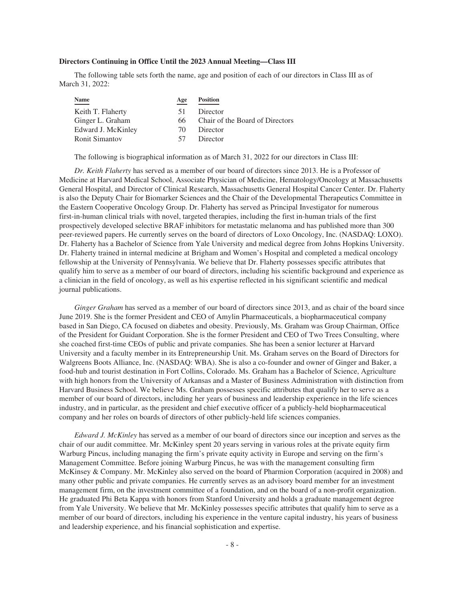### **Directors Continuing in Office Until the 2023 Annual Meeting—Class III**

The following table sets forth the name, age and position of each of our directors in Class III as of March 31, 2022:

| Name                  | Age | <b>Position</b>                 |
|-----------------------|-----|---------------------------------|
| Keith T. Flaherty     | 51. | Director                        |
| Ginger L. Graham      | 66. | Chair of the Board of Directors |
| Edward J. McKinley    | 70  | Director                        |
| <b>Ronit Simantov</b> | 57. | Director                        |

The following is biographical information as of March 31, 2022 for our directors in Class III:

*Dr. Keith Flaherty* has served as a member of our board of directors since 2013. He is a Professor of Medicine at Harvard Medical School, Associate Physician of Medicine, Hematology/Oncology at Massachusetts General Hospital, and Director of Clinical Research, Massachusetts General Hospital Cancer Center. Dr. Flaherty is also the Deputy Chair for Biomarker Sciences and the Chair of the Developmental Therapeutics Committee in the Eastern Cooperative Oncology Group. Dr. Flaherty has served as Principal Investigator for numerous first-in-human clinical trials with novel, targeted therapies, including the first in-human trials of the first prospectively developed selective BRAF inhibitors for metastatic melanoma and has published more than 300 peer-reviewed papers. He currently serves on the board of directors of Loxo Oncology, Inc. (NASDAQ: LOXO). Dr. Flaherty has a Bachelor of Science from Yale University and medical degree from Johns Hopkins University. Dr. Flaherty trained in internal medicine at Brigham and Women's Hospital and completed a medical oncology fellowship at the University of Pennsylvania. We believe that Dr. Flaherty possesses specific attributes that qualify him to serve as a member of our board of directors, including his scientific background and experience as a clinician in the field of oncology, as well as his expertise reflected in his significant scientific and medical journal publications.

*Ginger Graham* has served as a member of our board of directors since 2013, and as chair of the board since June 2019. She is the former President and CEO of Amylin Pharmaceuticals, a biopharmaceutical company based in San Diego, CA focused on diabetes and obesity. Previously, Ms. Graham was Group Chairman, Office of the President for Guidant Corporation. She is the former President and CEO of Two Trees Consulting, where she coached first-time CEOs of public and private companies. She has been a senior lecturer at Harvard University and a faculty member in its Entrepreneurship Unit. Ms. Graham serves on the Board of Directors for Walgreens Boots Alliance, Inc. (NASDAQ: WBA). She is also a co-founder and owner of Ginger and Baker, a food-hub and tourist destination in Fort Collins, Colorado. Ms. Graham has a Bachelor of Science, Agriculture with high honors from the University of Arkansas and a Master of Business Administration with distinction from Harvard Business School. We believe Ms. Graham possesses specific attributes that qualify her to serve as a member of our board of directors, including her years of business and leadership experience in the life sciences industry, and in particular, as the president and chief executive officer of a publicly-held biopharmaceutical company and her roles on boards of directors of other publicly-held life sciences companies.

*Edward J. McKinley* has served as a member of our board of directors since our inception and serves as the chair of our audit committee. Mr. McKinley spent 20 years serving in various roles at the private equity firm Warburg Pincus, including managing the firm's private equity activity in Europe and serving on the firm's Management Committee. Before joining Warburg Pincus, he was with the management consulting firm McKinsey & Company. Mr. McKinley also served on the board of Pharmion Corporation (acquired in 2008) and many other public and private companies. He currently serves as an advisory board member for an investment management firm, on the investment committee of a foundation, and on the board of a non-profit organization. He graduated Phi Beta Kappa with honors from Stanford University and holds a graduate management degree from Yale University. We believe that Mr. McKinley possesses specific attributes that qualify him to serve as a member of our board of directors, including his experience in the venture capital industry, his years of business and leadership experience, and his financial sophistication and expertise.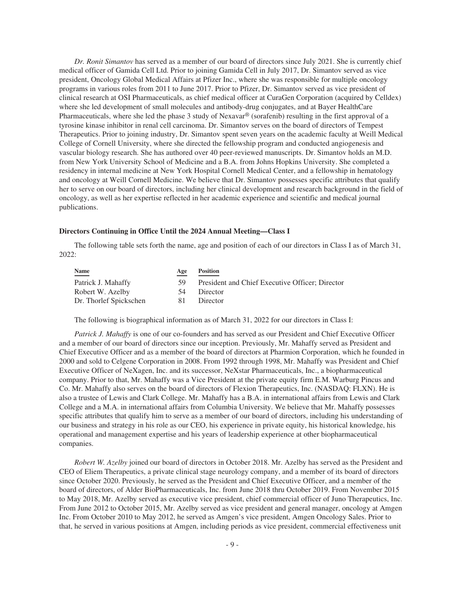*Dr. Ronit Simantov* has served as a member of our board of directors since July 2021. She is currently chief medical officer of Gamida Cell Ltd. Prior to joining Gamida Cell in July 2017, Dr. Simantov served as vice president, Oncology Global Medical Affairs at Pfizer Inc., where she was responsible for multiple oncology programs in various roles from 2011 to June 2017. Prior to Pfizer, Dr. Simantov served as vice president of clinical research at OSI Pharmaceuticals, as chief medical officer at CuraGen Corporation (acquired by Celldex) where she led development of small molecules and antibody-drug conjugates, and at Bayer HealthCare Pharmaceuticals, where she led the phase 3 study of Nexavar® (sorafenib) resulting in the first approval of a tyrosine kinase inhibitor in renal cell carcinoma. Dr. Simantov serves on the board of directors of Tempest Therapeutics. Prior to joining industry, Dr. Simantov spent seven years on the academic faculty at Weill Medical College of Cornell University, where she directed the fellowship program and conducted angiogenesis and vascular biology research. She has authored over 40 peer-reviewed manuscripts. Dr. Simantov holds an M.D. from New York University School of Medicine and a B.A. from Johns Hopkins University. She completed a residency in internal medicine at New York Hospital Cornell Medical Center, and a fellowship in hematology and oncology at Weill Cornell Medicine. We believe that Dr. Simantov possesses specific attributes that qualify her to serve on our board of directors, including her clinical development and research background in the field of oncology, as well as her expertise reflected in her academic experience and scientific and medical journal publications.

#### **Directors Continuing in Office Until the 2024 Annual Meeting—Class I**

The following table sets forth the name, age and position of each of our directors in Class I as of March 31, 2022:

| Name                   | Age | <b>Position</b>                                 |
|------------------------|-----|-------------------------------------------------|
| Patrick J. Mahaffy     | 59. | President and Chief Executive Officer; Director |
| Robert W. Azelby       | -54 | Director                                        |
| Dr. Thorlef Spickschen | 81  | Director                                        |

The following is biographical information as of March 31, 2022 for our directors in Class I:

*Patrick J. Mahaffy* is one of our co-founders and has served as our President and Chief Executive Officer and a member of our board of directors since our inception. Previously, Mr. Mahaffy served as President and Chief Executive Officer and as a member of the board of directors at Pharmion Corporation, which he founded in 2000 and sold to Celgene Corporation in 2008. From 1992 through 1998, Mr. Mahaffy was President and Chief Executive Officer of NeXagen, Inc. and its successor, NeXstar Pharmaceuticals, Inc., a biopharmaceutical company. Prior to that, Mr. Mahaffy was a Vice President at the private equity firm E.M. Warburg Pincus and Co. Mr. Mahaffy also serves on the board of directors of Flexion Therapeutics, Inc. (NASDAQ: FLXN). He is also a trustee of Lewis and Clark College. Mr. Mahaffy has a B.A. in international affairs from Lewis and Clark College and a M.A. in international affairs from Columbia University. We believe that Mr. Mahaffy possesses specific attributes that qualify him to serve as a member of our board of directors, including his understanding of our business and strategy in his role as our CEO, his experience in private equity, his historical knowledge, his operational and management expertise and his years of leadership experience at other biopharmaceutical companies.

*Robert W. Azelby* joined our board of directors in October 2018. Mr. Azelby has served as the President and CEO of Eliem Therapeutics, a private clinical stage neurology company, and a member of its board of directors since October 2020. Previously, he served as the President and Chief Executive Officer, and a member of the board of directors, of Alder BioPharmaceuticals, Inc. from June 2018 thru October 2019. From November 2015 to May 2018, Mr. Azelby served as executive vice president, chief commercial officer of Juno Therapeutics, Inc. From June 2012 to October 2015, Mr. Azelby served as vice president and general manager, oncology at Amgen Inc. From October 2010 to May 2012, he served as Amgen's vice president, Amgen Oncology Sales. Prior to that, he served in various positions at Amgen, including periods as vice president, commercial effectiveness unit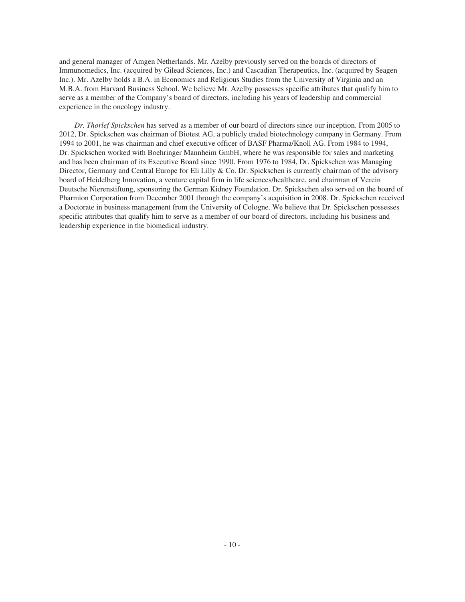and general manager of Amgen Netherlands. Mr. Azelby previously served on the boards of directors of Immunomedics, Inc. (acquired by Gilead Sciences, Inc.) and Cascadian Therapeutics, Inc. (acquired by Seagen Inc.). Mr. Azelby holds a B.A. in Economics and Religious Studies from the University of Virginia and an M.B.A. from Harvard Business School. We believe Mr. Azelby possesses specific attributes that qualify him to serve as a member of the Company's board of directors, including his years of leadership and commercial experience in the oncology industry.

*Dr. Thorlef Spickschen* has served as a member of our board of directors since our inception. From 2005 to 2012, Dr. Spickschen was chairman of Biotest AG, a publicly traded biotechnology company in Germany. From 1994 to 2001, he was chairman and chief executive officer of BASF Pharma/Knoll AG. From 1984 to 1994, Dr. Spickschen worked with Boehringer Mannheim GmbH, where he was responsible for sales and marketing and has been chairman of its Executive Board since 1990. From 1976 to 1984, Dr. Spickschen was Managing Director, Germany and Central Europe for Eli Lilly & Co. Dr. Spickschen is currently chairman of the advisory board of Heidelberg Innovation, a venture capital firm in life sciences/healthcare, and chairman of Verein Deutsche Nierenstiftung, sponsoring the German Kidney Foundation. Dr. Spickschen also served on the board of Pharmion Corporation from December 2001 through the company's acquisition in 2008. Dr. Spickschen received a Doctorate in business management from the University of Cologne. We believe that Dr. Spickschen possesses specific attributes that qualify him to serve as a member of our board of directors, including his business and leadership experience in the biomedical industry.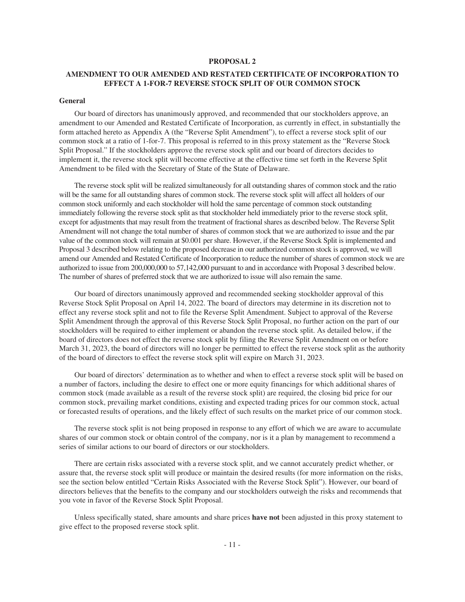# <span id="page-12-0"></span>**AMENDMENT TO OUR AMENDED AND RESTATED CERTIFICATE OF INCORPORATION TO EFFECT A 1-FOR-7 REVERSE STOCK SPLIT OF OUR COMMON STOCK**

## **General**

Our board of directors has unanimously approved, and recommended that our stockholders approve, an amendment to our Amended and Restated Certificate of Incorporation, as currently in effect, in substantially the form attached hereto as Appendix A (the "Reverse Split Amendment"), to effect a reverse stock split of our common stock at a ratio of 1-for-7. This proposal is referred to in this proxy statement as the "Reverse Stock Split Proposal." If the stockholders approve the reverse stock split and our board of directors decides to implement it, the reverse stock split will become effective at the effective time set forth in the Reverse Split Amendment to be filed with the Secretary of State of the State of Delaware.

The reverse stock split will be realized simultaneously for all outstanding shares of common stock and the ratio will be the same for all outstanding shares of common stock. The reverse stock split will affect all holders of our common stock uniformly and each stockholder will hold the same percentage of common stock outstanding immediately following the reverse stock split as that stockholder held immediately prior to the reverse stock split, except for adjustments that may result from the treatment of fractional shares as described below. The Reverse Split Amendment will not change the total number of shares of common stock that we are authorized to issue and the par value of the common stock will remain at \$0.001 per share. However, if the Reverse Stock Split is implemented and Proposal 3 described below relating to the proposed decrease in our authorized common stock is approved, we will amend our Amended and Restated Certificate of Incorporation to reduce the number of shares of common stock we are authorized to issue from 200,000,000 to 57,142,000 pursuant to and in accordance with Proposal 3 described below. The number of shares of preferred stock that we are authorized to issue will also remain the same.

Our board of directors unanimously approved and recommended seeking stockholder approval of this Reverse Stock Split Proposal on April 14, 2022. The board of directors may determine in its discretion not to effect any reverse stock split and not to file the Reverse Split Amendment. Subject to approval of the Reverse Split Amendment through the approval of this Reverse Stock Split Proposal, no further action on the part of our stockholders will be required to either implement or abandon the reverse stock split. As detailed below, if the board of directors does not effect the reverse stock split by filing the Reverse Split Amendment on or before March 31, 2023, the board of directors will no longer be permitted to effect the reverse stock split as the authority of the board of directors to effect the reverse stock split will expire on March 31, 2023.

Our board of directors' determination as to whether and when to effect a reverse stock split will be based on a number of factors, including the desire to effect one or more equity financings for which additional shares of common stock (made available as a result of the reverse stock split) are required, the closing bid price for our common stock, prevailing market conditions, existing and expected trading prices for our common stock, actual or forecasted results of operations, and the likely effect of such results on the market price of our common stock.

The reverse stock split is not being proposed in response to any effort of which we are aware to accumulate shares of our common stock or obtain control of the company, nor is it a plan by management to recommend a series of similar actions to our board of directors or our stockholders.

There are certain risks associated with a reverse stock split, and we cannot accurately predict whether, or assure that, the reverse stock split will produce or maintain the desired results (for more information on the risks, see the section below entitled "Certain Risks Associated with the Reverse Stock Split"). However, our board of directors believes that the benefits to the company and our stockholders outweigh the risks and recommends that you vote in favor of the Reverse Stock Split Proposal.

Unless specifically stated, share amounts and share prices **have not** been adjusted in this proxy statement to give effect to the proposed reverse stock split.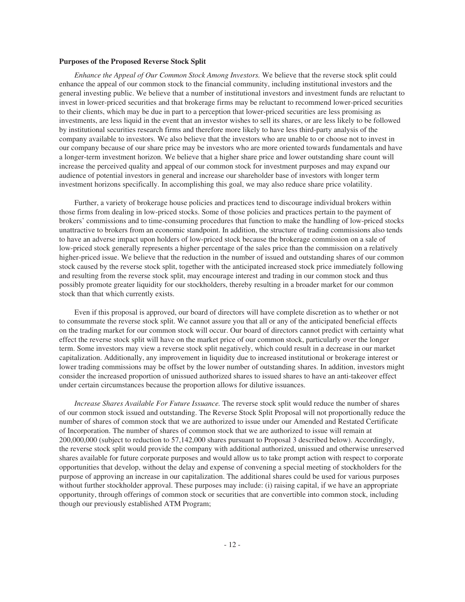### **Purposes of the Proposed Reverse Stock Split**

*Enhance the Appeal of Our Common Stock Among Investors.* We believe that the reverse stock split could enhance the appeal of our common stock to the financial community, including institutional investors and the general investing public. We believe that a number of institutional investors and investment funds are reluctant to invest in lower-priced securities and that brokerage firms may be reluctant to recommend lower-priced securities to their clients, which may be due in part to a perception that lower-priced securities are less promising as investments, are less liquid in the event that an investor wishes to sell its shares, or are less likely to be followed by institutional securities research firms and therefore more likely to have less third-party analysis of the company available to investors. We also believe that the investors who are unable to or choose not to invest in our company because of our share price may be investors who are more oriented towards fundamentals and have a longer-term investment horizon. We believe that a higher share price and lower outstanding share count will increase the perceived quality and appeal of our common stock for investment purposes and may expand our audience of potential investors in general and increase our shareholder base of investors with longer term investment horizons specifically. In accomplishing this goal, we may also reduce share price volatility.

Further, a variety of brokerage house policies and practices tend to discourage individual brokers within those firms from dealing in low-priced stocks. Some of those policies and practices pertain to the payment of brokers' commissions and to time-consuming procedures that function to make the handling of low-priced stocks unattractive to brokers from an economic standpoint. In addition, the structure of trading commissions also tends to have an adverse impact upon holders of low-priced stock because the brokerage commission on a sale of low-priced stock generally represents a higher percentage of the sales price than the commission on a relatively higher-priced issue. We believe that the reduction in the number of issued and outstanding shares of our common stock caused by the reverse stock split, together with the anticipated increased stock price immediately following and resulting from the reverse stock split, may encourage interest and trading in our common stock and thus possibly promote greater liquidity for our stockholders, thereby resulting in a broader market for our common stock than that which currently exists.

Even if this proposal is approved, our board of directors will have complete discretion as to whether or not to consummate the reverse stock split. We cannot assure you that all or any of the anticipated beneficial effects on the trading market for our common stock will occur. Our board of directors cannot predict with certainty what effect the reverse stock split will have on the market price of our common stock, particularly over the longer term. Some investors may view a reverse stock split negatively, which could result in a decrease in our market capitalization. Additionally, any improvement in liquidity due to increased institutional or brokerage interest or lower trading commissions may be offset by the lower number of outstanding shares. In addition, investors might consider the increased proportion of unissued authorized shares to issued shares to have an anti-takeover effect under certain circumstances because the proportion allows for dilutive issuances.

*Increase Shares Available For Future Issuance.* The reverse stock split would reduce the number of shares of our common stock issued and outstanding. The Reverse Stock Split Proposal will not proportionally reduce the number of shares of common stock that we are authorized to issue under our Amended and Restated Certificate of Incorporation. The number of shares of common stock that we are authorized to issue will remain at 200,000,000 (subject to reduction to 57,142,000 shares pursuant to Proposal 3 described below). Accordingly, the reverse stock split would provide the company with additional authorized, unissued and otherwise unreserved shares available for future corporate purposes and would allow us to take prompt action with respect to corporate opportunities that develop, without the delay and expense of convening a special meeting of stockholders for the purpose of approving an increase in our capitalization. The additional shares could be used for various purposes without further stockholder approval. These purposes may include: (i) raising capital, if we have an appropriate opportunity, through offerings of common stock or securities that are convertible into common stock, including though our previously established ATM Program;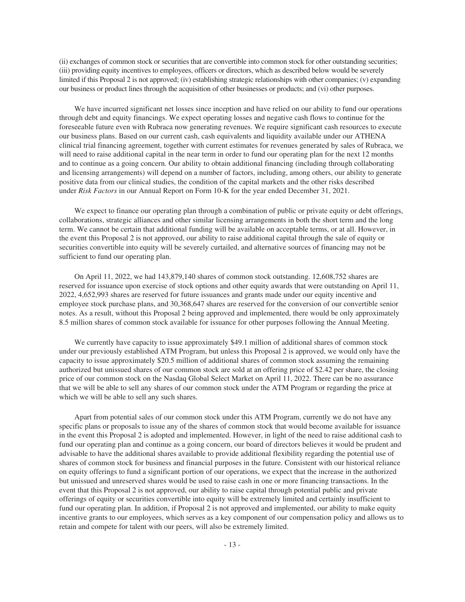(ii) exchanges of common stock or securities that are convertible into common stock for other outstanding securities; (iii) providing equity incentives to employees, officers or directors, which as described below would be severely limited if this Proposal 2 is not approved; (iv) establishing strategic relationships with other companies; (v) expanding our business or product lines through the acquisition of other businesses or products; and (vi) other purposes.

We have incurred significant net losses since inception and have relied on our ability to fund our operations through debt and equity financings. We expect operating losses and negative cash flows to continue for the foreseeable future even with Rubraca now generating revenues. We require significant cash resources to execute our business plans. Based on our current cash, cash equivalents and liquidity available under our ATHENA clinical trial financing agreement, together with current estimates for revenues generated by sales of Rubraca, we will need to raise additional capital in the near term in order to fund our operating plan for the next 12 months and to continue as a going concern. Our ability to obtain additional financing (including through collaborating and licensing arrangements) will depend on a number of factors, including, among others, our ability to generate positive data from our clinical studies, the condition of the capital markets and the other risks described under *Risk Factors* in our Annual Report on Form 10-K for the year ended December 31, 2021.

We expect to finance our operating plan through a combination of public or private equity or debt offerings, collaborations, strategic alliances and other similar licensing arrangements in both the short term and the long term. We cannot be certain that additional funding will be available on acceptable terms, or at all. However, in the event this Proposal 2 is not approved, our ability to raise additional capital through the sale of equity or securities convertible into equity will be severely curtailed, and alternative sources of financing may not be sufficient to fund our operating plan.

On April 11, 2022, we had 143,879,140 shares of common stock outstanding. 12,608,752 shares are reserved for issuance upon exercise of stock options and other equity awards that were outstanding on April 11, 2022, 4,652,993 shares are reserved for future issuances and grants made under our equity incentive and employee stock purchase plans, and 30,368,647 shares are reserved for the conversion of our convertible senior notes. As a result, without this Proposal 2 being approved and implemented, there would be only approximately 8.5 million shares of common stock available for issuance for other purposes following the Annual Meeting.

We currently have capacity to issue approximately \$49.1 million of additional shares of common stock under our previously established ATM Program, but unless this Proposal 2 is approved, we would only have the capacity to issue approximately \$20.5 million of additional shares of common stock assuming the remaining authorized but unissued shares of our common stock are sold at an offering price of \$2.42 per share, the closing price of our common stock on the Nasdaq Global Select Market on April 11, 2022. There can be no assurance that we will be able to sell any shares of our common stock under the ATM Program or regarding the price at which we will be able to sell any such shares.

Apart from potential sales of our common stock under this ATM Program, currently we do not have any specific plans or proposals to issue any of the shares of common stock that would become available for issuance in the event this Proposal 2 is adopted and implemented. However, in light of the need to raise additional cash to fund our operating plan and continue as a going concern, our board of directors believes it would be prudent and advisable to have the additional shares available to provide additional flexibility regarding the potential use of shares of common stock for business and financial purposes in the future. Consistent with our historical reliance on equity offerings to fund a significant portion of our operations, we expect that the increase in the authorized but unissued and unreserved shares would be used to raise cash in one or more financing transactions. In the event that this Proposal 2 is not approved, our ability to raise capital through potential public and private offerings of equity or securities convertible into equity will be extremely limited and certainly insufficient to fund our operating plan. In addition, if Proposal 2 is not approved and implemented, our ability to make equity incentive grants to our employees, which serves as a key component of our compensation policy and allows us to retain and compete for talent with our peers, will also be extremely limited.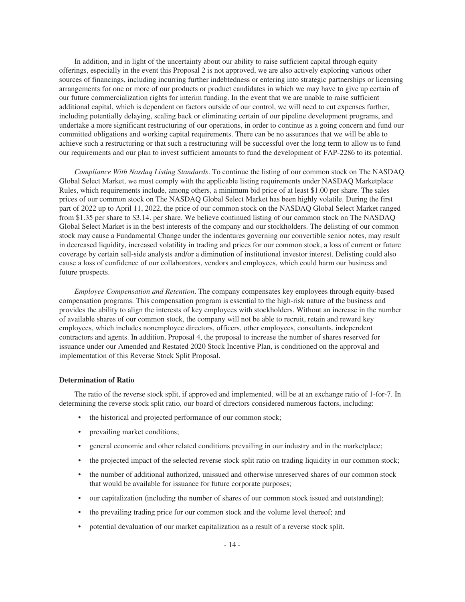In addition, and in light of the uncertainty about our ability to raise sufficient capital through equity offerings, especially in the event this Proposal 2 is not approved, we are also actively exploring various other sources of financings, including incurring further indebtedness or entering into strategic partnerships or licensing arrangements for one or more of our products or product candidates in which we may have to give up certain of our future commercialization rights for interim funding. In the event that we are unable to raise sufficient additional capital, which is dependent on factors outside of our control, we will need to cut expenses further, including potentially delaying, scaling back or eliminating certain of our pipeline development programs, and undertake a more significant restructuring of our operations, in order to continue as a going concern and fund our committed obligations and working capital requirements. There can be no assurances that we will be able to achieve such a restructuring or that such a restructuring will be successful over the long term to allow us to fund our requirements and our plan to invest sufficient amounts to fund the development of FAP-2286 to its potential.

*Compliance With Nasdaq Listing Standards*. To continue the listing of our common stock on The NASDAQ Global Select Market, we must comply with the applicable listing requirements under NASDAQ Marketplace Rules, which requirements include, among others, a minimum bid price of at least \$1.00 per share. The sales prices of our common stock on The NASDAQ Global Select Market has been highly volatile. During the first part of 2022 up to April 11, 2022, the price of our common stock on the NASDAQ Global Select Market ranged from \$1.35 per share to \$3.14. per share. We believe continued listing of our common stock on The NASDAQ Global Select Market is in the best interests of the company and our stockholders. The delisting of our common stock may cause a Fundamental Change under the indentures governing our convertible senior notes, may result in decreased liquidity, increased volatility in trading and prices for our common stock, a loss of current or future coverage by certain sell-side analysts and/or a diminution of institutional investor interest. Delisting could also cause a loss of confidence of our collaborators, vendors and employees, which could harm our business and future prospects.

*Employee Compensation and Retention*. The company compensates key employees through equity-based compensation programs. This compensation program is essential to the high-risk nature of the business and provides the ability to align the interests of key employees with stockholders. Without an increase in the number of available shares of our common stock, the company will not be able to recruit, retain and reward key employees, which includes nonemployee directors, officers, other employees, consultants, independent contractors and agents. In addition, Proposal 4, the proposal to increase the number of shares reserved for issuance under our Amended and Restated 2020 Stock Incentive Plan, is conditioned on the approval and implementation of this Reverse Stock Split Proposal.

### **Determination of Ratio**

The ratio of the reverse stock split, if approved and implemented, will be at an exchange ratio of 1-for-7. In determining the reverse stock split ratio, our board of directors considered numerous factors, including:

- the historical and projected performance of our common stock;
- prevailing market conditions;
- general economic and other related conditions prevailing in our industry and in the marketplace;
- the projected impact of the selected reverse stock split ratio on trading liquidity in our common stock;
- the number of additional authorized, unissued and otherwise unreserved shares of our common stock that would be available for issuance for future corporate purposes;
- our capitalization (including the number of shares of our common stock issued and outstanding);
- the prevailing trading price for our common stock and the volume level thereof; and
- potential devaluation of our market capitalization as a result of a reverse stock split.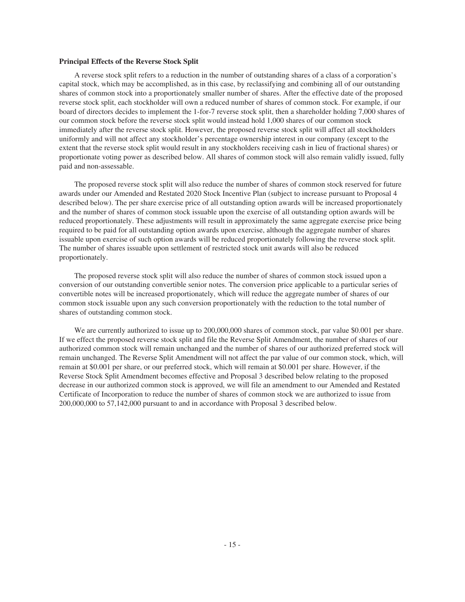#### **Principal Effects of the Reverse Stock Split**

A reverse stock split refers to a reduction in the number of outstanding shares of a class of a corporation's capital stock, which may be accomplished, as in this case, by reclassifying and combining all of our outstanding shares of common stock into a proportionately smaller number of shares. After the effective date of the proposed reverse stock split, each stockholder will own a reduced number of shares of common stock. For example, if our board of directors decides to implement the 1-for-7 reverse stock split, then a shareholder holding 7,000 shares of our common stock before the reverse stock split would instead hold 1,000 shares of our common stock immediately after the reverse stock split. However, the proposed reverse stock split will affect all stockholders uniformly and will not affect any stockholder's percentage ownership interest in our company (except to the extent that the reverse stock split would result in any stockholders receiving cash in lieu of fractional shares) or proportionate voting power as described below. All shares of common stock will also remain validly issued, fully paid and non-assessable.

The proposed reverse stock split will also reduce the number of shares of common stock reserved for future awards under our Amended and Restated 2020 Stock Incentive Plan (subject to increase pursuant to Proposal 4 described below). The per share exercise price of all outstanding option awards will be increased proportionately and the number of shares of common stock issuable upon the exercise of all outstanding option awards will be reduced proportionately. These adjustments will result in approximately the same aggregate exercise price being required to be paid for all outstanding option awards upon exercise, although the aggregate number of shares issuable upon exercise of such option awards will be reduced proportionately following the reverse stock split. The number of shares issuable upon settlement of restricted stock unit awards will also be reduced proportionately.

The proposed reverse stock split will also reduce the number of shares of common stock issued upon a conversion of our outstanding convertible senior notes. The conversion price applicable to a particular series of convertible notes will be increased proportionately, which will reduce the aggregate number of shares of our common stock issuable upon any such conversion proportionately with the reduction to the total number of shares of outstanding common stock.

We are currently authorized to issue up to 200,000,000 shares of common stock, par value \$0.001 per share. If we effect the proposed reverse stock split and file the Reverse Split Amendment, the number of shares of our authorized common stock will remain unchanged and the number of shares of our authorized preferred stock will remain unchanged. The Reverse Split Amendment will not affect the par value of our common stock, which, will remain at \$0.001 per share, or our preferred stock, which will remain at \$0.001 per share. However, if the Reverse Stock Split Amendment becomes effective and Proposal 3 described below relating to the proposed decrease in our authorized common stock is approved, we will file an amendment to our Amended and Restated Certificate of Incorporation to reduce the number of shares of common stock we are authorized to issue from 200,000,000 to 57,142,000 pursuant to and in accordance with Proposal 3 described below.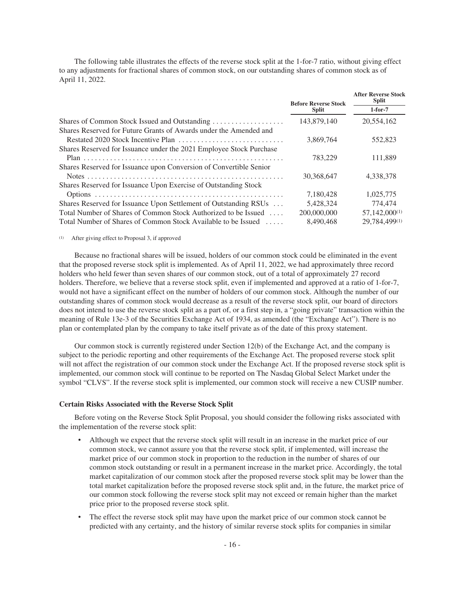The following table illustrates the effects of the reverse stock split at the 1-for-7 ratio, without giving effect to any adjustments for fractional shares of common stock, on our outstanding shares of common stock as of April 11, 2022.

|                                                                     | <b>Before Reverse Stock</b> | <b>After Reverse Stock</b><br><b>Split</b> |  |
|---------------------------------------------------------------------|-----------------------------|--------------------------------------------|--|
|                                                                     | <b>Split</b>                | $1$ -for- $7$                              |  |
| Shares Reserved for Future Grants of Awards under the Amended and   | 143,879,140                 | 20,554,162                                 |  |
| Shares Reserved for Issuance under the 2021 Employee Stock Purchase | 3.869.764                   | 552,823                                    |  |
| Shares Reserved for Issuance upon Conversion of Convertible Senior  | 783.229                     | 111.889                                    |  |
|                                                                     | 30.368.647                  | 4.338.378                                  |  |
| Shares Reserved for Issuance Upon Exercise of Outstanding Stock     | 7,180,428                   | 1,025,775                                  |  |
| Shares Reserved for Issuance Upon Settlement of Outstanding RSUs    | 5,428,324                   | 774,474                                    |  |
| Total Number of Shares of Common Stock Authorized to be Issued      | 200,000,000                 | $57,142,000^{(1)}$                         |  |
| Total Number of Shares of Common Stock Available to be Issued       | 8.490.468                   | 29,784,499(1)                              |  |

#### (1) After giving effect to Proposal 3, if approved

Because no fractional shares will be issued, holders of our common stock could be eliminated in the event that the proposed reverse stock split is implemented. As of April 11, 2022, we had approximately three record holders who held fewer than seven shares of our common stock, out of a total of approximately 27 record holders. Therefore, we believe that a reverse stock split, even if implemented and approved at a ratio of 1-for-7, would not have a significant effect on the number of holders of our common stock. Although the number of our outstanding shares of common stock would decrease as a result of the reverse stock split, our board of directors does not intend to use the reverse stock split as a part of, or a first step in, a "going private" transaction within the meaning of Rule 13e-3 of the Securities Exchange Act of 1934, as amended (the "Exchange Act"). There is no plan or contemplated plan by the company to take itself private as of the date of this proxy statement.

Our common stock is currently registered under Section 12(b) of the Exchange Act, and the company is subject to the periodic reporting and other requirements of the Exchange Act. The proposed reverse stock split will not affect the registration of our common stock under the Exchange Act. If the proposed reverse stock split is implemented, our common stock will continue to be reported on The Nasdaq Global Select Market under the symbol "CLVS". If the reverse stock split is implemented, our common stock will receive a new CUSIP number.

#### **Certain Risks Associated with the Reverse Stock Split**

Before voting on the Reverse Stock Split Proposal, you should consider the following risks associated with the implementation of the reverse stock split:

- Although we expect that the reverse stock split will result in an increase in the market price of our common stock, we cannot assure you that the reverse stock split, if implemented, will increase the market price of our common stock in proportion to the reduction in the number of shares of our common stock outstanding or result in a permanent increase in the market price. Accordingly, the total market capitalization of our common stock after the proposed reverse stock split may be lower than the total market capitalization before the proposed reverse stock split and, in the future, the market price of our common stock following the reverse stock split may not exceed or remain higher than the market price prior to the proposed reverse stock split.
- The effect the reverse stock split may have upon the market price of our common stock cannot be predicted with any certainty, and the history of similar reverse stock splits for companies in similar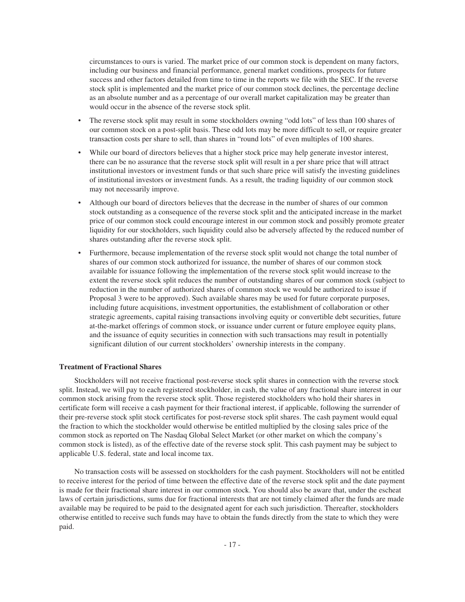circumstances to ours is varied. The market price of our common stock is dependent on many factors, including our business and financial performance, general market conditions, prospects for future success and other factors detailed from time to time in the reports we file with the SEC. If the reverse stock split is implemented and the market price of our common stock declines, the percentage decline as an absolute number and as a percentage of our overall market capitalization may be greater than would occur in the absence of the reverse stock split.

- The reverse stock split may result in some stockholders owning "odd lots" of less than 100 shares of our common stock on a post-split basis. These odd lots may be more difficult to sell, or require greater transaction costs per share to sell, than shares in "round lots" of even multiples of 100 shares.
- While our board of directors believes that a higher stock price may help generate investor interest, there can be no assurance that the reverse stock split will result in a per share price that will attract institutional investors or investment funds or that such share price will satisfy the investing guidelines of institutional investors or investment funds. As a result, the trading liquidity of our common stock may not necessarily improve.
- Although our board of directors believes that the decrease in the number of shares of our common stock outstanding as a consequence of the reverse stock split and the anticipated increase in the market price of our common stock could encourage interest in our common stock and possibly promote greater liquidity for our stockholders, such liquidity could also be adversely affected by the reduced number of shares outstanding after the reverse stock split.
- Furthermore, because implementation of the reverse stock split would not change the total number of shares of our common stock authorized for issuance, the number of shares of our common stock available for issuance following the implementation of the reverse stock split would increase to the extent the reverse stock split reduces the number of outstanding shares of our common stock (subject to reduction in the number of authorized shares of common stock we would be authorized to issue if Proposal 3 were to be approved). Such available shares may be used for future corporate purposes, including future acquisitions, investment opportunities, the establishment of collaboration or other strategic agreements, capital raising transactions involving equity or convertible debt securities, future at-the-market offerings of common stock, or issuance under current or future employee equity plans, and the issuance of equity securities in connection with such transactions may result in potentially significant dilution of our current stockholders' ownership interests in the company.

### **Treatment of Fractional Shares**

Stockholders will not receive fractional post-reverse stock split shares in connection with the reverse stock split. Instead, we will pay to each registered stockholder, in cash, the value of any fractional share interest in our common stock arising from the reverse stock split. Those registered stockholders who hold their shares in certificate form will receive a cash payment for their fractional interest, if applicable, following the surrender of their pre-reverse stock split stock certificates for post-reverse stock split shares. The cash payment would equal the fraction to which the stockholder would otherwise be entitled multiplied by the closing sales price of the common stock as reported on The Nasdaq Global Select Market (or other market on which the company's common stock is listed), as of the effective date of the reverse stock split. This cash payment may be subject to applicable U.S. federal, state and local income tax.

No transaction costs will be assessed on stockholders for the cash payment. Stockholders will not be entitled to receive interest for the period of time between the effective date of the reverse stock split and the date payment is made for their fractional share interest in our common stock. You should also be aware that, under the escheat laws of certain jurisdictions, sums due for fractional interests that are not timely claimed after the funds are made available may be required to be paid to the designated agent for each such jurisdiction. Thereafter, stockholders otherwise entitled to receive such funds may have to obtain the funds directly from the state to which they were paid.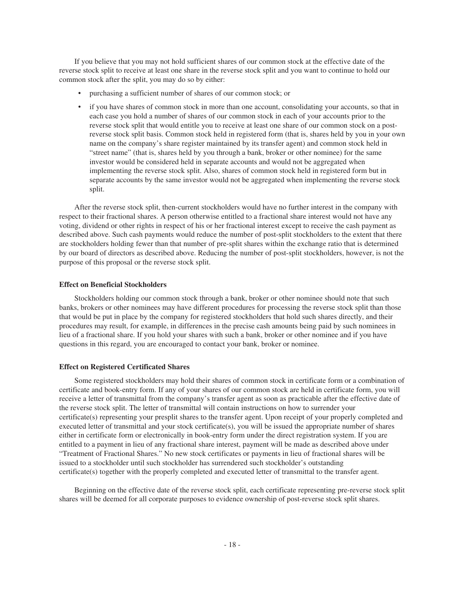If you believe that you may not hold sufficient shares of our common stock at the effective date of the reverse stock split to receive at least one share in the reverse stock split and you want to continue to hold our common stock after the split, you may do so by either:

- purchasing a sufficient number of shares of our common stock; or
- if you have shares of common stock in more than one account, consolidating your accounts, so that in each case you hold a number of shares of our common stock in each of your accounts prior to the reverse stock split that would entitle you to receive at least one share of our common stock on a postreverse stock split basis. Common stock held in registered form (that is, shares held by you in your own name on the company's share register maintained by its transfer agent) and common stock held in "street name" (that is, shares held by you through a bank, broker or other nominee) for the same investor would be considered held in separate accounts and would not be aggregated when implementing the reverse stock split. Also, shares of common stock held in registered form but in separate accounts by the same investor would not be aggregated when implementing the reverse stock split.

After the reverse stock split, then-current stockholders would have no further interest in the company with respect to their fractional shares. A person otherwise entitled to a fractional share interest would not have any voting, dividend or other rights in respect of his or her fractional interest except to receive the cash payment as described above. Such cash payments would reduce the number of post-split stockholders to the extent that there are stockholders holding fewer than that number of pre-split shares within the exchange ratio that is determined by our board of directors as described above. Reducing the number of post-split stockholders, however, is not the purpose of this proposal or the reverse stock split.

### **Effect on Beneficial Stockholders**

Stockholders holding our common stock through a bank, broker or other nominee should note that such banks, brokers or other nominees may have different procedures for processing the reverse stock split than those that would be put in place by the company for registered stockholders that hold such shares directly, and their procedures may result, for example, in differences in the precise cash amounts being paid by such nominees in lieu of a fractional share. If you hold your shares with such a bank, broker or other nominee and if you have questions in this regard, you are encouraged to contact your bank, broker or nominee.

#### **Effect on Registered Certificated Shares**

Some registered stockholders may hold their shares of common stock in certificate form or a combination of certificate and book-entry form. If any of your shares of our common stock are held in certificate form, you will receive a letter of transmittal from the company's transfer agent as soon as practicable after the effective date of the reverse stock split. The letter of transmittal will contain instructions on how to surrender your certificate(s) representing your presplit shares to the transfer agent. Upon receipt of your properly completed and executed letter of transmittal and your stock certificate(s), you will be issued the appropriate number of shares either in certificate form or electronically in book-entry form under the direct registration system. If you are entitled to a payment in lieu of any fractional share interest, payment will be made as described above under "Treatment of Fractional Shares." No new stock certificates or payments in lieu of fractional shares will be issued to a stockholder until such stockholder has surrendered such stockholder's outstanding certificate(s) together with the properly completed and executed letter of transmittal to the transfer agent.

Beginning on the effective date of the reverse stock split, each certificate representing pre-reverse stock split shares will be deemed for all corporate purposes to evidence ownership of post-reverse stock split shares.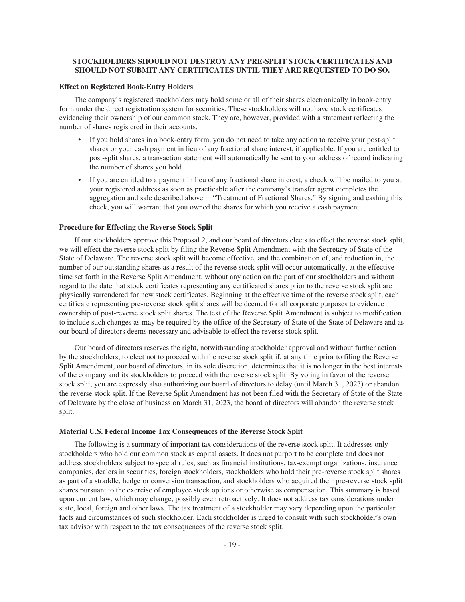# **STOCKHOLDERS SHOULD NOT DESTROY ANY PRE-SPLIT STOCK CERTIFICATES AND SHOULD NOT SUBMIT ANY CERTIFICATES UNTIL THEY ARE REQUESTED TO DO SO.**

## **Effect on Registered Book-Entry Holders**

The company's registered stockholders may hold some or all of their shares electronically in book-entry form under the direct registration system for securities. These stockholders will not have stock certificates evidencing their ownership of our common stock. They are, however, provided with a statement reflecting the number of shares registered in their accounts.

- If you hold shares in a book-entry form, you do not need to take any action to receive your post-split shares or your cash payment in lieu of any fractional share interest, if applicable. If you are entitled to post-split shares, a transaction statement will automatically be sent to your address of record indicating the number of shares you hold.
- If you are entitled to a payment in lieu of any fractional share interest, a check will be mailed to you at your registered address as soon as practicable after the company's transfer agent completes the aggregation and sale described above in "Treatment of Fractional Shares." By signing and cashing this check, you will warrant that you owned the shares for which you receive a cash payment.

#### **Procedure for Effecting the Reverse Stock Split**

If our stockholders approve this Proposal 2, and our board of directors elects to effect the reverse stock split, we will effect the reverse stock split by filing the Reverse Split Amendment with the Secretary of State of the State of Delaware. The reverse stock split will become effective, and the combination of, and reduction in, the number of our outstanding shares as a result of the reverse stock split will occur automatically, at the effective time set forth in the Reverse Split Amendment, without any action on the part of our stockholders and without regard to the date that stock certificates representing any certificated shares prior to the reverse stock split are physically surrendered for new stock certificates. Beginning at the effective time of the reverse stock split, each certificate representing pre-reverse stock split shares will be deemed for all corporate purposes to evidence ownership of post-reverse stock split shares. The text of the Reverse Split Amendment is subject to modification to include such changes as may be required by the office of the Secretary of State of the State of Delaware and as our board of directors deems necessary and advisable to effect the reverse stock split.

Our board of directors reserves the right, notwithstanding stockholder approval and without further action by the stockholders, to elect not to proceed with the reverse stock split if, at any time prior to filing the Reverse Split Amendment, our board of directors, in its sole discretion, determines that it is no longer in the best interests of the company and its stockholders to proceed with the reverse stock split. By voting in favor of the reverse stock split, you are expressly also authorizing our board of directors to delay (until March 31, 2023) or abandon the reverse stock split. If the Reverse Split Amendment has not been filed with the Secretary of State of the State of Delaware by the close of business on March 31, 2023, the board of directors will abandon the reverse stock split.

### **Material U.S. Federal Income Tax Consequences of the Reverse Stock Split**

The following is a summary of important tax considerations of the reverse stock split. It addresses only stockholders who hold our common stock as capital assets. It does not purport to be complete and does not address stockholders subject to special rules, such as financial institutions, tax-exempt organizations, insurance companies, dealers in securities, foreign stockholders, stockholders who hold their pre-reverse stock split shares as part of a straddle, hedge or conversion transaction, and stockholders who acquired their pre-reverse stock split shares pursuant to the exercise of employee stock options or otherwise as compensation. This summary is based upon current law, which may change, possibly even retroactively. It does not address tax considerations under state, local, foreign and other laws. The tax treatment of a stockholder may vary depending upon the particular facts and circumstances of such stockholder. Each stockholder is urged to consult with such stockholder's own tax advisor with respect to the tax consequences of the reverse stock split.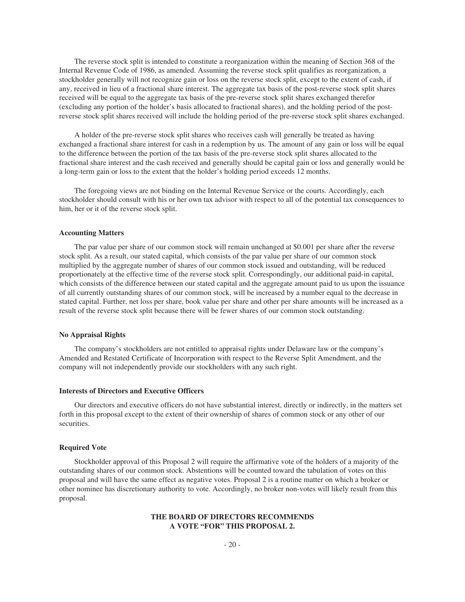The reverse stock split is intended to constitute a reorganization within the meaning of Section 368 of the Internal Revenue Code of 1986, as amended. Assuming the reverse stock split qualifies as reorganization, a stockholder generally will not recognize gain or loss on the reverse stock split, except to the extent of cash, if any, received in lieu of a fractional share interest. The aggregate tax basis of the post-reverse stock split shares received will be equal to the aggregate tax basis of the pre-reverse stock split shares exchanged therefor (excluding any portion of the holder's basis allocated to fractional shares), and the holding period of the postreverse stock split shares received will include the holding period of the pre-reverse stock split shares exchanged.

A holder of the pre-reverse stock split shares who receives cash will generally be treated as having exchanged a fractional share interest for cash in a redemption by us. The amount of any gain or loss will be equal to the difference between the portion of the tax basis of the pre-reverse stock split shares allocated to the fractional share interest and the cash received and generally should be capital gain or loss and generally would be a long-term gain or loss to the extent that the holder's holding period exceeds 12 months.

The foregoing views are not binding on the Internal Revenue Service or the courts. Accordingly, each stockholder should consult with his or her own tax advisor with respect to all of the potential tax consequences to him, her or it of the reverse stock split.

### **Accounting Matters**

The par value per share of our common stock will remain unchanged at \$0.001 per share after the reverse stock split. As a result, our stated capital, which consists of the par value per share of our common stock multiplied by the aggregate number of shares of our common stock issued and outstanding, will be reduced proportionately at the effective time of the reverse stock split. Correspondingly, our additional paid-in capital, which consists of the difference between our stated capital and the aggregate amount paid to us upon the issuance of all currently outstanding shares of our common stock, will be increased by a number equal to the decrease in stated capital. Further, net loss per share, book value per share and other per share amounts will be increased as a result of the reverse stock split because there will be fewer shares of our common stock outstanding.

#### **No Appraisal Rights**

The company's stockholders are not entitled to appraisal rights under Delaware law or the company's Amended and Restated Certificate of Incorporation with respect to the Reverse Split Amendment, and the company will not independently provide our stockholders with any such right.

#### **Interests of Directors and Executive Officers**

Our directors and executive officers do not have substantial interest, directly or indirectly, in the matters set forth in this proposal except to the extent of their ownership of shares of common stock or any other of our securities.

#### **Required Vote**

Stockholder approval of this Proposal 2 will require the affirmative vote of the holders of a majority of the outstanding shares of our common stock. Abstentions will be counted toward the tabulation of votes on this proposal and will have the same effect as negative votes. Proposal 2 is a routine matter on which a broker or other nominee has discretionary authority to vote. Accordingly, no broker non-votes will likely result from this proposal.

# **THE BOARD OF DIRECTORS RECOMMENDS A VOTE "FOR" THIS PROPOSAL 2.**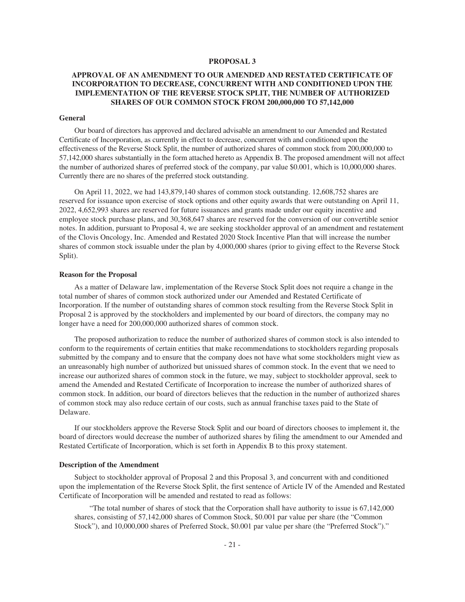# <span id="page-22-0"></span>**APPROVAL OF AN AMENDMENT TO OUR AMENDED AND RESTATED CERTIFICATE OF INCORPORATION TO DECREASE, CONCURRENT WITH AND CONDITIONED UPON THE IMPLEMENTATION OF THE REVERSE STOCK SPLIT, THE NUMBER OF AUTHORIZED SHARES OF OUR COMMON STOCK FROM 200,000,000 TO 57,142,000**

### **General**

Our board of directors has approved and declared advisable an amendment to our Amended and Restated Certificate of Incorporation, as currently in effect to decrease, concurrent with and conditioned upon the effectiveness of the Reverse Stock Split, the number of authorized shares of common stock from 200,000,000 to 57,142,000 shares substantially in the form attached hereto as Appendix B. The proposed amendment will not affect the number of authorized shares of preferred stock of the company, par value \$0.001, which is 10,000,000 shares. Currently there are no shares of the preferred stock outstanding.

On April 11, 2022, we had 143,879,140 shares of common stock outstanding. 12,608,752 shares are reserved for issuance upon exercise of stock options and other equity awards that were outstanding on April 11, 2022, 4,652,993 shares are reserved for future issuances and grants made under our equity incentive and employee stock purchase plans, and 30,368,647 shares are reserved for the conversion of our convertible senior notes. In addition, pursuant to Proposal 4, we are seeking stockholder approval of an amendment and restatement of the Clovis Oncology, Inc. Amended and Restated 2020 Stock Incentive Plan that will increase the number shares of common stock issuable under the plan by 4,000,000 shares (prior to giving effect to the Reverse Stock Split).

#### **Reason for the Proposal**

As a matter of Delaware law, implementation of the Reverse Stock Split does not require a change in the total number of shares of common stock authorized under our Amended and Restated Certificate of Incorporation. If the number of outstanding shares of common stock resulting from the Reverse Stock Split in Proposal 2 is approved by the stockholders and implemented by our board of directors, the company may no longer have a need for 200,000,000 authorized shares of common stock.

The proposed authorization to reduce the number of authorized shares of common stock is also intended to conform to the requirements of certain entities that make recommendations to stockholders regarding proposals submitted by the company and to ensure that the company does not have what some stockholders might view as an unreasonably high number of authorized but unissued shares of common stock. In the event that we need to increase our authorized shares of common stock in the future, we may, subject to stockholder approval, seek to amend the Amended and Restated Certificate of Incorporation to increase the number of authorized shares of common stock. In addition, our board of directors believes that the reduction in the number of authorized shares of common stock may also reduce certain of our costs, such as annual franchise taxes paid to the State of Delaware.

If our stockholders approve the Reverse Stock Split and our board of directors chooses to implement it, the board of directors would decrease the number of authorized shares by filing the amendment to our Amended and Restated Certificate of Incorporation, which is set forth in Appendix B to this proxy statement.

#### **Description of the Amendment**

Subject to stockholder approval of Proposal 2 and this Proposal 3, and concurrent with and conditioned upon the implementation of the Reverse Stock Split, the first sentence of Article IV of the Amended and Restated Certificate of Incorporation will be amended and restated to read as follows:

"The total number of shares of stock that the Corporation shall have authority to issue is 67,142,000 shares, consisting of 57,142,000 shares of Common Stock, \$0.001 par value per share (the "Common Stock"), and 10,000,000 shares of Preferred Stock, \$0.001 par value per share (the "Preferred Stock")."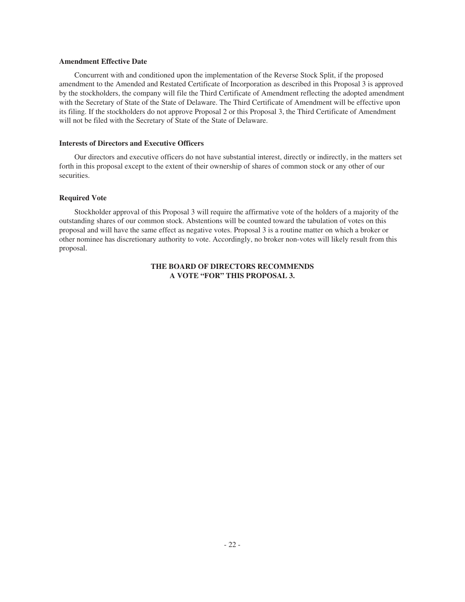### **Amendment Effective Date**

Concurrent with and conditioned upon the implementation of the Reverse Stock Split, if the proposed amendment to the Amended and Restated Certificate of Incorporation as described in this Proposal 3 is approved by the stockholders, the company will file the Third Certificate of Amendment reflecting the adopted amendment with the Secretary of State of the State of Delaware. The Third Certificate of Amendment will be effective upon its filing. If the stockholders do not approve Proposal 2 or this Proposal 3, the Third Certificate of Amendment will not be filed with the Secretary of State of the State of Delaware.

### **Interests of Directors and Executive Officers**

Our directors and executive officers do not have substantial interest, directly or indirectly, in the matters set forth in this proposal except to the extent of their ownership of shares of common stock or any other of our securities.

#### **Required Vote**

Stockholder approval of this Proposal 3 will require the affirmative vote of the holders of a majority of the outstanding shares of our common stock. Abstentions will be counted toward the tabulation of votes on this proposal and will have the same effect as negative votes. Proposal 3 is a routine matter on which a broker or other nominee has discretionary authority to vote. Accordingly, no broker non-votes will likely result from this proposal.

# **THE BOARD OF DIRECTORS RECOMMENDS A VOTE "FOR" THIS PROPOSAL 3.**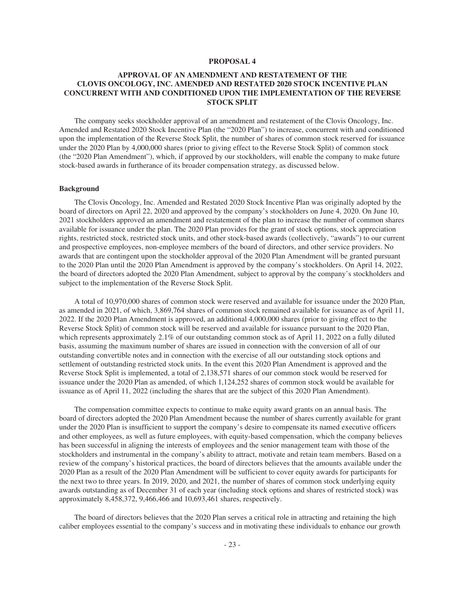# <span id="page-24-0"></span>**APPROVAL OF AN AMENDMENT AND RESTATEMENT OF THE CLOVIS ONCOLOGY, INC. AMENDED AND RESTATED 2020 STOCK INCENTIVE PLAN CONCURRENT WITH AND CONDITIONED UPON THE IMPLEMENTATION OF THE REVERSE STOCK SPLIT**

The company seeks stockholder approval of an amendment and restatement of the Clovis Oncology, Inc. Amended and Restated 2020 Stock Incentive Plan (the "2020 Plan") to increase, concurrent with and conditioned upon the implementation of the Reverse Stock Split, the number of shares of common stock reserved for issuance under the 2020 Plan by 4,000,000 shares (prior to giving effect to the Reverse Stock Split) of common stock (the "2020 Plan Amendment"), which, if approved by our stockholders, will enable the company to make future stock-based awards in furtherance of its broader compensation strategy, as discussed below.

### **Background**

The Clovis Oncology, Inc. Amended and Restated 2020 Stock Incentive Plan was originally adopted by the board of directors on April 22, 2020 and approved by the company's stockholders on June 4, 2020. On June 10, 2021 stockholders approved an amendment and restatement of the plan to increase the number of common shares available for issuance under the plan. The 2020 Plan provides for the grant of stock options, stock appreciation rights, restricted stock, restricted stock units, and other stock-based awards (collectively, "awards") to our current and prospective employees, non-employee members of the board of directors, and other service providers. No awards that are contingent upon the stockholder approval of the 2020 Plan Amendment will be granted pursuant to the 2020 Plan until the 2020 Plan Amendment is approved by the company's stockholders. On April 14, 2022, the board of directors adopted the 2020 Plan Amendment, subject to approval by the company's stockholders and subject to the implementation of the Reverse Stock Split.

A total of 10,970,000 shares of common stock were reserved and available for issuance under the 2020 Plan, as amended in 2021, of which, 3,869,764 shares of common stock remained available for issuance as of April 11, 2022. If the 2020 Plan Amendment is approved, an additional 4,000,000 shares (prior to giving effect to the Reverse Stock Split) of common stock will be reserved and available for issuance pursuant to the 2020 Plan, which represents approximately  $2.1\%$  of our outstanding common stock as of April 11, 2022 on a fully diluted basis, assuming the maximum number of shares are issued in connection with the conversion of all of our outstanding convertible notes and in connection with the exercise of all our outstanding stock options and settlement of outstanding restricted stock units. In the event this 2020 Plan Amendment is approved and the Reverse Stock Split is implemented, a total of 2,138,571 shares of our common stock would be reserved for issuance under the 2020 Plan as amended, of which 1,124,252 shares of common stock would be available for issuance as of April 11, 2022 (including the shares that are the subject of this 2020 Plan Amendment).

The compensation committee expects to continue to make equity award grants on an annual basis. The board of directors adopted the 2020 Plan Amendment because the number of shares currently available for grant under the 2020 Plan is insufficient to support the company's desire to compensate its named executive officers and other employees, as well as future employees, with equity-based compensation, which the company believes has been successful in aligning the interests of employees and the senior management team with those of the stockholders and instrumental in the company's ability to attract, motivate and retain team members. Based on a review of the company's historical practices, the board of directors believes that the amounts available under the 2020 Plan as a result of the 2020 Plan Amendment will be sufficient to cover equity awards for participants for the next two to three years. In 2019, 2020, and 2021, the number of shares of common stock underlying equity awards outstanding as of December 31 of each year (including stock options and shares of restricted stock) was approximately 8,458,372, 9,466,466 and 10,693,461 shares, respectively.

The board of directors believes that the 2020 Plan serves a critical role in attracting and retaining the high caliber employees essential to the company's success and in motivating these individuals to enhance our growth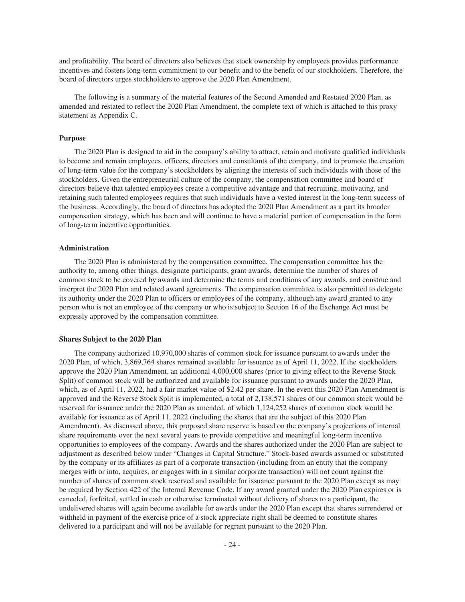and profitability. The board of directors also believes that stock ownership by employees provides performance incentives and fosters long-term commitment to our benefit and to the benefit of our stockholders. Therefore, the board of directors urges stockholders to approve the 2020 Plan Amendment.

The following is a summary of the material features of the Second Amended and Restated 2020 Plan, as amended and restated to reflect the 2020 Plan Amendment, the complete text of which is attached to this proxy statement as Appendix C.

### **Purpose**

The 2020 Plan is designed to aid in the company's ability to attract, retain and motivate qualified individuals to become and remain employees, officers, directors and consultants of the company, and to promote the creation of long-term value for the company's stockholders by aligning the interests of such individuals with those of the stockholders. Given the entrepreneurial culture of the company, the compensation committee and board of directors believe that talented employees create a competitive advantage and that recruiting, motivating, and retaining such talented employees requires that such individuals have a vested interest in the long-term success of the business. Accordingly, the board of directors has adopted the 2020 Plan Amendment as a part its broader compensation strategy, which has been and will continue to have a material portion of compensation in the form of long-term incentive opportunities.

### **Administration**

The 2020 Plan is administered by the compensation committee. The compensation committee has the authority to, among other things, designate participants, grant awards, determine the number of shares of common stock to be covered by awards and determine the terms and conditions of any awards, and construe and interpret the 2020 Plan and related award agreements. The compensation committee is also permitted to delegate its authority under the 2020 Plan to officers or employees of the company, although any award granted to any person who is not an employee of the company or who is subject to Section 16 of the Exchange Act must be expressly approved by the compensation committee.

### **Shares Subject to the 2020 Plan**

The company authorized 10,970,000 shares of common stock for issuance pursuant to awards under the 2020 Plan, of which, 3,869,764 shares remained available for issuance as of April 11, 2022. If the stockholders approve the 2020 Plan Amendment, an additional 4,000,000 shares (prior to giving effect to the Reverse Stock Split) of common stock will be authorized and available for issuance pursuant to awards under the 2020 Plan, which, as of April 11, 2022, had a fair market value of \$2.42 per share. In the event this 2020 Plan Amendment is approved and the Reverse Stock Split is implemented, a total of 2,138,571 shares of our common stock would be reserved for issuance under the 2020 Plan as amended, of which 1,124,252 shares of common stock would be available for issuance as of April 11, 2022 (including the shares that are the subject of this 2020 Plan Amendment). As discussed above, this proposed share reserve is based on the company's projections of internal share requirements over the next several years to provide competitive and meaningful long-term incentive opportunities to employees of the company. Awards and the shares authorized under the 2020 Plan are subject to adjustment as described below under "Changes in Capital Structure." Stock-based awards assumed or substituted by the company or its affiliates as part of a corporate transaction (including from an entity that the company merges with or into, acquires, or engages with in a similar corporate transaction) will not count against the number of shares of common stock reserved and available for issuance pursuant to the 2020 Plan except as may be required by Section 422 of the Internal Revenue Code. If any award granted under the 2020 Plan expires or is canceled, forfeited, settled in cash or otherwise terminated without delivery of shares to a participant, the undelivered shares will again become available for awards under the 2020 Plan except that shares surrendered or withheld in payment of the exercise price of a stock appreciate right shall be deemed to constitute shares delivered to a participant and will not be available for regrant pursuant to the 2020 Plan.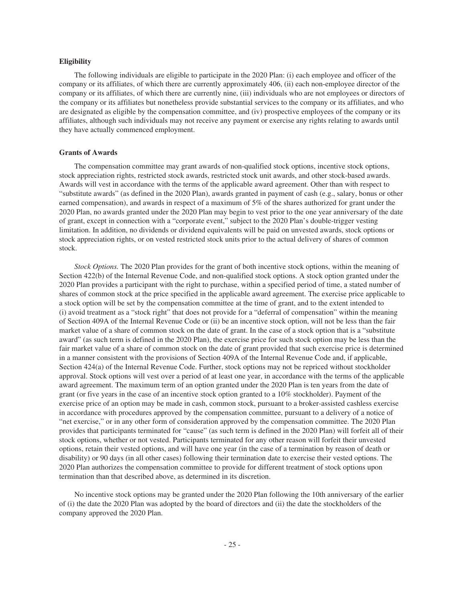#### **Eligibility**

The following individuals are eligible to participate in the 2020 Plan: (i) each employee and officer of the company or its affiliates, of which there are currently approximately 406, (ii) each non-employee director of the company or its affiliates, of which there are currently nine, (iii) individuals who are not employees or directors of the company or its affiliates but nonetheless provide substantial services to the company or its affiliates, and who are designated as eligible by the compensation committee, and (iv) prospective employees of the company or its affiliates, although such individuals may not receive any payment or exercise any rights relating to awards until they have actually commenced employment.

### **Grants of Awards**

The compensation committee may grant awards of non-qualified stock options, incentive stock options, stock appreciation rights, restricted stock awards, restricted stock unit awards, and other stock-based awards. Awards will vest in accordance with the terms of the applicable award agreement. Other than with respect to "substitute awards" (as defined in the 2020 Plan), awards granted in payment of cash (e.g., salary, bonus or other earned compensation), and awards in respect of a maximum of 5% of the shares authorized for grant under the 2020 Plan, no awards granted under the 2020 Plan may begin to vest prior to the one year anniversary of the date of grant, except in connection with a "corporate event," subject to the 2020 Plan's double-trigger vesting limitation. In addition, no dividends or dividend equivalents will be paid on unvested awards, stock options or stock appreciation rights, or on vested restricted stock units prior to the actual delivery of shares of common stock.

*Stock Options.* The 2020 Plan provides for the grant of both incentive stock options, within the meaning of Section 422(b) of the Internal Revenue Code, and non-qualified stock options. A stock option granted under the 2020 Plan provides a participant with the right to purchase, within a specified period of time, a stated number of shares of common stock at the price specified in the applicable award agreement. The exercise price applicable to a stock option will be set by the compensation committee at the time of grant, and to the extent intended to (i) avoid treatment as a "stock right" that does not provide for a "deferral of compensation" within the meaning of Section 409A of the Internal Revenue Code or (ii) be an incentive stock option, will not be less than the fair market value of a share of common stock on the date of grant. In the case of a stock option that is a "substitute award" (as such term is defined in the 2020 Plan), the exercise price for such stock option may be less than the fair market value of a share of common stock on the date of grant provided that such exercise price is determined in a manner consistent with the provisions of Section 409A of the Internal Revenue Code and, if applicable, Section 424(a) of the Internal Revenue Code. Further, stock options may not be repriced without stockholder approval. Stock options will vest over a period of at least one year, in accordance with the terms of the applicable award agreement. The maximum term of an option granted under the 2020 Plan is ten years from the date of grant (or five years in the case of an incentive stock option granted to a 10% stockholder). Payment of the exercise price of an option may be made in cash, common stock, pursuant to a broker-assisted cashless exercise in accordance with procedures approved by the compensation committee, pursuant to a delivery of a notice of "net exercise," or in any other form of consideration approved by the compensation committee. The 2020 Plan provides that participants terminated for "cause" (as such term is defined in the 2020 Plan) will forfeit all of their stock options, whether or not vested. Participants terminated for any other reason will forfeit their unvested options, retain their vested options, and will have one year (in the case of a termination by reason of death or disability) or 90 days (in all other cases) following their termination date to exercise their vested options. The 2020 Plan authorizes the compensation committee to provide for different treatment of stock options upon termination than that described above, as determined in its discretion.

No incentive stock options may be granted under the 2020 Plan following the 10th anniversary of the earlier of (i) the date the 2020 Plan was adopted by the board of directors and (ii) the date the stockholders of the company approved the 2020 Plan.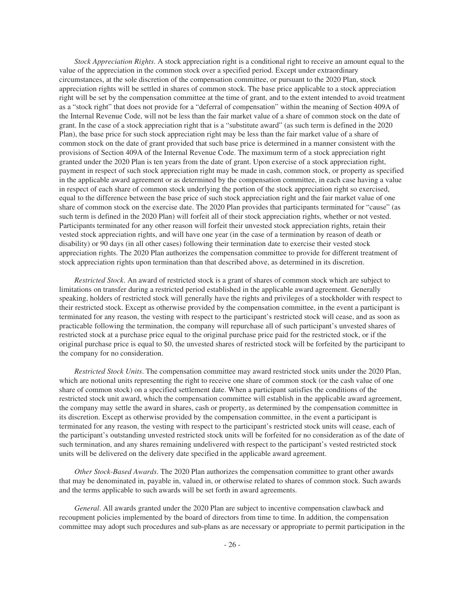*Stock Appreciation Rights*. A stock appreciation right is a conditional right to receive an amount equal to the value of the appreciation in the common stock over a specified period. Except under extraordinary circumstances, at the sole discretion of the compensation committee, or pursuant to the 2020 Plan, stock appreciation rights will be settled in shares of common stock. The base price applicable to a stock appreciation right will be set by the compensation committee at the time of grant, and to the extent intended to avoid treatment as a "stock right" that does not provide for a "deferral of compensation" within the meaning of Section 409A of the Internal Revenue Code, will not be less than the fair market value of a share of common stock on the date of grant. In the case of a stock appreciation right that is a "substitute award" (as such term is defined in the 2020 Plan), the base price for such stock appreciation right may be less than the fair market value of a share of common stock on the date of grant provided that such base price is determined in a manner consistent with the provisions of Section 409A of the Internal Revenue Code. The maximum term of a stock appreciation right granted under the 2020 Plan is ten years from the date of grant. Upon exercise of a stock appreciation right, payment in respect of such stock appreciation right may be made in cash, common stock, or property as specified in the applicable award agreement or as determined by the compensation committee, in each case having a value in respect of each share of common stock underlying the portion of the stock appreciation right so exercised, equal to the difference between the base price of such stock appreciation right and the fair market value of one share of common stock on the exercise date. The 2020 Plan provides that participants terminated for "cause" (as such term is defined in the 2020 Plan) will forfeit all of their stock appreciation rights, whether or not vested. Participants terminated for any other reason will forfeit their unvested stock appreciation rights, retain their vested stock appreciation rights, and will have one year (in the case of a termination by reason of death or disability) or 90 days (in all other cases) following their termination date to exercise their vested stock appreciation rights. The 2020 Plan authorizes the compensation committee to provide for different treatment of stock appreciation rights upon termination than that described above, as determined in its discretion.

*Restricted Stock*. An award of restricted stock is a grant of shares of common stock which are subject to limitations on transfer during a restricted period established in the applicable award agreement. Generally speaking, holders of restricted stock will generally have the rights and privileges of a stockholder with respect to their restricted stock. Except as otherwise provided by the compensation committee, in the event a participant is terminated for any reason, the vesting with respect to the participant's restricted stock will cease, and as soon as practicable following the termination, the company will repurchase all of such participant's unvested shares of restricted stock at a purchase price equal to the original purchase price paid for the restricted stock, or if the original purchase price is equal to \$0, the unvested shares of restricted stock will be forfeited by the participant to the company for no consideration.

*Restricted Stock Units*. The compensation committee may award restricted stock units under the 2020 Plan, which are notional units representing the right to receive one share of common stock (or the cash value of one share of common stock) on a specified settlement date. When a participant satisfies the conditions of the restricted stock unit award, which the compensation committee will establish in the applicable award agreement, the company may settle the award in shares, cash or property, as determined by the compensation committee in its discretion. Except as otherwise provided by the compensation committee, in the event a participant is terminated for any reason, the vesting with respect to the participant's restricted stock units will cease, each of the participant's outstanding unvested restricted stock units will be forfeited for no consideration as of the date of such termination, and any shares remaining undelivered with respect to the participant's vested restricted stock units will be delivered on the delivery date specified in the applicable award agreement.

*Other Stock-Based Awards*. The 2020 Plan authorizes the compensation committee to grant other awards that may be denominated in, payable in, valued in, or otherwise related to shares of common stock. Such awards and the terms applicable to such awards will be set forth in award agreements.

*General*. All awards granted under the 2020 Plan are subject to incentive compensation clawback and recoupment policies implemented by the board of directors from time to time. In addition, the compensation committee may adopt such procedures and sub-plans as are necessary or appropriate to permit participation in the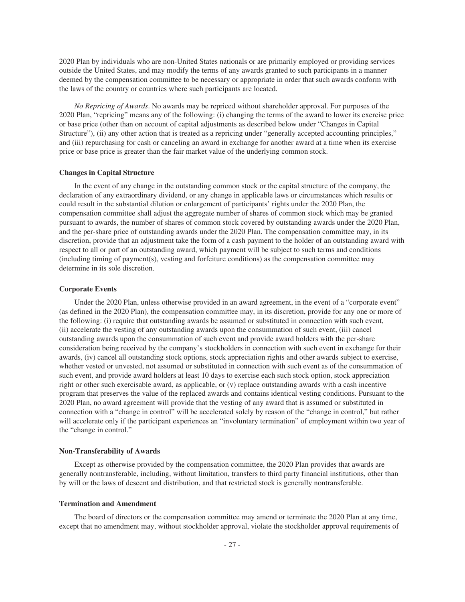2020 Plan by individuals who are non-United States nationals or are primarily employed or providing services outside the United States, and may modify the terms of any awards granted to such participants in a manner deemed by the compensation committee to be necessary or appropriate in order that such awards conform with the laws of the country or countries where such participants are located.

*No Repricing of Awards*. No awards may be repriced without shareholder approval. For purposes of the 2020 Plan, "repricing" means any of the following: (i) changing the terms of the award to lower its exercise price or base price (other than on account of capital adjustments as described below under "Changes in Capital Structure"), (ii) any other action that is treated as a repricing under "generally accepted accounting principles," and (iii) repurchasing for cash or canceling an award in exchange for another award at a time when its exercise price or base price is greater than the fair market value of the underlying common stock.

#### **Changes in Capital Structure**

In the event of any change in the outstanding common stock or the capital structure of the company, the declaration of any extraordinary dividend, or any change in applicable laws or circumstances which results or could result in the substantial dilution or enlargement of participants' rights under the 2020 Plan, the compensation committee shall adjust the aggregate number of shares of common stock which may be granted pursuant to awards, the number of shares of common stock covered by outstanding awards under the 2020 Plan, and the per-share price of outstanding awards under the 2020 Plan. The compensation committee may, in its discretion, provide that an adjustment take the form of a cash payment to the holder of an outstanding award with respect to all or part of an outstanding award, which payment will be subject to such terms and conditions (including timing of payment(s), vesting and forfeiture conditions) as the compensation committee may determine in its sole discretion.

### **Corporate Events**

Under the 2020 Plan, unless otherwise provided in an award agreement, in the event of a "corporate event" (as defined in the 2020 Plan), the compensation committee may, in its discretion, provide for any one or more of the following: (i) require that outstanding awards be assumed or substituted in connection with such event, (ii) accelerate the vesting of any outstanding awards upon the consummation of such event, (iii) cancel outstanding awards upon the consummation of such event and provide award holders with the per-share consideration being received by the company's stockholders in connection with such event in exchange for their awards, (iv) cancel all outstanding stock options, stock appreciation rights and other awards subject to exercise, whether vested or unvested, not assumed or substituted in connection with such event as of the consummation of such event, and provide award holders at least 10 days to exercise each such stock option, stock appreciation right or other such exercisable award, as applicable, or (v) replace outstanding awards with a cash incentive program that preserves the value of the replaced awards and contains identical vesting conditions. Pursuant to the 2020 Plan, no award agreement will provide that the vesting of any award that is assumed or substituted in connection with a "change in control" will be accelerated solely by reason of the "change in control," but rather will accelerate only if the participant experiences an "involuntary termination" of employment within two year of the "change in control."

### **Non-Transferability of Awards**

Except as otherwise provided by the compensation committee, the 2020 Plan provides that awards are generally nontransferable, including, without limitation, transfers to third party financial institutions, other than by will or the laws of descent and distribution, and that restricted stock is generally nontransferable.

#### **Termination and Amendment**

The board of directors or the compensation committee may amend or terminate the 2020 Plan at any time, except that no amendment may, without stockholder approval, violate the stockholder approval requirements of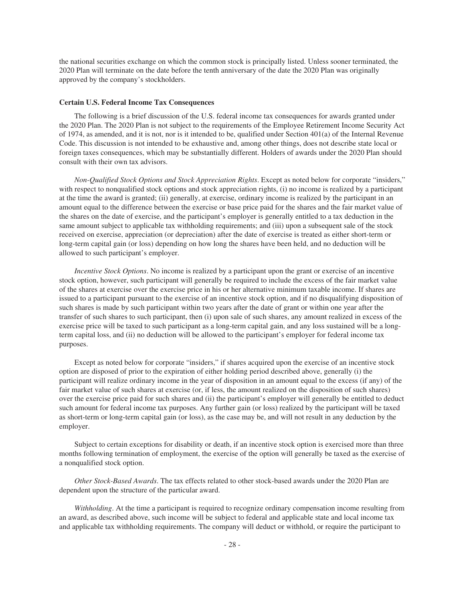the national securities exchange on which the common stock is principally listed. Unless sooner terminated, the 2020 Plan will terminate on the date before the tenth anniversary of the date the 2020 Plan was originally approved by the company's stockholders.

### **Certain U.S. Federal Income Tax Consequences**

The following is a brief discussion of the U.S. federal income tax consequences for awards granted under the 2020 Plan. The 2020 Plan is not subject to the requirements of the Employee Retirement Income Security Act of 1974, as amended, and it is not, nor is it intended to be, qualified under Section 401(a) of the Internal Revenue Code. This discussion is not intended to be exhaustive and, among other things, does not describe state local or foreign taxes consequences, which may be substantially different. Holders of awards under the 2020 Plan should consult with their own tax advisors.

*Non-Qualified Stock Options and Stock Appreciation Rights*. Except as noted below for corporate "insiders," with respect to nonqualified stock options and stock appreciation rights, (i) no income is realized by a participant at the time the award is granted; (ii) generally, at exercise, ordinary income is realized by the participant in an amount equal to the difference between the exercise or base price paid for the shares and the fair market value of the shares on the date of exercise, and the participant's employer is generally entitled to a tax deduction in the same amount subject to applicable tax withholding requirements; and (iii) upon a subsequent sale of the stock received on exercise, appreciation (or depreciation) after the date of exercise is treated as either short-term or long-term capital gain (or loss) depending on how long the shares have been held, and no deduction will be allowed to such participant's employer.

*Incentive Stock Options*. No income is realized by a participant upon the grant or exercise of an incentive stock option, however, such participant will generally be required to include the excess of the fair market value of the shares at exercise over the exercise price in his or her alternative minimum taxable income. If shares are issued to a participant pursuant to the exercise of an incentive stock option, and if no disqualifying disposition of such shares is made by such participant within two years after the date of grant or within one year after the transfer of such shares to such participant, then (i) upon sale of such shares, any amount realized in excess of the exercise price will be taxed to such participant as a long-term capital gain, and any loss sustained will be a longterm capital loss, and (ii) no deduction will be allowed to the participant's employer for federal income tax purposes.

Except as noted below for corporate "insiders," if shares acquired upon the exercise of an incentive stock option are disposed of prior to the expiration of either holding period described above, generally (i) the participant will realize ordinary income in the year of disposition in an amount equal to the excess (if any) of the fair market value of such shares at exercise (or, if less, the amount realized on the disposition of such shares) over the exercise price paid for such shares and (ii) the participant's employer will generally be entitled to deduct such amount for federal income tax purposes. Any further gain (or loss) realized by the participant will be taxed as short-term or long-term capital gain (or loss), as the case may be, and will not result in any deduction by the employer.

Subject to certain exceptions for disability or death, if an incentive stock option is exercised more than three months following termination of employment, the exercise of the option will generally be taxed as the exercise of a nonqualified stock option.

*Other Stock-Based Awards*. The tax effects related to other stock-based awards under the 2020 Plan are dependent upon the structure of the particular award.

*Withholding*. At the time a participant is required to recognize ordinary compensation income resulting from an award, as described above, such income will be subject to federal and applicable state and local income tax and applicable tax withholding requirements. The company will deduct or withhold, or require the participant to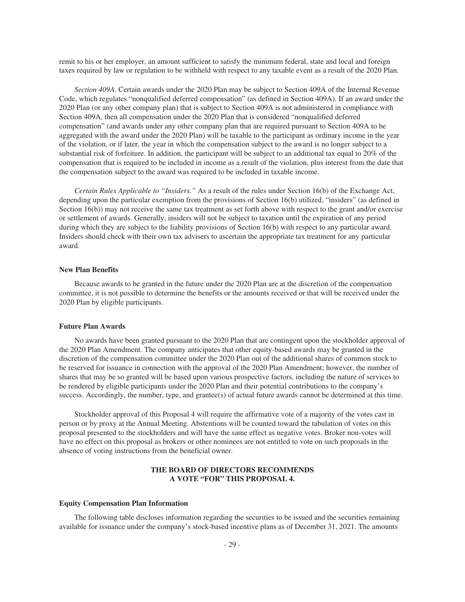remit to his or her employer, an amount sufficient to satisfy the minimum federal, state and local and foreign taxes required by law or regulation to be withheld with respect to any taxable event as a result of the 2020 Plan.

*Section 409A*. Certain awards under the 2020 Plan may be subject to Section 409A of the Internal Revenue Code, which regulates "nonqualified deferred compensation" (as defined in Section 409A). If an award under the 2020 Plan (or any other company plan) that is subject to Section 409A is not administered in compliance with Section 409A, then all compensation under the 2020 Plan that is considered "nonqualified deferred compensation" (and awards under any other company plan that are required pursuant to Section 409A to be aggregated with the award under the 2020 Plan) will be taxable to the participant as ordinary income in the year of the violation, or if later, the year in which the compensation subject to the award is no longer subject to a substantial risk of forfeiture. In addition, the participant will be subject to an additional tax equal to 20% of the compensation that is required to be included in income as a result of the violation, plus interest from the date that the compensation subject to the award was required to be included in taxable income.

*Certain Rules Applicable to "Insiders."* As a result of the rules under Section 16(b) of the Exchange Act, depending upon the particular exemption from the provisions of Section 16(b) utilized, "insiders" (as defined in Section 16(b)) may not receive the same tax treatment as set forth above with respect to the grant and/or exercise or settlement of awards. Generally, insiders will not be subject to taxation until the expiration of any period during which they are subject to the liability provisions of Section 16(b) with respect to any particular award. Insiders should check with their own tax advisers to ascertain the appropriate tax treatment for any particular award.

#### **New Plan Benefits**

Because awards to be granted in the future under the 2020 Plan are at the discretion of the compensation committee, it is not possible to determine the benefits or the amounts received or that will be received under the 2020 Plan by eligible participants.

# **Future Plan Awards**

No awards have been granted pursuant to the 2020 Plan that are contingent upon the stockholder approval of the 2020 Plan Amendment. The company anticipates that other equity-based awards may be granted in the discretion of the compensation committee under the 2020 Plan out of the additional shares of common stock to be reserved for issuance in connection with the approval of the 2020 Plan Amendment; however, the number of shares that may be so granted will be based upon various prospective factors, including the nature of services to be rendered by eligible participants under the 2020 Plan and their potential contributions to the company's success. Accordingly, the number, type, and grantee(s) of actual future awards cannot be determined at this time.

Stockholder approval of this Proposal 4 will require the affirmative vote of a majority of the votes cast in person or by proxy at the Annual Meeting. Abstentions will be counted toward the tabulation of votes on this proposal presented to the stockholders and will have the same effect as negative votes. Broker non-votes will have no effect on this proposal as brokers or other nominees are not entitled to vote on such proposals in the absence of voting instructions from the beneficial owner.

# **THE BOARD OF DIRECTORS RECOMMENDS A VOTE "FOR" THIS PROPOSAL 4.**

#### **Equity Compensation Plan Information**

The following table discloses information regarding the securities to be issued and the securities remaining available for issuance under the company's stock-based incentive plans as of December 31, 2021. The amounts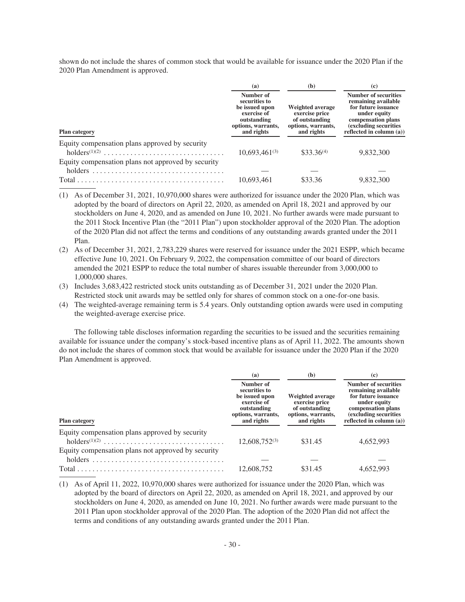shown do not include the shares of common stock that would be available for issuance under the 2020 Plan if the 2020 Plan Amendment is approved.

|                                                                                                      | (a)                                                                                                            | (b)                                                                                             | (c)                                                                                                                                                                   |
|------------------------------------------------------------------------------------------------------|----------------------------------------------------------------------------------------------------------------|-------------------------------------------------------------------------------------------------|-----------------------------------------------------------------------------------------------------------------------------------------------------------------------|
| <b>Plan category</b>                                                                                 | Number of<br>securities to<br>be issued upon<br>exercise of<br>outstanding<br>options, warrants,<br>and rights | <b>Weighted average</b><br>exercise price<br>of outstanding<br>options, warrants,<br>and rights | <b>Number of securities</b><br>remaining available<br>for future issuance<br>under equity<br>compensation plans<br>(excluding securities)<br>reflected in column (a)) |
| Equity compensation plans approved by security<br>Equity compensation plans not approved by security | $10.693,461^{(3)}$                                                                                             | $$33.36^{(4)}$                                                                                  | 9,832,300                                                                                                                                                             |
|                                                                                                      | 10.693.461                                                                                                     | \$33.36                                                                                         | 9,832,300                                                                                                                                                             |
|                                                                                                      |                                                                                                                |                                                                                                 |                                                                                                                                                                       |

(1) As of December 31, 2021, 10,970,000 shares were authorized for issuance under the 2020 Plan, which was adopted by the board of directors on April 22, 2020, as amended on April 18, 2021 and approved by our stockholders on June 4, 2020, and as amended on June 10, 2021. No further awards were made pursuant to the 2011 Stock Incentive Plan (the "2011 Plan") upon stockholder approval of the 2020 Plan. The adoption of the 2020 Plan did not affect the terms and conditions of any outstanding awards granted under the 2011 Plan.

- (2) As of December 31, 2021, 2,783,229 shares were reserved for issuance under the 2021 ESPP, which became effective June 10, 2021. On February 9, 2022, the compensation committee of our board of directors amended the 2021 ESPP to reduce the total number of shares issuable thereunder from 3,000,000 to 1,000,000 shares.
- (3) Includes 3,683,422 restricted stock units outstanding as of December 31, 2021 under the 2020 Plan. Restricted stock unit awards may be settled only for shares of common stock on a one-for-one basis.
- (4) The weighted-average remaining term is 5.4 years. Only outstanding option awards were used in computing the weighted-average exercise price.

The following table discloses information regarding the securities to be issued and the securities remaining available for issuance under the company's stock-based incentive plans as of April 11, 2022. The amounts shown do not include the shares of common stock that would be available for issuance under the 2020 Plan if the 2020 Plan Amendment is approved.

|                                                    | (a)                                                                                                            | (b)                                                                                             | (c)                                                                                                                                                                   |
|----------------------------------------------------|----------------------------------------------------------------------------------------------------------------|-------------------------------------------------------------------------------------------------|-----------------------------------------------------------------------------------------------------------------------------------------------------------------------|
| <b>Plan category</b>                               | Number of<br>securities to<br>be issued upon<br>exercise of<br>outstanding<br>options, warrants,<br>and rights | <b>Weighted average</b><br>exercise price<br>of outstanding<br>options, warrants,<br>and rights | <b>Number of securities</b><br>remaining available<br>for future issuance<br>under equity<br>compensation plans<br>(excluding securities)<br>reflected in column (a)) |
| Equity compensation plans approved by security     | $12,608,752^{(3)}$                                                                                             | \$31.45                                                                                         | 4,652,993                                                                                                                                                             |
| Equity compensation plans not approved by security | 12,608,752                                                                                                     | \$31.45                                                                                         | 4,652,993                                                                                                                                                             |

(1) As of April 11, 2022, 10,970,000 shares were authorized for issuance under the 2020 Plan, which was adopted by the board of directors on April 22, 2020, as amended on April 18, 2021, and approved by our stockholders on June 4, 2020, as amended on June 10, 2021. No further awards were made pursuant to the 2011 Plan upon stockholder approval of the 2020 Plan. The adoption of the 2020 Plan did not affect the terms and conditions of any outstanding awards granted under the 2011 Plan.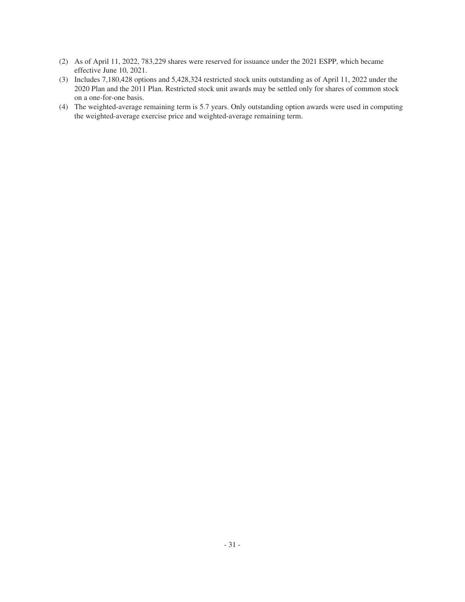- (2) As of April 11, 2022, 783,229 shares were reserved for issuance under the 2021 ESPP, which became effective June 10, 2021.
- (3) Includes 7,180,428 options and 5,428,324 restricted stock units outstanding as of April 11, 2022 under the 2020 Plan and the 2011 Plan. Restricted stock unit awards may be settled only for shares of common stock on a one-for-one basis.
- (4) The weighted-average remaining term is 5.7 years. Only outstanding option awards were used in computing the weighted-average exercise price and weighted-average remaining term.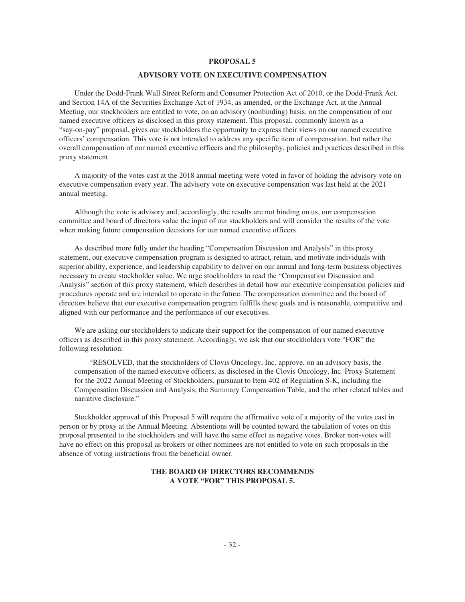## **ADVISORY VOTE ON EXECUTIVE COMPENSATION**

<span id="page-33-0"></span>Under the Dodd-Frank Wall Street Reform and Consumer Protection Act of 2010, or the Dodd-Frank Act, and Section 14A of the Securities Exchange Act of 1934, as amended, or the Exchange Act, at the Annual Meeting, our stockholders are entitled to vote, on an advisory (nonbinding) basis, on the compensation of our named executive officers as disclosed in this proxy statement. This proposal, commonly known as a "say-on-pay" proposal, gives our stockholders the opportunity to express their views on our named executive officers' compensation. This vote is not intended to address any specific item of compensation, but rather the overall compensation of our named executive officers and the philosophy, policies and practices described in this proxy statement.

A majority of the votes cast at the 2018 annual meeting were voted in favor of holding the advisory vote on executive compensation every year. The advisory vote on executive compensation was last held at the 2021 annual meeting.

Although the vote is advisory and, accordingly, the results are not binding on us, our compensation committee and board of directors value the input of our stockholders and will consider the results of the vote when making future compensation decisions for our named executive officers.

As described more fully under the heading "Compensation Discussion and Analysis" in this proxy statement, our executive compensation program is designed to attract, retain, and motivate individuals with superior ability, experience, and leadership capability to deliver on our annual and long-term business objectives necessary to create stockholder value. We urge stockholders to read the "Compensation Discussion and Analysis" section of this proxy statement, which describes in detail how our executive compensation policies and procedures operate and are intended to operate in the future. The compensation committee and the board of directors believe that our executive compensation program fulfills these goals and is reasonable, competitive and aligned with our performance and the performance of our executives.

We are asking our stockholders to indicate their support for the compensation of our named executive officers as described in this proxy statement. Accordingly, we ask that our stockholders vote "FOR" the following resolution:

"RESOLVED, that the stockholders of Clovis Oncology, Inc. approve, on an advisory basis, the compensation of the named executive officers, as disclosed in the Clovis Oncology, Inc. Proxy Statement for the 2022 Annual Meeting of Stockholders, pursuant to Item 402 of Regulation S-K, including the Compensation Discussion and Analysis, the Summary Compensation Table, and the other related tables and narrative disclosure."

Stockholder approval of this Proposal 5 will require the affirmative vote of a majority of the votes cast in person or by proxy at the Annual Meeting. Abstentions will be counted toward the tabulation of votes on this proposal presented to the stockholders and will have the same effect as negative votes. Broker non-votes will have no effect on this proposal as brokers or other nominees are not entitled to vote on such proposals in the absence of voting instructions from the beneficial owner.

# **THE BOARD OF DIRECTORS RECOMMENDS A VOTE "FOR" THIS PROPOSAL 5.**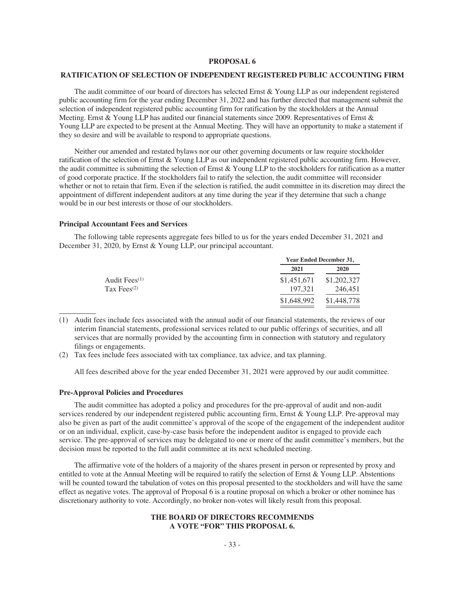### <span id="page-34-0"></span>**RATIFICATION OF SELECTION OF INDEPENDENT REGISTERED PUBLIC ACCOUNTING FIRM**

The audit committee of our board of directors has selected Ernst & Young LLP as our independent registered public accounting firm for the year ending December 31, 2022 and has further directed that management submit the selection of independent registered public accounting firm for ratification by the stockholders at the Annual Meeting. Ernst & Young LLP has audited our financial statements since 2009. Representatives of Ernst & Young LLP are expected to be present at the Annual Meeting. They will have an opportunity to make a statement if they so desire and will be available to respond to appropriate questions.

Neither our amended and restated bylaws nor our other governing documents or law require stockholder ratification of the selection of Ernst & Young LLP as our independent registered public accounting firm. However, the audit committee is submitting the selection of Ernst & Young LLP to the stockholders for ratification as a matter of good corporate practice. If the stockholders fail to ratify the selection, the audit committee will reconsider whether or not to retain that firm. Even if the selection is ratified, the audit committee in its discretion may direct the appointment of different independent auditors at any time during the year if they determine that such a change would be in our best interests or those of our stockholders.

#### **Principal Accountant Fees and Services**

The following table represents aggregate fees billed to us for the years ended December 31, 2021 and December 31, 2020, by Ernst & Young LLP, our principal accountant.

|                  | <b>Year Ended December 31,</b> |             |
|------------------|--------------------------------|-------------|
|                  | 2021                           | 2020        |
| Audit Fees $(1)$ | \$1,451,671                    | \$1,202,327 |
| Tax Fees $(2)$   | 197.321                        | 246.451     |
|                  | \$1,648,992                    | \$1,448,778 |

(1) Audit fees include fees associated with the annual audit of our financial statements, the reviews of our interim financial statements, professional services related to our public offerings of securities, and all services that are normally provided by the accounting firm in connection with statutory and regulatory filings or engagements.

(2) Tax fees include fees associated with tax compliance, tax advice, and tax planning.

All fees described above for the year ended December 31, 2021 were approved by our audit committee.

#### **Pre-Approval Policies and Procedures**

The audit committee has adopted a policy and procedures for the pre-approval of audit and non-audit services rendered by our independent registered public accounting firm, Ernst & Young LLP. Pre-approval may also be given as part of the audit committee's approval of the scope of the engagement of the independent auditor or on an individual, explicit, case-by-case basis before the independent auditor is engaged to provide each service. The pre-approval of services may be delegated to one or more of the audit committee's members, but the decision must be reported to the full audit committee at its next scheduled meeting.

The affirmative vote of the holders of a majority of the shares present in person or represented by proxy and entitled to vote at the Annual Meeting will be required to ratify the selection of Ernst  $\&$  Young LLP. Abstentions will be counted toward the tabulation of votes on this proposal presented to the stockholders and will have the same effect as negative votes. The approval of Proposal 6 is a routine proposal on which a broker or other nominee has discretionary authority to vote. Accordingly, no broker non-votes will likely result from this proposal.

# **THE BOARD OF DIRECTORS RECOMMENDS A VOTE "FOR" THIS PROPOSAL 6.**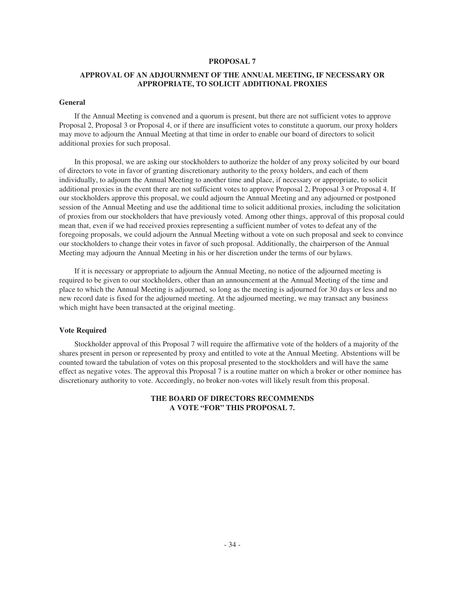# **APPROVAL OF AN ADJOURNMENT OF THE ANNUAL MEETING, IF NECESSARY OR APPROPRIATE, TO SOLICIT ADDITIONAL PROXIES**

#### <span id="page-35-0"></span>**General**

If the Annual Meeting is convened and a quorum is present, but there are not sufficient votes to approve Proposal 2, Proposal 3 or Proposal 4, or if there are insufficient votes to constitute a quorum, our proxy holders may move to adjourn the Annual Meeting at that time in order to enable our board of directors to solicit additional proxies for such proposal.

In this proposal, we are asking our stockholders to authorize the holder of any proxy solicited by our board of directors to vote in favor of granting discretionary authority to the proxy holders, and each of them individually, to adjourn the Annual Meeting to another time and place, if necessary or appropriate, to solicit additional proxies in the event there are not sufficient votes to approve Proposal 2, Proposal 3 or Proposal 4. If our stockholders approve this proposal, we could adjourn the Annual Meeting and any adjourned or postponed session of the Annual Meeting and use the additional time to solicit additional proxies, including the solicitation of proxies from our stockholders that have previously voted. Among other things, approval of this proposal could mean that, even if we had received proxies representing a sufficient number of votes to defeat any of the foregoing proposals, we could adjourn the Annual Meeting without a vote on such proposal and seek to convince our stockholders to change their votes in favor of such proposal. Additionally, the chairperson of the Annual Meeting may adjourn the Annual Meeting in his or her discretion under the terms of our bylaws.

If it is necessary or appropriate to adjourn the Annual Meeting, no notice of the adjourned meeting is required to be given to our stockholders, other than an announcement at the Annual Meeting of the time and place to which the Annual Meeting is adjourned, so long as the meeting is adjourned for 30 days or less and no new record date is fixed for the adjourned meeting. At the adjourned meeting, we may transact any business which might have been transacted at the original meeting.

#### **Vote Required**

Stockholder approval of this Proposal 7 will require the affirmative vote of the holders of a majority of the shares present in person or represented by proxy and entitled to vote at the Annual Meeting. Abstentions will be counted toward the tabulation of votes on this proposal presented to the stockholders and will have the same effect as negative votes. The approval this Proposal 7 is a routine matter on which a broker or other nominee has discretionary authority to vote. Accordingly, no broker non-votes will likely result from this proposal.

# **THE BOARD OF DIRECTORS RECOMMENDS A VOTE "FOR" THIS PROPOSAL 7.**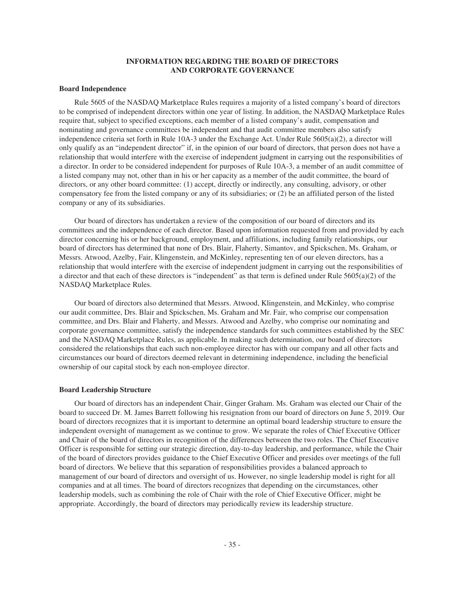# **INFORMATION REGARDING THE BOARD OF DIRECTORS AND CORPORATE GOVERNANCE**

## **Board Independence**

Rule 5605 of the NASDAQ Marketplace Rules requires a majority of a listed company's board of directors to be comprised of independent directors within one year of listing. In addition, the NASDAQ Marketplace Rules require that, subject to specified exceptions, each member of a listed company's audit, compensation and nominating and governance committees be independent and that audit committee members also satisfy independence criteria set forth in Rule 10A-3 under the Exchange Act. Under Rule  $5605(a)(2)$ , a director will only qualify as an "independent director" if, in the opinion of our board of directors, that person does not have a relationship that would interfere with the exercise of independent judgment in carrying out the responsibilities of a director. In order to be considered independent for purposes of Rule 10A-3, a member of an audit committee of a listed company may not, other than in his or her capacity as a member of the audit committee, the board of directors, or any other board committee: (1) accept, directly or indirectly, any consulting, advisory, or other compensatory fee from the listed company or any of its subsidiaries; or (2) be an affiliated person of the listed company or any of its subsidiaries.

Our board of directors has undertaken a review of the composition of our board of directors and its committees and the independence of each director. Based upon information requested from and provided by each director concerning his or her background, employment, and affiliations, including family relationships, our board of directors has determined that none of Drs. Blair, Flaherty, Simantov, and Spickschen, Ms. Graham, or Messrs. Atwood, Azelby, Fair, Klingenstein, and McKinley, representing ten of our eleven directors, has a relationship that would interfere with the exercise of independent judgment in carrying out the responsibilities of a director and that each of these directors is "independent" as that term is defined under Rule  $5605(a)(2)$  of the NASDAQ Marketplace Rules.

Our board of directors also determined that Messrs. Atwood, Klingenstein, and McKinley, who comprise our audit committee, Drs. Blair and Spickschen, Ms. Graham and Mr. Fair, who comprise our compensation committee, and Drs. Blair and Flaherty, and Messrs. Atwood and Azelby, who comprise our nominating and corporate governance committee, satisfy the independence standards for such committees established by the SEC and the NASDAQ Marketplace Rules, as applicable. In making such determination, our board of directors considered the relationships that each such non-employee director has with our company and all other facts and circumstances our board of directors deemed relevant in determining independence, including the beneficial ownership of our capital stock by each non-employee director.

## **Board Leadership Structure**

Our board of directors has an independent Chair, Ginger Graham. Ms. Graham was elected our Chair of the board to succeed Dr. M. James Barrett following his resignation from our board of directors on June 5, 2019. Our board of directors recognizes that it is important to determine an optimal board leadership structure to ensure the independent oversight of management as we continue to grow. We separate the roles of Chief Executive Officer and Chair of the board of directors in recognition of the differences between the two roles. The Chief Executive Officer is responsible for setting our strategic direction, day-to-day leadership, and performance, while the Chair of the board of directors provides guidance to the Chief Executive Officer and presides over meetings of the full board of directors. We believe that this separation of responsibilities provides a balanced approach to management of our board of directors and oversight of us. However, no single leadership model is right for all companies and at all times. The board of directors recognizes that depending on the circumstances, other leadership models, such as combining the role of Chair with the role of Chief Executive Officer, might be appropriate. Accordingly, the board of directors may periodically review its leadership structure.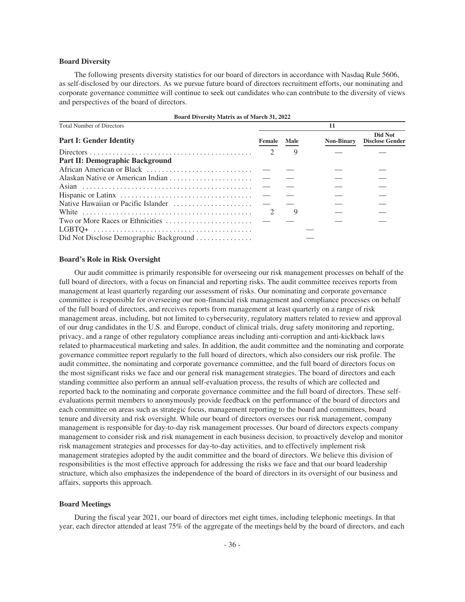## **Board Diversity**

The following presents diversity statistics for our board of directors in accordance with Nasdaq Rule 5606, as self-disclosed by our directors. As we pursue future board of directors recruitment efforts, our nominating and corporate governance committee will continue to seek out candidates who can contribute to the diversity of views and perspectives of the board of directors.

**Board Diversity Matrix as of March 31, 2022**

| <b>Total Number of Directors</b>                                                                           |               |      | 11                |                                   |
|------------------------------------------------------------------------------------------------------------|---------------|------|-------------------|-----------------------------------|
| <b>Part I: Gender Identity</b>                                                                             | <b>Female</b> | Male | <b>Non-Binary</b> | Did Not<br><b>Disclose Gender</b> |
|                                                                                                            | $\mathcal{D}$ | 9    |                   |                                   |
| <b>Part II: Demographic Background</b>                                                                     |               |      |                   |                                   |
| African American or Black $\ldots$ $\ldots$ $\ldots$ $\ldots$ $\ldots$ $\ldots$ $\ldots$ $\ldots$ $\ldots$ |               |      |                   |                                   |
|                                                                                                            |               |      |                   |                                   |
|                                                                                                            |               |      |                   |                                   |
|                                                                                                            |               |      |                   |                                   |
| Native Hawaiian or Pacific Islander $\dots \dots \dots \dots \dots \dots \dots$                            |               |      |                   |                                   |
|                                                                                                            | $\mathcal{L}$ | 9    |                   |                                   |
|                                                                                                            |               |      |                   |                                   |
|                                                                                                            |               |      |                   |                                   |
| Did Not Disclose Demographic Background                                                                    |               |      |                   |                                   |

#### **Board's Role in Risk Oversight**

Our audit committee is primarily responsible for overseeing our risk management processes on behalf of the full board of directors, with a focus on financial and reporting risks. The audit committee receives reports from management at least quarterly regarding our assessment of risks. Our nominating and corporate governance committee is responsible for overseeing our non-financial risk management and compliance processes on behalf of the full board of directors, and receives reports from management at least quarterly on a range of risk management areas, including, but not limited to cybersecurity, regulatory matters related to review and approval of our drug candidates in the U.S. and Europe, conduct of clinical trials, drug safety monitoring and reporting, privacy, and a range of other regulatory compliance areas including anti-corruption and anti-kickback laws related to pharmaceutical marketing and sales. In addition, the audit committee and the nominating and corporate governance committee report regularly to the full board of directors, which also considers our risk profile. The audit committee, the nominating and corporate governance committee, and the full board of directors focus on the most significant risks we face and our general risk management strategies. The board of directors and each standing committee also perform an annual self-evaluation process, the results of which are collected and reported back to the nominating and corporate governance committee and the full board of directors. These selfevaluations permit members to anonymously provide feedback on the performance of the board of directors and each committee on areas such as strategic focus, management reporting to the board and committees, board tenure and diversity and risk oversight. While our board of directors oversees our risk management, company management is responsible for day-to-day risk management processes. Our board of directors expects company management to consider risk and risk management in each business decision, to proactively develop and monitor risk management strategies and processes for day-to-day activities, and to effectively implement risk management strategies adopted by the audit committee and the board of directors. We believe this division of responsibilities is the most effective approach for addressing the risks we face and that our board leadership structure, which also emphasizes the independence of the board of directors in its oversight of our business and affairs, supports this approach.

## **Board Meetings**

During the fiscal year 2021, our board of directors met eight times, including telephonic meetings. In that year, each director attended at least 75% of the aggregate of the meetings held by the board of directors, and each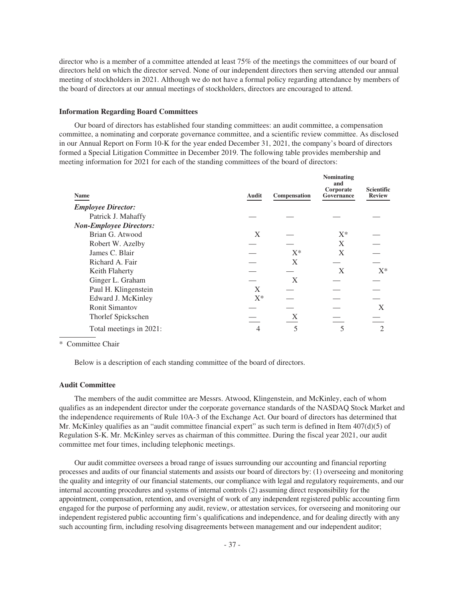director who is a member of a committee attended at least 75% of the meetings the committees of our board of directors held on which the director served. None of our independent directors then serving attended our annual meeting of stockholders in 2021. Although we do not have a formal policy regarding attendance by members of the board of directors at our annual meetings of stockholders, directors are encouraged to attend.

## **Information Regarding Board Committees**

Our board of directors has established four standing committees: an audit committee, a compensation committee, a nominating and corporate governance committee, and a scientific review committee. As disclosed in our Annual Report on Form 10-K for the year ended December 31, 2021, the company's board of directors formed a Special Litigation Committee in December 2019. The following table provides membership and meeting information for 2021 for each of the standing committees of the board of directors:

| Name                           | Audit | Compensation | <b>Nominating</b><br>and<br>Corporate<br>Governance | <b>Scientific</b><br><b>Review</b> |
|--------------------------------|-------|--------------|-----------------------------------------------------|------------------------------------|
| <b>Employee Director:</b>      |       |              |                                                     |                                    |
| Patrick J. Mahaffy             |       |              |                                                     |                                    |
| <b>Non-Employee Directors:</b> |       |              |                                                     |                                    |
| Brian G. Atwood                | X     |              | $X^*$                                               |                                    |
| Robert W. Azelby               |       |              | X                                                   |                                    |
| James C. Blair                 |       | $X^*$        | X                                                   |                                    |
| Richard A. Fair                |       | X            |                                                     |                                    |
| Keith Flaherty                 |       |              | X                                                   | $X^*$                              |
| Ginger L. Graham               |       | X            |                                                     |                                    |
| Paul H. Klingenstein           | X     |              |                                                     |                                    |
| Edward J. McKinley             | $X^*$ |              |                                                     |                                    |
| <b>Ronit Simantov</b>          |       |              |                                                     | X                                  |
| Thorlef Spickschen             |       | X            |                                                     |                                    |
| Total meetings in 2021:        | 4     | 5            | 5                                                   | $\mathfrak{D}$                     |

\* Committee Chair

Below is a description of each standing committee of the board of directors.

## **Audit Committee**

The members of the audit committee are Messrs. Atwood, Klingenstein, and McKinley, each of whom qualifies as an independent director under the corporate governance standards of the NASDAQ Stock Market and the independence requirements of Rule 10A-3 of the Exchange Act. Our board of directors has determined that Mr. McKinley qualifies as an "audit committee financial expert" as such term is defined in Item 407(d)(5) of Regulation S-K. Mr. McKinley serves as chairman of this committee. During the fiscal year 2021, our audit committee met four times, including telephonic meetings.

Our audit committee oversees a broad range of issues surrounding our accounting and financial reporting processes and audits of our financial statements and assists our board of directors by: (1) overseeing and monitoring the quality and integrity of our financial statements, our compliance with legal and regulatory requirements, and our internal accounting procedures and systems of internal controls (2) assuming direct responsibility for the appointment, compensation, retention, and oversight of work of any independent registered public accounting firm engaged for the purpose of performing any audit, review, or attestation services, for overseeing and monitoring our independent registered public accounting firm's qualifications and independence, and for dealing directly with any such accounting firm, including resolving disagreements between management and our independent auditor;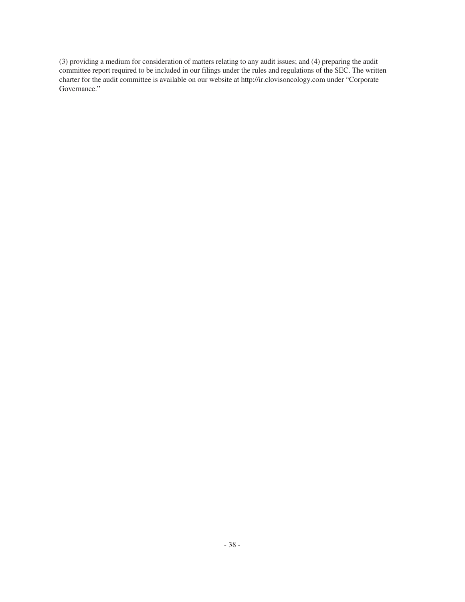(3) providing a medium for consideration of matters relating to any audit issues; and (4) preparing the audit committee report required to be included in our filings under the rules and regulations of the SEC. The written charter for the audit committee is available on our website at http://ir.clovisoncology.com under "Corporate Governance."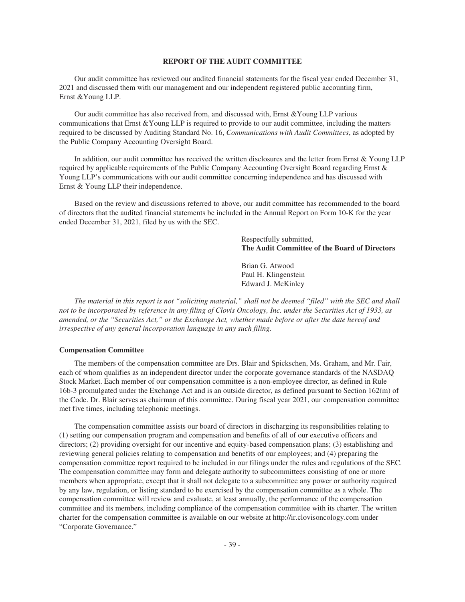## **REPORT OF THE AUDIT COMMITTEE**

Our audit committee has reviewed our audited financial statements for the fiscal year ended December 31, 2021 and discussed them with our management and our independent registered public accounting firm, Ernst &Young LLP.

Our audit committee has also received from, and discussed with, Ernst &Young LLP various communications that Ernst  $&$  Young LLP is required to provide to our audit committee, including the matters required to be discussed by Auditing Standard No. 16, *Communications with Audit Committees*, as adopted by the Public Company Accounting Oversight Board.

In addition, our audit committee has received the written disclosures and the letter from Ernst & Young LLP required by applicable requirements of the Public Company Accounting Oversight Board regarding Ernst & Young LLP's communications with our audit committee concerning independence and has discussed with Ernst & Young LLP their independence.

Based on the review and discussions referred to above, our audit committee has recommended to the board of directors that the audited financial statements be included in the Annual Report on Form 10-K for the year ended December 31, 2021, filed by us with the SEC.

> Respectfully submitted, **The Audit Committee of the Board of Directors**

Brian G. Atwood Paul H. Klingenstein Edward J. McKinley

*The material in this report is not "soliciting material," shall not be deemed "filed" with the SEC and shall not to be incorporated by reference in any filing of Clovis Oncology, Inc. under the Securities Act of 1933, as amended, or the "Securities Act," or the Exchange Act, whether made before or after the date hereof and irrespective of any general incorporation language in any such filing.*

#### **Compensation Committee**

The members of the compensation committee are Drs. Blair and Spickschen, Ms. Graham, and Mr. Fair, each of whom qualifies as an independent director under the corporate governance standards of the NASDAQ Stock Market. Each member of our compensation committee is a non-employee director, as defined in Rule 16b-3 promulgated under the Exchange Act and is an outside director, as defined pursuant to Section 162(m) of the Code. Dr. Blair serves as chairman of this committee. During fiscal year 2021, our compensation committee met five times, including telephonic meetings.

The compensation committee assists our board of directors in discharging its responsibilities relating to (1) setting our compensation program and compensation and benefits of all of our executive officers and directors; (2) providing oversight for our incentive and equity-based compensation plans; (3) establishing and reviewing general policies relating to compensation and benefits of our employees; and (4) preparing the compensation committee report required to be included in our filings under the rules and regulations of the SEC. The compensation committee may form and delegate authority to subcommittees consisting of one or more members when appropriate, except that it shall not delegate to a subcommittee any power or authority required by any law, regulation, or listing standard to be exercised by the compensation committee as a whole. The compensation committee will review and evaluate, at least annually, the performance of the compensation committee and its members, including compliance of the compensation committee with its charter. The written charter for the compensation committee is available on our website at http://ir.clovisoncology.com under "Corporate Governance."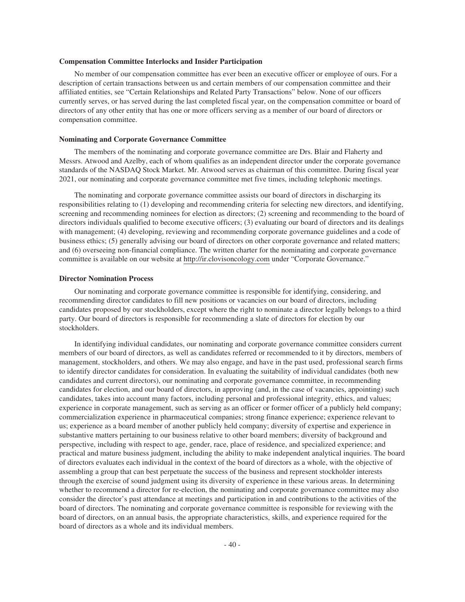## **Compensation Committee Interlocks and Insider Participation**

No member of our compensation committee has ever been an executive officer or employee of ours. For a description of certain transactions between us and certain members of our compensation committee and their affiliated entities, see "Certain Relationships and Related Party Transactions" below. None of our officers currently serves, or has served during the last completed fiscal year, on the compensation committee or board of directors of any other entity that has one or more officers serving as a member of our board of directors or compensation committee.

#### **Nominating and Corporate Governance Committee**

The members of the nominating and corporate governance committee are Drs. Blair and Flaherty and Messrs. Atwood and Azelby, each of whom qualifies as an independent director under the corporate governance standards of the NASDAQ Stock Market. Mr. Atwood serves as chairman of this committee. During fiscal year 2021, our nominating and corporate governance committee met five times, including telephonic meetings.

The nominating and corporate governance committee assists our board of directors in discharging its responsibilities relating to (1) developing and recommending criteria for selecting new directors, and identifying, screening and recommending nominees for election as directors; (2) screening and recommending to the board of directors individuals qualified to become executive officers; (3) evaluating our board of directors and its dealings with management; (4) developing, reviewing and recommending corporate governance guidelines and a code of business ethics; (5) generally advising our board of directors on other corporate governance and related matters; and (6) overseeing non-financial compliance. The written charter for the nominating and corporate governance committee is available on our website at http://ir.clovisoncology.com under "Corporate Governance."

#### **Director Nomination Process**

Our nominating and corporate governance committee is responsible for identifying, considering, and recommending director candidates to fill new positions or vacancies on our board of directors, including candidates proposed by our stockholders, except where the right to nominate a director legally belongs to a third party. Our board of directors is responsible for recommending a slate of directors for election by our stockholders.

In identifying individual candidates, our nominating and corporate governance committee considers current members of our board of directors, as well as candidates referred or recommended to it by directors, members of management, stockholders, and others. We may also engage, and have in the past used, professional search firms to identify director candidates for consideration. In evaluating the suitability of individual candidates (both new candidates and current directors), our nominating and corporate governance committee, in recommending candidates for election, and our board of directors, in approving (and, in the case of vacancies, appointing) such candidates, takes into account many factors, including personal and professional integrity, ethics, and values; experience in corporate management, such as serving as an officer or former officer of a publicly held company; commercialization experience in pharmaceutical companies; strong finance experience; experience relevant to us; experience as a board member of another publicly held company; diversity of expertise and experience in substantive matters pertaining to our business relative to other board members; diversity of background and perspective, including with respect to age, gender, race, place of residence, and specialized experience; and practical and mature business judgment, including the ability to make independent analytical inquiries. The board of directors evaluates each individual in the context of the board of directors as a whole, with the objective of assembling a group that can best perpetuate the success of the business and represent stockholder interests through the exercise of sound judgment using its diversity of experience in these various areas. In determining whether to recommend a director for re-election, the nominating and corporate governance committee may also consider the director's past attendance at meetings and participation in and contributions to the activities of the board of directors. The nominating and corporate governance committee is responsible for reviewing with the board of directors, on an annual basis, the appropriate characteristics, skills, and experience required for the board of directors as a whole and its individual members.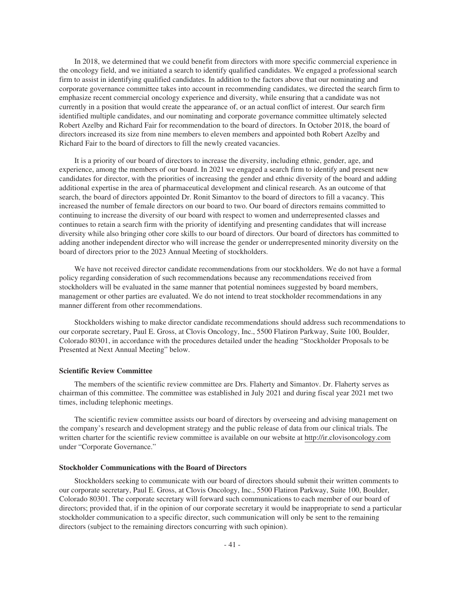In 2018, we determined that we could benefit from directors with more specific commercial experience in the oncology field, and we initiated a search to identify qualified candidates. We engaged a professional search firm to assist in identifying qualified candidates. In addition to the factors above that our nominating and corporate governance committee takes into account in recommending candidates, we directed the search firm to emphasize recent commercial oncology experience and diversity, while ensuring that a candidate was not currently in a position that would create the appearance of, or an actual conflict of interest. Our search firm identified multiple candidates, and our nominating and corporate governance committee ultimately selected Robert Azelby and Richard Fair for recommendation to the board of directors. In October 2018, the board of directors increased its size from nine members to eleven members and appointed both Robert Azelby and Richard Fair to the board of directors to fill the newly created vacancies.

It is a priority of our board of directors to increase the diversity, including ethnic, gender, age, and experience, among the members of our board. In 2021 we engaged a search firm to identify and present new candidates for director, with the priorities of increasing the gender and ethnic diversity of the board and adding additional expertise in the area of pharmaceutical development and clinical research. As an outcome of that search, the board of directors appointed Dr. Ronit Simantov to the board of directors to fill a vacancy. This increased the number of female directors on our board to two. Our board of directors remains committed to continuing to increase the diversity of our board with respect to women and underrepresented classes and continues to retain a search firm with the priority of identifying and presenting candidates that will increase diversity while also bringing other core skills to our board of directors. Our board of directors has committed to adding another independent director who will increase the gender or underrepresented minority diversity on the board of directors prior to the 2023 Annual Meeting of stockholders.

We have not received director candidate recommendations from our stockholders. We do not have a formal policy regarding consideration of such recommendations because any recommendations received from stockholders will be evaluated in the same manner that potential nominees suggested by board members, management or other parties are evaluated. We do not intend to treat stockholder recommendations in any manner different from other recommendations.

Stockholders wishing to make director candidate recommendations should address such recommendations to our corporate secretary, Paul E. Gross, at Clovis Oncology, Inc., 5500 Flatiron Parkway, Suite 100, Boulder, Colorado 80301, in accordance with the procedures detailed under the heading "Stockholder Proposals to be Presented at Next Annual Meeting" below.

## **Scientific Review Committee**

The members of the scientific review committee are Drs. Flaherty and Simantov. Dr. Flaherty serves as chairman of this committee. The committee was established in July 2021 and during fiscal year 2021 met two times, including telephonic meetings.

The scientific review committee assists our board of directors by overseeing and advising management on the company's research and development strategy and the public release of data from our clinical trials. The written charter for the scientific review committee is available on our website at http://ir.clovisoncology.com under "Corporate Governance."

# **Stockholder Communications with the Board of Directors**

Stockholders seeking to communicate with our board of directors should submit their written comments to our corporate secretary, Paul E. Gross, at Clovis Oncology, Inc., 5500 Flatiron Parkway, Suite 100, Boulder, Colorado 80301. The corporate secretary will forward such communications to each member of our board of directors; provided that, if in the opinion of our corporate secretary it would be inappropriate to send a particular stockholder communication to a specific director, such communication will only be sent to the remaining directors (subject to the remaining directors concurring with such opinion).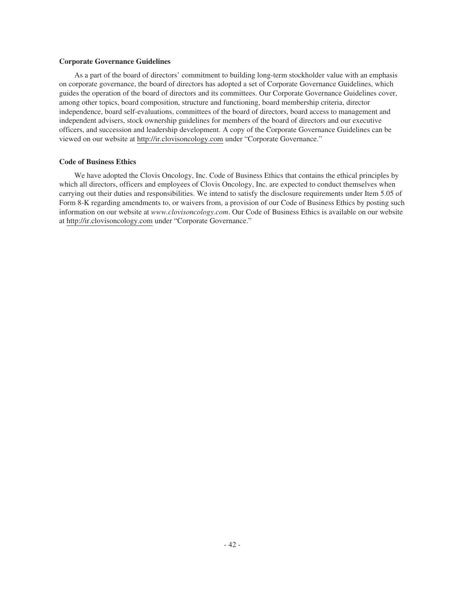## **Corporate Governance Guidelines**

As a part of the board of directors' commitment to building long-term stockholder value with an emphasis on corporate governance, the board of directors has adopted a set of Corporate Governance Guidelines, which guides the operation of the board of directors and its committees. Our Corporate Governance Guidelines cover, among other topics, board composition, structure and functioning, board membership criteria, director independence, board self-evaluations, committees of the board of directors, board access to management and independent advisers, stock ownership guidelines for members of the board of directors and our executive officers, and succession and leadership development. A copy of the Corporate Governance Guidelines can be viewed on our website at http://ir.clovisoncology.com under "Corporate Governance."

#### **Code of Business Ethics**

We have adopted the Clovis Oncology, Inc. Code of Business Ethics that contains the ethical principles by which all directors, officers and employees of Clovis Oncology, Inc. are expected to conduct themselves when carrying out their duties and responsibilities. We intend to satisfy the disclosure requirements under Item 5.05 of Form 8-K regarding amendments to, or waivers from, a provision of our Code of Business Ethics by posting such information on our website at *www.clovisoncology.com*. Our Code of Business Ethics is available on our website at http://ir.clovisoncology.com under "Corporate Governance."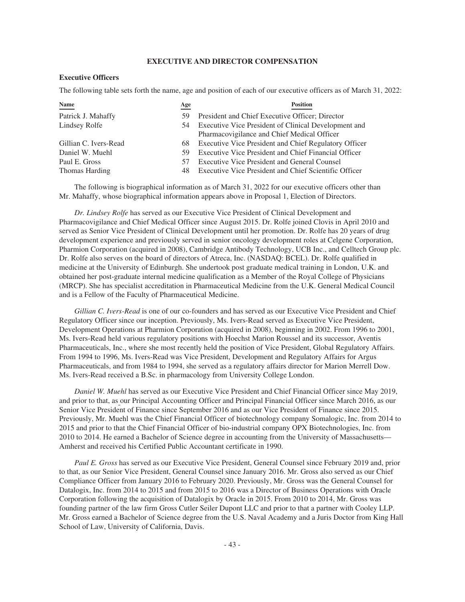## **EXECUTIVE AND DIRECTOR COMPENSATION**

## **Executive Officers**

The following table sets forth the name, age and position of each of our executive officers as of March 31, 2022:

| <b>Name</b>           | $Age$ | <b>Position</b>                                          |
|-----------------------|-------|----------------------------------------------------------|
| Patrick J. Mahaffy    | 59.   | President and Chief Executive Officer; Director          |
| Lindsey Rolfe         | 54    | Executive Vice President of Clinical Development and     |
|                       |       | Pharmacovigilance and Chief Medical Officer              |
| Gillian C. Ivers-Read |       | 68 Executive Vice President and Chief Regulatory Officer |
| Daniel W. Muehl       | 59.   | Executive Vice President and Chief Financial Officer     |
| Paul E. Gross         | 57    | <b>Executive Vice President and General Counsel</b>      |
| Thomas Harding        |       | 48 Executive Vice President and Chief Scientific Officer |

The following is biographical information as of March 31, 2022 for our executive officers other than Mr. Mahaffy, whose biographical information appears above in Proposal 1, Election of Directors.

*Dr. Lindsey Rolfe* has served as our Executive Vice President of Clinical Development and Pharmacovigilance and Chief Medical Officer since August 2015. Dr. Rolfe joined Clovis in April 2010 and served as Senior Vice President of Clinical Development until her promotion. Dr. Rolfe has 20 years of drug development experience and previously served in senior oncology development roles at Celgene Corporation, Pharmion Corporation (acquired in 2008), Cambridge Antibody Technology, UCB Inc., and Celltech Group plc. Dr. Rolfe also serves on the board of directors of Atreca, Inc. (NASDAQ: BCEL). Dr. Rolfe qualified in medicine at the University of Edinburgh. She undertook post graduate medical training in London, U.K. and obtained her post-graduate internal medicine qualification as a Member of the Royal College of Physicians (MRCP). She has specialist accreditation in Pharmaceutical Medicine from the U.K. General Medical Council and is a Fellow of the Faculty of Pharmaceutical Medicine.

*Gillian C. Ivers-Read* is one of our co-founders and has served as our Executive Vice President and Chief Regulatory Officer since our inception. Previously, Ms. Ivers-Read served as Executive Vice President, Development Operations at Pharmion Corporation (acquired in 2008), beginning in 2002. From 1996 to 2001, Ms. Ivers-Read held various regulatory positions with Hoechst Marion Roussel and its successor, Aventis Pharmaceuticals, Inc., where she most recently held the position of Vice President, Global Regulatory Affairs. From 1994 to 1996, Ms. Ivers-Read was Vice President, Development and Regulatory Affairs for Argus Pharmaceuticals, and from 1984 to 1994, she served as a regulatory affairs director for Marion Merrell Dow. Ms. Ivers-Read received a B.Sc. in pharmacology from University College London.

*Daniel W. Muehl* has served as our Executive Vice President and Chief Financial Officer since May 2019, and prior to that, as our Principal Accounting Officer and Principal Financial Officer since March 2016, as our Senior Vice President of Finance since September 2016 and as our Vice President of Finance since 2015. Previously, Mr. Muehl was the Chief Financial Officer of biotechnology company Somalogic, Inc. from 2014 to 2015 and prior to that the Chief Financial Officer of bio-industrial company OPX Biotechnologies, Inc. from 2010 to 2014. He earned a Bachelor of Science degree in accounting from the University of Massachusetts— Amherst and received his Certified Public Accountant certificate in 1990.

*Paul E. Gross* has served as our Executive Vice President, General Counsel since February 2019 and, prior to that, as our Senior Vice President, General Counsel since January 2016. Mr. Gross also served as our Chief Compliance Officer from January 2016 to February 2020. Previously, Mr. Gross was the General Counsel for Datalogix, Inc. from 2014 to 2015 and from 2015 to 2016 was a Director of Business Operations with Oracle Corporation following the acquisition of Datalogix by Oracle in 2015. From 2010 to 2014, Mr. Gross was founding partner of the law firm Gross Cutler Seiler Dupont LLC and prior to that a partner with Cooley LLP. Mr. Gross earned a Bachelor of Science degree from the U.S. Naval Academy and a Juris Doctor from King Hall School of Law, University of California, Davis.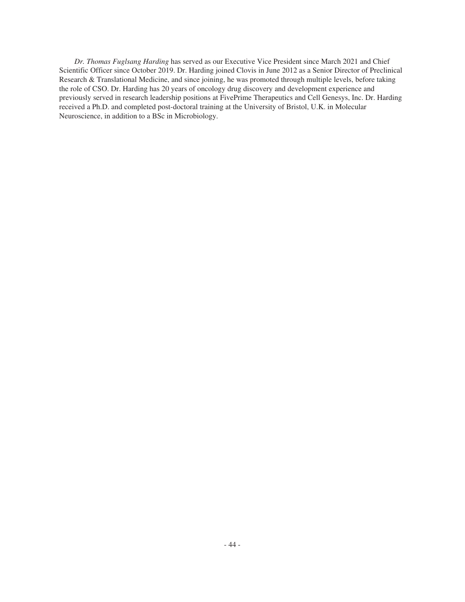*Dr. Thomas Fuglsang Harding* has served as our Executive Vice President since March 2021 and Chief Scientific Officer since October 2019. Dr. Harding joined Clovis in June 2012 as a Senior Director of Preclinical Research & Translational Medicine, and since joining, he was promoted through multiple levels, before taking the role of CSO. Dr. Harding has 20 years of oncology drug discovery and development experience and previously served in research leadership positions at FivePrime Therapeutics and Cell Genesys, Inc. Dr. Harding received a Ph.D. and completed post-doctoral training at the University of Bristol, U.K. in Molecular Neuroscience, in addition to a BSc in Microbiology.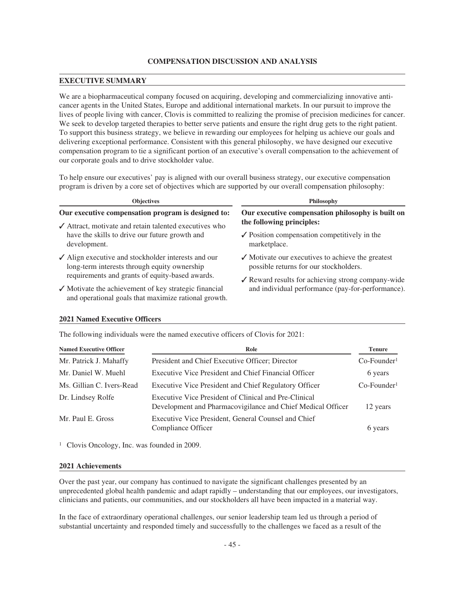# **COMPENSATION DISCUSSION AND ANALYSIS**

## **EXECUTIVE SUMMARY**

We are a biopharmaceutical company focused on acquiring, developing and commercializing innovative anticancer agents in the United States, Europe and additional international markets. In our pursuit to improve the lives of people living with cancer, Clovis is committed to realizing the promise of precision medicines for cancer. We seek to develop targeted therapies to better serve patients and ensure the right drug gets to the right patient. To support this business strategy, we believe in rewarding our employees for helping us achieve our goals and delivering exceptional performance. Consistent with this general philosophy, we have designed our executive compensation program to tie a significant portion of an executive's overall compensation to the achievement of our corporate goals and to drive stockholder value.

To help ensure our executives' pay is aligned with our overall business strategy, our executive compensation program is driven by a core set of objectives which are supported by our overall compensation philosophy:

| <b>Objectives</b>                                                                                                        | Philosophy                                                                                             |  |  |  |
|--------------------------------------------------------------------------------------------------------------------------|--------------------------------------------------------------------------------------------------------|--|--|--|
| Our executive compensation program is designed to:                                                                       | Our executive compensation philosophy is built on                                                      |  |  |  |
| $\checkmark$ Attract, motivate and retain talented executives who                                                        | the following principles:                                                                              |  |  |  |
| have the skills to drive our future growth and<br>development.                                                           | $\checkmark$ Position compensation competitively in the<br>marketplace.                                |  |  |  |
| $\checkmark$ Align executive and stockholder interests and our<br>long-term interests through equity ownership           | $\checkmark$ Motivate our executives to achieve the greatest<br>possible returns for our stockholders. |  |  |  |
| requirements and grants of equity-based awards.                                                                          | $\checkmark$ Reward results for achieving strong company-wide                                          |  |  |  |
| $\checkmark$ Motivate the achievement of key strategic financial<br>and operational goals that maximize rational growth. | and individual performance (pay-for-performance).                                                      |  |  |  |

## **2021 Named Executive Officers**

The following individuals were the named executive officers of Clovis for 2021:

| <b>Named Executive Officer</b> | Role                                                                                                                 | <b>Tenure</b>              |
|--------------------------------|----------------------------------------------------------------------------------------------------------------------|----------------------------|
| Mr. Patrick J. Mahaffy         | President and Chief Executive Officer; Director                                                                      | $Co$ -Founder <sup>1</sup> |
| Mr. Daniel W. Muehl            | Executive Vice President and Chief Financial Officer                                                                 | 6 years                    |
| Ms. Gillian C. Ivers-Read      | Executive Vice President and Chief Regulatory Officer                                                                | $Co$ -Founder <sup>1</sup> |
| Dr. Lindsey Rolfe              | Executive Vice President of Clinical and Pre-Clinical<br>Development and Pharmacovigilance and Chief Medical Officer | 12 years                   |
| Mr. Paul E. Gross              | Executive Vice President, General Counsel and Chief<br>Compliance Officer                                            | 6 years                    |

<sup>1</sup> Clovis Oncology, Inc. was founded in 2009.

## **2021 Achievements**

Over the past year, our company has continued to navigate the significant challenges presented by an unprecedented global health pandemic and adapt rapidly – understanding that our employees, our investigators, clinicians and patients, our communities, and our stockholders all have been impacted in a material way.

In the face of extraordinary operational challenges, our senior leadership team led us through a period of substantial uncertainty and responded timely and successfully to the challenges we faced as a result of the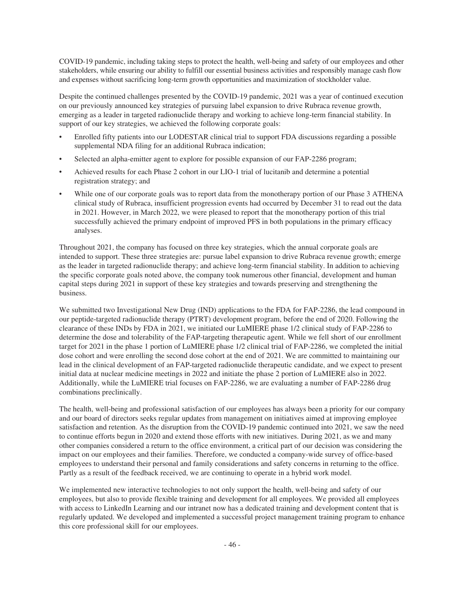COVID-19 pandemic, including taking steps to protect the health, well-being and safety of our employees and other stakeholders, while ensuring our ability to fulfill our essential business activities and responsibly manage cash flow and expenses without sacrificing long-term growth opportunities and maximization of stockholder value.

Despite the continued challenges presented by the COVID-19 pandemic, 2021 was a year of continued execution on our previously announced key strategies of pursuing label expansion to drive Rubraca revenue growth, emerging as a leader in targeted radionuclide therapy and working to achieve long-term financial stability. In support of our key strategies, we achieved the following corporate goals:

- Enrolled fifty patients into our LODESTAR clinical trial to support FDA discussions regarding a possible supplemental NDA filing for an additional Rubraca indication;
- Selected an alpha-emitter agent to explore for possible expansion of our FAP-2286 program;
- Achieved results for each Phase 2 cohort in our LIO-1 trial of lucitanib and determine a potential registration strategy; and
- While one of our corporate goals was to report data from the monotherapy portion of our Phase 3 ATHENA clinical study of Rubraca, insufficient progression events had occurred by December 31 to read out the data in 2021. However, in March 2022, we were pleased to report that the monotherapy portion of this trial successfully achieved the primary endpoint of improved PFS in both populations in the primary efficacy analyses.

Throughout 2021, the company has focused on three key strategies, which the annual corporate goals are intended to support. These three strategies are: pursue label expansion to drive Rubraca revenue growth; emerge as the leader in targeted radionuclide therapy; and achieve long-term financial stability. In addition to achieving the specific corporate goals noted above, the company took numerous other financial, development and human capital steps during 2021 in support of these key strategies and towards preserving and strengthening the business.

We submitted two Investigational New Drug (IND) applications to the FDA for FAP-2286, the lead compound in our peptide-targeted radionuclide therapy (PTRT) development program, before the end of 2020. Following the clearance of these INDs by FDA in 2021, we initiated our LuMIERE phase 1/2 clinical study of FAP-2286 to determine the dose and tolerability of the FAP-targeting therapeutic agent. While we fell short of our enrollment target for 2021 in the phase 1 portion of LuMIERE phase 1/2 clinical trial of FAP-2286, we completed the initial dose cohort and were enrolling the second dose cohort at the end of 2021. We are committed to maintaining our lead in the clinical development of an FAP-targeted radionuclide therapeutic candidate, and we expect to present initial data at nuclear medicine meetings in 2022 and initiate the phase 2 portion of LuMIERE also in 2022. Additionally, while the LuMIERE trial focuses on FAP-2286, we are evaluating a number of FAP-2286 drug combinations preclinically.

The health, well-being and professional satisfaction of our employees has always been a priority for our company and our board of directors seeks regular updates from management on initiatives aimed at improving employee satisfaction and retention. As the disruption from the COVID-19 pandemic continued into 2021, we saw the need to continue efforts begun in 2020 and extend those efforts with new initiatives. During 2021, as we and many other companies considered a return to the office environment, a critical part of our decision was considering the impact on our employees and their families. Therefore, we conducted a company-wide survey of office-based employees to understand their personal and family considerations and safety concerns in returning to the office. Partly as a result of the feedback received, we are continuing to operate in a hybrid work model.

We implemented new interactive technologies to not only support the health, well-being and safety of our employees, but also to provide flexible training and development for all employees. We provided all employees with access to LinkedIn Learning and our intranet now has a dedicated training and development content that is regularly updated. We developed and implemented a successful project management training program to enhance this core professional skill for our employees.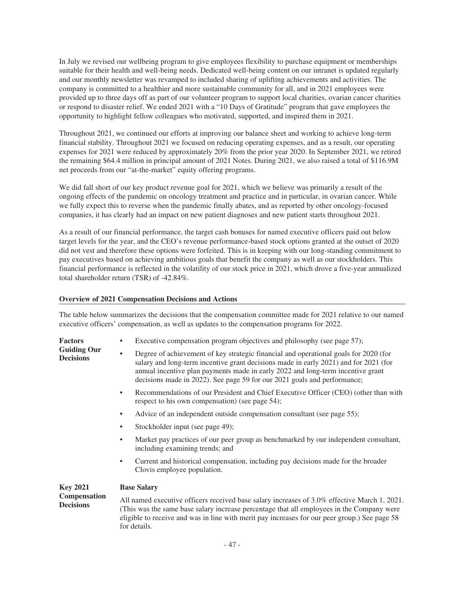In July we revised our wellbeing program to give employees flexibility to purchase equipment or memberships suitable for their health and well-being needs. Dedicated well-being content on our intranet is updated regularly and our monthly newsletter was revamped to included sharing of uplifting achievements and activities. The company is committed to a healthier and more sustainable community for all, and in 2021 employees were provided up to three days off as part of our volunteer program to support local charities, ovarian cancer charities or respond to disaster relief. We ended 2021 with a "10 Days of Gratitude" program that gave employees the opportunity to highlight fellow colleagues who motivated, supported, and inspired them in 2021.

Throughout 2021, we continued our efforts at improving our balance sheet and working to achieve long-term financial stability. Throughout 2021 we focused on reducing operating expenses, and as a result, our operating expenses for 2021 were reduced by approximately 20% from the prior year 2020. In September 2021, we retired the remaining \$64.4 million in principal amount of 2021 Notes. During 2021, we also raised a total of \$116.9M net proceeds from our "at-the-market" equity offering programs.

We did fall short of our key product revenue goal for 2021, which we believe was primarily a result of the ongoing effects of the pandemic on oncology treatment and practice and in particular, in ovarian cancer. While we fully expect this to reverse when the pandemic finally abates, and as reported by other oncology-focused companies, it has clearly had an impact on new patient diagnoses and new patient starts throughout 2021.

As a result of our financial performance, the target cash bonuses for named executive officers paid out below target levels for the year, and the CEO's revenue performance-based stock options granted at the outset of 2020 did not vest and therefore these options were forfeited. This is in keeping with our long-standing commitment to pay executives based on achieving ambitious goals that benefit the company as well as our stockholders. This financial performance is reflected in the volatility of our stock price in 2021, which drove a five-year annualized total shareholder return (TSR) of -42.84%.

# **Overview of 2021 Compensation Decisions and Actions**

The table below summarizes the decisions that the compensation committee made for 2021 relative to our named executive officers' compensation, as well as updates to the compensation programs for 2022.

| <b>Factors</b>                         | Executive compensation program objectives and philosophy (see page 57);<br>٠                                                                                                                                                                                                                                                                             |
|----------------------------------------|----------------------------------------------------------------------------------------------------------------------------------------------------------------------------------------------------------------------------------------------------------------------------------------------------------------------------------------------------------|
| <b>Guiding Our</b><br><b>Decisions</b> | Degree of achievement of key strategic financial and operational goals for 2020 (for<br>$\bullet$<br>salary and long-term incentive grant decisions made in early 2021) and for 2021 (for<br>annual incentive plan payments made in early 2022 and long-term incentive grant<br>decisions made in 2022). See page 59 for our 2021 goals and performance; |
|                                        | Recommendations of our President and Chief Executive Officer (CEO) (other than with<br>$\bullet$<br>respect to his own compensation) (see page 54);                                                                                                                                                                                                      |
|                                        | Advice of an independent outside compensation consultant (see page 55);<br>$\bullet$                                                                                                                                                                                                                                                                     |
|                                        | Stockholder input (see page 49);<br>$\bullet$                                                                                                                                                                                                                                                                                                            |
|                                        | Market pay practices of our peer group as benchmarked by our independent consultant,<br>$\bullet$<br>including examining trends; and                                                                                                                                                                                                                     |
|                                        | Current and historical compensation, including pay decisions made for the broader<br>$\bullet$<br>Clovis employee population.                                                                                                                                                                                                                            |
| <b>Key 2021</b>                        | <b>Base Salary</b>                                                                                                                                                                                                                                                                                                                                       |
| Compensation                           | All named executive officers received hase salary increases of 3.0% effective March 1, 2021                                                                                                                                                                                                                                                              |

Co<sup>n</sup> **Decisions** orncers received base salary increases of 3.0% effective March 1, 2021. (This was the same base salary increase percentage that all employees in the Company were eligible to receive and was in line with merit pay increases for our peer group.) See page 58 for details.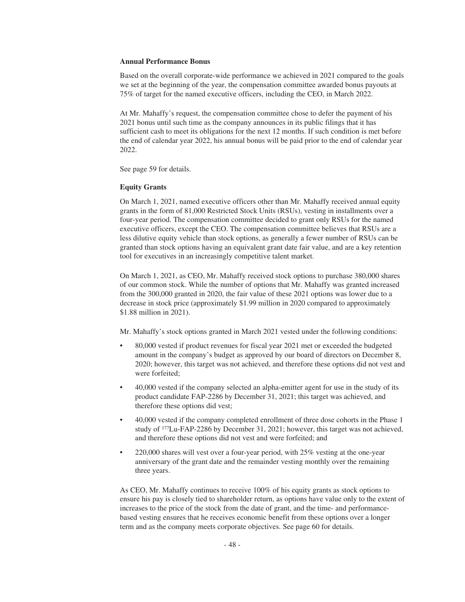## **Annual Performance Bonus**

Based on the overall corporate-wide performance we achieved in 2021 compared to the goals we set at the beginning of the year, the compensation committee awarded bonus payouts at 75% of target for the named executive officers, including the CEO, in March 2022.

At Mr. Mahaffy's request, the compensation committee chose to defer the payment of his 2021 bonus until such time as the company announces in its public filings that it has sufficient cash to meet its obligations for the next 12 months. If such condition is met before the end of calendar year 2022, his annual bonus will be paid prior to the end of calendar year 2022.

See page 59 for details.

# **Equity Grants**

On March 1, 2021, named executive officers other than Mr. Mahaffy received annual equity grants in the form of 81,000 Restricted Stock Units (RSUs), vesting in installments over a four-year period. The compensation committee decided to grant only RSUs for the named executive officers, except the CEO. The compensation committee believes that RSUs are a less dilutive equity vehicle than stock options, as generally a fewer number of RSUs can be granted than stock options having an equivalent grant date fair value, and are a key retention tool for executives in an increasingly competitive talent market.

On March 1, 2021, as CEO, Mr. Mahaffy received stock options to purchase 380,000 shares of our common stock. While the number of options that Mr. Mahaffy was granted increased from the 300,000 granted in 2020, the fair value of these 2021 options was lower due to a decrease in stock price (approximately \$1.99 million in 2020 compared to approximately \$1.88 million in 2021).

Mr. Mahaffy's stock options granted in March 2021 vested under the following conditions:

- 80,000 vested if product revenues for fiscal year 2021 met or exceeded the budgeted amount in the company's budget as approved by our board of directors on December 8, 2020; however, this target was not achieved, and therefore these options did not vest and were forfeited;
- 40,000 vested if the company selected an alpha-emitter agent for use in the study of its product candidate FAP-2286 by December 31, 2021; this target was achieved, and therefore these options did vest;
- 40,000 vested if the company completed enrollment of three dose cohorts in the Phase 1 study of 177Lu-FAP-2286 by December 31, 2021; however, this target was not achieved, and therefore these options did not vest and were forfeited; and
- 220,000 shares will vest over a four-year period, with 25% vesting at the one-year anniversary of the grant date and the remainder vesting monthly over the remaining three years.

As CEO, Mr. Mahaffy continues to receive 100% of his equity grants as stock options to ensure his pay is closely tied to shareholder return, as options have value only to the extent of increases to the price of the stock from the date of grant, and the time- and performancebased vesting ensures that he receives economic benefit from these options over a longer term and as the company meets corporate objectives. See page 60 for details.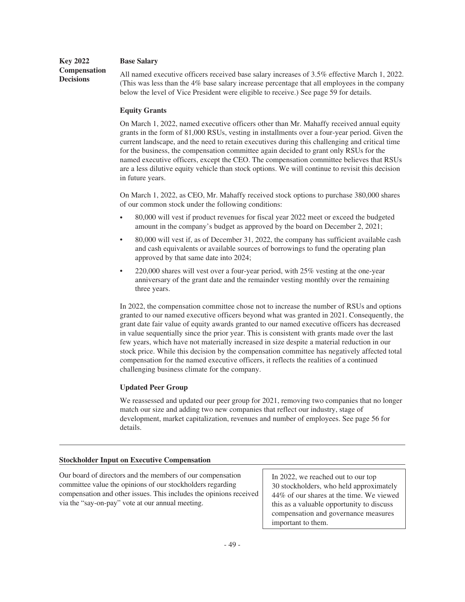# **Base Salary**

**Compensation Decisions**

**Key 2022**

All named executive officers received base salary increases of 3.5% effective March 1, 2022. (This was less than the 4% base salary increase percentage that all employees in the company below the level of Vice President were eligible to receive.) See page 59 for details.

# **Equity Grants**

On March 1, 2022, named executive officers other than Mr. Mahaffy received annual equity grants in the form of 81,000 RSUs, vesting in installments over a four-year period. Given the current landscape, and the need to retain executives during this challenging and critical time for the business, the compensation committee again decided to grant only RSUs for the named executive officers, except the CEO. The compensation committee believes that RSUs are a less dilutive equity vehicle than stock options. We will continue to revisit this decision in future years.

On March 1, 2022, as CEO, Mr. Mahaffy received stock options to purchase 380,000 shares of our common stock under the following conditions:

- 80,000 will vest if product revenues for fiscal year 2022 meet or exceed the budgeted amount in the company's budget as approved by the board on December 2, 2021;
- 80,000 will vest if, as of December 31, 2022, the company has sufficient available cash and cash equivalents or available sources of borrowings to fund the operating plan approved by that same date into 2024;
- 220,000 shares will vest over a four-year period, with 25% vesting at the one-year anniversary of the grant date and the remainder vesting monthly over the remaining three years.

In 2022, the compensation committee chose not to increase the number of RSUs and options granted to our named executive officers beyond what was granted in 2021. Consequently, the grant date fair value of equity awards granted to our named executive officers has decreased in value sequentially since the prior year. This is consistent with grants made over the last few years, which have not materially increased in size despite a material reduction in our stock price. While this decision by the compensation committee has negatively affected total compensation for the named executive officers, it reflects the realities of a continued challenging business climate for the company.

# **Updated Peer Group**

We reassessed and updated our peer group for 2021, removing two companies that no longer match our size and adding two new companies that reflect our industry, stage of development, market capitalization, revenues and number of employees. See page 56 for details.

# **Stockholder Input on Executive Compensation**

Our board of directors and the members of our compensation committee value the opinions of our stockholders regarding compensation and other issues. This includes the opinions received via the "say-on-pay" vote at our annual meeting.

In 2022, we reached out to our top 30 stockholders, who held approximately 44% of our shares at the time. We viewed this as a valuable opportunity to discuss compensation and governance measures important to them.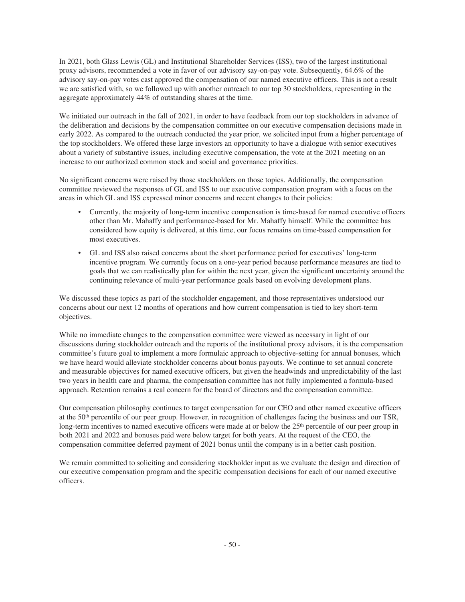In 2021, both Glass Lewis (GL) and Institutional Shareholder Services (ISS), two of the largest institutional proxy advisors, recommended a vote in favor of our advisory say-on-pay vote. Subsequently, 64.6% of the advisory say-on-pay votes cast approved the compensation of our named executive officers. This is not a result we are satisfied with, so we followed up with another outreach to our top 30 stockholders, representing in the aggregate approximately 44% of outstanding shares at the time.

We initiated our outreach in the fall of 2021, in order to have feedback from our top stockholders in advance of the deliberation and decisions by the compensation committee on our executive compensation decisions made in early 2022. As compared to the outreach conducted the year prior, we solicited input from a higher percentage of the top stockholders. We offered these large investors an opportunity to have a dialogue with senior executives about a variety of substantive issues, including executive compensation, the vote at the 2021 meeting on an increase to our authorized common stock and social and governance priorities.

No significant concerns were raised by those stockholders on those topics. Additionally, the compensation committee reviewed the responses of GL and ISS to our executive compensation program with a focus on the areas in which GL and ISS expressed minor concerns and recent changes to their policies:

- Currently, the majority of long-term incentive compensation is time-based for named executive officers other than Mr. Mahaffy and performance-based for Mr. Mahaffy himself. While the committee has considered how equity is delivered, at this time, our focus remains on time-based compensation for most executives.
- GL and ISS also raised concerns about the short performance period for executives' long-term incentive program. We currently focus on a one-year period because performance measures are tied to goals that we can realistically plan for within the next year, given the significant uncertainty around the continuing relevance of multi-year performance goals based on evolving development plans.

We discussed these topics as part of the stockholder engagement, and those representatives understood our concerns about our next 12 months of operations and how current compensation is tied to key short-term objectives.

While no immediate changes to the compensation committee were viewed as necessary in light of our discussions during stockholder outreach and the reports of the institutional proxy advisors, it is the compensation committee's future goal to implement a more formulaic approach to objective-setting for annual bonuses, which we have heard would alleviate stockholder concerns about bonus payouts. We continue to set annual concrete and measurable objectives for named executive officers, but given the headwinds and unpredictability of the last two years in health care and pharma, the compensation committee has not fully implemented a formula-based approach. Retention remains a real concern for the board of directors and the compensation committee.

Our compensation philosophy continues to target compensation for our CEO and other named executive officers at the 50th percentile of our peer group. However, in recognition of challenges facing the business and our TSR, long-term incentives to named executive officers were made at or below the 25<sup>th</sup> percentile of our peer group in both 2021 and 2022 and bonuses paid were below target for both years. At the request of the CEO, the compensation committee deferred payment of 2021 bonus until the company is in a better cash position.

We remain committed to soliciting and considering stockholder input as we evaluate the design and direction of our executive compensation program and the specific compensation decisions for each of our named executive officers.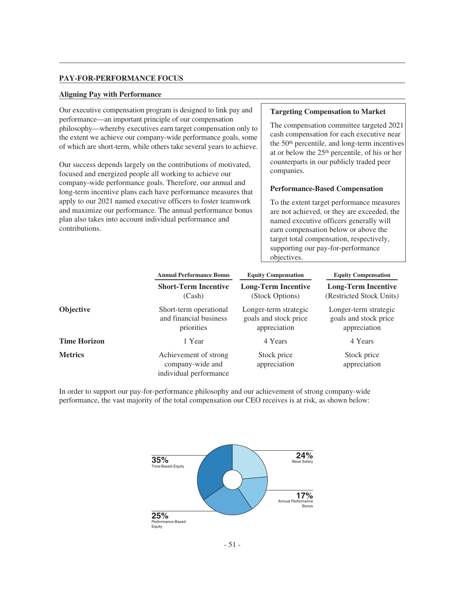## **PAY-FOR-PERFORMANCE FOCUS**

## **Aligning Pay with Performance**

Our executive compensation program is designed to link pay and performance—an important principle of our compensation philosophy—whereby executives earn target compensation only to the extent we achieve our company-wide performance goals, some of which are short-term, while others take several years to achieve.

Our success depends largely on the contributions of motivated, focused and energized people all working to achieve our company-wide performance goals. Therefore, our annual and long-term incentive plans each have performance measures that apply to our 2021 named executive officers to foster teamwork and maximize our performance. The annual performance bonus plan also takes into account individual performance and contributions.

## **Targeting Compensation to Market**

The compensation committee targeted 2021 cash compensation for each executive near the 50th percentile, and long-term incentives at or below the 25th percentile, of his or her counterparts in our publicly traded peer companies.

# **Performance-Based Compensation**

To the extent target performance measures are not achieved, or they are exceeded, the named executive officers generally will earn compensation below or above the target total compensation, respectively, supporting our pay-for-performance objectives.

|                     | <b>Annual Performance Bonus</b>                                     | <b>Equity Compensation</b>                                     | <b>Equity Compensation</b>                                     |  |
|---------------------|---------------------------------------------------------------------|----------------------------------------------------------------|----------------------------------------------------------------|--|
|                     | <b>Short-Term Incentive</b><br>(Cash)                               | <b>Long-Term Incentive</b><br>(Stock Options)                  | <b>Long-Term Incentive</b><br>(Restricted Stock Units)         |  |
| <b>Objective</b>    | Short-term operational<br>and financial business<br>priorities      | Longer-term strategic<br>goals and stock price<br>appreciation | Longer-term strategic<br>goals and stock price<br>appreciation |  |
| <b>Time Horizon</b> | 1 Year                                                              | 4 Years                                                        | 4 Years                                                        |  |
| <b>Metrics</b>      | Achievement of strong<br>company-wide and<br>individual performance | Stock price<br>appreciation                                    | Stock price<br>appreciation                                    |  |

In order to support our pay-for-performance philosophy and our achievement of strong company-wide performance, the vast majority of the total compensation our CEO receives is at risk, as shown below:

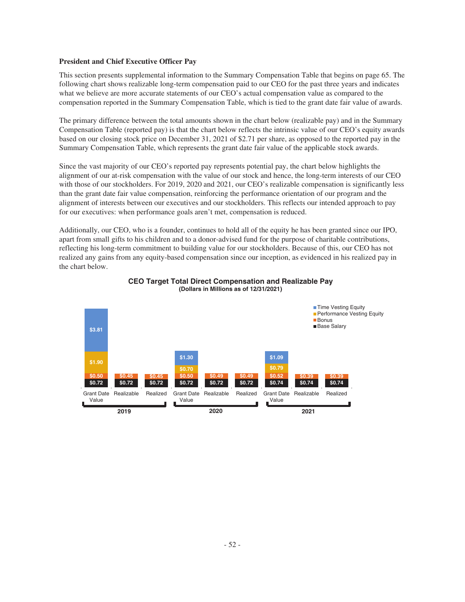# **President and Chief Executive Officer Pay**

This section presents supplemental information to the Summary Compensation Table that begins on page 65. The following chart shows realizable long-term compensation paid to our CEO for the past three years and indicates what we believe are more accurate statements of our CEO's actual compensation value as compared to the compensation reported in the Summary Compensation Table, which is tied to the grant date fair value of awards.

The primary difference between the total amounts shown in the chart below (realizable pay) and in the Summary Compensation Table (reported pay) is that the chart below reflects the intrinsic value of our CEO's equity awards based on our closing stock price on December 31, 2021 of \$2.71 per share, as opposed to the reported pay in the Summary Compensation Table, which represents the grant date fair value of the applicable stock awards.

Since the vast majority of our CEO's reported pay represents potential pay, the chart below highlights the alignment of our at-risk compensation with the value of our stock and hence, the long-term interests of our CEO with those of our stockholders. For 2019, 2020 and 2021, our CEO's realizable compensation is significantly less than the grant date fair value compensation, reinforcing the performance orientation of our program and the alignment of interests between our executives and our stockholders. This reflects our intended approach to pay for our executives: when performance goals aren't met, compensation is reduced.

Additionally, our CEO, who is a founder, continues to hold all of the equity he has been granted since our IPO, apart from small gifts to his children and to a donor-advised fund for the purpose of charitable contributions, reflecting his long-term commitment to building value for our stockholders. Because of this, our CEO has not realized any gains from any equity-based compensation since our inception, as evidenced in his realized pay in the chart below.



# **CEO Target Total Direct Compensation and Realizable Pay (Dollars in Millions as of 12/31/2021)**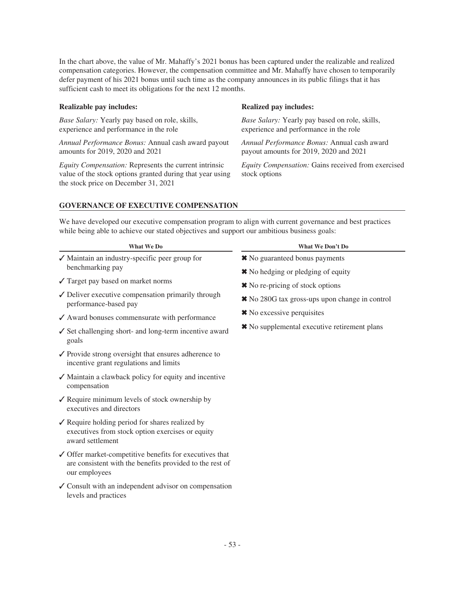In the chart above, the value of Mr. Mahaffy's 2021 bonus has been captured under the realizable and realized compensation categories. However, the compensation committee and Mr. Mahaffy have chosen to temporarily defer payment of his 2021 bonus until such time as the company announces in its public filings that it has sufficient cash to meet its obligations for the next 12 months.

## **Realizable pay includes:**

*Base Salary:* Yearly pay based on role, skills, experience and performance in the role

*Annual Performance Bonus:* Annual cash award payout amounts for 2019, 2020 and 2021

*Equity Compensation:* Represents the current intrinsic value of the stock options granted during that year using the stock price on December 31, 2021

# **Realized pay includes:**

*Base Salary:* Yearly pay based on role, skills, experience and performance in the role

*Annual Performance Bonus:* Annual cash award payout amounts for 2019, 2020 and 2021

*Equity Compensation:* Gains received from exercised stock options

# **GOVERNANCE OF EXECUTIVE COMPENSATION**

We have developed our executive compensation program to align with current governance and best practices while being able to achieve our stated objectives and support our ambitious business goals:

| <b>What We Do</b>                                                                                                                               | What We Don't Do                                                              |
|-------------------------------------------------------------------------------------------------------------------------------------------------|-------------------------------------------------------------------------------|
| $\checkmark$ Maintain an industry-specific peer group for<br>benchmarking pay                                                                   | * No guaranteed bonus payments                                                |
| ✔ Target pay based on market norms                                                                                                              | * No hedging or pledging of equity<br><b>★</b> No re-pricing of stock options |
| $\checkmark$ Deliver executive compensation primarily through<br>performance-based pay                                                          | * No 280G tax gross-ups upon change in control                                |
| $\checkmark$ Award bonuses commensurate with performance                                                                                        | <b>*</b> No excessive perquisites                                             |
| ✔ Set challenging short- and long-term incentive award<br>goals                                                                                 | <b><sup>★</sup></b> No supplemental executive retirement plans                |
| $\checkmark$ Provide strong oversight that ensures adherence to<br>incentive grant regulations and limits                                       |                                                                               |
| $\checkmark$ Maintain a clawback policy for equity and incentive<br>compensation                                                                |                                                                               |
| ✔ Require minimum levels of stock ownership by<br>executives and directors                                                                      |                                                                               |
| $\checkmark$ Require holding period for shares realized by<br>executives from stock option exercises or equity<br>award settlement              |                                                                               |
| $\checkmark$ Offer market-competitive benefits for executives that<br>are consistent with the benefits provided to the rest of<br>our employees |                                                                               |
| $\checkmark$ Consult with an independent advisor on compensation<br>levels and practices                                                        |                                                                               |
|                                                                                                                                                 |                                                                               |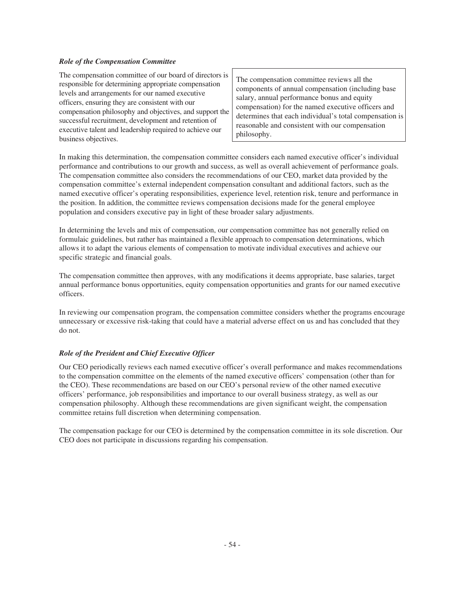# *Role of the Compensation Committee*

The compensation committee of our board of directors is responsible for determining appropriate compensation levels and arrangements for our named executive officers, ensuring they are consistent with our compensation philosophy and objectives, and support the successful recruitment, development and retention of executive talent and leadership required to achieve our business objectives.

The compensation committee reviews all the components of annual compensation (including base salary, annual performance bonus and equity compensation) for the named executive officers and determines that each individual's total compensation is reasonable and consistent with our compensation philosophy.

In making this determination, the compensation committee considers each named executive officer's individual performance and contributions to our growth and success, as well as overall achievement of performance goals. The compensation committee also considers the recommendations of our CEO, market data provided by the compensation committee's external independent compensation consultant and additional factors, such as the named executive officer's operating responsibilities, experience level, retention risk, tenure and performance in the position. In addition, the committee reviews compensation decisions made for the general employee population and considers executive pay in light of these broader salary adjustments.

In determining the levels and mix of compensation, our compensation committee has not generally relied on formulaic guidelines, but rather has maintained a flexible approach to compensation determinations, which allows it to adapt the various elements of compensation to motivate individual executives and achieve our specific strategic and financial goals.

The compensation committee then approves, with any modifications it deems appropriate, base salaries, target annual performance bonus opportunities, equity compensation opportunities and grants for our named executive officers.

In reviewing our compensation program, the compensation committee considers whether the programs encourage unnecessary or excessive risk-taking that could have a material adverse effect on us and has concluded that they do not.

# *Role of the President and Chief Executive Officer*

Our CEO periodically reviews each named executive officer's overall performance and makes recommendations to the compensation committee on the elements of the named executive officers' compensation (other than for the CEO). These recommendations are based on our CEO's personal review of the other named executive officers' performance, job responsibilities and importance to our overall business strategy, as well as our compensation philosophy. Although these recommendations are given significant weight, the compensation committee retains full discretion when determining compensation.

The compensation package for our CEO is determined by the compensation committee in its sole discretion. Our CEO does not participate in discussions regarding his compensation.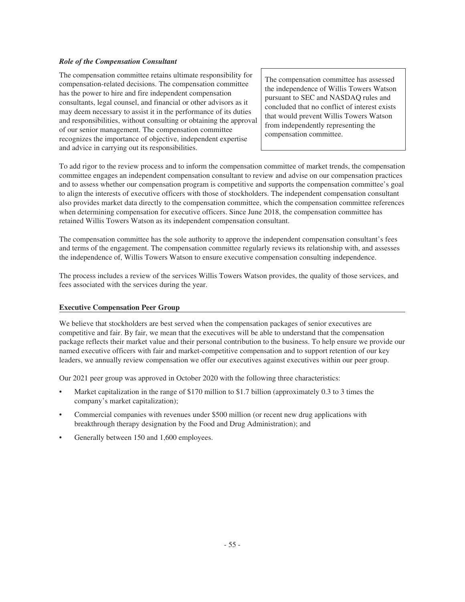# *Role of the Compensation Consultant*

The compensation committee retains ultimate responsibility for compensation-related decisions. The compensation committee has the power to hire and fire independent compensation consultants, legal counsel, and financial or other advisors as it may deem necessary to assist it in the performance of its duties and responsibilities, without consulting or obtaining the approval of our senior management. The compensation committee recognizes the importance of objective, independent expertise and advice in carrying out its responsibilities.

The compensation committee has assessed the independence of Willis Towers Watson pursuant to SEC and NASDAQ rules and concluded that no conflict of interest exists that would prevent Willis Towers Watson from independently representing the compensation committee.

To add rigor to the review process and to inform the compensation committee of market trends, the compensation committee engages an independent compensation consultant to review and advise on our compensation practices and to assess whether our compensation program is competitive and supports the compensation committee's goal to align the interests of executive officers with those of stockholders. The independent compensation consultant also provides market data directly to the compensation committee, which the compensation committee references when determining compensation for executive officers. Since June 2018, the compensation committee has retained Willis Towers Watson as its independent compensation consultant.

The compensation committee has the sole authority to approve the independent compensation consultant's fees and terms of the engagement. The compensation committee regularly reviews its relationship with, and assesses the independence of, Willis Towers Watson to ensure executive compensation consulting independence.

The process includes a review of the services Willis Towers Watson provides, the quality of those services, and fees associated with the services during the year.

# **Executive Compensation Peer Group**

We believe that stockholders are best served when the compensation packages of senior executives are competitive and fair. By fair, we mean that the executives will be able to understand that the compensation package reflects their market value and their personal contribution to the business. To help ensure we provide our named executive officers with fair and market-competitive compensation and to support retention of our key leaders, we annually review compensation we offer our executives against executives within our peer group.

Our 2021 peer group was approved in October 2020 with the following three characteristics:

- Market capitalization in the range of \$170 million to \$1.7 billion (approximately 0.3 to 3 times the company's market capitalization);
- Commercial companies with revenues under \$500 million (or recent new drug applications with breakthrough therapy designation by the Food and Drug Administration); and
- Generally between 150 and 1,600 employees.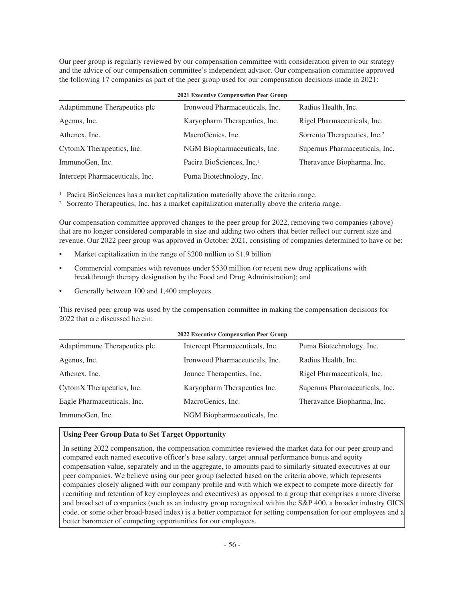Our peer group is regularly reviewed by our compensation committee with consideration given to our strategy and the advice of our compensation committee's independent advisor. Our compensation committee approved the following 17 companies as part of the peer group used for our compensation decisions made in 2021:

#### **2021 Executive Compensation Peer Group** Adaptimmune Therapeutics plc Agenus, Inc. Athenex, Inc. CytomX Therapeutics, Inc. ImmunoGen, Inc. Intercept Pharmaceuticals, Inc. Ironwood Pharmaceuticals, Inc. Karyopharm Therapeutics, Inc. MacroGenics, Inc. NGM Biopharmaceuticals, Inc. Pacira BioSciences, Inc.1 Puma Biotechnology, Inc. Radius Health, Inc. Rigel Pharmaceuticals, Inc. Sorrento Therapeutics, Inc.2 Supernus Pharmaceuticals, Inc. Theravance Biopharma, Inc.

<sup>1</sup> Pacira BioSciences has a market capitalization materially above the criteria range.

<sup>2</sup> Sorrento Therapeutics, Inc. has a market capitalization materially above the criteria range.

Our compensation committee approved changes to the peer group for 2022, removing two companies (above) that are no longer considered comparable in size and adding two others that better reflect our current size and revenue. Our 2022 peer group was approved in October 2021, consisting of companies determined to have or be:

- Market capitalization in the range of \$200 million to \$1.9 billion
- Commercial companies with revenues under \$530 million (or recent new drug applications with breakthrough therapy designation by the Food and Drug Administration); and
- Generally between 100 and 1,400 employees.

This revised peer group was used by the compensation committee in making the compensation decisions for 2022 that are discussed herein:

| 2022 Executive Compensation Peer Group |                                |  |  |  |  |
|----------------------------------------|--------------------------------|--|--|--|--|
| Intercept Pharmaceuticals, Inc.        | Puma Biotechnology, Inc.       |  |  |  |  |
| Ironwood Pharmaceuticals, Inc.         | Radius Health, Inc.            |  |  |  |  |
| Jounce Therapeutics, Inc.              | Rigel Pharmaceuticals, Inc.    |  |  |  |  |
| Karyopharm Therapeutics Inc.           | Supernus Pharmaceuticals, Inc. |  |  |  |  |
| MacroGenics, Inc.                      | Theravance Biopharma, Inc.     |  |  |  |  |
| NGM Biopharmaceuticals, Inc.           |                                |  |  |  |  |
|                                        |                                |  |  |  |  |

# **Using Peer Group Data to Set Target Opportunity**

In setting 2022 compensation, the compensation committee reviewed the market data for our peer group and compared each named executive officer's base salary, target annual performance bonus and equity compensation value, separately and in the aggregate, to amounts paid to similarly situated executives at our peer companies. We believe using our peer group (selected based on the criteria above, which represents companies closely aligned with our company profile and with which we expect to compete more directly for recruiting and retention of key employees and executives) as opposed to a group that comprises a more diverse and broad set of companies (such as an industry group recognized within the S&P 400, a broader industry GICS code, or some other broad-based index) is a better comparator for setting compensation for our employees and a better barometer of competing opportunities for our employees.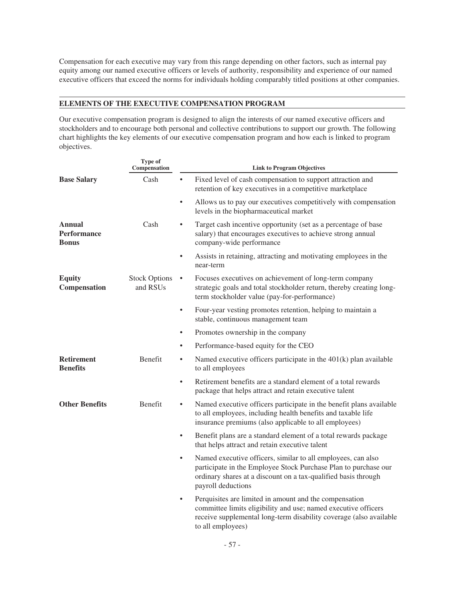Compensation for each executive may vary from this range depending on other factors, such as internal pay equity among our named executive officers or levels of authority, responsibility and experience of our named executive officers that exceed the norms for individuals holding comparably titled positions at other companies.

# **ELEMENTS OF THE EXECUTIVE COMPENSATION PROGRAM**

Our executive compensation program is designed to align the interests of our named executive officers and stockholders and to encourage both personal and collective contributions to support our growth. The following chart highlights the key elements of our executive compensation program and how each is linked to program objectives.

|                                              | Type of<br>Compensation          | <b>Link to Program Objectives</b>                                                                                                                                                                                            |
|----------------------------------------------|----------------------------------|------------------------------------------------------------------------------------------------------------------------------------------------------------------------------------------------------------------------------|
| <b>Base Salary</b>                           | Cash                             | Fixed level of cash compensation to support attraction and<br>retention of key executives in a competitive marketplace                                                                                                       |
|                                              |                                  | Allows us to pay our executives competitively with compensation<br>٠<br>levels in the biopharmaceutical market                                                                                                               |
| Annual<br><b>Performance</b><br><b>Bonus</b> | Cash                             | Target cash incentive opportunity (set as a percentage of base<br>salary) that encourages executives to achieve strong annual<br>company-wide performance                                                                    |
|                                              |                                  | Assists in retaining, attracting and motivating employees in the<br>٠<br>near-term                                                                                                                                           |
| <b>Equity</b><br>Compensation                | <b>Stock Options</b><br>and RSUs | Focuses executives on achievement of long-term company<br>٠<br>strategic goals and total stockholder return, thereby creating long-<br>term stockholder value (pay-for-performance)                                          |
|                                              |                                  | Four-year vesting promotes retention, helping to maintain a<br>٠<br>stable, continuous management team                                                                                                                       |
|                                              |                                  | Promotes ownership in the company<br>٠                                                                                                                                                                                       |
|                                              |                                  | Performance-based equity for the CEO<br>٠                                                                                                                                                                                    |
| <b>Retirement</b><br><b>Benefits</b>         | Benefit                          | Named executive officers participate in the $401(k)$ plan available<br>٠<br>to all employees                                                                                                                                 |
|                                              |                                  | Retirement benefits are a standard element of a total rewards<br>$\bullet$<br>package that helps attract and retain executive talent                                                                                         |
| <b>Other Benefits</b>                        | Benefit                          | Named executive officers participate in the benefit plans available<br>٠<br>to all employees, including health benefits and taxable life<br>insurance premiums (also applicable to all employees)                            |
|                                              |                                  | Benefit plans are a standard element of a total rewards package<br>٠<br>that helps attract and retain executive talent                                                                                                       |
|                                              |                                  | Named executive officers, similar to all employees, can also<br>٠<br>participate in the Employee Stock Purchase Plan to purchase our<br>ordinary shares at a discount on a tax-qualified basis through<br>payroll deductions |
|                                              |                                  | Perquisites are limited in amount and the compensation<br>٠<br>committee limits eligibility and use; named executive officers<br>receive supplemental long-term disability coverage (also available<br>to all employees)     |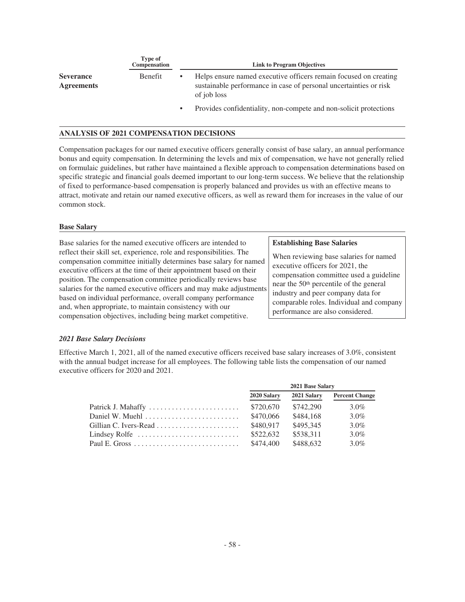|                                       | Type of<br>Compensation |  | <b>Link to Program Objectives</b>                                                                                                                    |
|---------------------------------------|-------------------------|--|------------------------------------------------------------------------------------------------------------------------------------------------------|
| <b>Severance</b><br><b>Agreements</b> | Benefit                 |  | Helps ensure named executive officers remain focused on creating<br>sustainable performance in case of personal uncertainties or risk<br>of job loss |
|                                       |                         |  | Provides confidentiality, non-compete and non-solicit protections                                                                                    |

# **ANALYSIS OF 2021 COMPENSATION DECISIONS**

Compensation packages for our named executive officers generally consist of base salary, an annual performance bonus and equity compensation. In determining the levels and mix of compensation, we have not generally relied on formulaic guidelines, but rather have maintained a flexible approach to compensation determinations based on specific strategic and financial goals deemed important to our long-term success. We believe that the relationship of fixed to performance-based compensation is properly balanced and provides us with an effective means to attract, motivate and retain our named executive officers, as well as reward them for increases in the value of our common stock.

## **Base Salary**

Base salaries for the named executive officers are intended to reflect their skill set, experience, role and responsibilities. The compensation committee initially determines base salary for named executive officers at the time of their appointment based on their position. The compensation committee periodically reviews base salaries for the named executive officers and may make adjustments based on individual performance, overall company performance and, when appropriate, to maintain consistency with our compensation objectives, including being market competitive.

## **Establishing Base Salaries**

When reviewing base salaries for named executive officers for 2021, the compensation committee used a guideline near the 50th percentile of the general industry and peer company data for comparable roles. Individual and company performance are also considered.

# *2021 Base Salary Decisions*

Effective March 1, 2021, all of the named executive officers received base salary increases of 3.0%, consistent with the annual budget increase for all employees. The following table lists the compensation of our named executive officers for 2020 and 2021.

|                                                                  | 2021 Base Salary |             |                       |  |
|------------------------------------------------------------------|------------------|-------------|-----------------------|--|
|                                                                  | 2020 Salary      | 2021 Salary | <b>Percent Change</b> |  |
| Patrick J. Mahaffy                                               | \$720,670        | \$742.290   | $3.0\%$               |  |
| Daniel W. Muehl $\ldots, \ldots, \ldots, \ldots, \ldots, \ldots$ | \$470,066        | \$484,168   | $3.0\%$               |  |
| Gillian C. Ivers-Read                                            | \$480,917        | \$495,345   | $3.0\%$               |  |
| Lindsey Rolfe                                                    | \$522,632        | \$538,311   | $3.0\%$               |  |
|                                                                  | \$474,400        | \$488,632   | $3.0\%$               |  |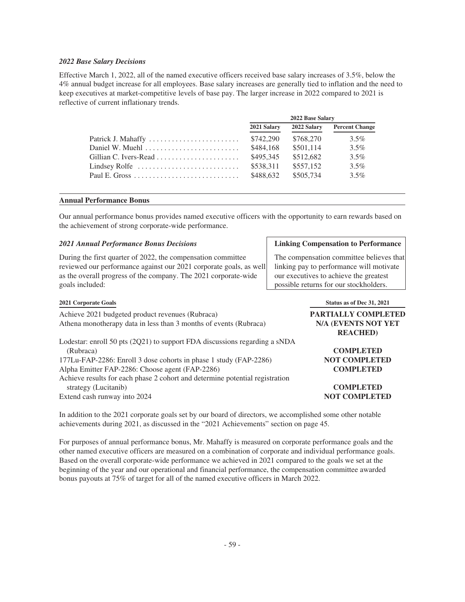## *2022 Base Salary Decisions*

Effective March 1, 2022, all of the named executive officers received base salary increases of 3.5%, below the 4% annual budget increase for all employees. Base salary increases are generally tied to inflation and the need to keep executives at market-competitive levels of base pay. The larger increase in 2022 compared to 2021 is reflective of current inflationary trends.

|                       | 2022 Base Salary |             |                       |  |  |
|-----------------------|------------------|-------------|-----------------------|--|--|
|                       | 2021 Salary      | 2022 Salary | <b>Percent Change</b> |  |  |
| Patrick J. Mahaffy    | \$742,290        | \$768,270   | $3.5\%$               |  |  |
| Daniel W. Muehl       | \$484,168        | \$501,114   | $3.5\%$               |  |  |
| Gillian C. Ivers-Read | \$495,345        | \$512,682   | $3.5\%$               |  |  |
| Lindsey Rolfe         | \$538.311        | \$557.152   | $3.5\%$               |  |  |
| Paul E. Gross         | \$488,632        | \$505,734   | $3.5\%$               |  |  |

# **Annual Performance Bonus**

Our annual performance bonus provides named executive officers with the opportunity to earn rewards based on the achievement of strong corporate-wide performance.

J.

| <b>2021 Annual Performance Bonus Decisions</b>                                                                                                                                                                           | <b>Linking Compensation to Performance</b>                                                                                                                               |  |  |  |
|--------------------------------------------------------------------------------------------------------------------------------------------------------------------------------------------------------------------------|--------------------------------------------------------------------------------------------------------------------------------------------------------------------------|--|--|--|
| During the first quarter of 2022, the compensation committee<br>reviewed our performance against our 2021 corporate goals, as well<br>as the overall progress of the company. The 2021 corporate-wide<br>goals included: | The compensation committee believes that<br>linking pay to performance will motivate<br>our executives to achieve the greatest<br>possible returns for our stockholders. |  |  |  |
| 2021 Corporate Goals                                                                                                                                                                                                     | Status as of Dec 31, 2021                                                                                                                                                |  |  |  |
| Achieve 2021 budgeted product revenues (Rubraca)                                                                                                                                                                         | <b>PARTIALLY COMPLETED</b>                                                                                                                                               |  |  |  |
| Athena monotherapy data in less than 3 months of events (Rubraca)                                                                                                                                                        | N/A (EVENTS NOT YET                                                                                                                                                      |  |  |  |
|                                                                                                                                                                                                                          | <b>REACHED</b> )                                                                                                                                                         |  |  |  |
| Lodestar: enroll 50 pts (2Q21) to support FDA discussions regarding a sNDA                                                                                                                                               |                                                                                                                                                                          |  |  |  |
| (Rubraca)                                                                                                                                                                                                                | <b>COMPLETED</b>                                                                                                                                                         |  |  |  |
| 177Lu-FAP-2286: Enroll 3 dose cohorts in phase 1 study (FAP-2286)                                                                                                                                                        | <b>NOT COMPLETED</b>                                                                                                                                                     |  |  |  |
| Alpha Emitter FAP-2286: Choose agent (FAP-2286)                                                                                                                                                                          | <b>COMPLETED</b>                                                                                                                                                         |  |  |  |
| Achieve results for each phase 2 cohort and determine potential registration                                                                                                                                             |                                                                                                                                                                          |  |  |  |
| strategy (Lucitanib)                                                                                                                                                                                                     | <b>COMPLETED</b>                                                                                                                                                         |  |  |  |

In addition to the 2021 corporate goals set by our board of directors, we accomplished some other notable achievements during 2021, as discussed in the "2021 Achievements" section on page 45.

For purposes of annual performance bonus, Mr. Mahaffy is measured on corporate performance goals and the other named executive officers are measured on a combination of corporate and individual performance goals. Based on the overall corporate-wide performance we achieved in 2021 compared to the goals we set at the beginning of the year and our operational and financial performance, the compensation committee awarded bonus payouts at 75% of target for all of the named executive officers in March 2022.

Extend cash runway into 2024 **NOT COMPLETED**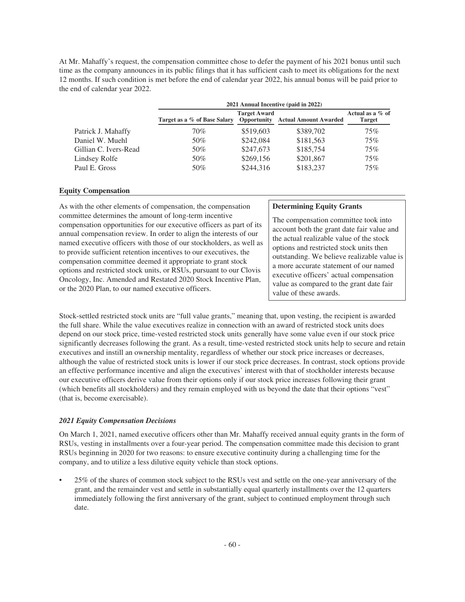At Mr. Mahaffy's request, the compensation committee chose to defer the payment of his 2021 bonus until such time as the company announces in its public filings that it has sufficient cash to meet its obligations for the next 12 months. If such condition is met before the end of calendar year 2022, his annual bonus will be paid prior to the end of calendar year 2022.

|                       | 2021 Annual Incentive (paid in 2022) |                     |                                          |                                   |  |  |  |  |
|-----------------------|--------------------------------------|---------------------|------------------------------------------|-----------------------------------|--|--|--|--|
|                       | Target as a % of Base Salary         | <b>Target Award</b> | <b>Opportunity</b> Actual Amount Awarded | Actual as a % of<br><b>Target</b> |  |  |  |  |
| Patrick J. Mahaffy    | 70%                                  | \$519,603           | \$389,702                                | 75%                               |  |  |  |  |
| Daniel W. Muehl       | 50%                                  | \$242,084           | \$181,563                                | 75%                               |  |  |  |  |
| Gillian C. Ivers-Read | 50%                                  | \$247,673           | \$185,754                                | 75%                               |  |  |  |  |
| Lindsey Rolfe         | 50%                                  | \$269,156           | \$201,867                                | 75%                               |  |  |  |  |
| Paul E. Gross         | 50%                                  | \$244,316           | \$183,237                                | 75%                               |  |  |  |  |

# **Equity Compensation**

| As with the other elements of compensation, the compensation         | <b>Determining Equity Grants</b>            |
|----------------------------------------------------------------------|---------------------------------------------|
| committee determines the amount of long-term incentive               | The compensation committee took into        |
| compensation opportunities for our executive officers as part of its | account both the grant date fair value and  |
| annual compensation review. In order to align the interests of our   | the actual realizable value of the stock    |
| named executive officers with those of our stockholders, as well as  | options and restricted stock units then     |
| to provide sufficient retention incentives to our executives, the    | outstanding. We believe realizable value is |
| compensation committee deemed it appropriate to grant stock          | a more accurate statement of our named      |
| options and restricted stock units, or RSUs, pursuant to our Clovis  | executive officers' actual compensation     |
| Oncology, Inc. Amended and Restated 2020 Stock Incentive Plan,       | value as compared to the grant date fair    |
| or the 2020 Plan, to our named executive officers.                   | value of these awards.                      |

Stock-settled restricted stock units are "full value grants," meaning that, upon vesting, the recipient is awarded the full share. While the value executives realize in connection with an award of restricted stock units does depend on our stock price, time-vested restricted stock units generally have some value even if our stock price significantly decreases following the grant. As a result, time-vested restricted stock units help to secure and retain executives and instill an ownership mentality, regardless of whether our stock price increases or decreases, although the value of restricted stock units is lower if our stock price decreases. In contrast, stock options provide an effective performance incentive and align the executives' interest with that of stockholder interests because our executive officers derive value from their options only if our stock price increases following their grant (which benefits all stockholders) and they remain employed with us beyond the date that their options "vest" (that is, become exercisable).

# *2021 Equity Compensation Decisions*

On March 1, 2021, named executive officers other than Mr. Mahaffy received annual equity grants in the form of RSUs, vesting in installments over a four-year period. The compensation committee made this decision to grant RSUs beginning in 2020 for two reasons: to ensure executive continuity during a challenging time for the company, and to utilize a less dilutive equity vehicle than stock options.

• 25% of the shares of common stock subject to the RSUs vest and settle on the one-year anniversary of the grant, and the remainder vest and settle in substantially equal quarterly installments over the 12 quarters immediately following the first anniversary of the grant, subject to continued employment through such date.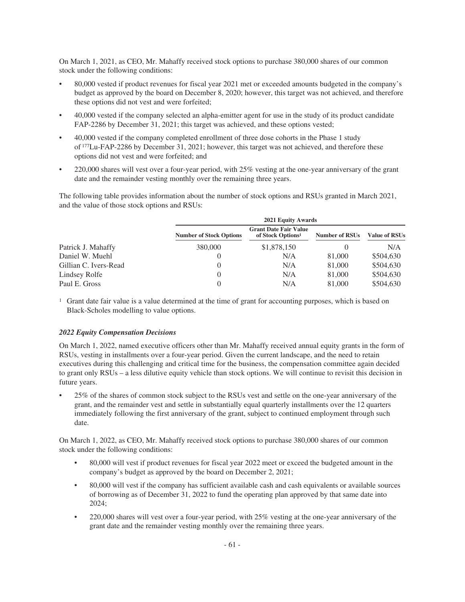On March 1, 2021, as CEO, Mr. Mahaffy received stock options to purchase 380,000 shares of our common stock under the following conditions:

- 80,000 vested if product revenues for fiscal year 2021 met or exceeded amounts budgeted in the company's budget as approved by the board on December 8, 2020; however, this target was not achieved, and therefore these options did not vest and were forfeited;
- 40,000 vested if the company selected an alpha-emitter agent for use in the study of its product candidate FAP-2286 by December 31, 2021; this target was achieved, and these options vested;
- 40,000 vested if the company completed enrollment of three dose cohorts in the Phase 1 study of 177Lu-FAP-2286 by December 31, 2021; however, this target was not achieved, and therefore these options did not vest and were forfeited; and
- 220,000 shares will vest over a four-year period, with 25% vesting at the one-year anniversary of the grant date and the remainder vesting monthly over the remaining three years.

The following table provides information about the number of stock options and RSUs granted in March 2021, and the value of those stock options and RSUs:

|                       | 2021 Equity Awards             |                                                               |                       |                      |  |  |  |
|-----------------------|--------------------------------|---------------------------------------------------------------|-----------------------|----------------------|--|--|--|
|                       | <b>Number of Stock Options</b> | <b>Grant Date Fair Value</b><br>of Stock Options <sup>1</sup> | <b>Number of RSUs</b> | <b>Value of RSUs</b> |  |  |  |
| Patrick J. Mahaffy    | 380,000                        | \$1,878,150                                                   | 0                     | N/A                  |  |  |  |
| Daniel W. Muehl       | $\theta$                       | N/A                                                           | 81,000                | \$504,630            |  |  |  |
| Gillian C. Ivers-Read | $\theta$                       | N/A                                                           | 81,000                | \$504,630            |  |  |  |
| Lindsey Rolfe         | $\theta$                       | N/A                                                           | 81,000                | \$504,630            |  |  |  |
| Paul E. Gross         | $\theta$                       | N/A                                                           | 81,000                | \$504,630            |  |  |  |

<sup>1</sup> Grant date fair value is a value determined at the time of grant for accounting purposes, which is based on Black-Scholes modelling to value options.

# *2022 Equity Compensation Decisions*

On March 1, 2022, named executive officers other than Mr. Mahaffy received annual equity grants in the form of RSUs, vesting in installments over a four-year period. Given the current landscape, and the need to retain executives during this challenging and critical time for the business, the compensation committee again decided to grant only RSUs – a less dilutive equity vehicle than stock options. We will continue to revisit this decision in future years.

• 25% of the shares of common stock subject to the RSUs vest and settle on the one-year anniversary of the grant, and the remainder vest and settle in substantially equal quarterly installments over the 12 quarters immediately following the first anniversary of the grant, subject to continued employment through such date.

On March 1, 2022, as CEO, Mr. Mahaffy received stock options to purchase 380,000 shares of our common stock under the following conditions:

- 80,000 will vest if product revenues for fiscal year 2022 meet or exceed the budgeted amount in the company's budget as approved by the board on December 2, 2021;
- 80,000 will vest if the company has sufficient available cash and cash equivalents or available sources of borrowing as of December 31, 2022 to fund the operating plan approved by that same date into 2024;
- 220,000 shares will vest over a four-year period, with 25% vesting at the one-year anniversary of the grant date and the remainder vesting monthly over the remaining three years.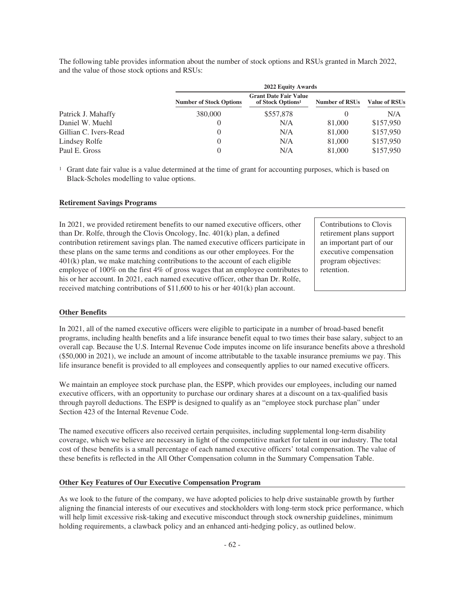The following table provides information about the number of stock options and RSUs granted in March 2022, and the value of those stock options and RSUs:

|                       | 2022 Equity Awards             |                                                               |                       |                      |  |  |  |
|-----------------------|--------------------------------|---------------------------------------------------------------|-----------------------|----------------------|--|--|--|
|                       | <b>Number of Stock Options</b> | <b>Grant Date Fair Value</b><br>of Stock Options <sup>1</sup> | <b>Number of RSUs</b> | <b>Value of RSUs</b> |  |  |  |
| Patrick J. Mahaffy    | 380,000                        | \$557,878                                                     |                       | N/A                  |  |  |  |
| Daniel W. Muehl       | $\theta$                       | N/A                                                           | 81,000                | \$157,950            |  |  |  |
| Gillian C. Ivers-Read | $\theta$                       | N/A                                                           | 81,000                | \$157,950            |  |  |  |
| Lindsey Rolfe         | $\theta$                       | N/A                                                           | 81,000                | \$157,950            |  |  |  |
| Paul E. Gross         | $\theta$                       | N/A                                                           | 81,000                | \$157,950            |  |  |  |

<sup>1</sup> Grant date fair value is a value determined at the time of grant for accounting purposes, which is based on Black-Scholes modelling to value options.

## **Retirement Savings Programs**

In 2021, we provided retirement benefits to our named executive officers, other than Dr. Rolfe, through the Clovis Oncology, Inc. 401(k) plan, a defined contribution retirement savings plan. The named executive officers participate in these plans on the same terms and conditions as our other employees. For the 401(k) plan, we make matching contributions to the account of each eligible employee of 100% on the first 4% of gross wages that an employee contributes to his or her account. In 2021, each named executive officer, other than Dr. Rolfe, received matching contributions of \$11,600 to his or her 401(k) plan account.

Contributions to Clovis retirement plans support an important part of our executive compensation program objectives: retention.

#### **Other Benefits**

In 2021, all of the named executive officers were eligible to participate in a number of broad-based benefit programs, including health benefits and a life insurance benefit equal to two times their base salary, subject to an overall cap. Because the U.S. Internal Revenue Code imputes income on life insurance benefits above a threshold (\$50,000 in 2021), we include an amount of income attributable to the taxable insurance premiums we pay. This life insurance benefit is provided to all employees and consequently applies to our named executive officers.

We maintain an employee stock purchase plan, the ESPP, which provides our employees, including our named executive officers, with an opportunity to purchase our ordinary shares at a discount on a tax-qualified basis through payroll deductions. The ESPP is designed to qualify as an "employee stock purchase plan" under Section 423 of the Internal Revenue Code.

The named executive officers also received certain perquisites, including supplemental long-term disability coverage, which we believe are necessary in light of the competitive market for talent in our industry. The total cost of these benefits is a small percentage of each named executive officers' total compensation. The value of these benefits is reflected in the All Other Compensation column in the Summary Compensation Table.

## **Other Key Features of Our Executive Compensation Program**

As we look to the future of the company, we have adopted policies to help drive sustainable growth by further aligning the financial interests of our executives and stockholders with long-term stock price performance, which will help limit excessive risk-taking and executive misconduct through stock ownership guidelines, minimum holding requirements, a clawback policy and an enhanced anti-hedging policy, as outlined below.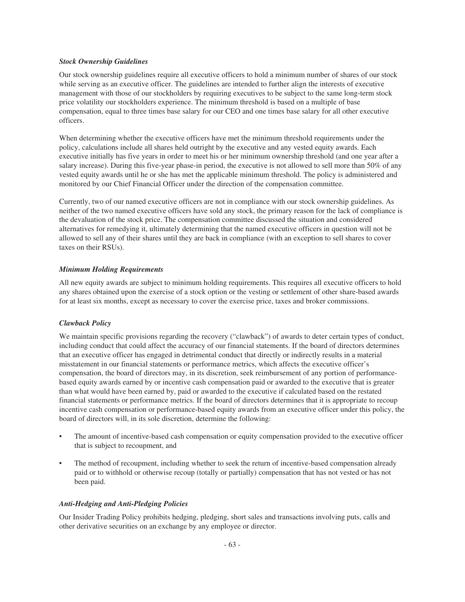# *Stock Ownership Guidelines*

Our stock ownership guidelines require all executive officers to hold a minimum number of shares of our stock while serving as an executive officer. The guidelines are intended to further align the interests of executive management with those of our stockholders by requiring executives to be subject to the same long-term stock price volatility our stockholders experience. The minimum threshold is based on a multiple of base compensation, equal to three times base salary for our CEO and one times base salary for all other executive officers.

When determining whether the executive officers have met the minimum threshold requirements under the policy, calculations include all shares held outright by the executive and any vested equity awards. Each executive initially has five years in order to meet his or her minimum ownership threshold (and one year after a salary increase). During this five-year phase-in period, the executive is not allowed to sell more than 50% of any vested equity awards until he or she has met the applicable minimum threshold. The policy is administered and monitored by our Chief Financial Officer under the direction of the compensation committee.

Currently, two of our named executive officers are not in compliance with our stock ownership guidelines. As neither of the two named executive officers have sold any stock, the primary reason for the lack of compliance is the devaluation of the stock price. The compensation committee discussed the situation and considered alternatives for remedying it, ultimately determining that the named executive officers in question will not be allowed to sell any of their shares until they are back in compliance (with an exception to sell shares to cover taxes on their RSUs).

# *Minimum Holding Requirements*

All new equity awards are subject to minimum holding requirements. This requires all executive officers to hold any shares obtained upon the exercise of a stock option or the vesting or settlement of other share-based awards for at least six months, except as necessary to cover the exercise price, taxes and broker commissions.

# *Clawback Policy*

We maintain specific provisions regarding the recovery ("clawback") of awards to deter certain types of conduct, including conduct that could affect the accuracy of our financial statements. If the board of directors determines that an executive officer has engaged in detrimental conduct that directly or indirectly results in a material misstatement in our financial statements or performance metrics, which affects the executive officer's compensation, the board of directors may, in its discretion, seek reimbursement of any portion of performancebased equity awards earned by or incentive cash compensation paid or awarded to the executive that is greater than what would have been earned by, paid or awarded to the executive if calculated based on the restated financial statements or performance metrics. If the board of directors determines that it is appropriate to recoup incentive cash compensation or performance-based equity awards from an executive officer under this policy, the board of directors will, in its sole discretion, determine the following:

- The amount of incentive-based cash compensation or equity compensation provided to the executive officer that is subject to recoupment, and
- The method of recoupment, including whether to seek the return of incentive-based compensation already paid or to withhold or otherwise recoup (totally or partially) compensation that has not vested or has not been paid.

# *Anti-Hedging and Anti-Pledging Policies*

Our Insider Trading Policy prohibits hedging, pledging, short sales and transactions involving puts, calls and other derivative securities on an exchange by any employee or director.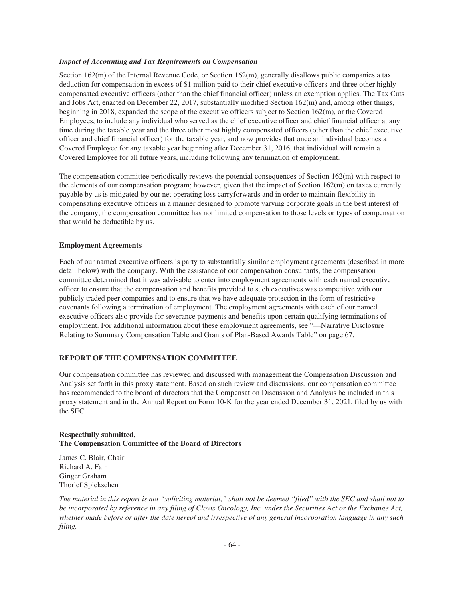# *Impact of Accounting and Tax Requirements on Compensation*

Section 162(m) of the Internal Revenue Code, or Section 162(m), generally disallows public companies a tax deduction for compensation in excess of \$1 million paid to their chief executive officers and three other highly compensated executive officers (other than the chief financial officer) unless an exemption applies. The Tax Cuts and Jobs Act, enacted on December 22, 2017, substantially modified Section 162(m) and, among other things, beginning in 2018, expanded the scope of the executive officers subject to Section 162(m), or the Covered Employees, to include any individual who served as the chief executive officer and chief financial officer at any time during the taxable year and the three other most highly compensated officers (other than the chief executive officer and chief financial officer) for the taxable year, and now provides that once an individual becomes a Covered Employee for any taxable year beginning after December 31, 2016, that individual will remain a Covered Employee for all future years, including following any termination of employment.

The compensation committee periodically reviews the potential consequences of Section 162(m) with respect to the elements of our compensation program; however, given that the impact of Section 162(m) on taxes currently payable by us is mitigated by our net operating loss carryforwards and in order to maintain flexibility in compensating executive officers in a manner designed to promote varying corporate goals in the best interest of the company, the compensation committee has not limited compensation to those levels or types of compensation that would be deductible by us.

# **Employment Agreements**

Each of our named executive officers is party to substantially similar employment agreements (described in more detail below) with the company. With the assistance of our compensation consultants, the compensation committee determined that it was advisable to enter into employment agreements with each named executive officer to ensure that the compensation and benefits provided to such executives was competitive with our publicly traded peer companies and to ensure that we have adequate protection in the form of restrictive covenants following a termination of employment. The employment agreements with each of our named executive officers also provide for severance payments and benefits upon certain qualifying terminations of employment. For additional information about these employment agreements, see "—Narrative Disclosure Relating to Summary Compensation Table and Grants of Plan-Based Awards Table" on page 67.

# **REPORT OF THE COMPENSATION COMMITTEE**

Our compensation committee has reviewed and discussed with management the Compensation Discussion and Analysis set forth in this proxy statement. Based on such review and discussions, our compensation committee has recommended to the board of directors that the Compensation Discussion and Analysis be included in this proxy statement and in the Annual Report on Form 10-K for the year ended December 31, 2021, filed by us with the SEC.

# **Respectfully submitted, The Compensation Committee of the Board of Directors**

James C. Blair, Chair Richard A. Fair Ginger Graham Thorlef Spickschen

*The material in this report is not "soliciting material," shall not be deemed "filed" with the SEC and shall not to be incorporated by reference in any filing of Clovis Oncology, Inc. under the Securities Act or the Exchange Act, whether made before or after the date hereof and irrespective of any general incorporation language in any such filing.*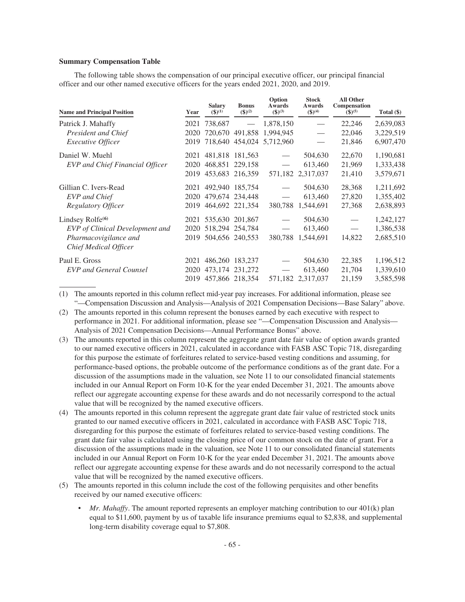## **Summary Compensation Table**

The following table shows the compensation of our principal executive officer, our principal financial officer and our other named executive officers for the years ended 2021, 2020, and 2019.

| <b>Name and Principal Position</b>             | Year | <b>Salary</b><br>$(\$)$ <sup>(1)</sup> | <b>Bonus</b><br>$($ \$ $)(2)$ | Option<br>Awards<br>$$^{(3)}$$ | <b>Stock</b><br>Awards<br>$$^{(4)}$$ | <b>All Other</b><br>Compensation<br>$($ \$ $)($ <sup>5</sup> $)$ | Total $(\$)$ |
|------------------------------------------------|------|----------------------------------------|-------------------------------|--------------------------------|--------------------------------------|------------------------------------------------------------------|--------------|
| Patrick J. Mahaffy                             | 2021 | 738,687                                | $\frac{1}{2}$                 | 1,878,150                      |                                      | 22,246                                                           | 2,639,083    |
| President and Chief                            | 2020 | 720,670                                |                               | 491,858 1,994,945              | $\overbrace{\phantom{aaaaa}}$        | 22,046                                                           | 3,229,519    |
| <i>Executive Officer</i>                       |      |                                        |                               | 2019 718,640 454,024 5,712,960 | $\overline{\phantom{0}}$             | 21,846                                                           | 6,907,470    |
| Daniel W. Muehl                                |      | 2021 481,818 181,563                   |                               | $\overline{\phantom{m}}$       | 504,630                              | 22,670                                                           | 1,190,681    |
| <b>EVP</b> and Chief Financial Officer         |      | 2020 468,851 229,158                   |                               |                                | 613,460                              | 21,969                                                           | 1,333,438    |
|                                                |      | 2019 453,683 216,359                   |                               |                                | 571,182 2,317,037                    | 21,410                                                           | 3,579,671    |
| Gillian C. Ivers-Read                          | 2021 | 492,940                                | 185,754                       | $\overline{\phantom{m}}$       | 504,630                              | 28,368                                                           | 1,211,692    |
| EVP and Chief                                  |      | 2020 479,674 234,448                   |                               | $\overline{\phantom{m}}$       | 613,460                              | 27,820                                                           | 1,355,402    |
| Regulatory Officer                             |      | 2019 464,692 221,354                   |                               |                                | 380,788 1,544,691                    | 27,368                                                           | 2,638,893    |
| Lindsey Rolfe <sup>(6)</sup>                   |      | 2021 535,630                           | 201,867                       | $\overline{\phantom{m}}$       | 504,630                              | $\hspace{0.05cm}$                                                | 1,242,127    |
| <b>EVP</b> of Clinical Development and         |      | 2020 518,294 254,784                   |                               |                                | 613,460                              | $\overline{\phantom{m}}$                                         | 1,386,538    |
| Pharmacovigilance and<br>Chief Medical Officer |      | 2019 504,656 240,553                   |                               |                                | 380,788 1,544,691                    | 14,822                                                           | 2,685,510    |
| Paul E. Gross                                  | 2021 | 486,260                                | 183,237                       | $\overline{\phantom{m}}$       | 504,630                              | 22,385                                                           | 1,196,512    |
| <b>EVP</b> and General Counsel                 | 2020 | 473,174                                | 231,272                       |                                | 613,460                              | 21,704                                                           | 1,339,610    |
|                                                |      | 2019 457,866 218,354                   |                               |                                | 571,182 2,317,037                    | 21,159                                                           | 3,585,598    |

(1) The amounts reported in this column reflect mid-year pay increases. For additional information, please see "—Compensation Discussion and Analysis—Analysis of 2021 Compensation Decisions—Base Salary" above.

(2) The amounts reported in this column represent the bonuses earned by each executive with respect to performance in 2021. For additional information, please see "—Compensation Discussion and Analysis— Analysis of 2021 Compensation Decisions—Annual Performance Bonus" above.

- (3) The amounts reported in this column represent the aggregate grant date fair value of option awards granted to our named executive officers in 2021, calculated in accordance with FASB ASC Topic 718, disregarding for this purpose the estimate of forfeitures related to service-based vesting conditions and assuming, for performance-based options, the probable outcome of the performance conditions as of the grant date. For a discussion of the assumptions made in the valuation, see Note 11 to our consolidated financial statements included in our Annual Report on Form 10-K for the year ended December 31, 2021. The amounts above reflect our aggregate accounting expense for these awards and do not necessarily correspond to the actual value that will be recognized by the named executive officers.
- (4) The amounts reported in this column represent the aggregate grant date fair value of restricted stock units granted to our named executive officers in 2021, calculated in accordance with FASB ASC Topic 718, disregarding for this purpose the estimate of forfeitures related to service-based vesting conditions. The grant date fair value is calculated using the closing price of our common stock on the date of grant. For a discussion of the assumptions made in the valuation, see Note 11 to our consolidated financial statements included in our Annual Report on Form 10-K for the year ended December 31, 2021. The amounts above reflect our aggregate accounting expense for these awards and do not necessarily correspond to the actual value that will be recognized by the named executive officers.
- (5) The amounts reported in this column include the cost of the following perquisites and other benefits received by our named executive officers:
	- *Mr. Mahaffy*. The amount reported represents an employer matching contribution to our 401(k) plan equal to \$11,600, payment by us of taxable life insurance premiums equal to \$2,838, and supplemental long-term disability coverage equal to \$7,808.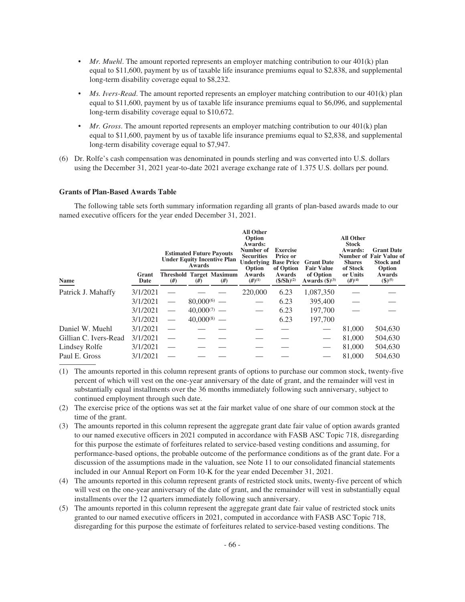- *Mr. Muehl*. The amount reported represents an employer matching contribution to our 401(k) plan equal to \$11,600, payment by us of taxable life insurance premiums equal to \$2,838, and supplemental long-term disability coverage equal to \$8,232.
- *Ms. Ivers-Read*. The amount reported represents an employer matching contribution to our 401(k) plan equal to \$11,600, payment by us of taxable life insurance premiums equal to \$6,096, and supplemental long-term disability coverage equal to \$10,672.
- *Mr. Gross*. The amount reported represents an employer matching contribution to our 401(k) plan equal to \$11,600, payment by us of taxable life insurance premiums equal to \$2,838, and supplemental long-term disability coverage equal to \$7,947.
- (6) Dr. Rolfe's cash compensation was denominated in pounds sterling and was converted into U.S. dollars using the December 31, 2021 year-to-date 2021 average exchange rate of 1.375 U.S. dollars per pound.

# **Grants of Plan-Based Awards Table**

The following table sets forth summary information regarding all grants of plan-based awards made to our named executive officers for the year ended December 31, 2021.

|                       |               |                               | Awards           | <b>Estimated Future Payouts</b><br><b>Under Equity Incentive Plan</b> | <b>All Other</b><br>Option<br>Awards:<br>Number of<br><b>Securities</b><br><b>Underlying Base Price</b><br>Option | <b>Exercise</b><br>Price or<br>of Option | <b>Grant Date</b><br><b>Fair Value</b>         | <b>All Other</b><br><b>Stock</b><br>Awards:<br><b>Shares</b><br>of Stock | <b>Grant Date</b><br><b>Number of Fair Value of</b><br><b>Stock and</b><br>Option |
|-----------------------|---------------|-------------------------------|------------------|-----------------------------------------------------------------------|-------------------------------------------------------------------------------------------------------------------|------------------------------------------|------------------------------------------------|--------------------------------------------------------------------------|-----------------------------------------------------------------------------------|
| <b>Name</b>           | Grant<br>Date | #)                            | $(\#)$           | <b>Threshold Target Maximum</b><br>#)                                 | Awards<br>$(H^{(1)}$                                                                                              | Awards<br>$(\frac{\xi}{\rm Sh})^{(2)}$   | of Option<br>Awards $(\text{$}^{\circ})^{(3)}$ | or Units<br>$(H)^{(4)}$                                                  | Awards<br>$($ \$ $)($ <sup>5</sup> $)$                                            |
| Patrick J. Mahaffy    | 3/1/2021      |                               |                  |                                                                       | 220,000                                                                                                           | 6.23                                     | 1,087,350                                      |                                                                          |                                                                                   |
|                       | 3/1/2021      |                               | $80,000(6)$ —    |                                                                       |                                                                                                                   | 6.23                                     | 395,400                                        |                                                                          |                                                                                   |
|                       | 3/1/2021      | $\overbrace{\phantom{aaaaa}}$ | $40,000^{(7)}$ — |                                                                       |                                                                                                                   | 6.23                                     | 197,700                                        |                                                                          |                                                                                   |
|                       | 3/1/2021      |                               | $40,000^{(8)}$ — |                                                                       |                                                                                                                   | 6.23                                     | 197,700                                        |                                                                          |                                                                                   |
| Daniel W. Muehl       | 3/1/2021      |                               |                  |                                                                       |                                                                                                                   |                                          |                                                | 81,000                                                                   | 504,630                                                                           |
| Gillian C. Ivers-Read | 3/1/2021      |                               |                  |                                                                       |                                                                                                                   |                                          |                                                | 81,000                                                                   | 504,630                                                                           |
| Lindsey Rolfe         | 3/1/2021      |                               |                  |                                                                       |                                                                                                                   |                                          |                                                | 81,000                                                                   | 504,630                                                                           |
| Paul E. Gross         | 3/1/2021      |                               |                  |                                                                       |                                                                                                                   |                                          |                                                | 81,000                                                                   | 504,630                                                                           |
|                       |               |                               |                  |                                                                       |                                                                                                                   |                                          |                                                |                                                                          |                                                                                   |

- (1) The amounts reported in this column represent grants of options to purchase our common stock, twenty-five percent of which will vest on the one-year anniversary of the date of grant, and the remainder will vest in substantially equal installments over the 36 months immediately following such anniversary, subject to continued employment through such date.
- (2) The exercise price of the options was set at the fair market value of one share of our common stock at the time of the grant.
- (3) The amounts reported in this column represent the aggregate grant date fair value of option awards granted to our named executive officers in 2021 computed in accordance with FASB ASC Topic 718, disregarding for this purpose the estimate of forfeitures related to service-based vesting conditions and assuming, for performance-based options, the probable outcome of the performance conditions as of the grant date. For a discussion of the assumptions made in the valuation, see Note 11 to our consolidated financial statements included in our Annual Report on Form 10-K for the year ended December 31, 2021.
- (4) The amounts reported in this column represent grants of restricted stock units, twenty-five percent of which will vest on the one-year anniversary of the date of grant, and the remainder will vest in substantially equal installments over the 12 quarters immediately following such anniversary.
- (5) The amounts reported in this column represent the aggregate grant date fair value of restricted stock units granted to our named executive officers in 2021, computed in accordance with FASB ASC Topic 718, disregarding for this purpose the estimate of forfeitures related to service-based vesting conditions. The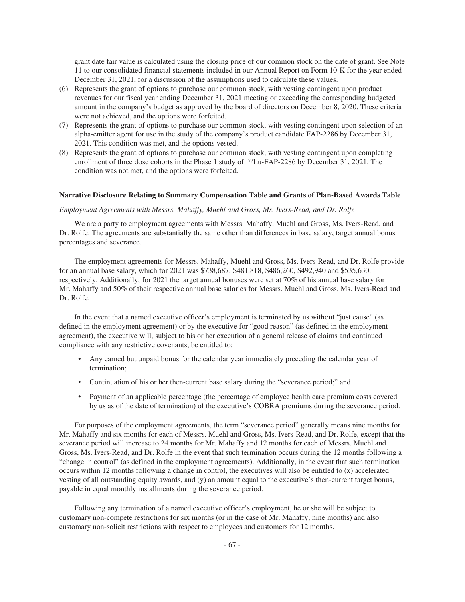grant date fair value is calculated using the closing price of our common stock on the date of grant. See Note 11 to our consolidated financial statements included in our Annual Report on Form 10-K for the year ended December 31, 2021, for a discussion of the assumptions used to calculate these values.

- (6) Represents the grant of options to purchase our common stock, with vesting contingent upon product revenues for our fiscal year ending December 31, 2021 meeting or exceeding the corresponding budgeted amount in the company's budget as approved by the board of directors on December 8, 2020. These criteria were not achieved, and the options were forfeited.
- (7) Represents the grant of options to purchase our common stock, with vesting contingent upon selection of an alpha-emitter agent for use in the study of the company's product candidate FAP-2286 by December 31, 2021. This condition was met, and the options vested.
- (8) Represents the grant of options to purchase our common stock, with vesting contingent upon completing enrollment of three dose cohorts in the Phase 1 study of <sup>177</sup>Lu-FAP-2286 by December 31, 2021. The condition was not met, and the options were forfeited.

#### **Narrative Disclosure Relating to Summary Compensation Table and Grants of Plan-Based Awards Table**

## *Employment Agreements with Messrs. Mahaffy, Muehl and Gross, Ms. Ivers-Read, and Dr. Rolfe*

We are a party to employment agreements with Messrs. Mahaffy, Muehl and Gross, Ms. Ivers-Read, and Dr. Rolfe. The agreements are substantially the same other than differences in base salary, target annual bonus percentages and severance.

The employment agreements for Messrs. Mahaffy, Muehl and Gross, Ms. Ivers-Read, and Dr. Rolfe provide for an annual base salary, which for 2021 was \$738,687, \$481,818, \$486,260, \$492,940 and \$535,630, respectively. Additionally, for 2021 the target annual bonuses were set at 70% of his annual base salary for Mr. Mahaffy and 50% of their respective annual base salaries for Messrs. Muehl and Gross, Ms. Ivers-Read and Dr. Rolfe.

In the event that a named executive officer's employment is terminated by us without "just cause" (as defined in the employment agreement) or by the executive for "good reason" (as defined in the employment agreement), the executive will, subject to his or her execution of a general release of claims and continued compliance with any restrictive covenants, be entitled to:

- Any earned but unpaid bonus for the calendar year immediately preceding the calendar year of termination;
- Continuation of his or her then-current base salary during the "severance period;" and
- Payment of an applicable percentage (the percentage of employee health care premium costs covered by us as of the date of termination) of the executive's COBRA premiums during the severance period.

For purposes of the employment agreements, the term "severance period" generally means nine months for Mr. Mahaffy and six months for each of Messrs. Muehl and Gross, Ms. Ivers-Read, and Dr. Rolfe, except that the severance period will increase to 24 months for Mr. Mahaffy and 12 months for each of Messrs. Muehl and Gross, Ms. Ivers-Read, and Dr. Rolfe in the event that such termination occurs during the 12 months following a "change in control" (as defined in the employment agreements). Additionally, in the event that such termination occurs within 12 months following a change in control, the executives will also be entitled to (x) accelerated vesting of all outstanding equity awards, and (y) an amount equal to the executive's then-current target bonus, payable in equal monthly installments during the severance period.

Following any termination of a named executive officer's employment, he or she will be subject to customary non-compete restrictions for six months (or in the case of Mr. Mahaffy, nine months) and also customary non-solicit restrictions with respect to employees and customers for 12 months.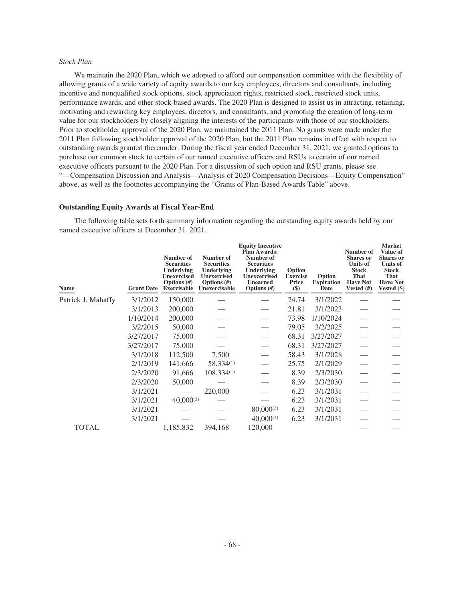## *Stock Plan*

We maintain the 2020 Plan, which we adopted to afford our compensation committee with the flexibility of allowing grants of a wide variety of equity awards to our key employees, directors and consultants, including incentive and nonqualified stock options, stock appreciation rights, restricted stock, restricted stock units, performance awards, and other stock-based awards. The 2020 Plan is designed to assist us in attracting, retaining, motivating and rewarding key employees, directors, and consultants, and promoting the creation of long-term value for our stockholders by closely aligning the interests of the participants with those of our stockholders. Prior to stockholder approval of the 2020 Plan, we maintained the 2011 Plan. No grants were made under the 2011 Plan following stockholder approval of the 2020 Plan, but the 2011 Plan remains in effect with respect to outstanding awards granted thereunder. During the fiscal year ended December 31, 2021, we granted options to purchase our common stock to certain of our named executive officers and RSUs to certain of our named executive officers pursuant to the 2020 Plan. For a discussion of such option and RSU grants, please see "—Compensation Discussion and Analysis—Analysis of 2020 Compensation Decisions—Equity Compensation" above, as well as the footnotes accompanying the "Grants of Plan-Based Awards Table" above.

## **Outstanding Equity Awards at Fiscal Year-End**

The following table sets forth summary information regarding the outstanding equity awards held by our named executive officers at December 31, 2021.

| <b>Name</b>        | <b>Grant Date</b> | Number of<br><b>Securities</b><br>Underlying<br>Unexercised<br>Options $(H)$<br><b>Exercisable</b> | Number of<br><b>Securities</b><br>Underlying<br><b>Unexercised</b><br>Options $(\#)$<br>Unexercisable | <b>Equity Incentive</b><br><b>Plan Awards:</b><br>Number of<br><b>Securities</b><br>Underlying<br><b>Unexcercised</b><br><b>Unearned</b><br>Options $(H)$ | Option<br><b>Exercise</b><br>Price<br>\$) | Option<br><b>Expiration</b><br>Date | Number of<br><b>Shares</b> or<br>Units of<br><b>Stock</b><br>That<br><b>Have Not</b><br>Vested $(H)$ | <b>Market</b><br><b>Value of</b><br><b>Shares</b> or<br>Units of<br><b>Stock</b><br>That<br><b>Have Not</b><br>Vested (\$) |
|--------------------|-------------------|----------------------------------------------------------------------------------------------------|-------------------------------------------------------------------------------------------------------|-----------------------------------------------------------------------------------------------------------------------------------------------------------|-------------------------------------------|-------------------------------------|------------------------------------------------------------------------------------------------------|----------------------------------------------------------------------------------------------------------------------------|
| Patrick J. Mahaffy | 3/1/2012          | 150,000                                                                                            |                                                                                                       |                                                                                                                                                           | 24.74                                     | 3/1/2022                            |                                                                                                      |                                                                                                                            |
|                    | 3/1/2013          | 200,000                                                                                            |                                                                                                       |                                                                                                                                                           | 21.81                                     | 3/1/2023                            |                                                                                                      |                                                                                                                            |
|                    | 1/10/2014         | 200,000                                                                                            |                                                                                                       |                                                                                                                                                           | 73.98                                     | 1/10/2024                           |                                                                                                      |                                                                                                                            |
|                    | 3/2/2015          | 50,000                                                                                             |                                                                                                       |                                                                                                                                                           | 79.05                                     | 3/2/2025                            |                                                                                                      |                                                                                                                            |
|                    | 3/27/2017         | 75,000                                                                                             |                                                                                                       |                                                                                                                                                           | 68.31                                     | 3/27/2027                           |                                                                                                      |                                                                                                                            |
|                    | 3/27/2017         | 75,000                                                                                             |                                                                                                       |                                                                                                                                                           | 68.31                                     | 3/27/2027                           |                                                                                                      |                                                                                                                            |
|                    | 3/1/2018          | 112,500                                                                                            | 7,500                                                                                                 |                                                                                                                                                           | 58.43                                     | 3/1/2028                            |                                                                                                      |                                                                                                                            |
|                    | 2/1/2019          | 141,666                                                                                            | 58,334(1)                                                                                             |                                                                                                                                                           | 25.75                                     | 2/1/2029                            |                                                                                                      |                                                                                                                            |
|                    | 2/3/2020          | 91,666                                                                                             | 108,334(1)                                                                                            |                                                                                                                                                           | 8.39                                      | 2/3/2030                            |                                                                                                      |                                                                                                                            |
|                    | 2/3/2020          | 50,000                                                                                             |                                                                                                       |                                                                                                                                                           | 8.39                                      | 2/3/2030                            |                                                                                                      |                                                                                                                            |
|                    | 3/1/2021          |                                                                                                    | 220,000                                                                                               |                                                                                                                                                           | 6.23                                      | 3/1/2031                            |                                                                                                      |                                                                                                                            |
|                    | 3/1/2021          | $40,000^{(2)}$                                                                                     |                                                                                                       |                                                                                                                                                           | 6.23                                      | 3/1/2031                            |                                                                                                      |                                                                                                                            |
|                    | 3/1/2021          |                                                                                                    |                                                                                                       | $80,000^{(3)}$                                                                                                                                            | 6.23                                      | 3/1/2031                            |                                                                                                      |                                                                                                                            |
|                    | 3/1/2021          |                                                                                                    |                                                                                                       | $40,000^{(4)}$                                                                                                                                            | 6.23                                      | 3/1/2031                            |                                                                                                      |                                                                                                                            |
| <b>TOTAL</b>       |                   | 1,185,832                                                                                          | 394,168                                                                                               | 120,000                                                                                                                                                   |                                           |                                     |                                                                                                      |                                                                                                                            |
|                    |                   |                                                                                                    |                                                                                                       |                                                                                                                                                           |                                           |                                     |                                                                                                      |                                                                                                                            |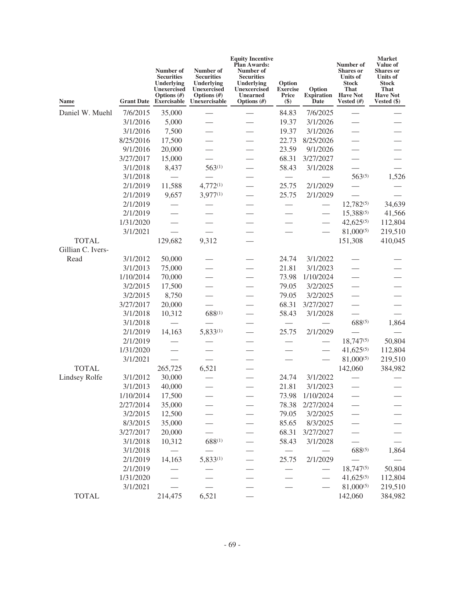| Name                 |           | Number of<br><b>Securities</b><br>Underlying<br>Unexercised<br>Options $(\#)$<br><b>Grant Date Exercisable</b> | Number of<br><b>Securities</b><br>Underlying<br><b>Unexercised</b><br>Options $(\#)$<br>Unexercisable | <b>Equity Incentive</b><br><b>Plan Awards:</b><br>Number of<br><b>Securities</b><br>Underlying<br><b>Unexcercised</b><br><b>Unearned</b><br>Options (#) | Option<br><b>Exercise</b><br><b>Price</b><br>$(\$)$ | Option<br><b>Expiration</b><br>Date | Number of<br><b>Shares</b> or<br>Units of<br><b>Stock</b><br>That<br><b>Have Not</b><br>Vested $(H)$ | <b>Market</b><br>Value of<br><b>Shares</b> or<br>Units of<br><b>Stock</b><br>That<br><b>Have Not</b><br>Vested (\$) |
|----------------------|-----------|----------------------------------------------------------------------------------------------------------------|-------------------------------------------------------------------------------------------------------|---------------------------------------------------------------------------------------------------------------------------------------------------------|-----------------------------------------------------|-------------------------------------|------------------------------------------------------------------------------------------------------|---------------------------------------------------------------------------------------------------------------------|
| Daniel W. Muehl      | 7/6/2015  | 35,000                                                                                                         |                                                                                                       |                                                                                                                                                         | 84.83                                               | 7/6/2025                            |                                                                                                      |                                                                                                                     |
|                      | 3/1/2016  | 5,000                                                                                                          |                                                                                                       |                                                                                                                                                         | 19.37                                               | 3/1/2026                            |                                                                                                      |                                                                                                                     |
|                      | 3/1/2016  | 7,500                                                                                                          |                                                                                                       |                                                                                                                                                         | 19.37                                               | 3/1/2026                            |                                                                                                      |                                                                                                                     |
|                      | 8/25/2016 | 17,500                                                                                                         |                                                                                                       |                                                                                                                                                         | 22.73                                               | 8/25/2026                           |                                                                                                      |                                                                                                                     |
|                      | 9/1/2016  | 20,000                                                                                                         |                                                                                                       |                                                                                                                                                         | 23.59                                               | 9/1/2026                            |                                                                                                      |                                                                                                                     |
|                      | 3/27/2017 | 15,000                                                                                                         |                                                                                                       |                                                                                                                                                         | 68.31                                               | 3/27/2027                           |                                                                                                      |                                                                                                                     |
|                      | 3/1/2018  | 8,437                                                                                                          | $563^{(1)}$                                                                                           |                                                                                                                                                         | 58.43                                               | 3/1/2028                            |                                                                                                      |                                                                                                                     |
|                      | 3/1/2018  |                                                                                                                |                                                                                                       |                                                                                                                                                         |                                                     |                                     | $563^{(5)}$                                                                                          | 1,526                                                                                                               |
|                      | 2/1/2019  | 11,588                                                                                                         | $4,772^{(1)}$                                                                                         |                                                                                                                                                         | 25.75                                               | 2/1/2029                            |                                                                                                      |                                                                                                                     |
|                      | 2/1/2019  | 9,657                                                                                                          | $3,977^{(1)}$                                                                                         |                                                                                                                                                         | 25.75                                               | 2/1/2029                            |                                                                                                      |                                                                                                                     |
|                      | 2/1/2019  |                                                                                                                |                                                                                                       |                                                                                                                                                         |                                                     |                                     | 12,782(5)                                                                                            | 34,639                                                                                                              |
|                      | 2/1/2019  |                                                                                                                |                                                                                                       |                                                                                                                                                         |                                                     |                                     | 15,388(5)                                                                                            | 41,566                                                                                                              |
|                      | 1/31/2020 |                                                                                                                |                                                                                                       |                                                                                                                                                         |                                                     |                                     | $42,625^{(5)}$                                                                                       | 112,804                                                                                                             |
|                      | 3/1/2021  |                                                                                                                |                                                                                                       |                                                                                                                                                         |                                                     |                                     | 81,000(5)                                                                                            | 219,510                                                                                                             |
| <b>TOTAL</b>         |           | 129,682                                                                                                        | 9,312                                                                                                 |                                                                                                                                                         |                                                     |                                     | 151,308                                                                                              | 410,045                                                                                                             |
| Gillian C. Ivers-    |           |                                                                                                                |                                                                                                       |                                                                                                                                                         |                                                     |                                     |                                                                                                      |                                                                                                                     |
| Read                 | 3/1/2012  | 50,000                                                                                                         |                                                                                                       |                                                                                                                                                         | 24.74                                               | 3/1/2022                            |                                                                                                      |                                                                                                                     |
|                      | 3/1/2013  | 75,000                                                                                                         |                                                                                                       |                                                                                                                                                         | 21.81                                               | 3/1/2023                            |                                                                                                      |                                                                                                                     |
|                      | 1/10/2014 | 70,000                                                                                                         |                                                                                                       |                                                                                                                                                         | 73.98                                               | 1/10/2024                           |                                                                                                      |                                                                                                                     |
|                      | 3/2/2015  | 17,500                                                                                                         |                                                                                                       |                                                                                                                                                         | 79.05                                               | 3/2/2025                            |                                                                                                      |                                                                                                                     |
|                      | 3/2/2015  | 8,750                                                                                                          |                                                                                                       |                                                                                                                                                         | 79.05                                               | 3/2/2025                            |                                                                                                      |                                                                                                                     |
|                      | 3/27/2017 | 20,000                                                                                                         |                                                                                                       |                                                                                                                                                         | 68.31                                               | 3/27/2027                           |                                                                                                      |                                                                                                                     |
|                      | 3/1/2018  | 10,312                                                                                                         | 688(1)                                                                                                |                                                                                                                                                         | 58.43                                               | 3/1/2028                            |                                                                                                      |                                                                                                                     |
|                      | 3/1/2018  |                                                                                                                |                                                                                                       |                                                                                                                                                         |                                                     |                                     | $688^{(5)}$                                                                                          | 1,864                                                                                                               |
|                      | 2/1/2019  | 14,163                                                                                                         | $5,833^{(1)}$                                                                                         |                                                                                                                                                         | 25.75                                               | 2/1/2029                            |                                                                                                      |                                                                                                                     |
|                      | 2/1/2019  |                                                                                                                |                                                                                                       |                                                                                                                                                         |                                                     |                                     | 18,747(5)                                                                                            | 50,804                                                                                                              |
|                      | 1/31/2020 |                                                                                                                |                                                                                                       |                                                                                                                                                         |                                                     |                                     | $41,625^{(5)}$                                                                                       | 112,804                                                                                                             |
|                      | 3/1/2021  |                                                                                                                |                                                                                                       |                                                                                                                                                         |                                                     |                                     | 81,000(5)                                                                                            | 219,510                                                                                                             |
| <b>TOTAL</b>         |           | 265,725                                                                                                        | 6,521                                                                                                 |                                                                                                                                                         |                                                     |                                     | 142,060                                                                                              | 384,982                                                                                                             |
| <b>Lindsey Rolfe</b> | 3/1/2012  | 30,000                                                                                                         |                                                                                                       |                                                                                                                                                         | 24.74                                               | 3/1/2022                            |                                                                                                      |                                                                                                                     |
|                      | 3/1/2013  | 40,000                                                                                                         |                                                                                                       |                                                                                                                                                         | 21.81                                               | 3/1/2023                            |                                                                                                      |                                                                                                                     |
|                      | 1/10/2014 | 17,500                                                                                                         |                                                                                                       |                                                                                                                                                         | 73.98                                               | 1/10/2024                           |                                                                                                      |                                                                                                                     |
|                      | 2/27/2014 | 35,000                                                                                                         |                                                                                                       |                                                                                                                                                         | 78.38                                               | 2/27/2024                           |                                                                                                      |                                                                                                                     |
|                      | 3/2/2015  | 12,500                                                                                                         |                                                                                                       |                                                                                                                                                         | 79.05                                               | 3/2/2025                            |                                                                                                      |                                                                                                                     |
|                      | 8/3/2015  | 35,000                                                                                                         |                                                                                                       |                                                                                                                                                         | 85.65                                               | 8/3/2025                            |                                                                                                      |                                                                                                                     |
|                      | 3/27/2017 | 20,000                                                                                                         |                                                                                                       |                                                                                                                                                         | 68.31                                               | 3/27/2027                           |                                                                                                      |                                                                                                                     |
|                      | 3/1/2018  | 10,312                                                                                                         | $688^{(1)}$                                                                                           |                                                                                                                                                         | 58.43                                               | 3/1/2028                            |                                                                                                      |                                                                                                                     |
|                      | 3/1/2018  |                                                                                                                |                                                                                                       |                                                                                                                                                         |                                                     |                                     | $688^{(5)}$                                                                                          | 1,864                                                                                                               |
|                      | 2/1/2019  | 14,163                                                                                                         | 5,833(1)                                                                                              |                                                                                                                                                         | 25.75                                               | 2/1/2029                            |                                                                                                      |                                                                                                                     |
|                      | 2/1/2019  |                                                                                                                |                                                                                                       |                                                                                                                                                         |                                                     |                                     | 18,747(5)                                                                                            | 50,804                                                                                                              |
|                      | 1/31/2020 |                                                                                                                |                                                                                                       |                                                                                                                                                         |                                                     |                                     | $41,625^{(5)}$                                                                                       | 112,804                                                                                                             |
|                      | 3/1/2021  |                                                                                                                |                                                                                                       |                                                                                                                                                         |                                                     |                                     | 81,000(5)                                                                                            | 219,510                                                                                                             |
| <b>TOTAL</b>         |           | 214,475                                                                                                        | 6,521                                                                                                 |                                                                                                                                                         |                                                     |                                     | 142,060                                                                                              | 384,982                                                                                                             |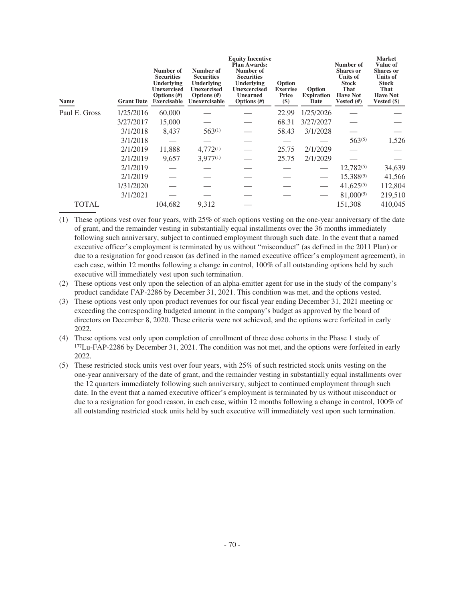| <b>Name</b>   | <b>Grant Date</b> | Number of<br><b>Securities</b><br>Underlying<br><b>Unexercised</b><br>Options $(H)$<br><b>Exercisable</b> | Number of<br><b>Securities</b><br>Underlying<br><b>Unexercised</b><br>Options $(H)$<br>Unexercisable | <b>Equity Incentive</b><br><b>Plan Awards:</b><br>Number of<br><b>Securities</b><br><b>Underlying</b><br><b>Unexcercised</b><br><b>Unearned</b><br>Options $(H)$ | Option<br><b>Exercise</b><br>Price<br>$(\$)$ | Option<br><b>Expiration</b><br>Date | Number of<br><b>Shares</b> or<br><b>Units of</b><br><b>Stock</b><br>That<br><b>Have Not</b><br>Vested $(H)$ | <b>Market</b><br>Value of<br><b>Shares or</b><br><b>Units of</b><br><b>Stock</b><br>That<br><b>Have Not</b><br>Vested (\$) |
|---------------|-------------------|-----------------------------------------------------------------------------------------------------------|------------------------------------------------------------------------------------------------------|------------------------------------------------------------------------------------------------------------------------------------------------------------------|----------------------------------------------|-------------------------------------|-------------------------------------------------------------------------------------------------------------|----------------------------------------------------------------------------------------------------------------------------|
| Paul E. Gross | 1/25/2016         | 60,000                                                                                                    |                                                                                                      |                                                                                                                                                                  | 22.99                                        | 1/25/2026                           |                                                                                                             |                                                                                                                            |
|               | 3/27/2017         | 15,000                                                                                                    |                                                                                                      |                                                                                                                                                                  | 68.31                                        | 3/27/2027                           |                                                                                                             |                                                                                                                            |
|               | 3/1/2018          | 8,437                                                                                                     | $563^{(1)}$                                                                                          |                                                                                                                                                                  | 58.43                                        | 3/1/2028                            |                                                                                                             |                                                                                                                            |
|               | 3/1/2018          |                                                                                                           |                                                                                                      |                                                                                                                                                                  |                                              |                                     | $563^{(5)}$                                                                                                 | 1,526                                                                                                                      |
|               | 2/1/2019          | 11,888                                                                                                    | $4,772^{(1)}$                                                                                        |                                                                                                                                                                  | 25.75                                        | 2/1/2029                            |                                                                                                             |                                                                                                                            |
|               | 2/1/2019          | 9,657                                                                                                     | $3,977^{(1)}$                                                                                        |                                                                                                                                                                  | 25.75                                        | 2/1/2029                            |                                                                                                             |                                                                                                                            |
|               | 2/1/2019          |                                                                                                           |                                                                                                      |                                                                                                                                                                  |                                              |                                     | $12,782^{(5)}$                                                                                              | 34,639                                                                                                                     |
|               | 2/1/2019          |                                                                                                           |                                                                                                      |                                                                                                                                                                  |                                              |                                     | 15,388(5)                                                                                                   | 41,566                                                                                                                     |
|               | 1/31/2020         |                                                                                                           |                                                                                                      |                                                                                                                                                                  |                                              |                                     | $41,625^{(5)}$                                                                                              | 112,804                                                                                                                    |
|               | 3/1/2021          |                                                                                                           |                                                                                                      |                                                                                                                                                                  |                                              |                                     | $81,000^{(5)}$                                                                                              | 219,510                                                                                                                    |
| <b>TOTAL</b>  |                   | 104,682                                                                                                   | 9,312                                                                                                |                                                                                                                                                                  |                                              |                                     | 151,308                                                                                                     | 410.045                                                                                                                    |
|               |                   |                                                                                                           |                                                                                                      |                                                                                                                                                                  |                                              |                                     |                                                                                                             |                                                                                                                            |

- (1) These options vest over four years, with 25% of such options vesting on the one-year anniversary of the date of grant, and the remainder vesting in substantially equal installments over the 36 months immediately following such anniversary, subject to continued employment through such date. In the event that a named executive officer's employment is terminated by us without "misconduct" (as defined in the 2011 Plan) or due to a resignation for good reason (as defined in the named executive officer's employment agreement), in each case, within 12 months following a change in control, 100% of all outstanding options held by such executive will immediately vest upon such termination.
- (2) These options vest only upon the selection of an alpha-emitter agent for use in the study of the company's product candidate FAP-2286 by December 31, 2021. This condition was met, and the options vested.
- (3) These options vest only upon product revenues for our fiscal year ending December 31, 2021 meeting or exceeding the corresponding budgeted amount in the company's budget as approved by the board of directors on December 8, 2020. These criteria were not achieved, and the options were forfeited in early 2022.
- (4) These options vest only upon completion of enrollment of three dose cohorts in the Phase 1 study of 177Lu-FAP-2286 by December 31, 2021. The condition was not met, and the options were forfeited in early 2022.
- (5) These restricted stock units vest over four years, with 25% of such restricted stock units vesting on the one-year anniversary of the date of grant, and the remainder vesting in substantially equal installments over the 12 quarters immediately following such anniversary, subject to continued employment through such date. In the event that a named executive officer's employment is terminated by us without misconduct or due to a resignation for good reason, in each case, within 12 months following a change in control, 100% of all outstanding restricted stock units held by such executive will immediately vest upon such termination.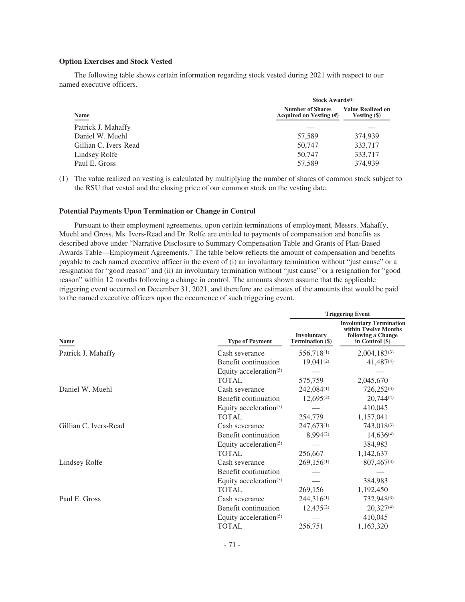## **Option Exercises and Stock Vested**

The following table shows certain information regarding stock vested during 2021 with respect to our named executive officers.

|                       | Stock Awards $(1)$                                 |                                          |  |
|-----------------------|----------------------------------------------------|------------------------------------------|--|
| Name                  | <b>Number of Shares</b><br>Acquired on Vesting (#) | <b>Value Realized on</b><br>Vesting (\$) |  |
| Patrick J. Mahaffy    |                                                    |                                          |  |
| Daniel W. Muehl       | 57,589                                             | 374,939                                  |  |
| Gillian C. Ivers-Read | 50,747                                             | 333,717                                  |  |
| Lindsey Rolfe         | 50,747                                             | 333,717                                  |  |
| Paul E. Gross         | 57,589                                             | 374,939                                  |  |

(1) The value realized on vesting is calculated by multiplying the number of shares of common stock subject to the RSU that vested and the closing price of our common stock on the vesting date.

### **Potential Payments Upon Termination or Change in Control**

Pursuant to their employment agreements, upon certain terminations of employment, Messrs. Mahaffy, Muehl and Gross, Ms. Ivers-Read and Dr. Rolfe are entitled to payments of compensation and benefits as described above under "Narrative Disclosure to Summary Compensation Table and Grants of Plan-Based Awards Table—Employment Agreements." The table below reflects the amount of compensation and benefits payable to each named executive officer in the event of (i) an involuntary termination without "just cause" or a resignation for "good reason" and (ii) an involuntary termination without "just cause" or a resignation for "good reason" within 12 months following a change in control. The amounts shown assume that the applicable triggering event occurred on December 31, 2021, and therefore are estimates of the amounts that would be paid to the named executive officers upon the occurrence of such triggering event.

|                       |                                                 | <b>Triggering Event</b>                |                                                                                                   |
|-----------------------|-------------------------------------------------|----------------------------------------|---------------------------------------------------------------------------------------------------|
| <b>Name</b>           | <b>Type of Payment</b>                          | Involuntary<br><b>Termination (\$)</b> | <b>Involuntary Termination</b><br>within Twelve Months<br>following a Change<br>in Control $(\$)$ |
| Patrick J. Mahaffy    | Cash severance                                  | 556,718 <sup>(1)</sup>                 | $2,004,183^{(3)}$                                                                                 |
|                       | Benefit continuation                            | $19,041^{(2)}$                         | 41,487(4)                                                                                         |
|                       | Equity acceleration $(5)$                       |                                        |                                                                                                   |
|                       | <b>TOTAL</b>                                    | 575,759                                | 2,045,670                                                                                         |
| Daniel W. Muehl       | Cash severance                                  | 242,084(1)                             | 726,252(3)                                                                                        |
|                       | Benefit continuation                            | $12,695^{(2)}$                         | $20,744^{(4)}$                                                                                    |
|                       | Equity acceleration <sup>(5)</sup>              |                                        | 410,045                                                                                           |
|                       | <b>TOTAL</b>                                    | 254,779                                | 1,157,041                                                                                         |
| Gillian C. Ivers-Read | Cash severance                                  | $247,673^{(1)}$                        | 743,018(3)                                                                                        |
|                       | Benefit continuation                            | 8,994(2)                               | $14,636^{(4)}$                                                                                    |
|                       | Equity acceleration <sup>(5)</sup>              |                                        | 384,983                                                                                           |
|                       | <b>TOTAL</b>                                    | 256,667                                | 1,142,637                                                                                         |
| Lindsey Rolfe         | Cash severance                                  | $269,156^{(1)}$                        | 807,467(3)                                                                                        |
|                       | Benefit continuation                            |                                        |                                                                                                   |
|                       | Equity acceleration <sup><math>(5)</math></sup> |                                        | 384,983                                                                                           |
|                       | <b>TOTAL</b>                                    | 269,156                                | 1,192,450                                                                                         |
| Paul E. Gross         | Cash severance                                  | $244,316^{(1)}$                        | 732,948(3)                                                                                        |
|                       | Benefit continuation                            | $12,435^{(2)}$                         | $20,327^{(4)}$                                                                                    |
|                       | Equity acceleration $(5)$                       |                                        | 410,045                                                                                           |
|                       | <b>TOTAL</b>                                    | 256,751                                | 1,163,320                                                                                         |
|                       |                                                 |                                        |                                                                                                   |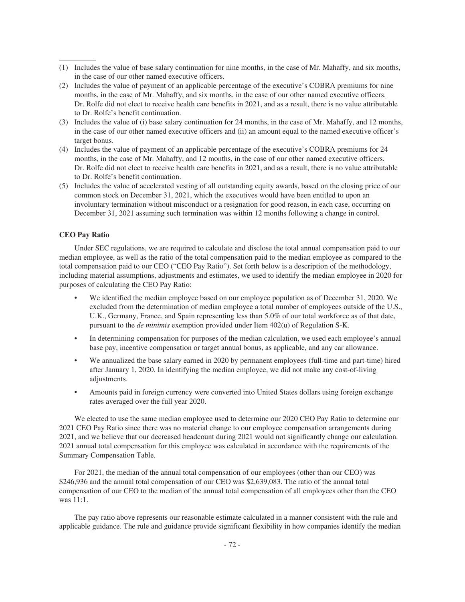- (1) Includes the value of base salary continuation for nine months, in the case of Mr. Mahaffy, and six months, in the case of our other named executive officers.
- (2) Includes the value of payment of an applicable percentage of the executive's COBRA premiums for nine months, in the case of Mr. Mahaffy, and six months, in the case of our other named executive officers. Dr. Rolfe did not elect to receive health care benefits in 2021, and as a result, there is no value attributable to Dr. Rolfe's benefit continuation.
- (3) Includes the value of (i) base salary continuation for 24 months, in the case of Mr. Mahaffy, and 12 months, in the case of our other named executive officers and (ii) an amount equal to the named executive officer's target bonus.
- (4) Includes the value of payment of an applicable percentage of the executive's COBRA premiums for 24 months, in the case of Mr. Mahaffy, and 12 months, in the case of our other named executive officers. Dr. Rolfe did not elect to receive health care benefits in 2021, and as a result, there is no value attributable to Dr. Rolfe's benefit continuation.
- (5) Includes the value of accelerated vesting of all outstanding equity awards, based on the closing price of our common stock on December 31, 2021, which the executives would have been entitled to upon an involuntary termination without misconduct or a resignation for good reason, in each case, occurring on December 31, 2021 assuming such termination was within 12 months following a change in control.

# **CEO Pay Ratio**

Under SEC regulations, we are required to calculate and disclose the total annual compensation paid to our median employee, as well as the ratio of the total compensation paid to the median employee as compared to the total compensation paid to our CEO ("CEO Pay Ratio"). Set forth below is a description of the methodology, including material assumptions, adjustments and estimates, we used to identify the median employee in 2020 for purposes of calculating the CEO Pay Ratio:

- We identified the median employee based on our employee population as of December 31, 2020. We excluded from the determination of median employee a total number of employees outside of the U.S., U.K., Germany, France, and Spain representing less than 5.0% of our total workforce as of that date, pursuant to the *de minimis* exemption provided under Item 402(u) of Regulation S-K.
- In determining compensation for purposes of the median calculation, we used each employee's annual base pay, incentive compensation or target annual bonus, as applicable, and any car allowance.
- We annualized the base salary earned in 2020 by permanent employees (full-time and part-time) hired after January 1, 2020. In identifying the median employee, we did not make any cost-of-living adjustments.
- Amounts paid in foreign currency were converted into United States dollars using foreign exchange rates averaged over the full year 2020.

We elected to use the same median employee used to determine our 2020 CEO Pay Ratio to determine our 2021 CEO Pay Ratio since there was no material change to our employee compensation arrangements during 2021, and we believe that our decreased headcount during 2021 would not significantly change our calculation. 2021 annual total compensation for this employee was calculated in accordance with the requirements of the Summary Compensation Table.

For 2021, the median of the annual total compensation of our employees (other than our CEO) was \$246,936 and the annual total compensation of our CEO was \$2,639,083. The ratio of the annual total compensation of our CEO to the median of the annual total compensation of all employees other than the CEO was 11:1.

The pay ratio above represents our reasonable estimate calculated in a manner consistent with the rule and applicable guidance. The rule and guidance provide significant flexibility in how companies identify the median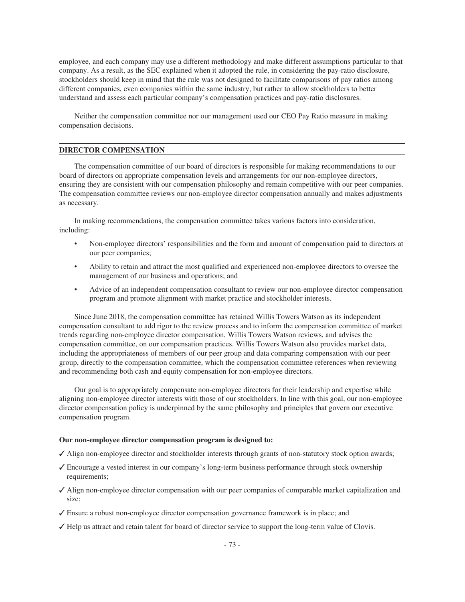employee, and each company may use a different methodology and make different assumptions particular to that company. As a result, as the SEC explained when it adopted the rule, in considering the pay-ratio disclosure, stockholders should keep in mind that the rule was not designed to facilitate comparisons of pay ratios among different companies, even companies within the same industry, but rather to allow stockholders to better understand and assess each particular company's compensation practices and pay-ratio disclosures.

Neither the compensation committee nor our management used our CEO Pay Ratio measure in making compensation decisions.

### **DIRECTOR COMPENSATION**

The compensation committee of our board of directors is responsible for making recommendations to our board of directors on appropriate compensation levels and arrangements for our non-employee directors, ensuring they are consistent with our compensation philosophy and remain competitive with our peer companies. The compensation committee reviews our non-employee director compensation annually and makes adjustments as necessary.

In making recommendations, the compensation committee takes various factors into consideration, including:

- Non-employee directors' responsibilities and the form and amount of compensation paid to directors at our peer companies;
- Ability to retain and attract the most qualified and experienced non-employee directors to oversee the management of our business and operations; and
- Advice of an independent compensation consultant to review our non-employee director compensation program and promote alignment with market practice and stockholder interests.

Since June 2018, the compensation committee has retained Willis Towers Watson as its independent compensation consultant to add rigor to the review process and to inform the compensation committee of market trends regarding non-employee director compensation, Willis Towers Watson reviews, and advises the compensation committee, on our compensation practices. Willis Towers Watson also provides market data, including the appropriateness of members of our peer group and data comparing compensation with our peer group, directly to the compensation committee, which the compensation committee references when reviewing and recommending both cash and equity compensation for non-employee directors.

Our goal is to appropriately compensate non-employee directors for their leadership and expertise while aligning non-employee director interests with those of our stockholders. In line with this goal, our non-employee director compensation policy is underpinned by the same philosophy and principles that govern our executive compensation program.

### **Our non-employee director compensation program is designed to:**

- ✓ Align non-employee director and stockholder interests through grants of non-statutory stock option awards;
- ✓ Encourage a vested interest in our company's long-term business performance through stock ownership requirements;
- ✓ Align non-employee director compensation with our peer companies of comparable market capitalization and size;
- ✓ Ensure a robust non-employee director compensation governance framework is in place; and
- ✓ Help us attract and retain talent for board of director service to support the long-term value of Clovis.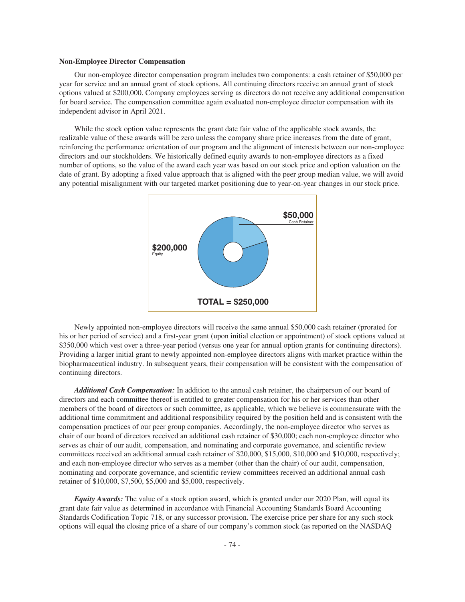### **Non-Employee Director Compensation**

Our non-employee director compensation program includes two components: a cash retainer of \$50,000 per year for service and an annual grant of stock options. All continuing directors receive an annual grant of stock options valued at \$200,000. Company employees serving as directors do not receive any additional compensation for board service. The compensation committee again evaluated non-employee director compensation with its independent advisor in April 2021.

While the stock option value represents the grant date fair value of the applicable stock awards, the realizable value of these awards will be zero unless the company share price increases from the date of grant, reinforcing the performance orientation of our program and the alignment of interests between our non-employee directors and our stockholders. We historically defined equity awards to non-employee directors as a fixed number of options, so the value of the award each year was based on our stock price and option valuation on the date of grant. By adopting a fixed value approach that is aligned with the peer group median value, we will avoid any potential misalignment with our targeted market positioning due to year-on-year changes in our stock price.



Newly appointed non-employee directors will receive the same annual \$50,000 cash retainer (prorated for his or her period of service) and a first-year grant (upon initial election or appointment) of stock options valued at \$350,000 which vest over a three-year period (versus one year for annual option grants for continuing directors). Providing a larger initial grant to newly appointed non-employee directors aligns with market practice within the biopharmaceutical industry. In subsequent years, their compensation will be consistent with the compensation of continuing directors.

*Additional Cash Compensation:* In addition to the annual cash retainer, the chairperson of our board of directors and each committee thereof is entitled to greater compensation for his or her services than other members of the board of directors or such committee, as applicable, which we believe is commensurate with the additional time commitment and additional responsibility required by the position held and is consistent with the compensation practices of our peer group companies. Accordingly, the non-employee director who serves as chair of our board of directors received an additional cash retainer of \$30,000; each non-employee director who serves as chair of our audit, compensation, and nominating and corporate governance, and scientific review committees received an additional annual cash retainer of \$20,000, \$15,000, \$10,000 and \$10,000, respectively; and each non-employee director who serves as a member (other than the chair) of our audit, compensation, nominating and corporate governance, and scientific review committees received an additional annual cash retainer of \$10,000, \$7,500, \$5,000 and \$5,000, respectively.

*Equity Awards:* The value of a stock option award, which is granted under our 2020 Plan, will equal its grant date fair value as determined in accordance with Financial Accounting Standards Board Accounting Standards Codification Topic 718, or any successor provision. The exercise price per share for any such stock options will equal the closing price of a share of our company's common stock (as reported on the NASDAQ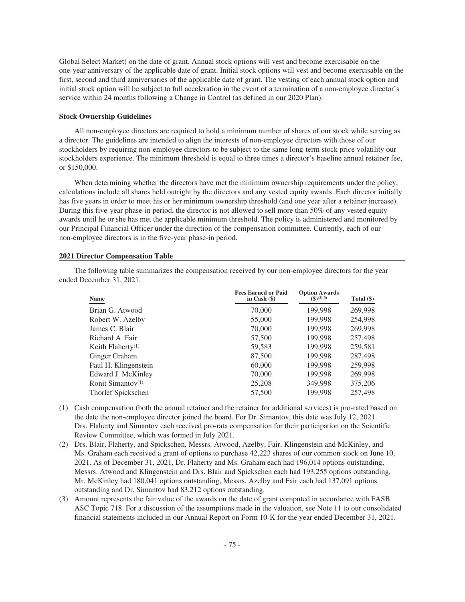Global Select Market) on the date of grant. Annual stock options will vest and become exercisable on the one-year anniversary of the applicable date of grant. Initial stock options will vest and become exercisable on the first, second and third anniversaries of the applicable date of grant. The vesting of each annual stock option and initial stock option will be subject to full acceleration in the event of a termination of a non-employee director's service within 24 months following a Change in Control (as defined in our 2020 Plan).

### **Stock Ownership Guidelines**

All non-employee directors are required to hold a minimum number of shares of our stock while serving as a director. The guidelines are intended to align the interests of non-employee directors with those of our stockholders by requiring non-employee directors to be subject to the same long-term stock price volatility our stockholders experience. The minimum threshold is equal to three times a director's baseline annual retainer fee, or \$150,000.

When determining whether the directors have met the minimum ownership requirements under the policy, calculations include all shares held outright by the directors and any vested equity awards. Each director initially has five years in order to meet his or her minimum ownership threshold (and one year after a retainer increase). During this five-year phase-in period, the director is not allowed to sell more than 50% of any vested equity awards until he or she has met the applicable minimum threshold. The policy is administered and monitored by our Principal Financial Officer under the direction of the compensation committee. Currently, each of our non-employee directors is in the five-year phase-in period.

#### **2021 Director Compensation Table**

The following table summarizes the compensation received by our non-employee directors for the year ended December 31, 2021.

| <b>Name</b>                   | <b>Fees Earned or Paid</b><br>in Cash $(\$)$ | <b>Option Awards</b><br>$\binom{6}{3}$ (2)(3) | Total $(\$)$ |
|-------------------------------|----------------------------------------------|-----------------------------------------------|--------------|
| Brian G. Atwood               | 70,000                                       | 199,998                                       | 269,998      |
| Robert W. Azelby              | 55,000                                       | 199,998                                       | 254,998      |
| James C. Blair                | 70,000                                       | 199,998                                       | 269,998      |
| Richard A. Fair               | 57,500                                       | 199,998                                       | 257,498      |
| Keith Flaherty <sup>(1)</sup> | 59,583                                       | 199,998                                       | 259,581      |
| Ginger Graham                 | 87,500                                       | 199,998                                       | 287,498      |
| Paul H. Klingenstein          | 60,000                                       | 199,998                                       | 259,998      |
| Edward J. McKinley            | 70,000                                       | 199,998                                       | 269,998      |
| Ronit Simantov $(1)$          | 25,208                                       | 349,998                                       | 375,206      |
| Thorlef Spickschen            | 57,500                                       | 199,998                                       | 257,498      |

- (1) Cash compensation (both the annual retainer and the retainer for additional services) is pro-rated based on the date the non-employee director joined the board. For Dr. Simantov, this date was July 12, 2021. Drs. Flaherty and Simantov each received pro-rata compensation for their participation on the Scientific Review Committee, which was formed in July 2021.
- (2) Drs. Blair, Flaherty, and Spickschen, Messrs. Atwood, Azelby, Fair, Klingenstein and McKinley, and Ms. Graham each received a grant of options to purchase 42,223 shares of our common stock on June 10, 2021. As of December 31, 2021, Dr. Flaherty and Ms. Graham each had 196,014 options outstanding, Messrs. Atwood and Klingenstein and Drs. Blair and Spickschen each had 193,255 options outstanding, Mr. McKinley had 180,041 options outstanding, Messrs. Azelby and Fair each had 137,091 options outstanding and Dr. Simantov had 83,212 options outstanding.
- (3) Amount represents the fair value of the awards on the date of grant computed in accordance with FASB ASC Topic 718. For a discussion of the assumptions made in the valuation, see Note 11 to our consolidated financial statements included in our Annual Report on Form 10-K for the year ended December 31, 2021.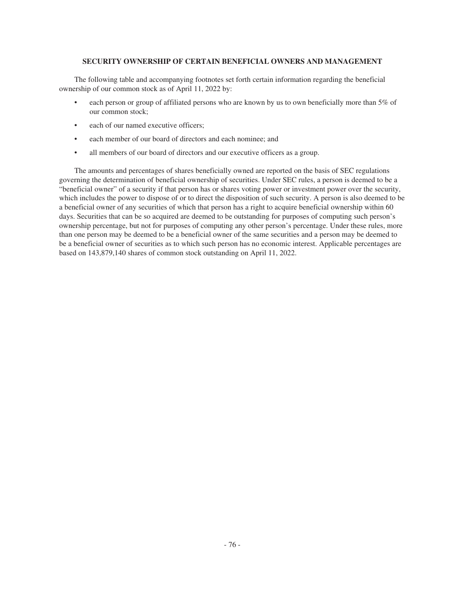# **SECURITY OWNERSHIP OF CERTAIN BENEFICIAL OWNERS AND MANAGEMENT**

The following table and accompanying footnotes set forth certain information regarding the beneficial ownership of our common stock as of April 11, 2022 by:

- each person or group of affiliated persons who are known by us to own beneficially more than 5% of our common stock;
- each of our named executive officers;
- each member of our board of directors and each nominee; and
- all members of our board of directors and our executive officers as a group.

The amounts and percentages of shares beneficially owned are reported on the basis of SEC regulations governing the determination of beneficial ownership of securities. Under SEC rules, a person is deemed to be a "beneficial owner" of a security if that person has or shares voting power or investment power over the security, which includes the power to dispose of or to direct the disposition of such security. A person is also deemed to be a beneficial owner of any securities of which that person has a right to acquire beneficial ownership within 60 days. Securities that can be so acquired are deemed to be outstanding for purposes of computing such person's ownership percentage, but not for purposes of computing any other person's percentage. Under these rules, more than one person may be deemed to be a beneficial owner of the same securities and a person may be deemed to be a beneficial owner of securities as to which such person has no economic interest. Applicable percentages are based on 143,879,140 shares of common stock outstanding on April 11, 2022.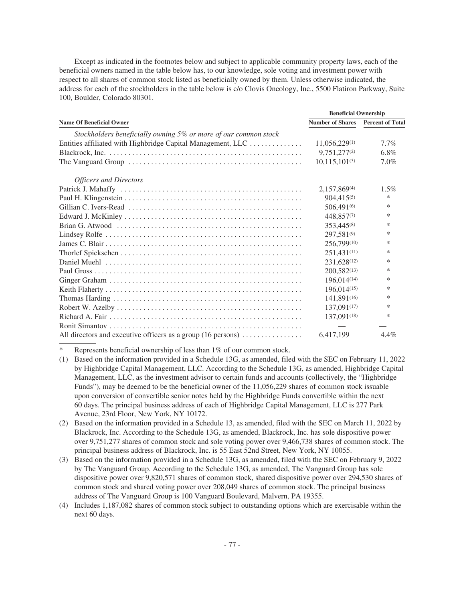Except as indicated in the footnotes below and subject to applicable community property laws, each of the beneficial owners named in the table below has, to our knowledge, sole voting and investment power with respect to all shares of common stock listed as beneficially owned by them. Unless otherwise indicated, the address for each of the stockholders in the table below is c/o Clovis Oncology, Inc., 5500 Flatiron Parkway, Suite 100, Boulder, Colorado 80301.

|                                                                 | <b>Beneficial Ownership</b> |                         |  |
|-----------------------------------------------------------------|-----------------------------|-------------------------|--|
| <b>Name Of Beneficial Owner</b>                                 | <b>Number of Shares</b>     | <b>Percent of Total</b> |  |
| Stockholders beneficially owning 5% or more of our common stock |                             |                         |  |
| Entities affiliated with Highbridge Capital Management, LLC     | $11,056,229^{(1)}$          | $7.7\%$                 |  |
|                                                                 | 9,751,277(2)                | 6.8%                    |  |
|                                                                 | $10,115,101^{(3)}$          | 7.0%                    |  |
| <b>Officers and Directors</b>                                   |                             |                         |  |
|                                                                 | 2,157,869 <sup>(4)</sup>    | $1.5\%$                 |  |
|                                                                 | $904,415^{(5)}$             | $\ast$                  |  |
|                                                                 | 506,491(6)                  | *                       |  |
|                                                                 | 448,857(7)                  | *                       |  |
|                                                                 | 353,445 <sup>(8)</sup>      | *                       |  |
|                                                                 | 297,581(9)                  | $\ast$                  |  |
|                                                                 | 256,799(10)                 | *                       |  |
|                                                                 | $251,431^{(11)}$            | $\ast$                  |  |
|                                                                 | 231,628(12)                 | *                       |  |
|                                                                 | $200,582^{(13)}$            | *                       |  |
|                                                                 | 196,014(14)                 | *                       |  |
|                                                                 | 196,014(15)                 | *                       |  |
|                                                                 | 141,891(16)                 | *                       |  |
|                                                                 | 137,091(17)                 | $\ast$                  |  |
|                                                                 | 137,091(18)                 | *                       |  |
|                                                                 |                             |                         |  |
| All directors and executive officers as a group (16 persons)    | 6,417,199                   | $4.4\%$                 |  |

Represents beneficial ownership of less than 1% of our common stock.

- (1) Based on the information provided in a Schedule 13G, as amended, filed with the SEC on February 11, 2022 by Highbridge Capital Management, LLC. According to the Schedule 13G, as amended, Highbridge Capital Management, LLC, as the investment advisor to certain funds and accounts (collectively, the "Highbridge Funds"), may be deemed to be the beneficial owner of the 11,056,229 shares of common stock issuable upon conversion of convertible senior notes held by the Highbridge Funds convertible within the next 60 days. The principal business address of each of Highbridge Capital Management, LLC is 277 Park Avenue, 23rd Floor, New York, NY 10172.
- (2) Based on the information provided in a Schedule 13, as amended, filed with the SEC on March 11, 2022 by Blackrock, Inc. According to the Schedule 13G, as amended, Blackrock, Inc. has sole dispositive power over 9,751,277 shares of common stock and sole voting power over 9,466,738 shares of common stock. The principal business address of Blackrock, Inc. is 55 East 52nd Street, New York, NY 10055.
- (3) Based on the information provided in a Schedule 13G, as amended, filed with the SEC on February 9, 2022 by The Vanguard Group. According to the Schedule 13G, as amended, The Vanguard Group has sole dispositive power over 9,820,571 shares of common stock, shared dispositive power over 294,530 shares of common stock and shared voting power over 208,049 shares of common stock. The principal business address of The Vanguard Group is 100 Vanguard Boulevard, Malvern, PA 19355.
- (4) Includes 1,187,082 shares of common stock subject to outstanding options which are exercisable within the next 60 days.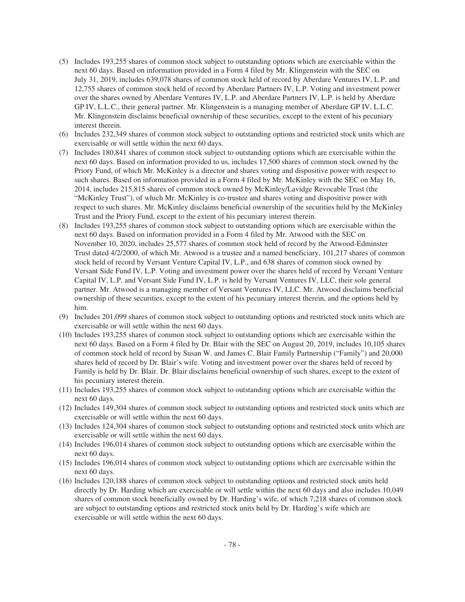- (5) Includes 193,255 shares of common stock subject to outstanding options which are exercisable within the next 60 days. Based on information provided in a Form 4 filed by Mr. Klingenstein with the SEC on July 31, 2019, includes 639,078 shares of common stock held of record by Aberdare Ventures IV, L.P. and 12,755 shares of common stock held of record by Aberdare Partners IV, L.P. Voting and investment power over the shares owned by Aberdare Ventures IV, L.P. and Aberdare Partners IV, L.P. is held by Aberdare GP IV, L.L.C., their general partner. Mr. Klingenstein is a managing member of Aberdare GP IV, L.L.C. Mr. Klingenstein disclaims beneficial ownership of these securities, except to the extent of his pecuniary interest therein.
- (6) Includes 232,349 shares of common stock subject to outstanding options and restricted stock units which are exercisable or will settle within the next 60 days.
- (7) Includes 180,841 shares of common stock subject to outstanding options which are exercisable within the next 60 days. Based on information provided to us, includes 17,500 shares of common stock owned by the Priory Fund, of which Mr. McKinley is a director and shares voting and dispositive power with respect to such shares. Based on information provided in a Form 4 filed by Mr. McKinley with the SEC on May 16, 2014, includes 215,815 shares of common stock owned by McKinley/Lavidge Revocable Trust (the "McKinley Trust"), of which Mr. McKinley is co-trustee and shares voting and dispositive power with respect to such shares. Mr. McKinley disclaims beneficial ownership of the securities held by the McKinley Trust and the Priory Fund, except to the extent of his pecuniary interest therein.
- (8) Includes 193,255 shares of common stock subject to outstanding options which are exercisable within the next 60 days. Based on information provided in a Form 4 filed by Mr. Atwood with the SEC on November 10, 2020, includes 25,577 shares of common stock held of record by the Atwood-Edminster Trust dated 4/2/2000, of which Mr. Atwood is a trustee and a named beneficiary, 101,217 shares of common stock held of record by Versant Venture Capital IV, L.P., and 638 shares of common stock owned by Versant Side Fund IV, L.P. Voting and investment power over the shares held of record by Versant Venture Capital IV, L.P. and Versant Side Fund IV, L.P. is held by Versant Ventures IV, LLC, their sole general partner. Mr. Atwood is a managing member of Versant Ventures IV, LLC. Mr. Atwood disclaims beneficial ownership of these securities, except to the extent of his pecuniary interest therein, and the options held by him.
- (9) Includes 201,099 shares of common stock subject to outstanding options and restricted stock units which are exercisable or will settle within the next 60 days.
- (10) Includes 193,255 shares of common stock subject to outstanding options which are exercisable within the next 60 days. Based on a Form 4 filed by Dr. Blair with the SEC on August 20, 2019, includes 10,105 shares of common stock held of record by Susan W. and James C. Blair Family Partnership ("Family") and 20,000 shares held of record by Dr. Blair's wife. Voting and investment power over the shares held of record by Family is held by Dr. Blair. Dr. Blair disclaims beneficial ownership of such shares, except to the extent of his pecuniary interest therein.
- (11) Includes 193,255 shares of common stock subject to outstanding options which are exercisable within the next 60 days.
- (12) Includes 149,304 shares of common stock subject to outstanding options and restricted stock units which are exercisable or will settle within the next 60 days.
- (13) Includes 124,304 shares of common stock subject to outstanding options and restricted stock units which are exercisable or will settle within the next 60 days.
- (14) Includes 196,014 shares of common stock subject to outstanding options which are exercisable within the next 60 days.
- (15) Includes 196,014 shares of common stock subject to outstanding options which are exercisable within the next 60 days.
- (16) Includes 120,188 shares of common stock subject to outstanding options and restricted stock units held directly by Dr. Harding which are exercisable or will settle within the next 60 days and also includes 10,049 shares of common stock beneficially owned by Dr. Harding's wife, of which 7,218 shares of common stock are subject to outstanding options and restricted stock units held by Dr. Harding's wife which are exercisable or will settle within the next 60 days.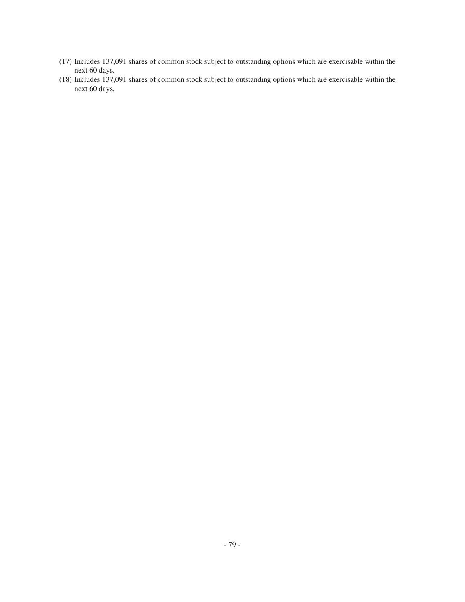- (17) Includes 137,091 shares of common stock subject to outstanding options which are exercisable within the next 60 days.
- (18) Includes 137,091 shares of common stock subject to outstanding options which are exercisable within the next 60 days.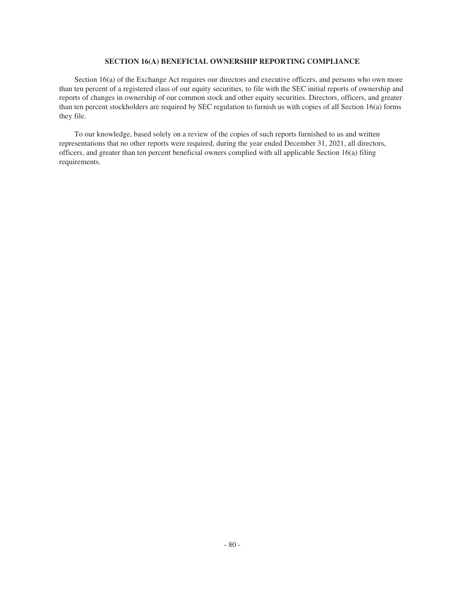# **SECTION 16(A) BENEFICIAL OWNERSHIP REPORTING COMPLIANCE**

Section 16(a) of the Exchange Act requires our directors and executive officers, and persons who own more than ten percent of a registered class of our equity securities, to file with the SEC initial reports of ownership and reports of changes in ownership of our common stock and other equity securities. Directors, officers, and greater than ten percent stockholders are required by SEC regulation to furnish us with copies of all Section 16(a) forms they file.

To our knowledge, based solely on a review of the copies of such reports furnished to us and written representations that no other reports were required, during the year ended December 31, 2021, all directors, officers, and greater than ten percent beneficial owners complied with all applicable Section 16(a) filing requirements.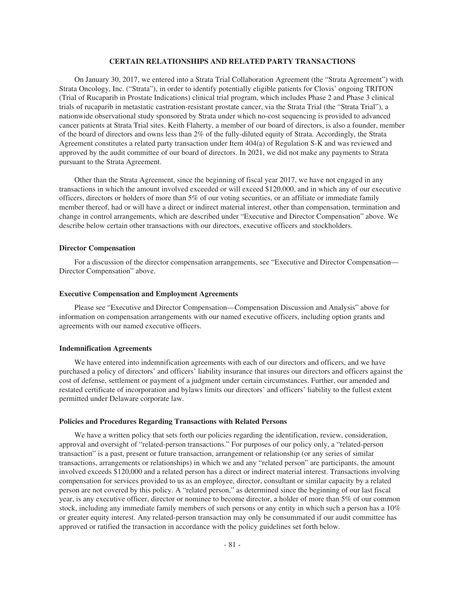### **CERTAIN RELATIONSHIPS AND RELATED PARTY TRANSACTIONS**

On January 30, 2017, we entered into a Strata Trial Collaboration Agreement (the "Strata Agreement") with Strata Oncology, Inc. ("Strata"), in order to identify potentially eligible patients for Clovis' ongoing TRITON (Trial of Rucaparib in Prostate Indications) clinical trial program, which includes Phase 2 and Phase 3 clinical trials of rucaparib in metastatic castration-resistant prostate cancer, via the Strata Trial (the "Strata Trial"), a nationwide observational study sponsored by Strata under which no-cost sequencing is provided to advanced cancer patients at Strata Trial sites. Keith Flaherty, a member of our board of directors, is also a founder, member of the board of directors and owns less than 2% of the fully-diluted equity of Strata. Accordingly, the Strata Agreement constitutes a related party transaction under Item 404(a) of Regulation S-K and was reviewed and approved by the audit committee of our board of directors. In 2021, we did not make any payments to Strata pursuant to the Strata Agreement.

Other than the Strata Agreement, since the beginning of fiscal year 2017, we have not engaged in any transactions in which the amount involved exceeded or will exceed \$120,000, and in which any of our executive officers, directors or holders of more than 5% of our voting securities, or an affiliate or immediate family member thereof, had or will have a direct or indirect material interest, other than compensation, termination and change in control arrangements, which are described under "Executive and Director Compensation" above. We describe below certain other transactions with our directors, executive officers and stockholders.

#### **Director Compensation**

For a discussion of the director compensation arrangements, see "Executive and Director Compensation— Director Compensation" above.

### **Executive Compensation and Employment Agreements**

Please see "Executive and Director Compensation—Compensation Discussion and Analysis" above for information on compensation arrangements with our named executive officers, including option grants and agreements with our named executive officers.

#### **Indemnification Agreements**

We have entered into indemnification agreements with each of our directors and officers, and we have purchased a policy of directors' and officers' liability insurance that insures our directors and officers against the cost of defense, settlement or payment of a judgment under certain circumstances. Further, our amended and restated certificate of incorporation and bylaws limits our directors' and officers' liability to the fullest extent permitted under Delaware corporate law.

#### **Policies and Procedures Regarding Transactions with Related Persons**

We have a written policy that sets forth our policies regarding the identification, review, consideration, approval and oversight of "related-person transactions." For purposes of our policy only, a "related-person transaction" is a past, present or future transaction, arrangement or relationship (or any series of similar transactions, arrangements or relationships) in which we and any "related person" are participants, the amount involved exceeds \$120,000 and a related person has a direct or indirect material interest. Transactions involving compensation for services provided to us as an employee, director, consultant or similar capacity by a related person are not covered by this policy. A "related person," as determined since the beginning of our last fiscal year, is any executive officer, director or nominee to become director, a holder of more than 5% of our common stock, including any immediate family members of such persons or any entity in which such a person has a 10% or greater equity interest. Any related-person transaction may only be consummated if our audit committee has approved or ratified the transaction in accordance with the policy guidelines set forth below.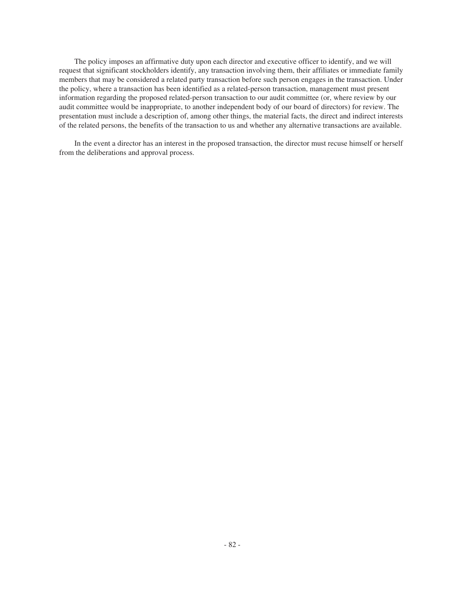The policy imposes an affirmative duty upon each director and executive officer to identify, and we will request that significant stockholders identify, any transaction involving them, their affiliates or immediate family members that may be considered a related party transaction before such person engages in the transaction. Under the policy, where a transaction has been identified as a related-person transaction, management must present information regarding the proposed related-person transaction to our audit committee (or, where review by our audit committee would be inappropriate, to another independent body of our board of directors) for review. The presentation must include a description of, among other things, the material facts, the direct and indirect interests of the related persons, the benefits of the transaction to us and whether any alternative transactions are available.

In the event a director has an interest in the proposed transaction, the director must recuse himself or herself from the deliberations and approval process.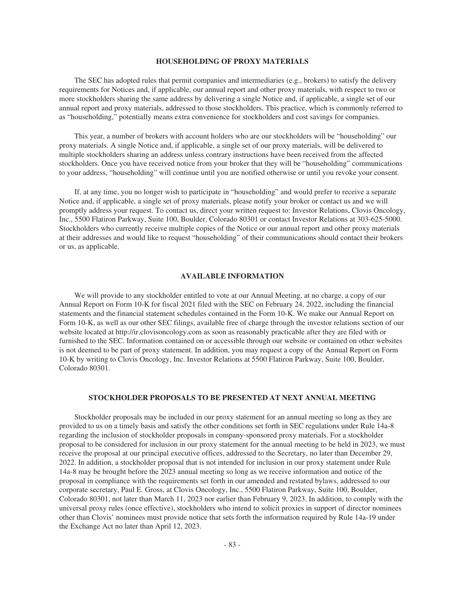## **HOUSEHOLDING OF PROXY MATERIALS**

The SEC has adopted rules that permit companies and intermediaries (e.g., brokers) to satisfy the delivery requirements for Notices and, if applicable, our annual report and other proxy materials, with respect to two or more stockholders sharing the same address by delivering a single Notice and, if applicable, a single set of our annual report and proxy materials, addressed to those stockholders. This practice, which is commonly referred to as "householding," potentially means extra convenience for stockholders and cost savings for companies.

This year, a number of brokers with account holders who are our stockholders will be "householding" our proxy materials. A single Notice and, if applicable, a single set of our proxy materials, will be delivered to multiple stockholders sharing an address unless contrary instructions have been received from the affected stockholders. Once you have received notice from your broker that they will be "householding" communications to your address, "householding" will continue until you are notified otherwise or until you revoke your consent.

If, at any time, you no longer wish to participate in "householding" and would prefer to receive a separate Notice and, if applicable, a single set of proxy materials, please notify your broker or contact us and we will promptly address your request. To contact us, direct your written request to: Investor Relations, Clovis Oncology, Inc., 5500 Flatiron Parkway, Suite 100, Boulder, Colorado 80301 or contact Investor Relations at 303-625-5000. Stockholders who currently receive multiple copies of the Notice or our annual report and other proxy materials at their addresses and would like to request "householding" of their communications should contact their brokers or us, as applicable.

### **AVAILABLE INFORMATION**

We will provide to any stockholder entitled to vote at our Annual Meeting, at no charge, a copy of our Annual Report on Form 10-K for fiscal 2021 filed with the SEC on February 24, 2022, including the financial statements and the financial statement schedules contained in the Form 10-K. We make our Annual Report on Form 10-K, as well as our other SEC filings, available free of charge through the investor relations section of our website located at http://ir.clovisoncology.com as soon as reasonably practicable after they are filed with or furnished to the SEC. Information contained on or accessible through our website or contained on other websites is not deemed to be part of proxy statement. In addition, you may request a copy of the Annual Report on Form 10-K by writing to Clovis Oncology, Inc. Investor Relations at 5500 Flatiron Parkway, Suite 100, Boulder, Colorado 80301.

# **STOCKHOLDER PROPOSALS TO BE PRESENTED AT NEXT ANNUAL MEETING**

Stockholder proposals may be included in our proxy statement for an annual meeting so long as they are provided to us on a timely basis and satisfy the other conditions set forth in SEC regulations under Rule 14a-8 regarding the inclusion of stockholder proposals in company-sponsored proxy materials. For a stockholder proposal to be considered for inclusion in our proxy statement for the annual meeting to be held in 2023, we must receive the proposal at our principal executive offices, addressed to the Secretary, no later than December 29, 2022. In addition, a stockholder proposal that is not intended for inclusion in our proxy statement under Rule 14a-8 may be brought before the 2023 annual meeting so long as we receive information and notice of the proposal in compliance with the requirements set forth in our amended and restated bylaws, addressed to our corporate secretary, Paul E. Gross, at Clovis Oncology, Inc., 5500 Flatiron Parkway, Suite 100, Boulder, Colorado 80301, not later than March 11, 2023 nor earlier than February 9, 2023. In addition, to comply with the universal proxy rules (once effective), stockholders who intend to solicit proxies in support of director nominees other than Clovis' nominees must provide notice that sets forth the information required by Rule 14a-19 under the Exchange Act no later than April 12, 2023.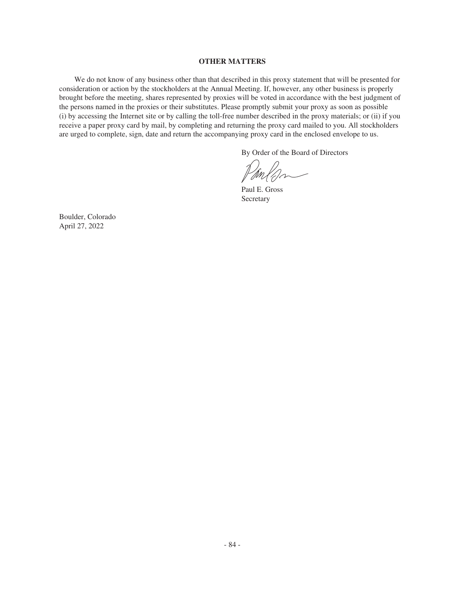## **OTHER MATTERS**

We do not know of any business other than that described in this proxy statement that will be presented for consideration or action by the stockholders at the Annual Meeting. If, however, any other business is properly brought before the meeting, shares represented by proxies will be voted in accordance with the best judgment of the persons named in the proxies or their substitutes. Please promptly submit your proxy as soon as possible (i) by accessing the Internet site or by calling the toll-free number described in the proxy materials; or (ii) if you receive a paper proxy card by mail, by completing and returning the proxy card mailed to you. All stockholders are urged to complete, sign, date and return the accompanying proxy card in the enclosed envelope to us.

By Order of the Board of Directors

mlan

Paul E. Gross Secretary

Boulder, Colorado April 27, 2022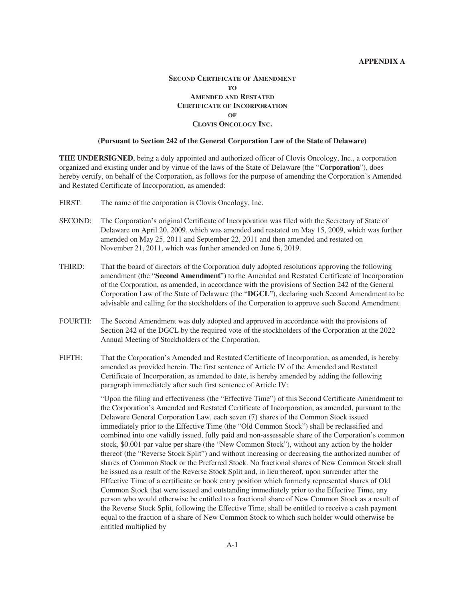### **APPENDIX A**

# **SECOND CERTIFICATE OF AMENDMENT TO AMENDED AND RESTATED CERTIFICATE OF INCORPORATION OF CLOVIS ONCOLOGY INC.**

### **(Pursuant to Section 242 of the General Corporation Law of the State of Delaware)**

**THE UNDERSIGNED**, being a duly appointed and authorized officer of Clovis Oncology, Inc., a corporation organized and existing under and by virtue of the laws of the State of Delaware (the "**Corporation**"), does hereby certify, on behalf of the Corporation, as follows for the purpose of amending the Corporation's Amended and Restated Certificate of Incorporation, as amended:

- FIRST: The name of the corporation is Clovis Oncology, Inc.
- SECOND: The Corporation's original Certificate of Incorporation was filed with the Secretary of State of Delaware on April 20, 2009, which was amended and restated on May 15, 2009, which was further amended on May 25, 2011 and September 22, 2011 and then amended and restated on November 21, 2011, which was further amended on June 6, 2019.
- THIRD: That the board of directors of the Corporation duly adopted resolutions approving the following amendment (the "**Second Amendment**") to the Amended and Restated Certificate of Incorporation of the Corporation, as amended, in accordance with the provisions of Section 242 of the General Corporation Law of the State of Delaware (the "**DGCL**"), declaring such Second Amendment to be advisable and calling for the stockholders of the Corporation to approve such Second Amendment.
- FOURTH: The Second Amendment was duly adopted and approved in accordance with the provisions of Section 242 of the DGCL by the required vote of the stockholders of the Corporation at the 2022 Annual Meeting of Stockholders of the Corporation.
- FIFTH: That the Corporation's Amended and Restated Certificate of Incorporation, as amended, is hereby amended as provided herein. The first sentence of Article IV of the Amended and Restated Certificate of Incorporation, as amended to date, is hereby amended by adding the following paragraph immediately after such first sentence of Article IV:

"Upon the filing and effectiveness (the "Effective Time") of this Second Certificate Amendment to the Corporation's Amended and Restated Certificate of Incorporation, as amended, pursuant to the Delaware General Corporation Law, each seven (7) shares of the Common Stock issued immediately prior to the Effective Time (the "Old Common Stock") shall be reclassified and combined into one validly issued, fully paid and non-assessable share of the Corporation's common stock, \$0.001 par value per share (the "New Common Stock"), without any action by the holder thereof (the "Reverse Stock Split") and without increasing or decreasing the authorized number of shares of Common Stock or the Preferred Stock. No fractional shares of New Common Stock shall be issued as a result of the Reverse Stock Split and, in lieu thereof, upon surrender after the Effective Time of a certificate or book entry position which formerly represented shares of Old Common Stock that were issued and outstanding immediately prior to the Effective Time, any person who would otherwise be entitled to a fractional share of New Common Stock as a result of the Reverse Stock Split, following the Effective Time, shall be entitled to receive a cash payment equal to the fraction of a share of New Common Stock to which such holder would otherwise be entitled multiplied by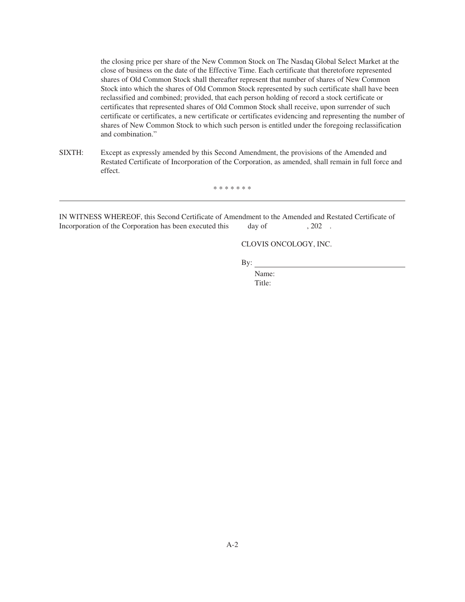the closing price per share of the New Common Stock on The Nasdaq Global Select Market at the close of business on the date of the Effective Time. Each certificate that theretofore represented shares of Old Common Stock shall thereafter represent that number of shares of New Common Stock into which the shares of Old Common Stock represented by such certificate shall have been reclassified and combined; provided, that each person holding of record a stock certificate or certificates that represented shares of Old Common Stock shall receive, upon surrender of such certificate or certificates, a new certificate or certificates evidencing and representing the number of shares of New Common Stock to which such person is entitled under the foregoing reclassification and combination."

SIXTH: Except as expressly amended by this Second Amendment, the provisions of the Amended and Restated Certificate of Incorporation of the Corporation, as amended, shall remain in full force and effect.

\*\*\*\*\*\*\*

IN WITNESS WHEREOF, this Second Certificate of Amendment to the Amended and Restated Certificate of Incorporation of the Corporation has been executed this day of , 202 .

CLOVIS ONCOLOGY, INC.

By:

Name: Title: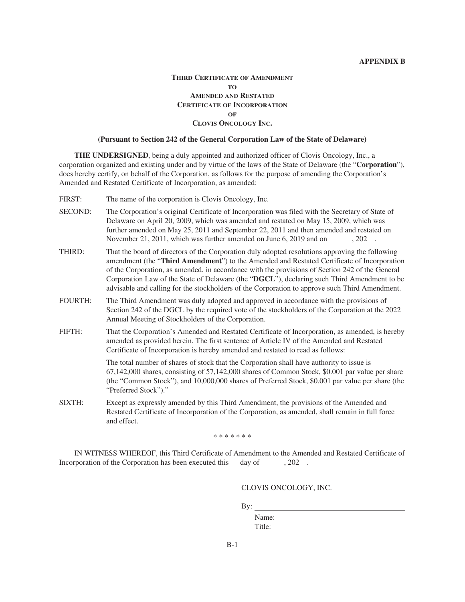#### **APPENDIX B**

# **THIRD CERTIFICATE OF AMENDMENT TO AMENDED AND RESTATED CERTIFICATE OF INCORPORATION OF CLOVIS ONCOLOGY INC.**

### **(Pursuant to Section 242 of the General Corporation Law of the State of Delaware)**

**THE UNDERSIGNED**, being a duly appointed and authorized officer of Clovis Oncology, Inc., a corporation organized and existing under and by virtue of the laws of the State of Delaware (the "**Corporation**"), does hereby certify, on behalf of the Corporation, as follows for the purpose of amending the Corporation's Amended and Restated Certificate of Incorporation, as amended:

| FIRST: |  |  | The name of the corporation is Clovis Oncology, Inc. |
|--------|--|--|------------------------------------------------------|
|        |  |  |                                                      |

- SECOND: The Corporation's original Certificate of Incorporation was filed with the Secretary of State of Delaware on April 20, 2009, which was amended and restated on May 15, 2009, which was further amended on May 25, 2011 and September 22, 2011 and then amended and restated on November 21, 2011, which was further amended on June 6, 2019 and on , 202
- THIRD: That the board of directors of the Corporation duly adopted resolutions approving the following amendment (the "**Third Amendment**") to the Amended and Restated Certificate of Incorporation of the Corporation, as amended, in accordance with the provisions of Section 242 of the General Corporation Law of the State of Delaware (the "**DGCL**"), declaring such Third Amendment to be advisable and calling for the stockholders of the Corporation to approve such Third Amendment.
- FOURTH: The Third Amendment was duly adopted and approved in accordance with the provisions of Section 242 of the DGCL by the required vote of the stockholders of the Corporation at the 2022 Annual Meeting of Stockholders of the Corporation.
- FIFTH: That the Corporation's Amended and Restated Certificate of Incorporation, as amended, is hereby amended as provided herein. The first sentence of Article IV of the Amended and Restated Certificate of Incorporation is hereby amended and restated to read as follows:

The total number of shares of stock that the Corporation shall have authority to issue is 67,142,000 shares, consisting of 57,142,000 shares of Common Stock, \$0.001 par value per share (the "Common Stock"), and 10,000,000 shares of Preferred Stock, \$0.001 par value per share (the "Preferred Stock")."

SIXTH: Except as expressly amended by this Third Amendment, the provisions of the Amended and Restated Certificate of Incorporation of the Corporation, as amended, shall remain in full force and effect.

\*\*\*\*\*\*\*

IN WITNESS WHEREOF, this Third Certificate of Amendment to the Amended and Restated Certificate of Incorporation of the Corporation has been executed this day of , 202 .

CLOVIS ONCOLOGY, INC.

By:

Name: Title: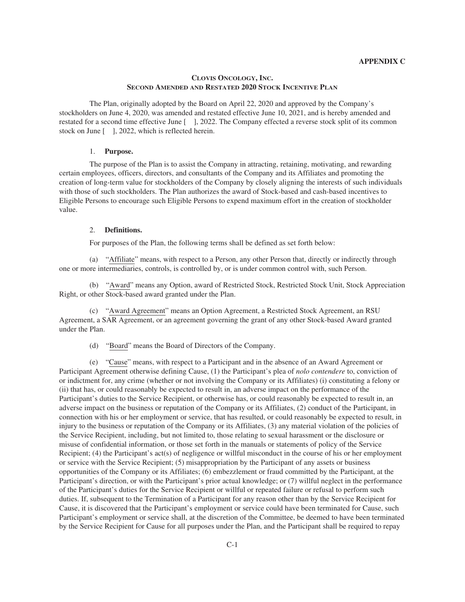### **APPENDIX C**

# **CLOVIS ONCOLOGY, INC. SECOND AMENDED AND RESTATED 2020 STOCK INCENTIVE PLAN**

The Plan, originally adopted by the Board on April 22, 2020 and approved by the Company's stockholders on June 4, 2020, was amended and restated effective June 10, 2021, and is hereby amended and restated for a second time effective June [ ], 2022. The Company effected a reverse stock split of its common stock on June  $\lceil \quad \rceil$ , 2022, which is reflected herein.

## 1. **Purpose.**

The purpose of the Plan is to assist the Company in attracting, retaining, motivating, and rewarding certain employees, officers, directors, and consultants of the Company and its Affiliates and promoting the creation of long-term value for stockholders of the Company by closely aligning the interests of such individuals with those of such stockholders. The Plan authorizes the award of Stock-based and cash-based incentives to Eligible Persons to encourage such Eligible Persons to expend maximum effort in the creation of stockholder value.

## 2. **Definitions.**

For purposes of the Plan, the following terms shall be defined as set forth below:

(a) "Affiliate" means, with respect to a Person, any other Person that, directly or indirectly through one or more intermediaries, controls, is controlled by, or is under common control with, such Person.

(b) "Award" means any Option, award of Restricted Stock, Restricted Stock Unit, Stock Appreciation Right, or other Stock-based award granted under the Plan.

(c) "Award Agreement" means an Option Agreement, a Restricted Stock Agreement, an RSU Agreement, a SAR Agreement, or an agreement governing the grant of any other Stock-based Award granted under the Plan.

(d) "Board" means the Board of Directors of the Company.

(e) "Cause" means, with respect to a Participant and in the absence of an Award Agreement or Participant Agreement otherwise defining Cause, (1) the Participant's plea of *nolo contendere* to, conviction of or indictment for, any crime (whether or not involving the Company or its Affiliates) (i) constituting a felony or (ii) that has, or could reasonably be expected to result in, an adverse impact on the performance of the Participant's duties to the Service Recipient, or otherwise has, or could reasonably be expected to result in, an adverse impact on the business or reputation of the Company or its Affiliates, (2) conduct of the Participant, in connection with his or her employment or service, that has resulted, or could reasonably be expected to result, in injury to the business or reputation of the Company or its Affiliates, (3) any material violation of the policies of the Service Recipient, including, but not limited to, those relating to sexual harassment or the disclosure or misuse of confidential information, or those set forth in the manuals or statements of policy of the Service Recipient; (4) the Participant's act(s) of negligence or willful misconduct in the course of his or her employment or service with the Service Recipient; (5) misappropriation by the Participant of any assets or business opportunities of the Company or its Affiliates; (6) embezzlement or fraud committed by the Participant, at the Participant's direction, or with the Participant's prior actual knowledge; or (7) willful neglect in the performance of the Participant's duties for the Service Recipient or willful or repeated failure or refusal to perform such duties. If, subsequent to the Termination of a Participant for any reason other than by the Service Recipient for Cause, it is discovered that the Participant's employment or service could have been terminated for Cause, such Participant's employment or service shall, at the discretion of the Committee, be deemed to have been terminated by the Service Recipient for Cause for all purposes under the Plan, and the Participant shall be required to repay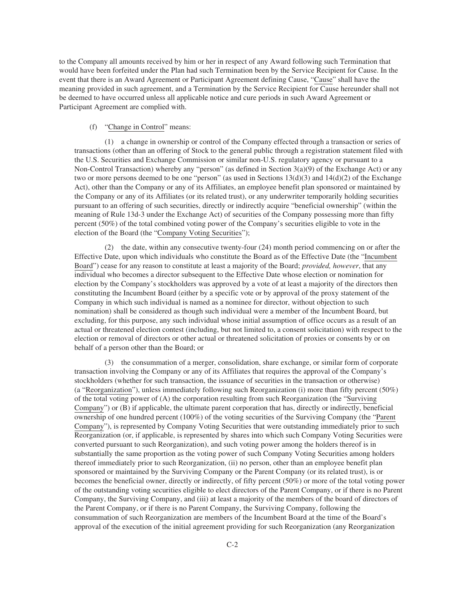to the Company all amounts received by him or her in respect of any Award following such Termination that would have been forfeited under the Plan had such Termination been by the Service Recipient for Cause. In the event that there is an Award Agreement or Participant Agreement defining Cause, "Cause" shall have the meaning provided in such agreement, and a Termination by the Service Recipient for Cause hereunder shall not be deemed to have occurred unless all applicable notice and cure periods in such Award Agreement or Participant Agreement are complied with.

### (f) "Change in Control" means:

(1) a change in ownership or control of the Company effected through a transaction or series of transactions (other than an offering of Stock to the general public through a registration statement filed with the U.S. Securities and Exchange Commission or similar non-U.S. regulatory agency or pursuant to a Non-Control Transaction) whereby any "person" (as defined in Section 3(a)(9) of the Exchange Act) or any two or more persons deemed to be one "person" (as used in Sections  $13(d)(3)$  and  $14(d)(2)$  of the Exchange Act), other than the Company or any of its Affiliates, an employee benefit plan sponsored or maintained by the Company or any of its Affiliates (or its related trust), or any underwriter temporarily holding securities pursuant to an offering of such securities, directly or indirectly acquire "beneficial ownership" (within the meaning of Rule 13d-3 under the Exchange Act) of securities of the Company possessing more than fifty percent (50%) of the total combined voting power of the Company's securities eligible to vote in the election of the Board (the "Company Voting Securities");

(2) the date, within any consecutive twenty-four (24) month period commencing on or after the Effective Date, upon which individuals who constitute the Board as of the Effective Date (the "Incumbent Board") cease for any reason to constitute at least a majority of the Board; *provided, however*, that any individual who becomes a director subsequent to the Effective Date whose election or nomination for election by the Company's stockholders was approved by a vote of at least a majority of the directors then constituting the Incumbent Board (either by a specific vote or by approval of the proxy statement of the Company in which such individual is named as a nominee for director, without objection to such nomination) shall be considered as though such individual were a member of the Incumbent Board, but excluding, for this purpose, any such individual whose initial assumption of office occurs as a result of an actual or threatened election contest (including, but not limited to, a consent solicitation) with respect to the election or removal of directors or other actual or threatened solicitation of proxies or consents by or on behalf of a person other than the Board; or

(3) the consummation of a merger, consolidation, share exchange, or similar form of corporate transaction involving the Company or any of its Affiliates that requires the approval of the Company's stockholders (whether for such transaction, the issuance of securities in the transaction or otherwise) (a "Reorganization"), unless immediately following such Reorganization (i) more than fifty percent (50%) of the total voting power of (A) the corporation resulting from such Reorganization (the "Surviving Company") or (B) if applicable, the ultimate parent corporation that has, directly or indirectly, beneficial ownership of one hundred percent (100%) of the voting securities of the Surviving Company (the "Parent Company"), is represented by Company Voting Securities that were outstanding immediately prior to such Reorganization (or, if applicable, is represented by shares into which such Company Voting Securities were converted pursuant to such Reorganization), and such voting power among the holders thereof is in substantially the same proportion as the voting power of such Company Voting Securities among holders thereof immediately prior to such Reorganization, (ii) no person, other than an employee benefit plan sponsored or maintained by the Surviving Company or the Parent Company (or its related trust), is or becomes the beneficial owner, directly or indirectly, of fifty percent (50%) or more of the total voting power of the outstanding voting securities eligible to elect directors of the Parent Company, or if there is no Parent Company, the Surviving Company, and (iii) at least a majority of the members of the board of directors of the Parent Company, or if there is no Parent Company, the Surviving Company, following the consummation of such Reorganization are members of the Incumbent Board at the time of the Board's approval of the execution of the initial agreement providing for such Reorganization (any Reorganization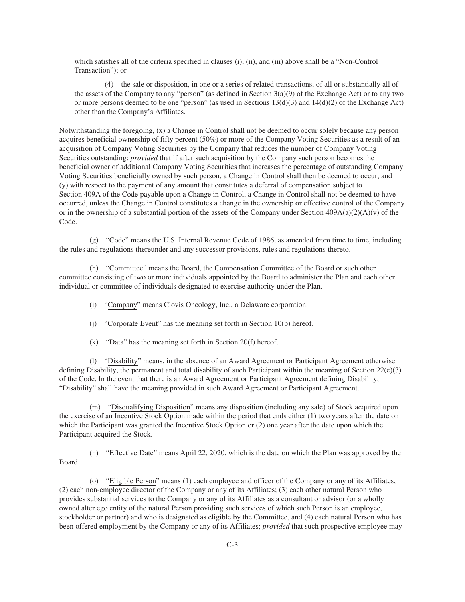which satisfies all of the criteria specified in clauses (i), (ii), and (iii) above shall be a "Non-Control Transaction"); or

(4) the sale or disposition, in one or a series of related transactions, of all or substantially all of the assets of the Company to any "person" (as defined in Section 3(a)(9) of the Exchange Act) or to any two or more persons deemed to be one "person" (as used in Sections  $13(d)(3)$  and  $14(d)(2)$  of the Exchange Act) other than the Company's Affiliates.

Notwithstanding the foregoing, (x) a Change in Control shall not be deemed to occur solely because any person acquires beneficial ownership of fifty percent (50%) or more of the Company Voting Securities as a result of an acquisition of Company Voting Securities by the Company that reduces the number of Company Voting Securities outstanding; *provided* that if after such acquisition by the Company such person becomes the beneficial owner of additional Company Voting Securities that increases the percentage of outstanding Company Voting Securities beneficially owned by such person, a Change in Control shall then be deemed to occur, and (y) with respect to the payment of any amount that constitutes a deferral of compensation subject to Section 409A of the Code payable upon a Change in Control, a Change in Control shall not be deemed to have occurred, unless the Change in Control constitutes a change in the ownership or effective control of the Company or in the ownership of a substantial portion of the assets of the Company under Section  $409A(a)(2)(A)(v)$  of the Code.

(g) "Code" means the U.S. Internal Revenue Code of 1986, as amended from time to time, including the rules and regulations thereunder and any successor provisions, rules and regulations thereto.

(h) "Committee" means the Board, the Compensation Committee of the Board or such other committee consisting of two or more individuals appointed by the Board to administer the Plan and each other individual or committee of individuals designated to exercise authority under the Plan.

- (i) "Company" means Clovis Oncology, Inc., a Delaware corporation.
- (j) "Corporate Event" has the meaning set forth in Section 10(b) hereof.
- (k) "Data" has the meaning set forth in Section 20(f) hereof.

(l) "Disability" means, in the absence of an Award Agreement or Participant Agreement otherwise defining Disability, the permanent and total disability of such Participant within the meaning of Section  $22(e)(3)$ of the Code. In the event that there is an Award Agreement or Participant Agreement defining Disability, "Disability" shall have the meaning provided in such Award Agreement or Participant Agreement.

(m) "Disqualifying Disposition" means any disposition (including any sale) of Stock acquired upon the exercise of an Incentive Stock Option made within the period that ends either (1) two years after the date on which the Participant was granted the Incentive Stock Option or (2) one year after the date upon which the Participant acquired the Stock.

(n) "Effective Date" means April 22, 2020, which is the date on which the Plan was approved by the Board.

(o) "Eligible Person" means (1) each employee and officer of the Company or any of its Affiliates, (2) each non-employee director of the Company or any of its Affiliates; (3) each other natural Person who provides substantial services to the Company or any of its Affiliates as a consultant or advisor (or a wholly owned alter ego entity of the natural Person providing such services of which such Person is an employee, stockholder or partner) and who is designated as eligible by the Committee, and (4) each natural Person who has been offered employment by the Company or any of its Affiliates; *provided* that such prospective employee may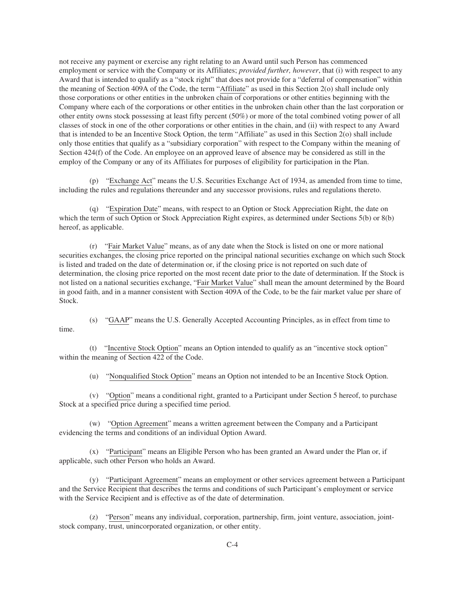not receive any payment or exercise any right relating to an Award until such Person has commenced employment or service with the Company or its Affiliates; *provided further, however*, that (i) with respect to any Award that is intended to qualify as a "stock right" that does not provide for a "deferral of compensation" within the meaning of Section 409A of the Code, the term "Affiliate" as used in this Section 2(o) shall include only those corporations or other entities in the unbroken chain of corporations or other entities beginning with the Company where each of the corporations or other entities in the unbroken chain other than the last corporation or other entity owns stock possessing at least fifty percent (50%) or more of the total combined voting power of all classes of stock in one of the other corporations or other entities in the chain, and (ii) with respect to any Award that is intended to be an Incentive Stock Option, the term "Affiliate" as used in this Section 2(o) shall include only those entities that qualify as a "subsidiary corporation" with respect to the Company within the meaning of Section 424(f) of the Code. An employee on an approved leave of absence may be considered as still in the employ of the Company or any of its Affiliates for purposes of eligibility for participation in the Plan.

(p) "Exchange Act" means the U.S. Securities Exchange Act of 1934, as amended from time to time, including the rules and regulations thereunder and any successor provisions, rules and regulations thereto.

(q) "Expiration Date" means, with respect to an Option or Stock Appreciation Right, the date on which the term of such Option or Stock Appreciation Right expires, as determined under Sections 5(b) or 8(b) hereof, as applicable.

(r) "Fair Market Value" means, as of any date when the Stock is listed on one or more national securities exchanges, the closing price reported on the principal national securities exchange on which such Stock is listed and traded on the date of determination or, if the closing price is not reported on such date of determination, the closing price reported on the most recent date prior to the date of determination. If the Stock is not listed on a national securities exchange, "Fair Market Value" shall mean the amount determined by the Board in good faith, and in a manner consistent with Section 409A of the Code, to be the fair market value per share of Stock.

(s) "GAAP" means the U.S. Generally Accepted Accounting Principles, as in effect from time to time.

(t) "Incentive Stock Option" means an Option intended to qualify as an "incentive stock option" within the meaning of Section 422 of the Code.

(u) "Nonqualified Stock Option" means an Option not intended to be an Incentive Stock Option.

(v) "Option" means a conditional right, granted to a Participant under Section 5 hereof, to purchase Stock at a specified price during a specified time period.

(w) "Option Agreement" means a written agreement between the Company and a Participant evidencing the terms and conditions of an individual Option Award.

(x) "Participant" means an Eligible Person who has been granted an Award under the Plan or, if applicable, such other Person who holds an Award.

(y) "Participant Agreement" means an employment or other services agreement between a Participant and the Service Recipient that describes the terms and conditions of such Participant's employment or service with the Service Recipient and is effective as of the date of determination.

(z) "Person" means any individual, corporation, partnership, firm, joint venture, association, jointstock company, trust, unincorporated organization, or other entity.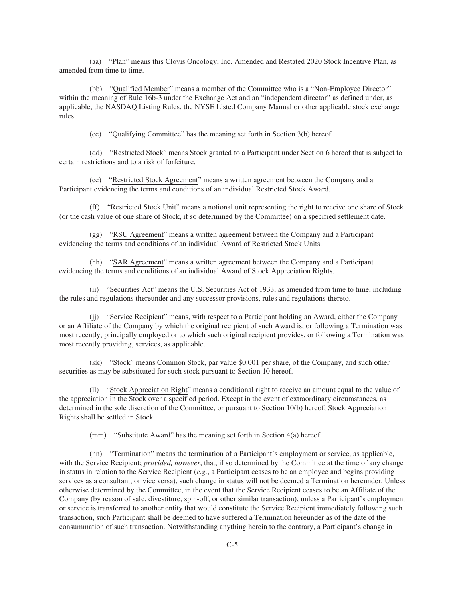(aa) "Plan" means this Clovis Oncology, Inc. Amended and Restated 2020 Stock Incentive Plan, as amended from time to time.

(bb) "Qualified Member" means a member of the Committee who is a "Non-Employee Director" within the meaning of Rule 16b-3 under the Exchange Act and an "independent director" as defined under, as applicable, the NASDAQ Listing Rules, the NYSE Listed Company Manual or other applicable stock exchange rules.

(cc) "Qualifying Committee" has the meaning set forth in Section 3(b) hereof.

(dd) "Restricted Stock" means Stock granted to a Participant under Section 6 hereof that is subject to certain restrictions and to a risk of forfeiture.

(ee) "Restricted Stock Agreement" means a written agreement between the Company and a Participant evidencing the terms and conditions of an individual Restricted Stock Award.

(ff) "Restricted Stock Unit" means a notional unit representing the right to receive one share of Stock (or the cash value of one share of Stock, if so determined by the Committee) on a specified settlement date.

(gg) "RSU Agreement" means a written agreement between the Company and a Participant evidencing the terms and conditions of an individual Award of Restricted Stock Units.

(hh) "SAR Agreement" means a written agreement between the Company and a Participant evidencing the terms and conditions of an individual Award of Stock Appreciation Rights.

(ii) "Securities Act" means the U.S. Securities Act of 1933, as amended from time to time, including the rules and regulations thereunder and any successor provisions, rules and regulations thereto.

(jj) "Service Recipient" means, with respect to a Participant holding an Award, either the Company or an Affiliate of the Company by which the original recipient of such Award is, or following a Termination was most recently, principally employed or to which such original recipient provides, or following a Termination was most recently providing, services, as applicable.

(kk) "Stock" means Common Stock, par value \$0.001 per share, of the Company, and such other securities as may be substituted for such stock pursuant to Section 10 hereof.

(ll) "Stock Appreciation Right" means a conditional right to receive an amount equal to the value of the appreciation in the Stock over a specified period. Except in the event of extraordinary circumstances, as determined in the sole discretion of the Committee, or pursuant to Section 10(b) hereof, Stock Appreciation Rights shall be settled in Stock.

(mm) "Substitute Award" has the meaning set forth in Section 4(a) hereof.

(nn) "Termination" means the termination of a Participant's employment or service, as applicable, with the Service Recipient; *provided, however*, that, if so determined by the Committee at the time of any change in status in relation to the Service Recipient (*e.g.*, a Participant ceases to be an employee and begins providing services as a consultant, or vice versa), such change in status will not be deemed a Termination hereunder. Unless otherwise determined by the Committee, in the event that the Service Recipient ceases to be an Affiliate of the Company (by reason of sale, divestiture, spin-off, or other similar transaction), unless a Participant's employment or service is transferred to another entity that would constitute the Service Recipient immediately following such transaction, such Participant shall be deemed to have suffered a Termination hereunder as of the date of the consummation of such transaction. Notwithstanding anything herein to the contrary, a Participant's change in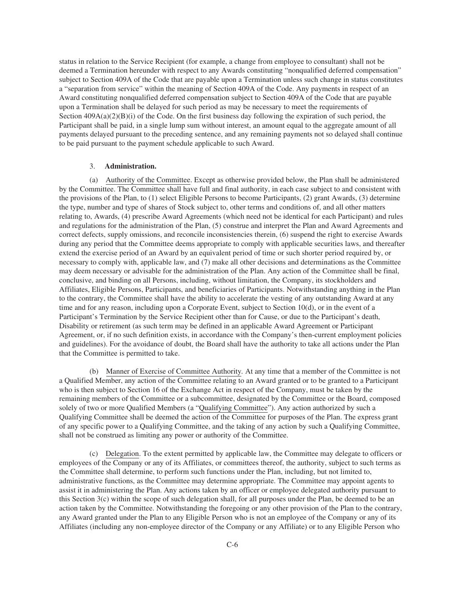status in relation to the Service Recipient (for example, a change from employee to consultant) shall not be deemed a Termination hereunder with respect to any Awards constituting "nonqualified deferred compensation" subject to Section 409A of the Code that are payable upon a Termination unless such change in status constitutes a "separation from service" within the meaning of Section 409A of the Code. Any payments in respect of an Award constituting nonqualified deferred compensation subject to Section 409A of the Code that are payable upon a Termination shall be delayed for such period as may be necessary to meet the requirements of Section  $409A(a)(2)(B)(i)$  of the Code. On the first business day following the expiration of such period, the Participant shall be paid, in a single lump sum without interest, an amount equal to the aggregate amount of all payments delayed pursuant to the preceding sentence, and any remaining payments not so delayed shall continue to be paid pursuant to the payment schedule applicable to such Award.

### 3. **Administration.**

(a) Authority of the Committee. Except as otherwise provided below, the Plan shall be administered by the Committee. The Committee shall have full and final authority, in each case subject to and consistent with the provisions of the Plan, to (1) select Eligible Persons to become Participants, (2) grant Awards, (3) determine the type, number and type of shares of Stock subject to, other terms and conditions of, and all other matters relating to, Awards, (4) prescribe Award Agreements (which need not be identical for each Participant) and rules and regulations for the administration of the Plan, (5) construe and interpret the Plan and Award Agreements and correct defects, supply omissions, and reconcile inconsistencies therein, (6) suspend the right to exercise Awards during any period that the Committee deems appropriate to comply with applicable securities laws, and thereafter extend the exercise period of an Award by an equivalent period of time or such shorter period required by, or necessary to comply with, applicable law, and (7) make all other decisions and determinations as the Committee may deem necessary or advisable for the administration of the Plan. Any action of the Committee shall be final, conclusive, and binding on all Persons, including, without limitation, the Company, its stockholders and Affiliates, Eligible Persons, Participants, and beneficiaries of Participants. Notwithstanding anything in the Plan to the contrary, the Committee shall have the ability to accelerate the vesting of any outstanding Award at any time and for any reason, including upon a Corporate Event, subject to Section 10(d), or in the event of a Participant's Termination by the Service Recipient other than for Cause, or due to the Participant's death, Disability or retirement (as such term may be defined in an applicable Award Agreement or Participant Agreement, or, if no such definition exists, in accordance with the Company's then-current employment policies and guidelines). For the avoidance of doubt, the Board shall have the authority to take all actions under the Plan that the Committee is permitted to take.

(b) Manner of Exercise of Committee Authority*.* At any time that a member of the Committee is not a Qualified Member, any action of the Committee relating to an Award granted or to be granted to a Participant who is then subject to Section 16 of the Exchange Act in respect of the Company, must be taken by the remaining members of the Committee or a subcommittee, designated by the Committee or the Board, composed solely of two or more Qualified Members (a "Qualifying Committee"). Any action authorized by such a Qualifying Committee shall be deemed the action of the Committee for purposes of the Plan. The express grant of any specific power to a Qualifying Committee, and the taking of any action by such a Qualifying Committee, shall not be construed as limiting any power or authority of the Committee.

(c) Delegation. To the extent permitted by applicable law, the Committee may delegate to officers or employees of the Company or any of its Affiliates, or committees thereof, the authority, subject to such terms as the Committee shall determine, to perform such functions under the Plan, including, but not limited to, administrative functions, as the Committee may determine appropriate. The Committee may appoint agents to assist it in administering the Plan. Any actions taken by an officer or employee delegated authority pursuant to this Section 3(c) within the scope of such delegation shall, for all purposes under the Plan, be deemed to be an action taken by the Committee. Notwithstanding the foregoing or any other provision of the Plan to the contrary, any Award granted under the Plan to any Eligible Person who is not an employee of the Company or any of its Affiliates (including any non-employee director of the Company or any Affiliate) or to any Eligible Person who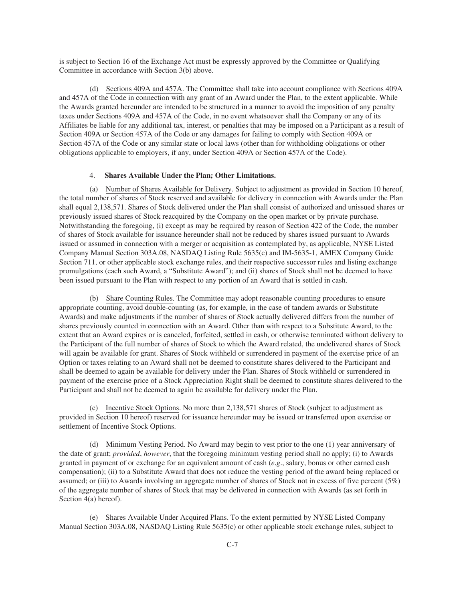is subject to Section 16 of the Exchange Act must be expressly approved by the Committee or Qualifying Committee in accordance with Section 3(b) above.

(d) Sections 409A and 457A. The Committee shall take into account compliance with Sections 409A and 457A of the Code in connection with any grant of an Award under the Plan, to the extent applicable. While the Awards granted hereunder are intended to be structured in a manner to avoid the imposition of any penalty taxes under Sections 409A and 457A of the Code, in no event whatsoever shall the Company or any of its Affiliates be liable for any additional tax, interest, or penalties that may be imposed on a Participant as a result of Section 409A or Section 457A of the Code or any damages for failing to comply with Section 409A or Section 457A of the Code or any similar state or local laws (other than for withholding obligations or other obligations applicable to employers, if any, under Section 409A or Section 457A of the Code).

## 4. **Shares Available Under the Plan; Other Limitations.**

(a) Number of Shares Available for Delivery. Subject to adjustment as provided in Section 10 hereof, the total number of shares of Stock reserved and available for delivery in connection with Awards under the Plan shall equal 2,138,571. Shares of Stock delivered under the Plan shall consist of authorized and unissued shares or previously issued shares of Stock reacquired by the Company on the open market or by private purchase. Notwithstanding the foregoing, (i) except as may be required by reason of Section 422 of the Code, the number of shares of Stock available for issuance hereunder shall not be reduced by shares issued pursuant to Awards issued or assumed in connection with a merger or acquisition as contemplated by, as applicable, NYSE Listed Company Manual Section 303A.08, NASDAQ Listing Rule 5635(c) and IM-5635-1, AMEX Company Guide Section 711, or other applicable stock exchange rules, and their respective successor rules and listing exchange promulgations (each such Award, a "Substitute Award"); and (ii) shares of Stock shall not be deemed to have been issued pursuant to the Plan with respect to any portion of an Award that is settled in cash.

(b) Share Counting Rules. The Committee may adopt reasonable counting procedures to ensure appropriate counting, avoid double-counting (as, for example, in the case of tandem awards or Substitute Awards) and make adjustments if the number of shares of Stock actually delivered differs from the number of shares previously counted in connection with an Award. Other than with respect to a Substitute Award, to the extent that an Award expires or is canceled, forfeited, settled in cash, or otherwise terminated without delivery to the Participant of the full number of shares of Stock to which the Award related, the undelivered shares of Stock will again be available for grant. Shares of Stock withheld or surrendered in payment of the exercise price of an Option or taxes relating to an Award shall not be deemed to constitute shares delivered to the Participant and shall be deemed to again be available for delivery under the Plan. Shares of Stock withheld or surrendered in payment of the exercise price of a Stock Appreciation Right shall be deemed to constitute shares delivered to the Participant and shall not be deemed to again be available for delivery under the Plan.

(c) Incentive Stock Options. No more than 2,138,571 shares of Stock (subject to adjustment as provided in Section 10 hereof) reserved for issuance hereunder may be issued or transferred upon exercise or settlement of Incentive Stock Options.

(d) Minimum Vesting Period. No Award may begin to vest prior to the one (1) year anniversary of the date of grant; *provided*, *however*, that the foregoing minimum vesting period shall no apply; (i) to Awards granted in payment of or exchange for an equivalent amount of cash (*e*.*g*., salary, bonus or other earned cash compensation); (ii) to a Substitute Award that does not reduce the vesting period of the award being replaced or assumed; or (iii) to Awards involving an aggregate number of shares of Stock not in excess of five percent (5%) of the aggregate number of shares of Stock that may be delivered in connection with Awards (as set forth in Section 4(a) hereof).

(e) Shares Available Under Acquired Plans. To the extent permitted by NYSE Listed Company Manual Section 303A.08, NASDAQ Listing Rule 5635(c) or other applicable stock exchange rules, subject to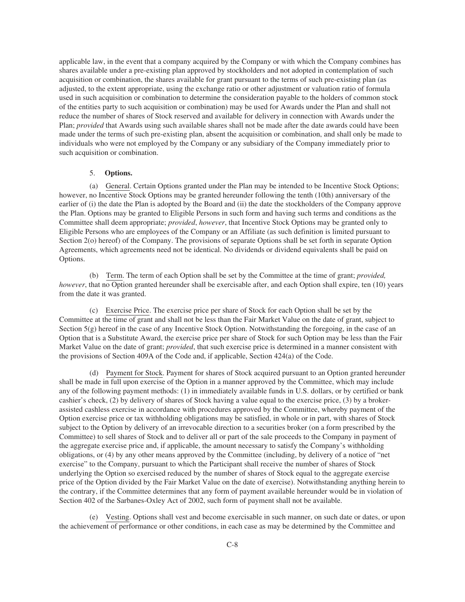applicable law, in the event that a company acquired by the Company or with which the Company combines has shares available under a pre-existing plan approved by stockholders and not adopted in contemplation of such acquisition or combination, the shares available for grant pursuant to the terms of such pre-existing plan (as adjusted, to the extent appropriate, using the exchange ratio or other adjustment or valuation ratio of formula used in such acquisition or combination to determine the consideration payable to the holders of common stock of the entities party to such acquisition or combination) may be used for Awards under the Plan and shall not reduce the number of shares of Stock reserved and available for delivery in connection with Awards under the Plan; *provided* that Awards using such available shares shall not be made after the date awards could have been made under the terms of such pre-existing plan, absent the acquisition or combination, and shall only be made to individuals who were not employed by the Company or any subsidiary of the Company immediately prior to such acquisition or combination.

### 5. **Options.**

(a) General. Certain Options granted under the Plan may be intended to be Incentive Stock Options; however, no Incentive Stock Options may be granted hereunder following the tenth (10th) anniversary of the earlier of (i) the date the Plan is adopted by the Board and (ii) the date the stockholders of the Company approve the Plan. Options may be granted to Eligible Persons in such form and having such terms and conditions as the Committee shall deem appropriate; *provided*, *however*, that Incentive Stock Options may be granted only to Eligible Persons who are employees of the Company or an Affiliate (as such definition is limited pursuant to Section 2(o) hereof) of the Company. The provisions of separate Options shall be set forth in separate Option Agreements, which agreements need not be identical. No dividends or dividend equivalents shall be paid on Options.

(b) Term. The term of each Option shall be set by the Committee at the time of grant; *provided, however*, that no Option granted hereunder shall be exercisable after, and each Option shall expire, ten (10) years from the date it was granted.

(c) Exercise Price. The exercise price per share of Stock for each Option shall be set by the Committee at the time of grant and shall not be less than the Fair Market Value on the date of grant, subject to Section 5(g) hereof in the case of any Incentive Stock Option. Notwithstanding the foregoing, in the case of an Option that is a Substitute Award, the exercise price per share of Stock for such Option may be less than the Fair Market Value on the date of grant; *provided*, that such exercise price is determined in a manner consistent with the provisions of Section 409A of the Code and, if applicable, Section 424(a) of the Code.

(d) Payment for Stock. Payment for shares of Stock acquired pursuant to an Option granted hereunder shall be made in full upon exercise of the Option in a manner approved by the Committee, which may include any of the following payment methods: (1) in immediately available funds in U.S. dollars, or by certified or bank cashier's check, (2) by delivery of shares of Stock having a value equal to the exercise price, (3) by a brokerassisted cashless exercise in accordance with procedures approved by the Committee, whereby payment of the Option exercise price or tax withholding obligations may be satisfied, in whole or in part, with shares of Stock subject to the Option by delivery of an irrevocable direction to a securities broker (on a form prescribed by the Committee) to sell shares of Stock and to deliver all or part of the sale proceeds to the Company in payment of the aggregate exercise price and, if applicable, the amount necessary to satisfy the Company's withholding obligations, or (4) by any other means approved by the Committee (including, by delivery of a notice of "net exercise" to the Company, pursuant to which the Participant shall receive the number of shares of Stock underlying the Option so exercised reduced by the number of shares of Stock equal to the aggregate exercise price of the Option divided by the Fair Market Value on the date of exercise). Notwithstanding anything herein to the contrary, if the Committee determines that any form of payment available hereunder would be in violation of Section 402 of the Sarbanes-Oxley Act of 2002, such form of payment shall not be available.

(e) Vesting. Options shall vest and become exercisable in such manner, on such date or dates, or upon the achievement of performance or other conditions, in each case as may be determined by the Committee and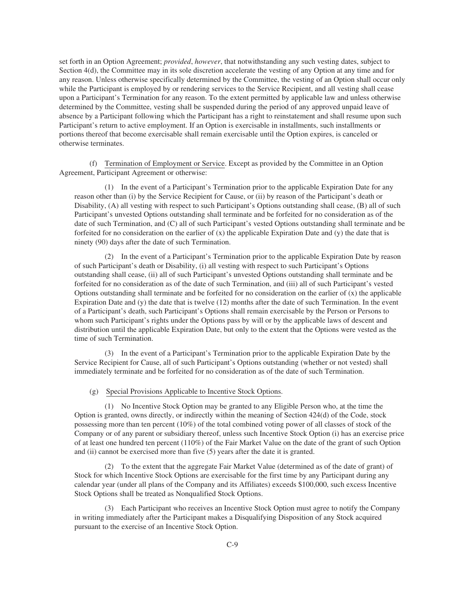set forth in an Option Agreement; *provided*, *however*, that notwithstanding any such vesting dates, subject to Section 4(d), the Committee may in its sole discretion accelerate the vesting of any Option at any time and for any reason. Unless otherwise specifically determined by the Committee, the vesting of an Option shall occur only while the Participant is employed by or rendering services to the Service Recipient, and all vesting shall cease upon a Participant's Termination for any reason. To the extent permitted by applicable law and unless otherwise determined by the Committee, vesting shall be suspended during the period of any approved unpaid leave of absence by a Participant following which the Participant has a right to reinstatement and shall resume upon such Participant's return to active employment. If an Option is exercisable in installments, such installments or portions thereof that become exercisable shall remain exercisable until the Option expires, is canceled or otherwise terminates.

(f) Termination of Employment or Service. Except as provided by the Committee in an Option Agreement, Participant Agreement or otherwise:

(1) In the event of a Participant's Termination prior to the applicable Expiration Date for any reason other than (i) by the Service Recipient for Cause, or (ii) by reason of the Participant's death or Disability, (A) all vesting with respect to such Participant's Options outstanding shall cease, (B) all of such Participant's unvested Options outstanding shall terminate and be forfeited for no consideration as of the date of such Termination, and (C) all of such Participant's vested Options outstanding shall terminate and be forfeited for no consideration on the earlier of  $(x)$  the applicable Expiration Date and  $(y)$  the date that is ninety (90) days after the date of such Termination.

(2) In the event of a Participant's Termination prior to the applicable Expiration Date by reason of such Participant's death or Disability, (i) all vesting with respect to such Participant's Options outstanding shall cease, (ii) all of such Participant's unvested Options outstanding shall terminate and be forfeited for no consideration as of the date of such Termination, and (iii) all of such Participant's vested Options outstanding shall terminate and be forfeited for no consideration on the earlier of  $(x)$  the applicable Expiration Date and (y) the date that is twelve (12) months after the date of such Termination. In the event of a Participant's death, such Participant's Options shall remain exercisable by the Person or Persons to whom such Participant's rights under the Options pass by will or by the applicable laws of descent and distribution until the applicable Expiration Date, but only to the extent that the Options were vested as the time of such Termination.

(3) In the event of a Participant's Termination prior to the applicable Expiration Date by the Service Recipient for Cause, all of such Participant's Options outstanding (whether or not vested) shall immediately terminate and be forfeited for no consideration as of the date of such Termination.

(g) Special Provisions Applicable to Incentive Stock Options.

(1) No Incentive Stock Option may be granted to any Eligible Person who, at the time the Option is granted, owns directly, or indirectly within the meaning of Section 424(d) of the Code, stock possessing more than ten percent (10%) of the total combined voting power of all classes of stock of the Company or of any parent or subsidiary thereof, unless such Incentive Stock Option (i) has an exercise price of at least one hundred ten percent (110%) of the Fair Market Value on the date of the grant of such Option and (ii) cannot be exercised more than five (5) years after the date it is granted.

(2) To the extent that the aggregate Fair Market Value (determined as of the date of grant) of Stock for which Incentive Stock Options are exercisable for the first time by any Participant during any calendar year (under all plans of the Company and its Affiliates) exceeds \$100,000, such excess Incentive Stock Options shall be treated as Nonqualified Stock Options.

(3) Each Participant who receives an Incentive Stock Option must agree to notify the Company in writing immediately after the Participant makes a Disqualifying Disposition of any Stock acquired pursuant to the exercise of an Incentive Stock Option.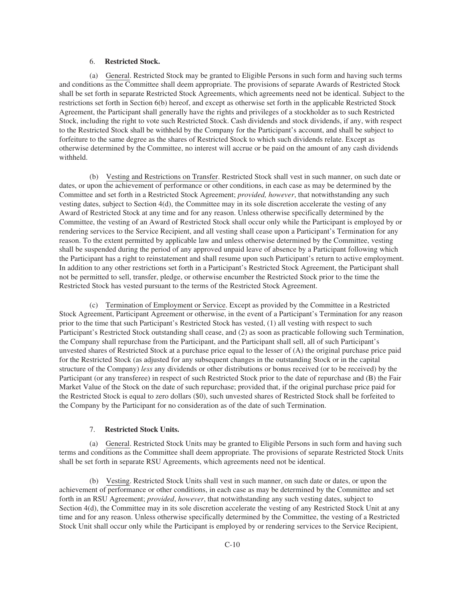## 6. **Restricted Stock.**

(a) General. Restricted Stock may be granted to Eligible Persons in such form and having such terms and conditions as the Committee shall deem appropriate. The provisions of separate Awards of Restricted Stock shall be set forth in separate Restricted Stock Agreements, which agreements need not be identical. Subject to the restrictions set forth in Section 6(b) hereof, and except as otherwise set forth in the applicable Restricted Stock Agreement, the Participant shall generally have the rights and privileges of a stockholder as to such Restricted Stock, including the right to vote such Restricted Stock. Cash dividends and stock dividends, if any, with respect to the Restricted Stock shall be withheld by the Company for the Participant's account, and shall be subject to forfeiture to the same degree as the shares of Restricted Stock to which such dividends relate. Except as otherwise determined by the Committee, no interest will accrue or be paid on the amount of any cash dividends withheld.

(b) Vesting and Restrictions on Transfer. Restricted Stock shall vest in such manner, on such date or dates, or upon the achievement of performance or other conditions, in each case as may be determined by the Committee and set forth in a Restricted Stock Agreement; *provided, however*, that notwithstanding any such vesting dates, subject to Section 4(d), the Committee may in its sole discretion accelerate the vesting of any Award of Restricted Stock at any time and for any reason. Unless otherwise specifically determined by the Committee, the vesting of an Award of Restricted Stock shall occur only while the Participant is employed by or rendering services to the Service Recipient, and all vesting shall cease upon a Participant's Termination for any reason. To the extent permitted by applicable law and unless otherwise determined by the Committee, vesting shall be suspended during the period of any approved unpaid leave of absence by a Participant following which the Participant has a right to reinstatement and shall resume upon such Participant's return to active employment. In addition to any other restrictions set forth in a Participant's Restricted Stock Agreement, the Participant shall not be permitted to sell, transfer, pledge, or otherwise encumber the Restricted Stock prior to the time the Restricted Stock has vested pursuant to the terms of the Restricted Stock Agreement.

(c) Termination of Employment or Service. Except as provided by the Committee in a Restricted Stock Agreement, Participant Agreement or otherwise, in the event of a Participant's Termination for any reason prior to the time that such Participant's Restricted Stock has vested, (1) all vesting with respect to such Participant's Restricted Stock outstanding shall cease, and (2) as soon as practicable following such Termination, the Company shall repurchase from the Participant, and the Participant shall sell, all of such Participant's unvested shares of Restricted Stock at a purchase price equal to the lesser of (A) the original purchase price paid for the Restricted Stock (as adjusted for any subsequent changes in the outstanding Stock or in the capital structure of the Company) *less* any dividends or other distributions or bonus received (or to be received) by the Participant (or any transferee) in respect of such Restricted Stock prior to the date of repurchase and (B) the Fair Market Value of the Stock on the date of such repurchase; provided that, if the original purchase price paid for the Restricted Stock is equal to zero dollars (\$0), such unvested shares of Restricted Stock shall be forfeited to the Company by the Participant for no consideration as of the date of such Termination.

### 7. **Restricted Stock Units.**

(a) General. Restricted Stock Units may be granted to Eligible Persons in such form and having such terms and conditions as the Committee shall deem appropriate. The provisions of separate Restricted Stock Units shall be set forth in separate RSU Agreements, which agreements need not be identical.

(b) Vesting. Restricted Stock Units shall vest in such manner, on such date or dates, or upon the achievement of performance or other conditions, in each case as may be determined by the Committee and set forth in an RSU Agreement; *provided*, *however*, that notwithstanding any such vesting dates, subject to Section 4(d), the Committee may in its sole discretion accelerate the vesting of any Restricted Stock Unit at any time and for any reason. Unless otherwise specifically determined by the Committee, the vesting of a Restricted Stock Unit shall occur only while the Participant is employed by or rendering services to the Service Recipient,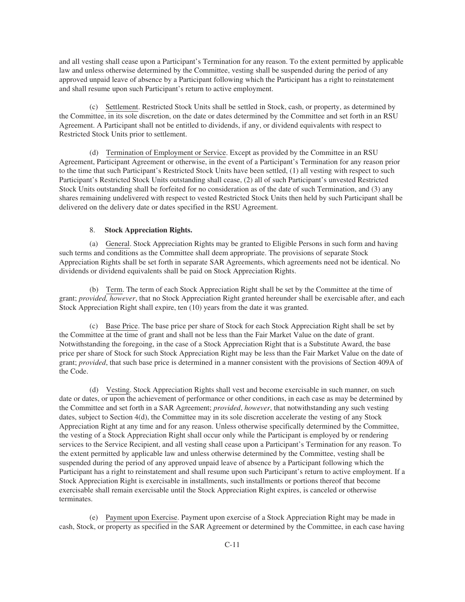and all vesting shall cease upon a Participant's Termination for any reason. To the extent permitted by applicable law and unless otherwise determined by the Committee, vesting shall be suspended during the period of any approved unpaid leave of absence by a Participant following which the Participant has a right to reinstatement and shall resume upon such Participant's return to active employment.

(c) Settlement. Restricted Stock Units shall be settled in Stock, cash, or property, as determined by the Committee, in its sole discretion, on the date or dates determined by the Committee and set forth in an RSU Agreement. A Participant shall not be entitled to dividends, if any, or dividend equivalents with respect to Restricted Stock Units prior to settlement.

(d) Termination of Employment or Service. Except as provided by the Committee in an RSU Agreement, Participant Agreement or otherwise, in the event of a Participant's Termination for any reason prior to the time that such Participant's Restricted Stock Units have been settled, (1) all vesting with respect to such Participant's Restricted Stock Units outstanding shall cease, (2) all of such Participant's unvested Restricted Stock Units outstanding shall be forfeited for no consideration as of the date of such Termination, and (3) any shares remaining undelivered with respect to vested Restricted Stock Units then held by such Participant shall be delivered on the delivery date or dates specified in the RSU Agreement.

## 8. **Stock Appreciation Rights.**

(a) General. Stock Appreciation Rights may be granted to Eligible Persons in such form and having such terms and conditions as the Committee shall deem appropriate. The provisions of separate Stock Appreciation Rights shall be set forth in separate SAR Agreements, which agreements need not be identical. No dividends or dividend equivalents shall be paid on Stock Appreciation Rights.

(b) Term. The term of each Stock Appreciation Right shall be set by the Committee at the time of grant; *provided, however*, that no Stock Appreciation Right granted hereunder shall be exercisable after, and each Stock Appreciation Right shall expire, ten (10) years from the date it was granted.

(c) Base Price. The base price per share of Stock for each Stock Appreciation Right shall be set by the Committee at the time of grant and shall not be less than the Fair Market Value on the date of grant. Notwithstanding the foregoing, in the case of a Stock Appreciation Right that is a Substitute Award, the base price per share of Stock for such Stock Appreciation Right may be less than the Fair Market Value on the date of grant; *provided*, that such base price is determined in a manner consistent with the provisions of Section 409A of the Code.

(d) Vesting. Stock Appreciation Rights shall vest and become exercisable in such manner, on such date or dates, or upon the achievement of performance or other conditions, in each case as may be determined by the Committee and set forth in a SAR Agreement; *provided*, *however*, that notwithstanding any such vesting dates, subject to Section 4(d), the Committee may in its sole discretion accelerate the vesting of any Stock Appreciation Right at any time and for any reason. Unless otherwise specifically determined by the Committee, the vesting of a Stock Appreciation Right shall occur only while the Participant is employed by or rendering services to the Service Recipient, and all vesting shall cease upon a Participant's Termination for any reason. To the extent permitted by applicable law and unless otherwise determined by the Committee, vesting shall be suspended during the period of any approved unpaid leave of absence by a Participant following which the Participant has a right to reinstatement and shall resume upon such Participant's return to active employment. If a Stock Appreciation Right is exercisable in installments, such installments or portions thereof that become exercisable shall remain exercisable until the Stock Appreciation Right expires, is canceled or otherwise terminates.

(e) Payment upon Exercise. Payment upon exercise of a Stock Appreciation Right may be made in cash, Stock, or property as specified in the SAR Agreement or determined by the Committee, in each case having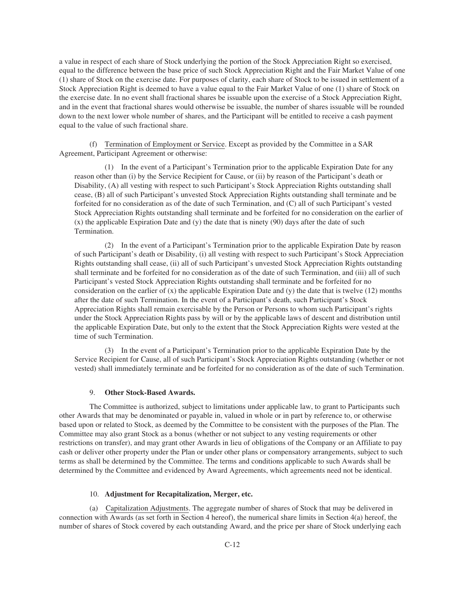a value in respect of each share of Stock underlying the portion of the Stock Appreciation Right so exercised, equal to the difference between the base price of such Stock Appreciation Right and the Fair Market Value of one (1) share of Stock on the exercise date. For purposes of clarity, each share of Stock to be issued in settlement of a Stock Appreciation Right is deemed to have a value equal to the Fair Market Value of one (1) share of Stock on the exercise date. In no event shall fractional shares be issuable upon the exercise of a Stock Appreciation Right, and in the event that fractional shares would otherwise be issuable, the number of shares issuable will be rounded down to the next lower whole number of shares, and the Participant will be entitled to receive a cash payment equal to the value of such fractional share.

(f) Termination of Employment or Service. Except as provided by the Committee in a SAR Agreement, Participant Agreement or otherwise:

(1) In the event of a Participant's Termination prior to the applicable Expiration Date for any reason other than (i) by the Service Recipient for Cause, or (ii) by reason of the Participant's death or Disability, (A) all vesting with respect to such Participant's Stock Appreciation Rights outstanding shall cease, (B) all of such Participant's unvested Stock Appreciation Rights outstanding shall terminate and be forfeited for no consideration as of the date of such Termination, and (C) all of such Participant's vested Stock Appreciation Rights outstanding shall terminate and be forfeited for no consideration on the earlier of  $(x)$  the applicable Expiration Date and  $(y)$  the date that is ninety  $(90)$  days after the date of such Termination.

(2) In the event of a Participant's Termination prior to the applicable Expiration Date by reason of such Participant's death or Disability, (i) all vesting with respect to such Participant's Stock Appreciation Rights outstanding shall cease, (ii) all of such Participant's unvested Stock Appreciation Rights outstanding shall terminate and be forfeited for no consideration as of the date of such Termination, and (iii) all of such Participant's vested Stock Appreciation Rights outstanding shall terminate and be forfeited for no consideration on the earlier of  $(x)$  the applicable Expiration Date and  $(y)$  the date that is twelve (12) months after the date of such Termination. In the event of a Participant's death, such Participant's Stock Appreciation Rights shall remain exercisable by the Person or Persons to whom such Participant's rights under the Stock Appreciation Rights pass by will or by the applicable laws of descent and distribution until the applicable Expiration Date, but only to the extent that the Stock Appreciation Rights were vested at the time of such Termination.

(3) In the event of a Participant's Termination prior to the applicable Expiration Date by the Service Recipient for Cause, all of such Participant's Stock Appreciation Rights outstanding (whether or not vested) shall immediately terminate and be forfeited for no consideration as of the date of such Termination.

# 9. **Other Stock-Based Awards.**

The Committee is authorized, subject to limitations under applicable law, to grant to Participants such other Awards that may be denominated or payable in, valued in whole or in part by reference to, or otherwise based upon or related to Stock, as deemed by the Committee to be consistent with the purposes of the Plan. The Committee may also grant Stock as a bonus (whether or not subject to any vesting requirements or other restrictions on transfer), and may grant other Awards in lieu of obligations of the Company or an Affiliate to pay cash or deliver other property under the Plan or under other plans or compensatory arrangements, subject to such terms as shall be determined by the Committee. The terms and conditions applicable to such Awards shall be determined by the Committee and evidenced by Award Agreements, which agreements need not be identical.

## 10. **Adjustment for Recapitalization, Merger, etc.**

(a) Capitalization Adjustments. The aggregate number of shares of Stock that may be delivered in connection with Awards (as set forth in Section 4 hereof), the numerical share limits in Section 4(a) hereof, the number of shares of Stock covered by each outstanding Award, and the price per share of Stock underlying each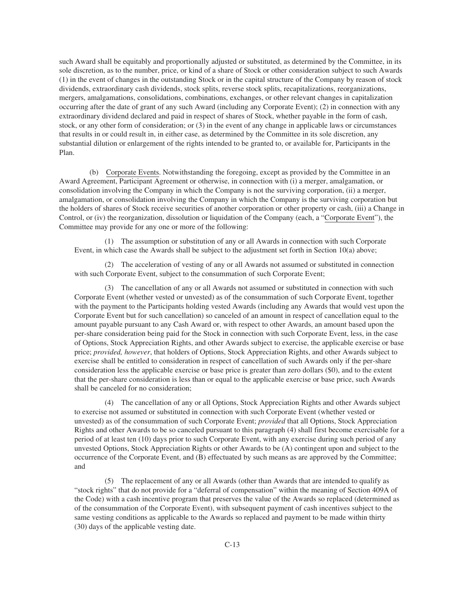such Award shall be equitably and proportionally adjusted or substituted, as determined by the Committee, in its sole discretion, as to the number, price, or kind of a share of Stock or other consideration subject to such Awards (1) in the event of changes in the outstanding Stock or in the capital structure of the Company by reason of stock dividends, extraordinary cash dividends, stock splits, reverse stock splits, recapitalizations, reorganizations, mergers, amalgamations, consolidations, combinations, exchanges, or other relevant changes in capitalization occurring after the date of grant of any such Award (including any Corporate Event); (2) in connection with any extraordinary dividend declared and paid in respect of shares of Stock, whether payable in the form of cash, stock, or any other form of consideration; or (3) in the event of any change in applicable laws or circumstances that results in or could result in, in either case, as determined by the Committee in its sole discretion, any substantial dilution or enlargement of the rights intended to be granted to, or available for, Participants in the Plan.

(b) Corporate Events. Notwithstanding the foregoing, except as provided by the Committee in an Award Agreement, Participant Agreement or otherwise, in connection with (i) a merger, amalgamation, or consolidation involving the Company in which the Company is not the surviving corporation, (ii) a merger, amalgamation, or consolidation involving the Company in which the Company is the surviving corporation but the holders of shares of Stock receive securities of another corporation or other property or cash, (iii) a Change in Control, or (iv) the reorganization, dissolution or liquidation of the Company (each, a "Corporate Event"), the Committee may provide for any one or more of the following:

(1) The assumption or substitution of any or all Awards in connection with such Corporate Event, in which case the Awards shall be subject to the adjustment set forth in Section 10(a) above;

(2) The acceleration of vesting of any or all Awards not assumed or substituted in connection with such Corporate Event, subject to the consummation of such Corporate Event;

(3) The cancellation of any or all Awards not assumed or substituted in connection with such Corporate Event (whether vested or unvested) as of the consummation of such Corporate Event, together with the payment to the Participants holding vested Awards (including any Awards that would vest upon the Corporate Event but for such cancellation) so canceled of an amount in respect of cancellation equal to the amount payable pursuant to any Cash Award or, with respect to other Awards, an amount based upon the per-share consideration being paid for the Stock in connection with such Corporate Event, less, in the case of Options, Stock Appreciation Rights, and other Awards subject to exercise, the applicable exercise or base price; *provided, however*, that holders of Options, Stock Appreciation Rights, and other Awards subject to exercise shall be entitled to consideration in respect of cancellation of such Awards only if the per-share consideration less the applicable exercise or base price is greater than zero dollars (\$0), and to the extent that the per-share consideration is less than or equal to the applicable exercise or base price, such Awards shall be canceled for no consideration;

(4) The cancellation of any or all Options, Stock Appreciation Rights and other Awards subject to exercise not assumed or substituted in connection with such Corporate Event (whether vested or unvested) as of the consummation of such Corporate Event; *provided* that all Options, Stock Appreciation Rights and other Awards to be so canceled pursuant to this paragraph (4) shall first become exercisable for a period of at least ten (10) days prior to such Corporate Event, with any exercise during such period of any unvested Options, Stock Appreciation Rights or other Awards to be (A) contingent upon and subject to the occurrence of the Corporate Event, and (B) effectuated by such means as are approved by the Committee; and

(5) The replacement of any or all Awards (other than Awards that are intended to qualify as "stock rights" that do not provide for a "deferral of compensation" within the meaning of Section 409A of the Code) with a cash incentive program that preserves the value of the Awards so replaced (determined as of the consummation of the Corporate Event), with subsequent payment of cash incentives subject to the same vesting conditions as applicable to the Awards so replaced and payment to be made within thirty (30) days of the applicable vesting date.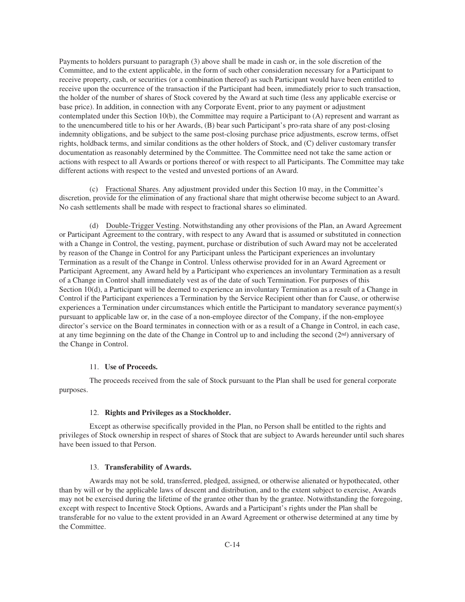Payments to holders pursuant to paragraph (3) above shall be made in cash or, in the sole discretion of the Committee, and to the extent applicable, in the form of such other consideration necessary for a Participant to receive property, cash, or securities (or a combination thereof) as such Participant would have been entitled to receive upon the occurrence of the transaction if the Participant had been, immediately prior to such transaction, the holder of the number of shares of Stock covered by the Award at such time (less any applicable exercise or base price). In addition, in connection with any Corporate Event, prior to any payment or adjustment contemplated under this Section 10(b), the Committee may require a Participant to (A) represent and warrant as to the unencumbered title to his or her Awards, (B) bear such Participant's pro-rata share of any post-closing indemnity obligations, and be subject to the same post-closing purchase price adjustments, escrow terms, offset rights, holdback terms, and similar conditions as the other holders of Stock, and (C) deliver customary transfer documentation as reasonably determined by the Committee. The Committee need not take the same action or actions with respect to all Awards or portions thereof or with respect to all Participants. The Committee may take different actions with respect to the vested and unvested portions of an Award.

(c) Fractional Shares. Any adjustment provided under this Section 10 may, in the Committee's discretion, provide for the elimination of any fractional share that might otherwise become subject to an Award. No cash settlements shall be made with respect to fractional shares so eliminated.

(d) Double-Trigger Vesting. Notwithstanding any other provisions of the Plan, an Award Agreement or Participant Agreement to the contrary, with respect to any Award that is assumed or substituted in connection with a Change in Control, the vesting, payment, purchase or distribution of such Award may not be accelerated by reason of the Change in Control for any Participant unless the Participant experiences an involuntary Termination as a result of the Change in Control. Unless otherwise provided for in an Award Agreement or Participant Agreement, any Award held by a Participant who experiences an involuntary Termination as a result of a Change in Control shall immediately vest as of the date of such Termination. For purposes of this Section 10(d), a Participant will be deemed to experience an involuntary Termination as a result of a Change in Control if the Participant experiences a Termination by the Service Recipient other than for Cause, or otherwise experiences a Termination under circumstances which entitle the Participant to mandatory severance payment(s) pursuant to applicable law or, in the case of a non-employee director of the Company, if the non-employee director's service on the Board terminates in connection with or as a result of a Change in Control, in each case, at any time beginning on the date of the Change in Control up to and including the second (2nd) anniversary of the Change in Control.

### 11. **Use of Proceeds.**

The proceeds received from the sale of Stock pursuant to the Plan shall be used for general corporate purposes.

#### 12. **Rights and Privileges as a Stockholder.**

Except as otherwise specifically provided in the Plan, no Person shall be entitled to the rights and privileges of Stock ownership in respect of shares of Stock that are subject to Awards hereunder until such shares have been issued to that Person.

### 13. **Transferability of Awards.**

Awards may not be sold, transferred, pledged, assigned, or otherwise alienated or hypothecated, other than by will or by the applicable laws of descent and distribution, and to the extent subject to exercise, Awards may not be exercised during the lifetime of the grantee other than by the grantee. Notwithstanding the foregoing, except with respect to Incentive Stock Options, Awards and a Participant's rights under the Plan shall be transferable for no value to the extent provided in an Award Agreement or otherwise determined at any time by the Committee.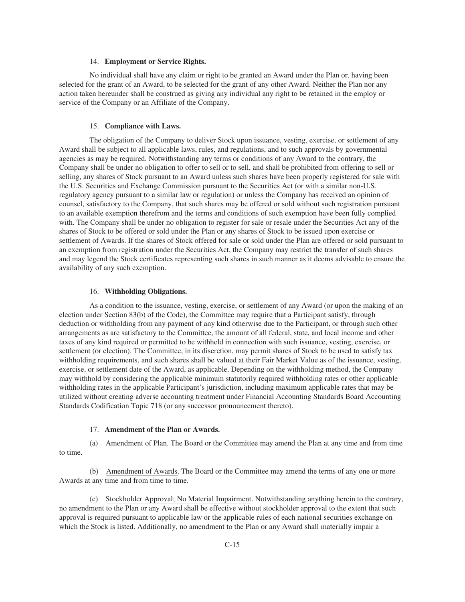## 14. **Employment or Service Rights.**

No individual shall have any claim or right to be granted an Award under the Plan or, having been selected for the grant of an Award, to be selected for the grant of any other Award. Neither the Plan nor any action taken hereunder shall be construed as giving any individual any right to be retained in the employ or service of the Company or an Affiliate of the Company.

### 15. **Compliance with Laws.**

The obligation of the Company to deliver Stock upon issuance, vesting, exercise, or settlement of any Award shall be subject to all applicable laws, rules, and regulations, and to such approvals by governmental agencies as may be required. Notwithstanding any terms or conditions of any Award to the contrary, the Company shall be under no obligation to offer to sell or to sell, and shall be prohibited from offering to sell or selling, any shares of Stock pursuant to an Award unless such shares have been properly registered for sale with the U.S. Securities and Exchange Commission pursuant to the Securities Act (or with a similar non-U.S. regulatory agency pursuant to a similar law or regulation) or unless the Company has received an opinion of counsel, satisfactory to the Company, that such shares may be offered or sold without such registration pursuant to an available exemption therefrom and the terms and conditions of such exemption have been fully complied with. The Company shall be under no obligation to register for sale or resale under the Securities Act any of the shares of Stock to be offered or sold under the Plan or any shares of Stock to be issued upon exercise or settlement of Awards. If the shares of Stock offered for sale or sold under the Plan are offered or sold pursuant to an exemption from registration under the Securities Act, the Company may restrict the transfer of such shares and may legend the Stock certificates representing such shares in such manner as it deems advisable to ensure the availability of any such exemption.

### 16. **Withholding Obligations.**

As a condition to the issuance, vesting, exercise, or settlement of any Award (or upon the making of an election under Section 83(b) of the Code), the Committee may require that a Participant satisfy, through deduction or withholding from any payment of any kind otherwise due to the Participant, or through such other arrangements as are satisfactory to the Committee, the amount of all federal, state, and local income and other taxes of any kind required or permitted to be withheld in connection with such issuance, vesting, exercise, or settlement (or election). The Committee, in its discretion, may permit shares of Stock to be used to satisfy tax withholding requirements, and such shares shall be valued at their Fair Market Value as of the issuance, vesting, exercise, or settlement date of the Award, as applicable. Depending on the withholding method, the Company may withhold by considering the applicable minimum statutorily required withholding rates or other applicable withholding rates in the applicable Participant's jurisdiction, including maximum applicable rates that may be utilized without creating adverse accounting treatment under Financial Accounting Standards Board Accounting Standards Codification Topic 718 (or any successor pronouncement thereto).

#### 17. **Amendment of the Plan or Awards.**

(a) Amendment of Plan. The Board or the Committee may amend the Plan at any time and from time to time.

(b) Amendment of Awards. The Board or the Committee may amend the terms of any one or more Awards at any time and from time to time.

(c) Stockholder Approval; No Material Impairment. Notwithstanding anything herein to the contrary, no amendment to the Plan or any Award shall be effective without stockholder approval to the extent that such approval is required pursuant to applicable law or the applicable rules of each national securities exchange on which the Stock is listed. Additionally, no amendment to the Plan or any Award shall materially impair a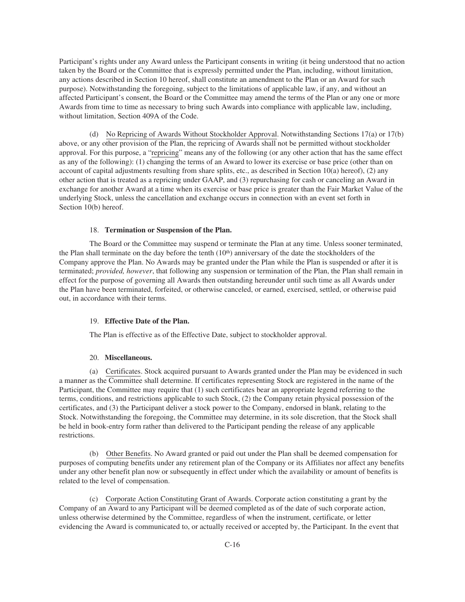Participant's rights under any Award unless the Participant consents in writing (it being understood that no action taken by the Board or the Committee that is expressly permitted under the Plan, including, without limitation, any actions described in Section 10 hereof, shall constitute an amendment to the Plan or an Award for such purpose). Notwithstanding the foregoing, subject to the limitations of applicable law, if any, and without an affected Participant's consent, the Board or the Committee may amend the terms of the Plan or any one or more Awards from time to time as necessary to bring such Awards into compliance with applicable law, including, without limitation, Section 409A of the Code.

(d) No Repricing of Awards Without Stockholder Approval. Notwithstanding Sections 17(a) or 17(b) above, or any other provision of the Plan, the repricing of Awards shall not be permitted without stockholder approval. For this purpose, a "repricing" means any of the following (or any other action that has the same effect as any of the following): (1) changing the terms of an Award to lower its exercise or base price (other than on account of capital adjustments resulting from share splits, etc., as described in Section 10(a) hereof), (2) any other action that is treated as a repricing under GAAP, and (3) repurchasing for cash or canceling an Award in exchange for another Award at a time when its exercise or base price is greater than the Fair Market Value of the underlying Stock, unless the cancellation and exchange occurs in connection with an event set forth in Section 10(b) hereof.

## 18. **Termination or Suspension of the Plan.**

The Board or the Committee may suspend or terminate the Plan at any time. Unless sooner terminated, the Plan shall terminate on the day before the tenth  $(10<sup>th</sup>)$  anniversary of the date the stockholders of the Company approve the Plan. No Awards may be granted under the Plan while the Plan is suspended or after it is terminated; *provided, however*, that following any suspension or termination of the Plan, the Plan shall remain in effect for the purpose of governing all Awards then outstanding hereunder until such time as all Awards under the Plan have been terminated, forfeited, or otherwise canceled, or earned, exercised, settled, or otherwise paid out, in accordance with their terms.

## 19. **Effective Date of the Plan.**

The Plan is effective as of the Effective Date, subject to stockholder approval.

#### 20. **Miscellaneous.**

(a) Certificates. Stock acquired pursuant to Awards granted under the Plan may be evidenced in such a manner as the Committee shall determine. If certificates representing Stock are registered in the name of the Participant, the Committee may require that (1) such certificates bear an appropriate legend referring to the terms, conditions, and restrictions applicable to such Stock, (2) the Company retain physical possession of the certificates, and (3) the Participant deliver a stock power to the Company, endorsed in blank, relating to the Stock. Notwithstanding the foregoing, the Committee may determine, in its sole discretion, that the Stock shall be held in book-entry form rather than delivered to the Participant pending the release of any applicable restrictions.

(b) Other Benefits. No Award granted or paid out under the Plan shall be deemed compensation for purposes of computing benefits under any retirement plan of the Company or its Affiliates nor affect any benefits under any other benefit plan now or subsequently in effect under which the availability or amount of benefits is related to the level of compensation.

(c) Corporate Action Constituting Grant of Awards. Corporate action constituting a grant by the Company of an Award to any Participant will be deemed completed as of the date of such corporate action, unless otherwise determined by the Committee, regardless of when the instrument, certificate, or letter evidencing the Award is communicated to, or actually received or accepted by, the Participant. In the event that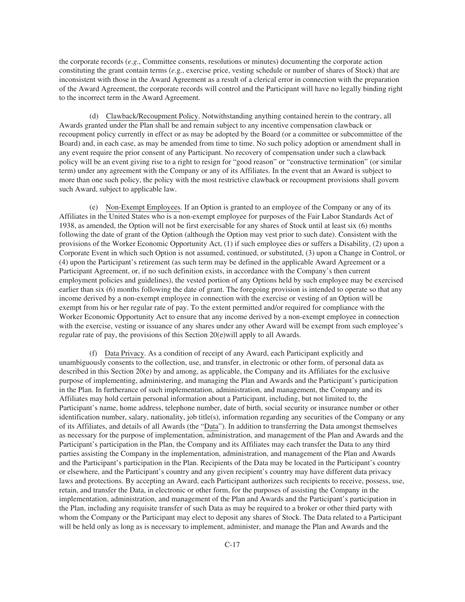the corporate records (*e*.*g*., Committee consents, resolutions or minutes) documenting the corporate action constituting the grant contain terms (*e*.g., exercise price, vesting schedule or number of shares of Stock) that are inconsistent with those in the Award Agreement as a result of a clerical error in connection with the preparation of the Award Agreement, the corporate records will control and the Participant will have no legally binding right to the incorrect term in the Award Agreement.

(d) Clawback/Recoupment Policy. Notwithstanding anything contained herein to the contrary, all Awards granted under the Plan shall be and remain subject to any incentive compensation clawback or recoupment policy currently in effect or as may be adopted by the Board (or a committee or subcommittee of the Board) and, in each case, as may be amended from time to time. No such policy adoption or amendment shall in any event require the prior consent of any Participant. No recovery of compensation under such a clawback policy will be an event giving rise to a right to resign for "good reason" or "constructive termination" (or similar term) under any agreement with the Company or any of its Affiliates. In the event that an Award is subject to more than one such policy, the policy with the most restrictive clawback or recoupment provisions shall govern such Award, subject to applicable law.

(e) Non-Exempt Employees. If an Option is granted to an employee of the Company or any of its Affiliates in the United States who is a non-exempt employee for purposes of the Fair Labor Standards Act of 1938, as amended, the Option will not be first exercisable for any shares of Stock until at least six (6) months following the date of grant of the Option (although the Option may vest prior to such date). Consistent with the provisions of the Worker Economic Opportunity Act, (1) if such employee dies or suffers a Disability, (2) upon a Corporate Event in which such Option is not assumed, continued, or substituted, (3) upon a Change in Control, or (4) upon the Participant's retirement (as such term may be defined in the applicable Award Agreement or a Participant Agreement, or, if no such definition exists, in accordance with the Company's then current employment policies and guidelines), the vested portion of any Options held by such employee may be exercised earlier than six (6) months following the date of grant. The foregoing provision is intended to operate so that any income derived by a non-exempt employee in connection with the exercise or vesting of an Option will be exempt from his or her regular rate of pay. To the extent permitted and/or required for compliance with the Worker Economic Opportunity Act to ensure that any income derived by a non-exempt employee in connection with the exercise, vesting or issuance of any shares under any other Award will be exempt from such employee's regular rate of pay, the provisions of this Section 20(e)will apply to all Awards.

(f) Data Privacy. As a condition of receipt of any Award, each Participant explicitly and unambiguously consents to the collection, use, and transfer, in electronic or other form, of personal data as described in this Section 20(e) by and among, as applicable, the Company and its Affiliates for the exclusive purpose of implementing, administering, and managing the Plan and Awards and the Participant's participation in the Plan. In furtherance of such implementation, administration, and management, the Company and its Affiliates may hold certain personal information about a Participant, including, but not limited to, the Participant's name, home address, telephone number, date of birth, social security or insurance number or other identification number, salary, nationality, job title(s), information regarding any securities of the Company or any of its Affiliates, and details of all Awards (the "Data"). In addition to transferring the Data amongst themselves as necessary for the purpose of implementation, administration, and management of the Plan and Awards and the Participant's participation in the Plan, the Company and its Affiliates may each transfer the Data to any third parties assisting the Company in the implementation, administration, and management of the Plan and Awards and the Participant's participation in the Plan. Recipients of the Data may be located in the Participant's country or elsewhere, and the Participant's country and any given recipient's country may have different data privacy laws and protections. By accepting an Award, each Participant authorizes such recipients to receive, possess, use, retain, and transfer the Data, in electronic or other form, for the purposes of assisting the Company in the implementation, administration, and management of the Plan and Awards and the Participant's participation in the Plan, including any requisite transfer of such Data as may be required to a broker or other third party with whom the Company or the Participant may elect to deposit any shares of Stock. The Data related to a Participant will be held only as long as is necessary to implement, administer, and manage the Plan and Awards and the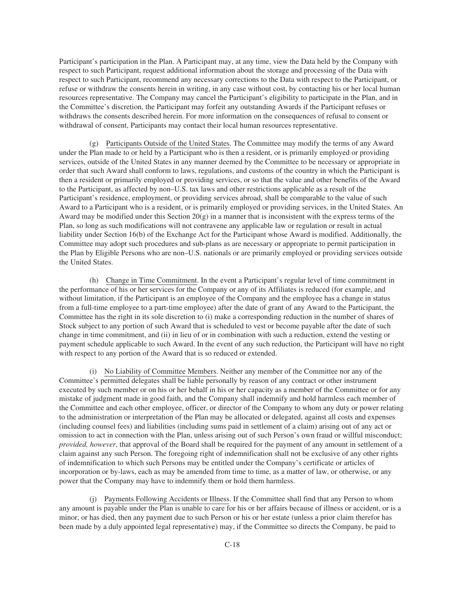Participant's participation in the Plan. A Participant may, at any time, view the Data held by the Company with respect to such Participant, request additional information about the storage and processing of the Data with respect to such Participant, recommend any necessary corrections to the Data with respect to the Participant, or refuse or withdraw the consents herein in writing, in any case without cost, by contacting his or her local human resources representative. The Company may cancel the Participant's eligibility to participate in the Plan, and in the Committee's discretion, the Participant may forfeit any outstanding Awards if the Participant refuses or withdraws the consents described herein. For more information on the consequences of refusal to consent or withdrawal of consent, Participants may contact their local human resources representative.

(g) Participants Outside of the United States. The Committee may modify the terms of any Award under the Plan made to or held by a Participant who is then a resident, or is primarily employed or providing services, outside of the United States in any manner deemed by the Committee to be necessary or appropriate in order that such Award shall conform to laws, regulations, and customs of the country in which the Participant is then a resident or primarily employed or providing services, or so that the value and other benefits of the Award to the Participant, as affected by non–U.S. tax laws and other restrictions applicable as a result of the Participant's residence, employment, or providing services abroad, shall be comparable to the value of such Award to a Participant who is a resident, or is primarily employed or providing services, in the United States. An Award may be modified under this Section  $20(g)$  in a manner that is inconsistent with the express terms of the Plan, so long as such modifications will not contravene any applicable law or regulation or result in actual liability under Section 16(b) of the Exchange Act for the Participant whose Award is modified. Additionally, the Committee may adopt such procedures and sub-plans as are necessary or appropriate to permit participation in the Plan by Eligible Persons who are non–U.S. nationals or are primarily employed or providing services outside the United States.

(h) Change in Time Commitment. In the event a Participant's regular level of time commitment in the performance of his or her services for the Company or any of its Affiliates is reduced (for example, and without limitation, if the Participant is an employee of the Company and the employee has a change in status from a full-time employee to a part-time employee) after the date of grant of any Award to the Participant, the Committee has the right in its sole discretion to (i) make a corresponding reduction in the number of shares of Stock subject to any portion of such Award that is scheduled to vest or become payable after the date of such change in time commitment, and (ii) in lieu of or in combination with such a reduction, extend the vesting or payment schedule applicable to such Award. In the event of any such reduction, the Participant will have no right with respect to any portion of the Award that is so reduced or extended.

(i) No Liability of Committee Members. Neither any member of the Committee nor any of the Committee's permitted delegates shall be liable personally by reason of any contract or other instrument executed by such member or on his or her behalf in his or her capacity as a member of the Committee or for any mistake of judgment made in good faith, and the Company shall indemnify and hold harmless each member of the Committee and each other employee, officer, or director of the Company to whom any duty or power relating to the administration or interpretation of the Plan may be allocated or delegated, against all costs and expenses (including counsel fees) and liabilities (including sums paid in settlement of a claim) arising out of any act or omission to act in connection with the Plan, unless arising out of such Person's own fraud or willful misconduct; *provided, however*, that approval of the Board shall be required for the payment of any amount in settlement of a claim against any such Person. The foregoing right of indemnification shall not be exclusive of any other rights of indemnification to which such Persons may be entitled under the Company's certificate or articles of incorporation or by-laws, each as may be amended from time to time, as a matter of law, or otherwise, or any power that the Company may have to indemnify them or hold them harmless.

(j) Payments Following Accidents or Illness. If the Committee shall find that any Person to whom any amount is payable under the Plan is unable to care for his or her affairs because of illness or accident, or is a minor, or has died, then any payment due to such Person or his or her estate (unless a prior claim therefor has been made by a duly appointed legal representative) may, if the Committee so directs the Company, be paid to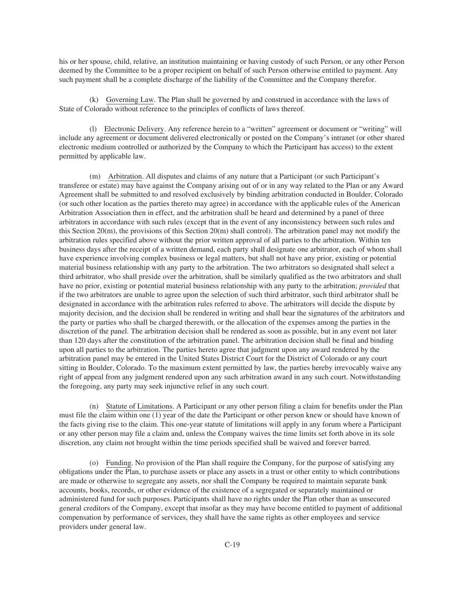his or her spouse, child, relative, an institution maintaining or having custody of such Person, or any other Person deemed by the Committee to be a proper recipient on behalf of such Person otherwise entitled to payment. Any such payment shall be a complete discharge of the liability of the Committee and the Company therefor.

(k) Governing Law. The Plan shall be governed by and construed in accordance with the laws of State of Colorado without reference to the principles of conflicts of laws thereof.

(l) Electronic Delivery. Any reference herein to a "written" agreement or document or "writing" will include any agreement or document delivered electronically or posted on the Company's intranet (or other shared electronic medium controlled or authorized by the Company to which the Participant has access) to the extent permitted by applicable law.

(m) Arbitration. All disputes and claims of any nature that a Participant (or such Participant's transferee or estate) may have against the Company arising out of or in any way related to the Plan or any Award Agreement shall be submitted to and resolved exclusively by binding arbitration conducted in Boulder, Colorado (or such other location as the parties thereto may agree) in accordance with the applicable rules of the American Arbitration Association then in effect, and the arbitration shall be heard and determined by a panel of three arbitrators in accordance with such rules (except that in the event of any inconsistency between such rules and this Section 20(m), the provisions of this Section 20(m) shall control). The arbitration panel may not modify the arbitration rules specified above without the prior written approval of all parties to the arbitration. Within ten business days after the receipt of a written demand, each party shall designate one arbitrator, each of whom shall have experience involving complex business or legal matters, but shall not have any prior, existing or potential material business relationship with any party to the arbitration. The two arbitrators so designated shall select a third arbitrator, who shall preside over the arbitration, shall be similarly qualified as the two arbitrators and shall have no prior, existing or potential material business relationship with any party to the arbitration; *provided* that if the two arbitrators are unable to agree upon the selection of such third arbitrator, such third arbitrator shall be designated in accordance with the arbitration rules referred to above. The arbitrators will decide the dispute by majority decision, and the decision shall be rendered in writing and shall bear the signatures of the arbitrators and the party or parties who shall be charged therewith, or the allocation of the expenses among the parties in the discretion of the panel. The arbitration decision shall be rendered as soon as possible, but in any event not later than 120 days after the constitution of the arbitration panel. The arbitration decision shall be final and binding upon all parties to the arbitration. The parties hereto agree that judgment upon any award rendered by the arbitration panel may be entered in the United States District Court for the District of Colorado or any court sitting in Boulder, Colorado. To the maximum extent permitted by law, the parties hereby irrevocably waive any right of appeal from any judgment rendered upon any such arbitration award in any such court. Notwithstanding the foregoing, any party may seek injunctive relief in any such court.

(n) Statute of Limitations. A Participant or any other person filing a claim for benefits under the Plan must file the claim within one (1) year of the date the Participant or other person knew or should have known of the facts giving rise to the claim. This one-year statute of limitations will apply in any forum where a Participant or any other person may file a claim and, unless the Company waives the time limits set forth above in its sole discretion, any claim not brought within the time periods specified shall be waived and forever barred.

(o) Funding. No provision of the Plan shall require the Company, for the purpose of satisfying any obligations under the Plan, to purchase assets or place any assets in a trust or other entity to which contributions are made or otherwise to segregate any assets, nor shall the Company be required to maintain separate bank accounts, books, records, or other evidence of the existence of a segregated or separately maintained or administered fund for such purposes. Participants shall have no rights under the Plan other than as unsecured general creditors of the Company, except that insofar as they may have become entitled to payment of additional compensation by performance of services, they shall have the same rights as other employees and service providers under general law.